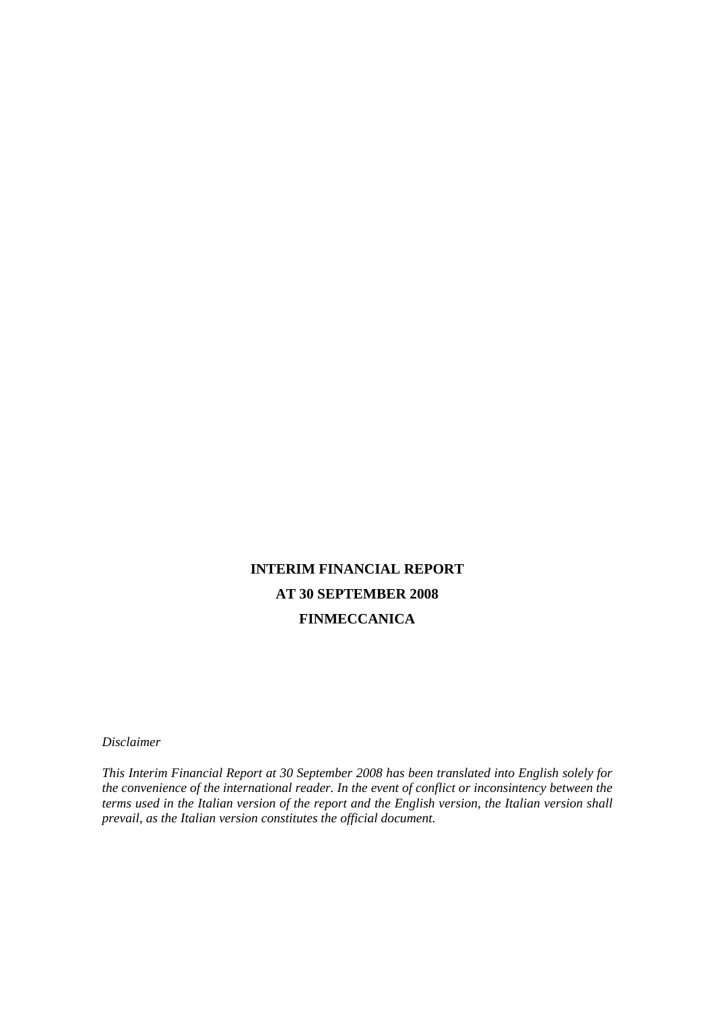# **INTERIM FINANCIAL REPORT AT 30 SEPTEMBER 2008 FINMECCANICA**

*Disclaimer* 

*This Interim Financial Report at 30 September 2008 has been translated into English solely for the convenience of the international reader. In the event of conflict or inconsintency between the terms used in the Italian version of the report and the English version, the Italian version shall prevail, as the Italian version constitutes the official document.*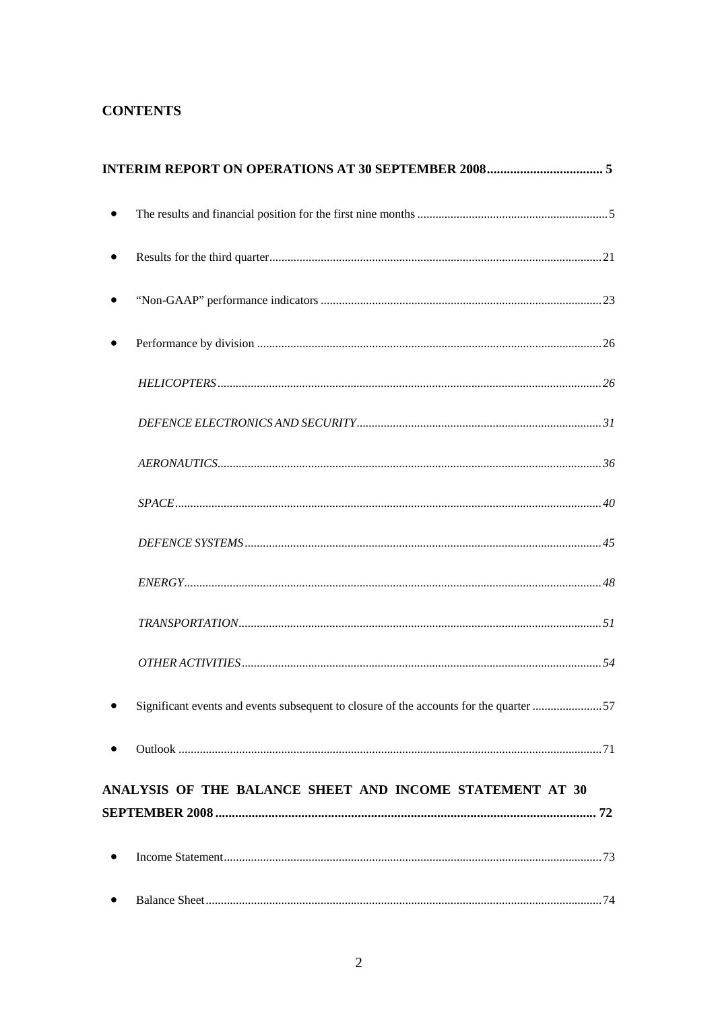# **CONTENTS**

|           | Significant events and events subsequent to closure of the accounts for the quarter 57 |  |
|-----------|----------------------------------------------------------------------------------------|--|
|           |                                                                                        |  |
|           | ANALYSIS OF THE BALANCE SHEET AND INCOME STATEMENT AT 30                               |  |
|           |                                                                                        |  |
|           |                                                                                        |  |
| $\bullet$ |                                                                                        |  |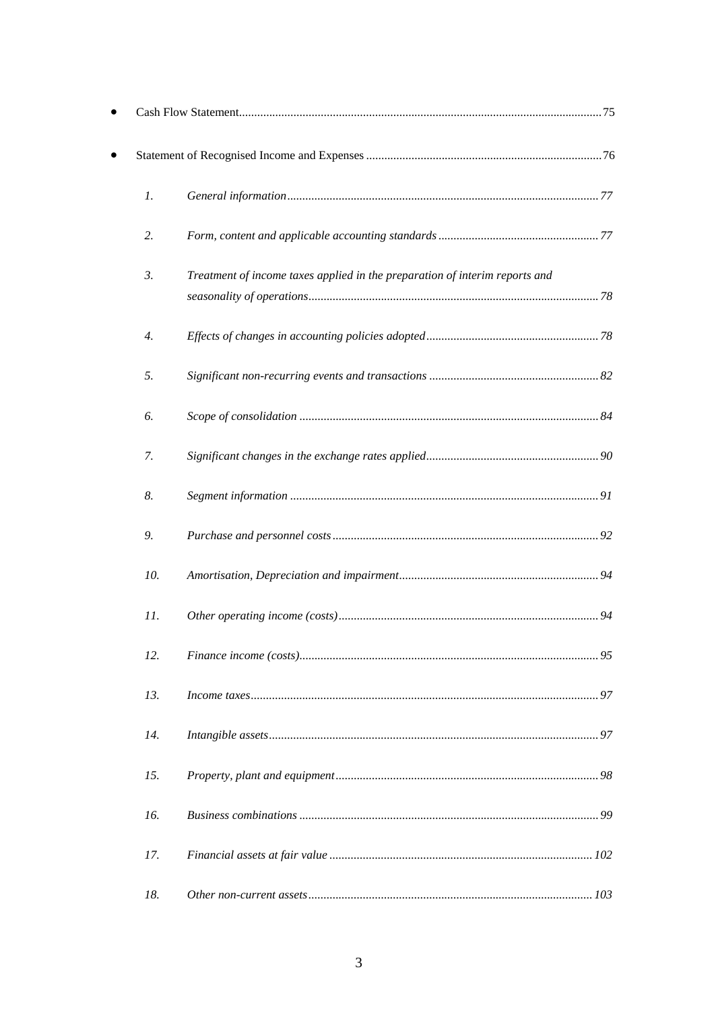| $\mathfrak{1}.$  |                                                                             |  |
|------------------|-----------------------------------------------------------------------------|--|
| 2.               |                                                                             |  |
| 3.               | Treatment of income taxes applied in the preparation of interim reports and |  |
| $\overline{4}$ . |                                                                             |  |
| 5.               |                                                                             |  |
| 6.               |                                                                             |  |
| 7.               |                                                                             |  |
| 8.               |                                                                             |  |
| 9.               |                                                                             |  |
| 10.              |                                                                             |  |
| 11.              |                                                                             |  |
| 12.              |                                                                             |  |
| 13.              |                                                                             |  |
| 14.              |                                                                             |  |
| 15.              |                                                                             |  |
| 16.              |                                                                             |  |
| 17.              |                                                                             |  |
| 18.              |                                                                             |  |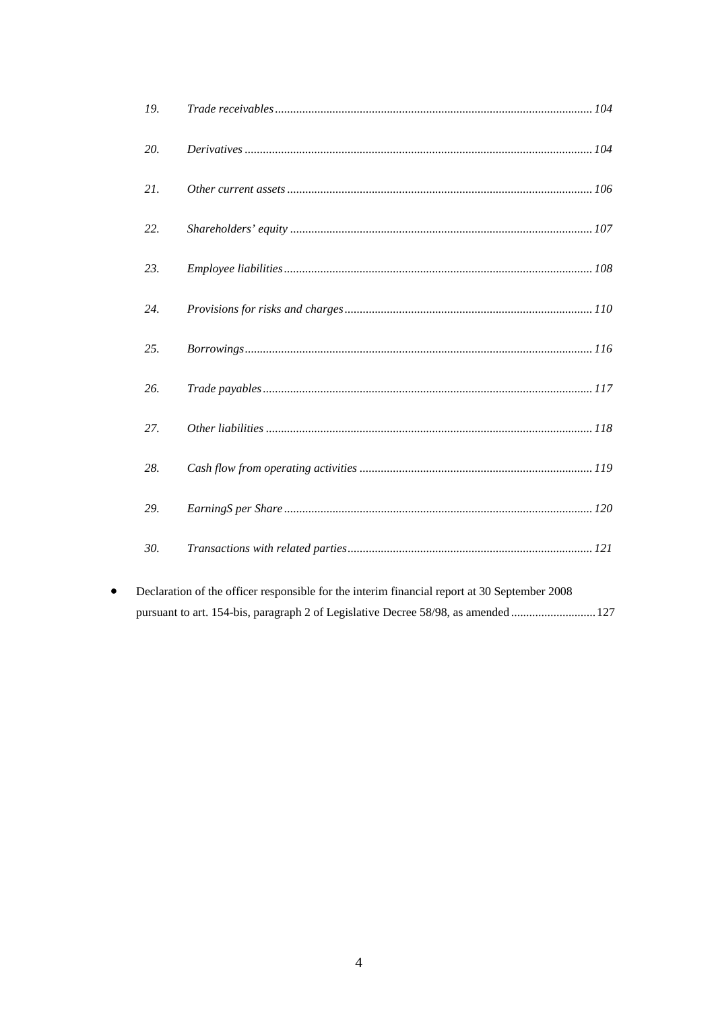| 19. |  |
|-----|--|
| 20. |  |
| 21. |  |
| 22. |  |
| 23. |  |
| 24. |  |
| 25. |  |
| 26. |  |
| 27. |  |
| 28. |  |
| 29. |  |
| 30. |  |

Declaration of the officer responsible for the interim financial report at 30 September 2008  $\bullet$ pursuant to art. 154-bis, paragraph 2 of Legislative Decree 58/98, as amended ........................... 127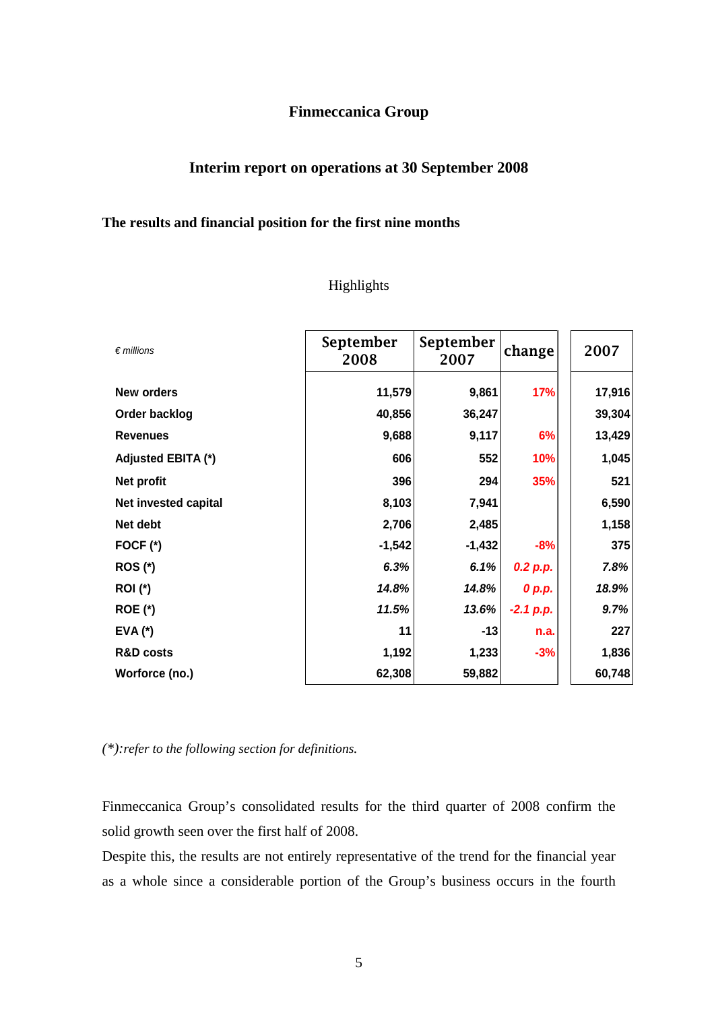# **Finmeccanica Group**

# **Interim report on operations at 30 September 2008**

# **The results and financial position for the first nine months**

# Highlights

| $\epsilon$ millions  | September<br>2008 | September<br>2007 | change      | 2007   |
|----------------------|-------------------|-------------------|-------------|--------|
| <b>New orders</b>    | 11,579            | 9,861             | <b>17%</b>  | 17,916 |
| Order backlog        | 40,856            | 36,247            |             | 39,304 |
| <b>Revenues</b>      | 9,688             | 9,117             | 6%          | 13,429 |
| Adjusted EBITA (*)   | 606               | 552               | 10%         | 1,045  |
| Net profit           | 396               | 294               | 35%         | 521    |
| Net invested capital | 8,103             | 7,941             |             | 6,590  |
| Net debt             | 2,706             | 2,485             |             | 1,158  |
| FOCF (*)             | $-1,542$          | $-1,432$          | $-8%$       | 375    |
| <b>ROS (*)</b>       | 6.3%              | 6.1%              | 0.2 p.p.    | 7.8%   |
| <b>ROI</b> (*)       | 14.8%             | 14.8%             | 0 p.p.      | 18.9%  |
| <b>ROE (*)</b>       | 11.5%             | 13.6%             | $-2.1 p.p.$ | 9.7%   |
| $EVA$ $(*)$          | 11                | $-13$             | n.a.        | 227    |
| <b>R&amp;D costs</b> | 1,192             | 1,233             | $-3%$       | 1,836  |
| Worforce (no.)       | 62,308            | 59,882            |             | 60,748 |

*(\*):refer to the following section for definitions.* 

Finmeccanica Group's consolidated results for the third quarter of 2008 confirm the solid growth seen over the first half of 2008.

Despite this, the results are not entirely representative of the trend for the financial year as a whole since a considerable portion of the Group's business occurs in the fourth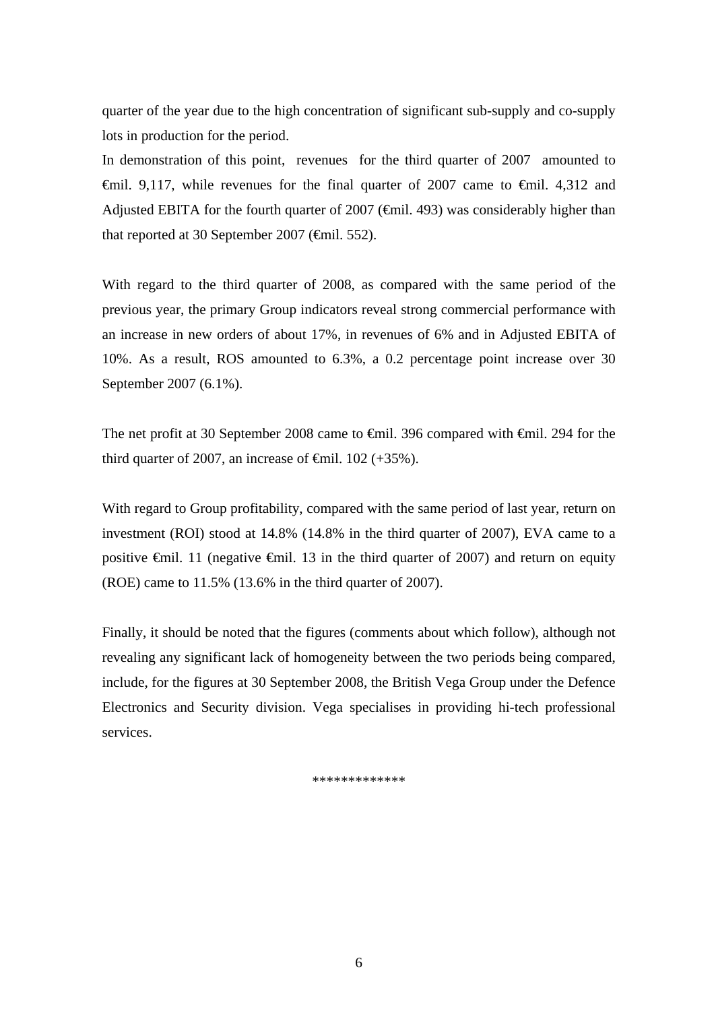quarter of the year due to the high concentration of significant sub-supply and co-supply lots in production for the period.

In demonstration of this point, revenues for the third quarter of 2007 amounted to  $\theta$ mil. 9,117, while revenues for the final quarter of 2007 came to  $\theta$ mil. 4,312 and Adjusted EBITA for the fourth quarter of 2007 ( $\epsilon$ mil. 493) was considerably higher than that reported at 30 September 2007 ( $\epsilon$ mil. 552).

With regard to the third quarter of 2008, as compared with the same period of the previous year, the primary Group indicators reveal strong commercial performance with an increase in new orders of about 17%, in revenues of 6% and in Adjusted EBITA of 10%. As a result, ROS amounted to 6.3%, a 0.2 percentage point increase over 30 September 2007 (6.1%).

The net profit at 30 September 2008 came to €mil. 396 compared with €mil. 294 for the third quarter of 2007, an increase of  $\theta$ mil. 102 (+35%).

With regard to Group profitability, compared with the same period of last year, return on investment (ROI) stood at 14.8% (14.8% in the third quarter of 2007), EVA came to a positive  $\epsilon$ mil. 11 (negative  $\epsilon$ mil. 13 in the third quarter of 2007) and return on equity (ROE) came to 11.5% (13.6% in the third quarter of 2007).

Finally, it should be noted that the figures (comments about which follow), although not revealing any significant lack of homogeneity between the two periods being compared, include, for the figures at 30 September 2008, the British Vega Group under the Defence Electronics and Security division. Vega specialises in providing hi-tech professional services.

\*\*\*\*\*\*\*\*\*\*\*\*\*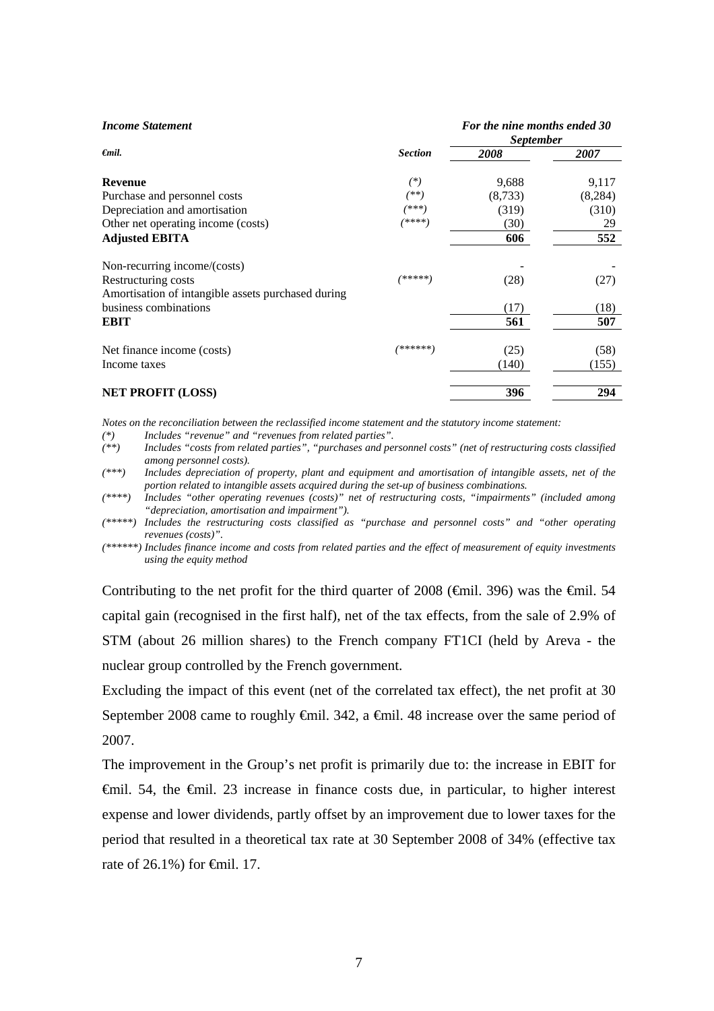| <b>Income Statement</b>                            |                | For the nine months ended 30<br><i>September</i> |         |  |
|----------------------------------------------------|----------------|--------------------------------------------------|---------|--|
| $\epsilon$ mil.                                    | <b>Section</b> | 2008                                             | 2007    |  |
| Revenue                                            | $(*)$          | 9,688                                            | 9,117   |  |
| Purchase and personnel costs                       | $^{(**)}$      | (8,733)                                          | (8,284) |  |
| Depreciation and amortisation                      | /***)          | (319)                                            | (310)   |  |
| Other net operating income (costs)                 | $(***)$        | (30)                                             | 29      |  |
| <b>Adjusted EBITA</b>                              |                | 606                                              | 552     |  |
| Non-recurring income/(costs)                       |                |                                                  |         |  |
| Restructuring costs                                | /*****)        | (28)                                             | (27)    |  |
| Amortisation of intangible assets purchased during |                |                                                  |         |  |
| business combinations                              |                | (17)                                             | (18)    |  |
| <b>EBIT</b>                                        |                | 561                                              | 507     |  |
| Net finance income (costs)                         | /******)       | (25)                                             | (58)    |  |
| Income taxes                                       |                | (140)                                            | (155)   |  |
| <b>NET PROFIT (LOSS)</b>                           |                | 396                                              | 294     |  |

*Notes on the reconciliation between the reclassified income statement and the statutory income statement:* 

*(\*) Includes "revenue" and "revenues from related parties".* 

*(\*\*) Includes "costs from related parties", "purchases and personnel costs" (net of restructuring costs classified among personnel costs).* 

*(\*\*\*) Includes depreciation of property, plant and equipment and amortisation of intangible assets, net of the portion related to intangible assets acquired during the set-up of business combinations.* 

*(\*\*\*\*) Includes "other operating revenues (costs)" net of restructuring costs, "impairments" (included among "depreciation, amortisation and impairment").* 

*(\*\*\*\*\*) Includes the restructuring costs classified as "purchase and personnel costs" and "other operating revenues (costs)".* 

*(\*\*\*\*\*\*) Includes finance income and costs from related parties and the effect of measurement of equity investments using the equity method*

Contributing to the net profit for the third quarter of 2008 ( $\epsilon$ mil. 396) was the  $\epsilon$ mil. 54 capital gain (recognised in the first half), net of the tax effects, from the sale of 2.9% of STM (about 26 million shares) to the French company FT1CI (held by Areva - the nuclear group controlled by the French government.

Excluding the impact of this event (net of the correlated tax effect), the net profit at 30 September 2008 came to roughly <del>€</del>mil. 342, a <del>€</del>mil. 48 increase over the same period of 2007.

The improvement in the Group's net profit is primarily due to: the increase in EBIT for €mil. 54, the €mil. 23 increase in finance costs due, in particular, to higher interest expense and lower dividends, partly offset by an improvement due to lower taxes for the period that resulted in a theoretical tax rate at 30 September 2008 of 34% (effective tax rate of 26.1%) for €mil. 17.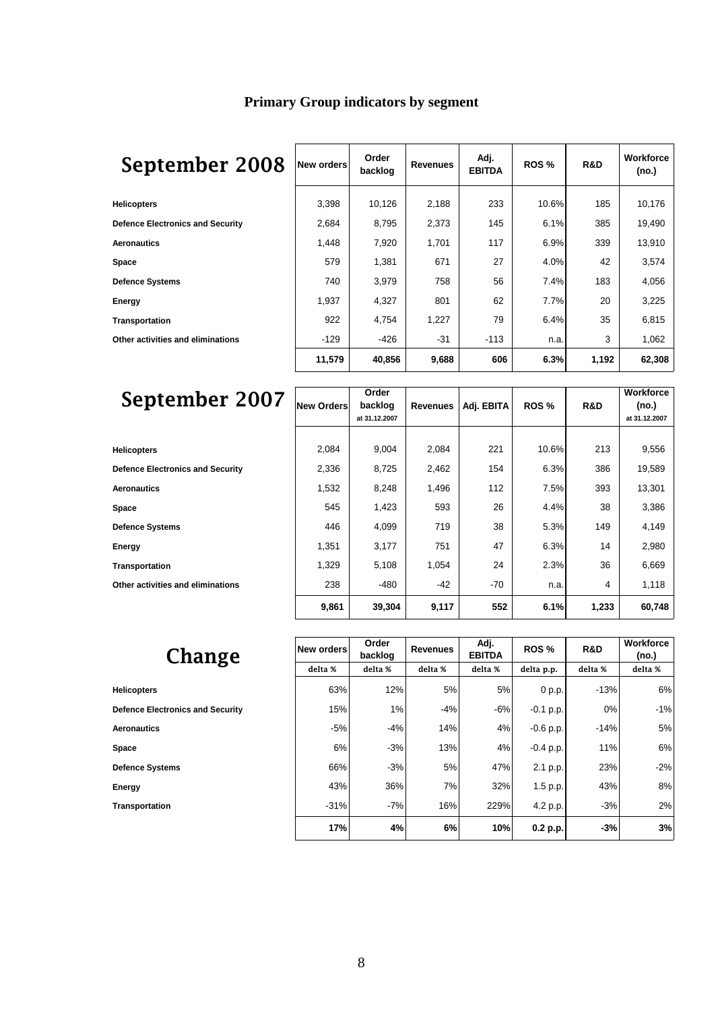# **Primary Group indicators by segment**

# September 2008 **New orders Order**

| September 2008                          | New orders | Order<br>backlog | <b>Revenues</b> | Adj.<br><b>EBITDA</b> | ROS <sub>%</sub> | R&D   | <b>Workforce</b><br>(no.) |
|-----------------------------------------|------------|------------------|-----------------|-----------------------|------------------|-------|---------------------------|
| <b>Helicopters</b>                      | 3,398      | 10,126           | 2,188           | 233                   | 10.6%            | 185   | 10,176                    |
| <b>Defence Electronics and Security</b> | 2,684      | 8,795            | 2,373           | 145                   | 6.1%             | 385   | 19,490                    |
| Aeronautics                             | 1,448      | 7,920            | 1,701           | 117                   | 6.9%             | 339   | 13,910                    |
| Space                                   | 579        | 1,381            | 671             | 27                    | 4.0%             | 42    | 3,574                     |
| Defence Systems                         | 740        | 3,979            | 758             | 56                    | 7.4%             | 183   | 4,056                     |
| Energy                                  | 1,937      | 4,327            | 801             | 62                    | 7.7%             | 20    | 3,225                     |
| Transportation                          | 922        | 4,754            | 1,227           | 79                    | 6.4%             | 35    | 6,815                     |
| Other activities and eliminations       | $-129$     | $-426$           | $-31$           | $-113$                | n.a.             | 3     | 1,062                     |
|                                         | 11,579     | 40,856           | 9,688           | 606                   | 6.3%             | 1,192 | 62,308                    |

| September 2007                          | New Orders | Order<br>backlog<br>at 31.12.2007 | <b>Revenues</b> | Adj. EBITA | ROS <sub>%</sub> | R&D   | <b>Workforce</b><br>(no.)<br>at 31.12.2007 |
|-----------------------------------------|------------|-----------------------------------|-----------------|------------|------------------|-------|--------------------------------------------|
|                                         |            |                                   |                 |            |                  |       |                                            |
| <b>Helicopters</b>                      | 2,084      | 9,004                             | 2,084           | 221        | 10.6%            | 213   | 9,556                                      |
| <b>Defence Electronics and Security</b> | 2,336      | 8,725                             | 2,462           | 154        | 6.3%             | 386   | 19,589                                     |
| Aeronautics                             | 1,532      | 8,248                             | 1,496           | 112        | 7.5%             | 393   | 13,301                                     |
| Space                                   | 545        | 1,423                             | 593             | 26         | 4.4%             | 38    | 3,386                                      |
| Defence Systems                         | 446        | 4,099                             | 719             | 38         | 5.3%             | 149   | 4,149                                      |
| Energy                                  | 1,351      | 3,177                             | 751             | 47         | 6.3%             | 14    | 2,980                                      |
| Transportation                          | 1,329      | 5,108                             | 1,054           | 24         | 2.3%             | 36    | 6,669                                      |
| Other activities and eliminations       | 238        | $-480$                            | -42             | $-70$      | n.a.             | 4     | 1,118                                      |
|                                         | 9,861      | 39,304                            | 9,117           | 552        | 6.1%             | 1,233 | 60,748                                     |

| Change                                  | New orders | Order<br>backlog | <b>Revenues</b> | Adj.<br><b>EBITDA</b> | ROS <sub>%</sub> | R&D     | <b>Workforce</b><br>(no.) |
|-----------------------------------------|------------|------------------|-----------------|-----------------------|------------------|---------|---------------------------|
|                                         | delta %    | delta %          | delta %         | delta %               | delta p.p.       | delta % | delta %                   |
| <b>Helicopters</b>                      | 63%        | 12%              | 5%              | 5%                    | 0 p.p.           | $-13%$  | 6%                        |
| <b>Defence Electronics and Security</b> | 15%        | 1%               | $-4%$           | $-6%$                 | $-0.1$ p.p.      | $0\%$   | $-1%$                     |
| <b>Aeronautics</b>                      | $-5%$      | $-4%$            | 14%             | 4%                    | $-0.6 p.p.$      | $-14%$  | 5%                        |
| Space                                   | 6%         | $-3%$            | 13%             | 4%                    | $-0.4 p.p.$      | 11%     | 6%                        |
| <b>Defence Systems</b>                  | 66%        | $-3%$            | 5%              | 47%                   | 2.1 p.p.         | 23%     | $-2%$                     |
| Energy                                  | 43%        | 36%              | 7%              | 32%                   | 1.5 p.p.         | 43%     | 8%                        |
| Transportation                          | $-31%$     | $-7%$            | 16%             | 229%                  | 4.2 p.p.         | $-3%$   | 2%                        |
|                                         | 17%        | 4%               | 6%              | 10%                   | 0.2 p.p.         | $-3%$   | 3%                        |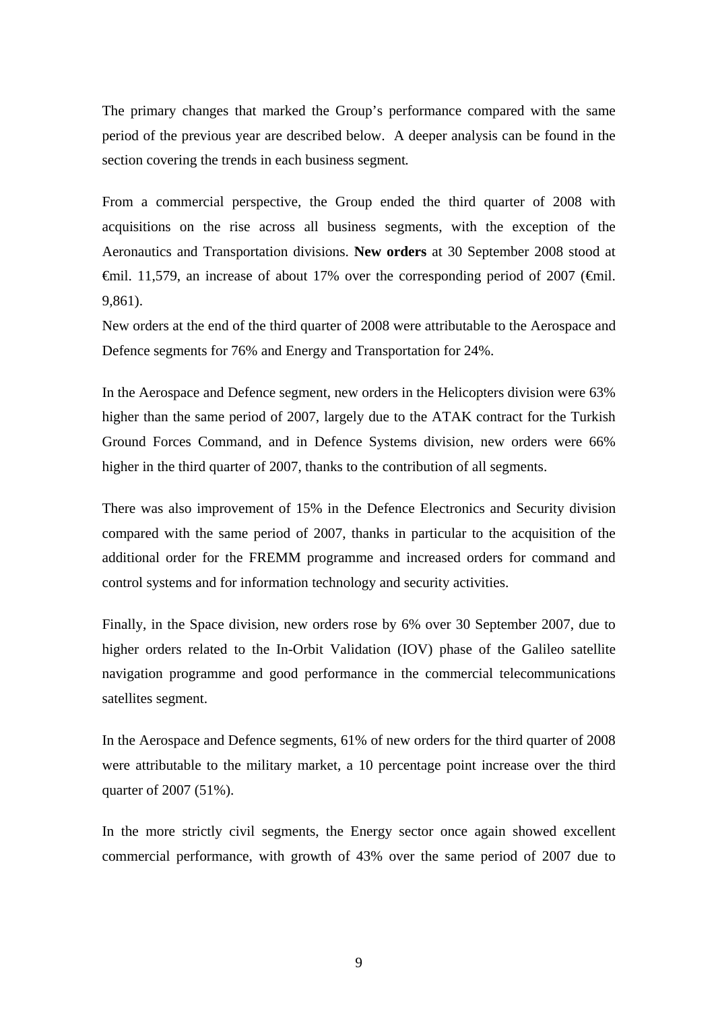The primary changes that marked the Group's performance compared with the same period of the previous year are described below. A deeper analysis can be found in the section covering the trends in each business segment*.*

From a commercial perspective, the Group ended the third quarter of 2008 with acquisitions on the rise across all business segments, with the exception of the Aeronautics and Transportation divisions. **New orders** at 30 September 2008 stood at €mil. 11,579, an increase of about 17% over the corresponding period of 2007 (€mil. 9,861).

New orders at the end of the third quarter of 2008 were attributable to the Aerospace and Defence segments for 76% and Energy and Transportation for 24%.

In the Aerospace and Defence segment, new orders in the Helicopters division were 63% higher than the same period of 2007, largely due to the ATAK contract for the Turkish Ground Forces Command, and in Defence Systems division, new orders were 66% higher in the third quarter of 2007, thanks to the contribution of all segments.

There was also improvement of 15% in the Defence Electronics and Security division compared with the same period of 2007, thanks in particular to the acquisition of the additional order for the FREMM programme and increased orders for command and control systems and for information technology and security activities.

Finally, in the Space division, new orders rose by 6% over 30 September 2007, due to higher orders related to the In-Orbit Validation (IOV) phase of the Galileo satellite navigation programme and good performance in the commercial telecommunications satellites segment.

In the Aerospace and Defence segments, 61% of new orders for the third quarter of 2008 were attributable to the military market, a 10 percentage point increase over the third quarter of 2007 (51%).

In the more strictly civil segments, the Energy sector once again showed excellent commercial performance, with growth of 43% over the same period of 2007 due to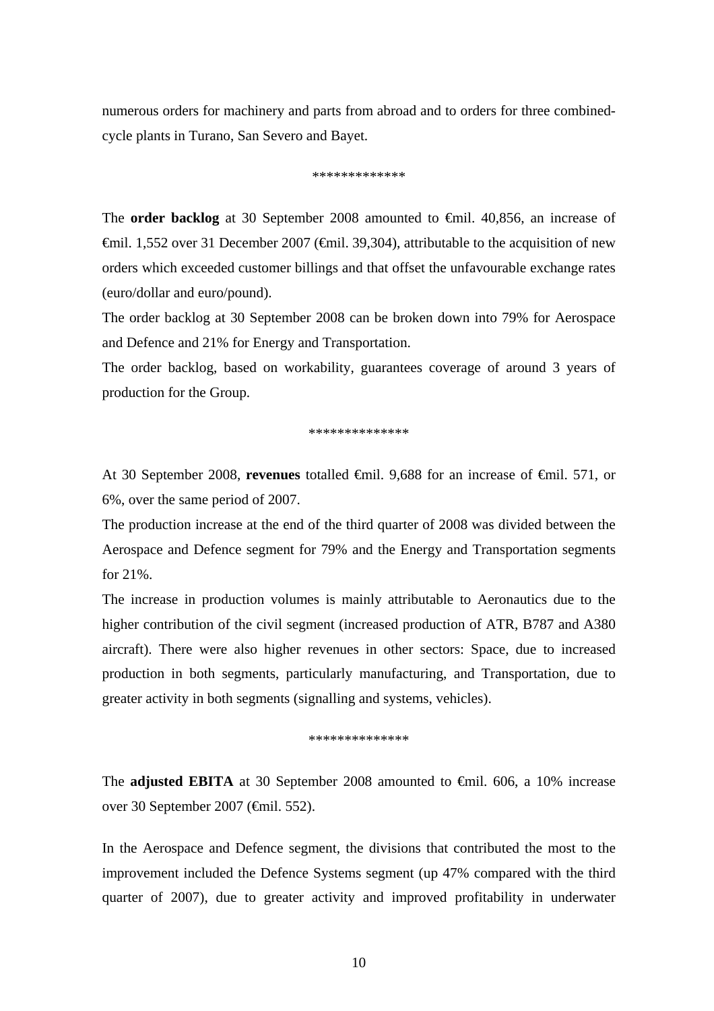numerous orders for machinery and parts from abroad and to orders for three combinedcycle plants in Turano, San Severo and Bayet.

#### \*\*\*\*\*\*\*\*\*\*\*\*\*

The **order backlog** at 30 September 2008 amounted to €mil. 40,856, an increase of €mil. 1,552 over 31 December 2007 (€mil. 39,304), attributable to the acquisition of new orders which exceeded customer billings and that offset the unfavourable exchange rates (euro/dollar and euro/pound).

The order backlog at 30 September 2008 can be broken down into 79% for Aerospace and Defence and 21% for Energy and Transportation.

The order backlog, based on workability, guarantees coverage of around 3 years of production for the Group.

\*\*\*\*\*\*\*\*\*\*\*\*\*\*

At 30 September 2008, **revenues** totalled €mil. 9,688 for an increase of €mil. 571, or 6%, over the same period of 2007.

The production increase at the end of the third quarter of 2008 was divided between the Aerospace and Defence segment for 79% and the Energy and Transportation segments for 21%.

The increase in production volumes is mainly attributable to Aeronautics due to the higher contribution of the civil segment (increased production of ATR, B787 and A380 aircraft). There were also higher revenues in other sectors: Space, due to increased production in both segments, particularly manufacturing, and Transportation, due to greater activity in both segments (signalling and systems, vehicles).

\*\*\*\*\*\*\*\*\*\*\*\*\*\*

The **adjusted EBITA** at 30 September 2008 amounted to €mil. 606, a 10% increase over 30 September 2007 (€mil. 552).

In the Aerospace and Defence segment, the divisions that contributed the most to the improvement included the Defence Systems segment (up 47% compared with the third quarter of 2007), due to greater activity and improved profitability in underwater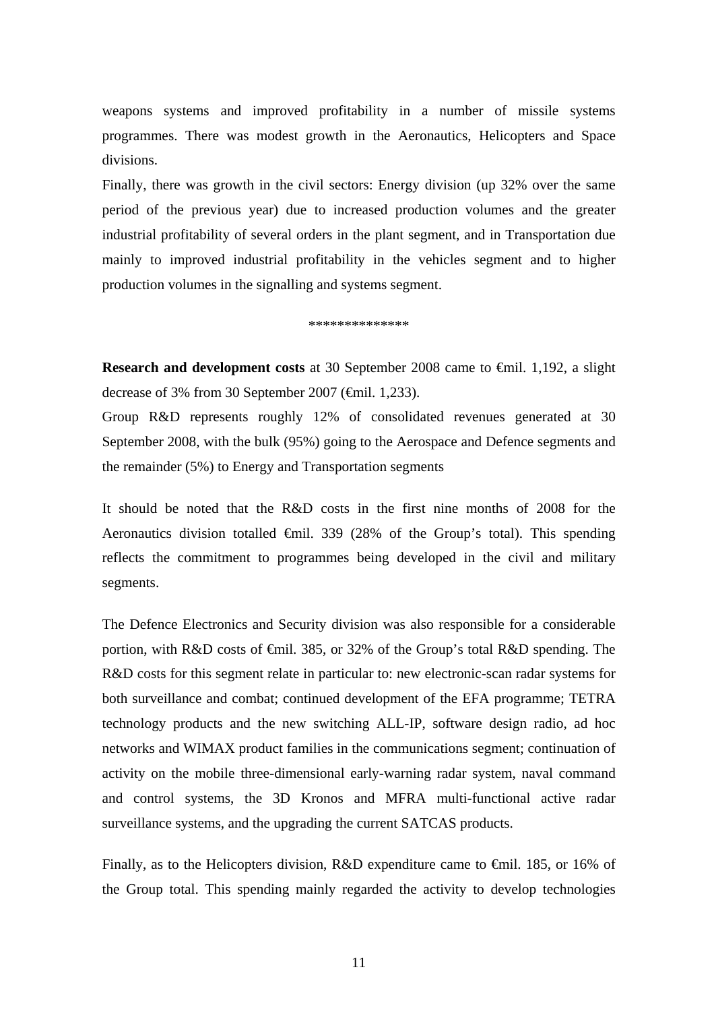weapons systems and improved profitability in a number of missile systems programmes. There was modest growth in the Aeronautics, Helicopters and Space divisions.

Finally, there was growth in the civil sectors: Energy division (up 32% over the same period of the previous year) due to increased production volumes and the greater industrial profitability of several orders in the plant segment, and in Transportation due mainly to improved industrial profitability in the vehicles segment and to higher production volumes in the signalling and systems segment.

#### \*\*\*\*\*\*\*\*\*\*\*\*\*\*

**Research and development costs** at 30 September 2008 came to €mil. 1,192, a slight decrease of 3% from 30 September 2007 (€mil. 1,233).

Group R&D represents roughly 12% of consolidated revenues generated at 30 September 2008, with the bulk (95%) going to the Aerospace and Defence segments and the remainder (5%) to Energy and Transportation segments

It should be noted that the R&D costs in the first nine months of 2008 for the Aeronautics division totalled  $\oplus$ mil. 339 (28% of the Group's total). This spending reflects the commitment to programmes being developed in the civil and military segments.

The Defence Electronics and Security division was also responsible for a considerable portion, with R&D costs of €mil. 385, or 32% of the Group's total R&D spending. The R&D costs for this segment relate in particular to: new electronic-scan radar systems for both surveillance and combat; continued development of the EFA programme; TETRA technology products and the new switching ALL-IP, software design radio, ad hoc networks and WIMAX product families in the communications segment; continuation of activity on the mobile three-dimensional early-warning radar system, naval command and control systems, the 3D Kronos and MFRA multi-functional active radar surveillance systems, and the upgrading the current SATCAS products.

Finally, as to the Helicopters division, R&D expenditure came to €mil. 185, or 16% of the Group total. This spending mainly regarded the activity to develop technologies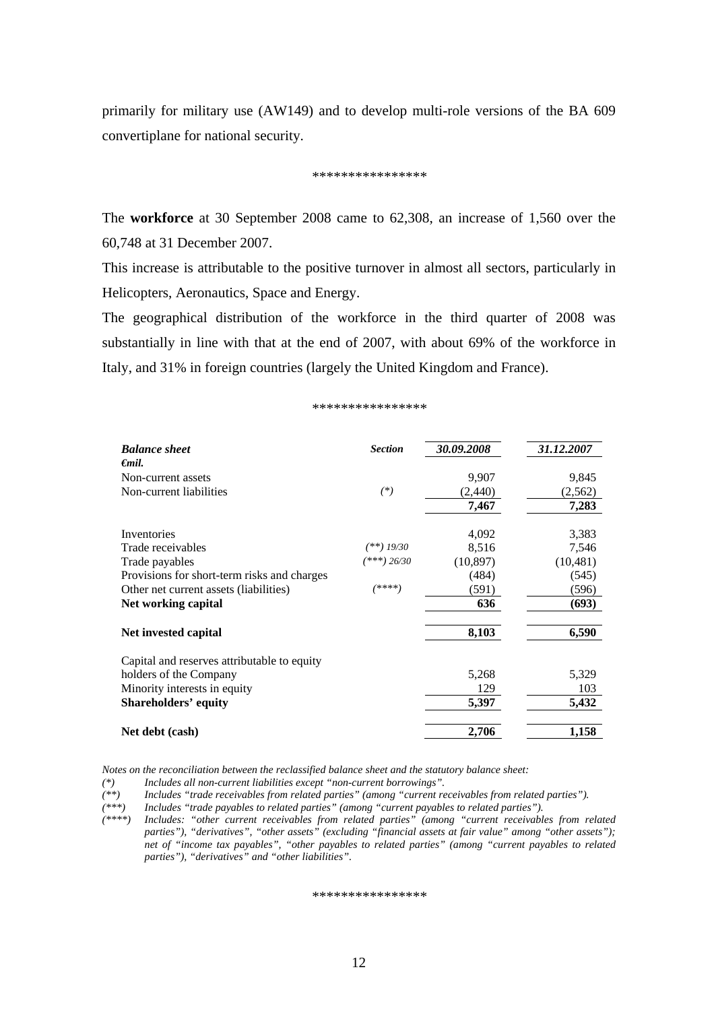primarily for military use (AW149) and to develop multi-role versions of the BA 609 convertiplane for national security.

#### \*\*\*\*\*\*\*\*\*\*\*\*\*\*\*\*

The **workforce** at 30 September 2008 came to 62,308, an increase of 1,560 over the 60,748 at 31 December 2007.

This increase is attributable to the positive turnover in almost all sectors, particularly in Helicopters, Aeronautics, Space and Energy.

The geographical distribution of the workforce in the third quarter of 2008 was substantially in line with that at the end of 2007, with about 69% of the workforce in Italy, and 31% in foreign countries (largely the United Kingdom and France).

#### $\Phi$  the the the theory of the theory of the theory of the theory

| <b>Balance sheet</b>                        | <b>Section</b> | 30.09.2008 | 31.12.2007 |
|---------------------------------------------|----------------|------------|------------|
| $\epsilon$ mil.                             |                |            |            |
| Non-current assets                          |                | 9,907      | 9,845      |
| Non-current liabilities                     | $(*)$          | (2,440)    | (2,562)    |
|                                             |                | 7,467      | 7,283      |
| Inventories                                 |                | 4,092      | 3,383      |
| Trade receivables                           | (**) 19/30     | 8,516      | 7,546      |
| Trade payables                              | $(***) 26/30$  | (10, 897)  | (10, 481)  |
| Provisions for short-term risks and charges |                | (484)      | (545)      |
| Other net current assets (liabilities)      | $(****)$       | (591)      | (596)      |
| Net working capital                         |                | 636        | (693)      |
| Net invested capital                        |                | 8,103      | 6,590      |
| Capital and reserves attributable to equity |                |            |            |
| holders of the Company                      |                | 5,268      | 5,329      |
| Minority interests in equity                |                | 129        | 103        |
| <b>Shareholders' equity</b>                 |                | 5,397      | 5,432      |
| Net debt (cash)                             |                | 2,706      | 1,158      |

*Notes on the reconciliation between the reclassified balance sheet and the statutory balance sheet:* 

*(\*) Includes all non-current liabilities except "non-current borrowings".* 

*(\*\*) Includes "trade receivables from related parties" (among "current receivables from related parties").* 

*(\*\*\*) Includes "trade payables to related parties" (among "current payables to related parties").* 

*(\*\*\*\*) Includes: "other current receivables from related parties" (among "current receivables from related*  parties"), "derivatives", "other assets" (excluding "financial assets at fair value" among "other assets"); *net of "income tax payables", "other payables to related parties" (among "current payables to related parties"), "derivatives" and "other liabilities".* 

\*\*\*\*\*\*\*\*\*\*\*\*\*\*\*\*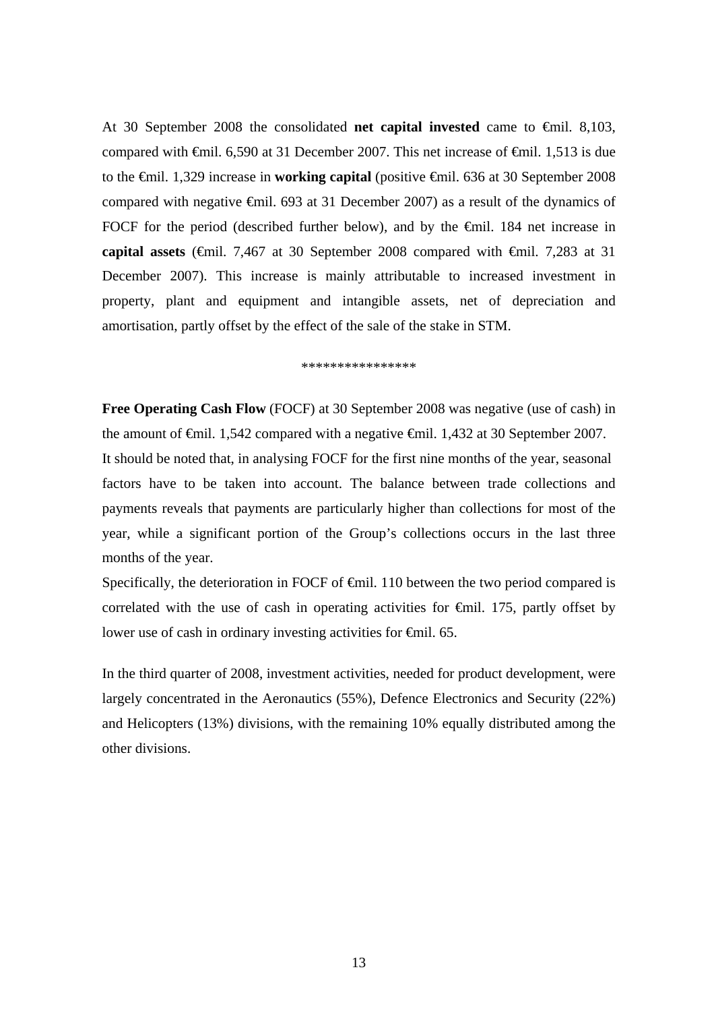At 30 September 2008 the consolidated **net capital invested** came to €mil. 8,103, compared with  $\epsilon$ mil. 6,590 at 31 December 2007. This net increase of  $\epsilon$ mil. 1,513 is due to the €mil. 1,329 increase in **working capital** (positive €mil. 636 at 30 September 2008 compared with negative €mil. 693 at 31 December 2007) as a result of the dynamics of FOCF for the period (described further below), and by the €mil. 184 net increase in **capital assets** (€mil. 7,467 at 30 September 2008 compared with €mil. 7,283 at 31 December 2007). This increase is mainly attributable to increased investment in property, plant and equipment and intangible assets, net of depreciation and amortisation, partly offset by the effect of the sale of the stake in STM.

\*\*\*\*\*\*\*\*\*\*\*\*\*\*\*\*

**Free Operating Cash Flow** (FOCF) at 30 September 2008 was negative (use of cash) in the amount of €mil. 1,542 compared with a negative €mil. 1,432 at 30 September 2007. It should be noted that, in analysing FOCF for the first nine months of the year, seasonal factors have to be taken into account. The balance between trade collections and payments reveals that payments are particularly higher than collections for most of the year, while a significant portion of the Group's collections occurs in the last three months of the year.

Specifically, the deterioration in FOCF of  $\epsilon$ mil. 110 between the two period compared is correlated with the use of cash in operating activities for  $\epsilon$ mil. 175, partly offset by lower use of cash in ordinary investing activities for €mil. 65.

In the third quarter of 2008, investment activities, needed for product development, were largely concentrated in the Aeronautics (55%), Defence Electronics and Security (22%) and Helicopters (13%) divisions, with the remaining 10% equally distributed among the other divisions.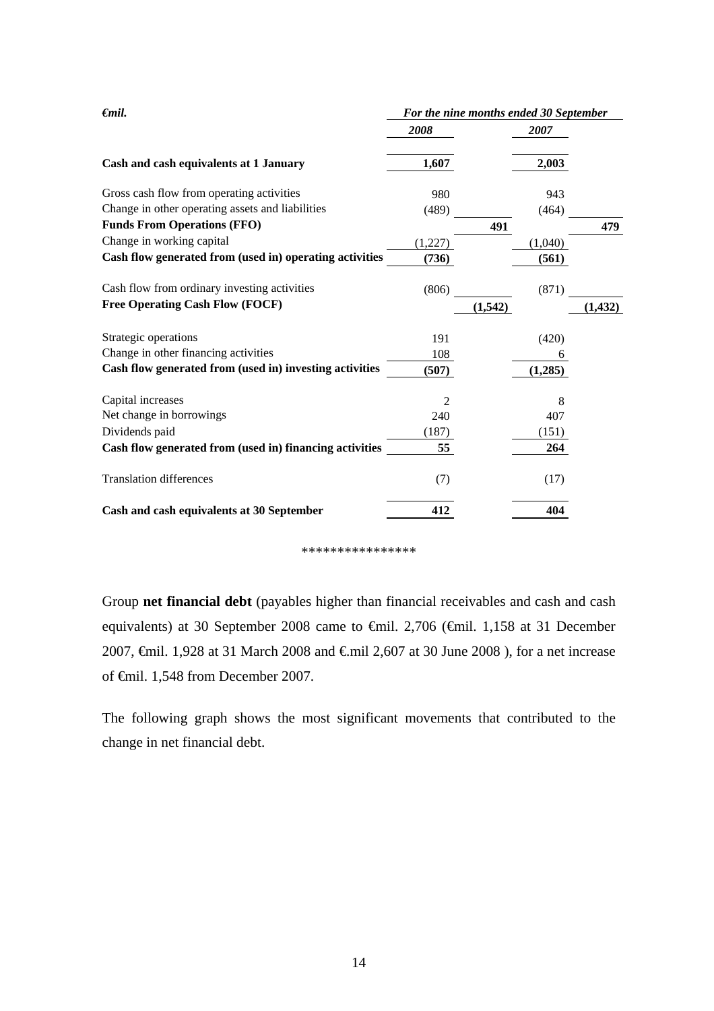| $\epsilon$ mil.                                         | For the nine months ended 30 September |          |          |  |  |
|---------------------------------------------------------|----------------------------------------|----------|----------|--|--|
|                                                         | 2008                                   | 2007     |          |  |  |
| Cash and cash equivalents at 1 January                  | 1,607                                  | 2,003    |          |  |  |
| Gross cash flow from operating activities               | 980                                    | 943      |          |  |  |
| Change in other operating assets and liabilities        | (489)                                  | (464)    |          |  |  |
| <b>Funds From Operations (FFO)</b>                      |                                        | 491      | 479      |  |  |
| Change in working capital                               | (1,227)                                | (1,040)  |          |  |  |
| Cash flow generated from (used in) operating activities | (736)                                  | (561)    |          |  |  |
| Cash flow from ordinary investing activities            | (806)                                  | (871)    |          |  |  |
| <b>Free Operating Cash Flow (FOCF)</b>                  |                                        | (1, 542) | (1, 432) |  |  |
| Strategic operations                                    | 191                                    | (420)    |          |  |  |
| Change in other financing activities                    | 108                                    | 6        |          |  |  |
| Cash flow generated from (used in) investing activities | (507)                                  | (1, 285) |          |  |  |
| Capital increases                                       | 2                                      | 8        |          |  |  |
| Net change in borrowings                                | 240                                    | 407      |          |  |  |
| Dividends paid                                          | (187)                                  | (151)    |          |  |  |
| Cash flow generated from (used in) financing activities | 55                                     | 264      |          |  |  |
| <b>Translation differences</b>                          | (7)                                    | (17)     |          |  |  |
| Cash and cash equivalents at 30 September               | 412                                    | 404      |          |  |  |

#### \*\*\*\*\*\*\*\*\*\*\*\*\*\*\*\*

Group **net financial debt** (payables higher than financial receivables and cash and cash equivalents) at 30 September 2008 came to €mil. 2,706 (€mil. 1,158 at 31 December 2007,  $\epsilon$ mil. 1,928 at 31 March 2008 and  $\epsilon$ mil 2,607 at 30 June 2008), for a net increase of €mil. 1,548 from December 2007.

The following graph shows the most significant movements that contributed to the change in net financial debt.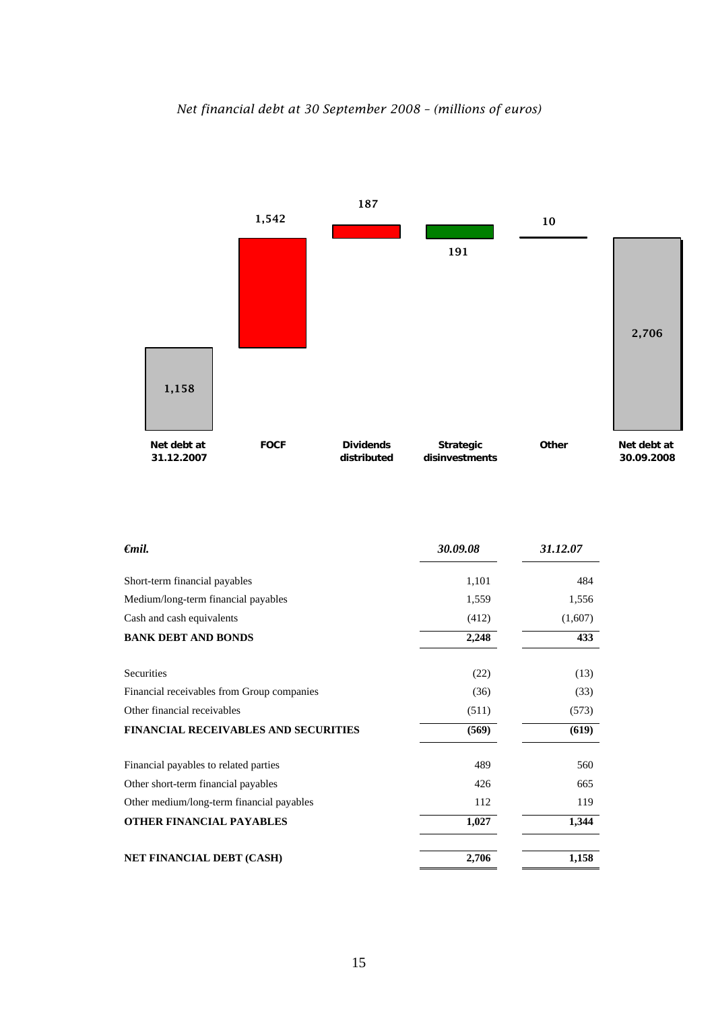



| €mil.                                       | 30.09.08 | 31.12.07 |
|---------------------------------------------|----------|----------|
| Short-term financial payables               | 1,101    | 484      |
| Medium/long-term financial payables         | 1,559    | 1,556    |
| Cash and cash equivalents                   | (412)    | (1,607)  |
| <b>BANK DEBT AND BONDS</b>                  | 2,248    | 433      |
| Securities                                  | (22)     | (13)     |
| Financial receivables from Group companies  | (36)     | (33)     |
| Other financial receivables                 | (511)    | (573)    |
| <b>FINANCIAL RECEIVABLES AND SECURITIES</b> | (569)    | (619)    |
| Financial payables to related parties       | 489      | 560      |
| Other short-term financial payables         | 426      | 665      |
| Other medium/long-term financial payables   | 112      | 119      |
| <b>OTHER FINANCIAL PAYABLES</b>             | 1,027    | 1,344    |
| NET FINANCIAL DEBT (CASH)                   | 2,706    | 1,158    |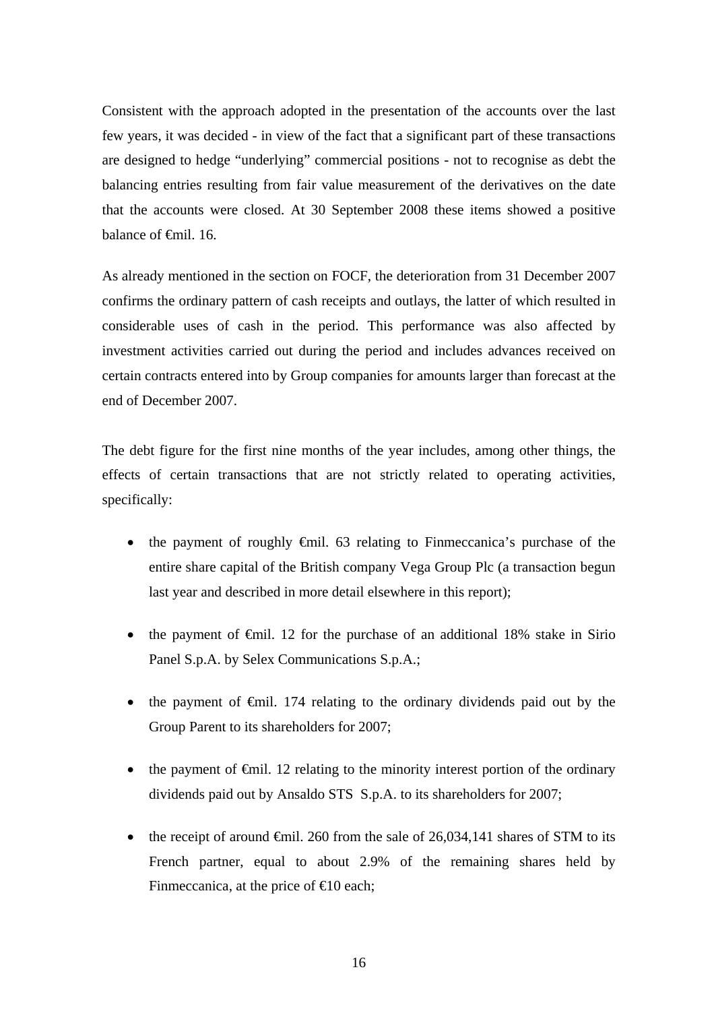Consistent with the approach adopted in the presentation of the accounts over the last few years, it was decided - in view of the fact that a significant part of these transactions are designed to hedge "underlying" commercial positions - not to recognise as debt the balancing entries resulting from fair value measurement of the derivatives on the date that the accounts were closed. At 30 September 2008 these items showed a positive balance of <del>€mil</del>. 16.

As already mentioned in the section on FOCF, the deterioration from 31 December 2007 confirms the ordinary pattern of cash receipts and outlays, the latter of which resulted in considerable uses of cash in the period. This performance was also affected by investment activities carried out during the period and includes advances received on certain contracts entered into by Group companies for amounts larger than forecast at the end of December 2007.

The debt figure for the first nine months of the year includes, among other things, the effects of certain transactions that are not strictly related to operating activities, specifically:

- the payment of roughly  $\oplus$ mil. 63 relating to Finmeccanica's purchase of the entire share capital of the British company Vega Group Plc (a transaction begun last year and described in more detail elsewhere in this report);
- the payment of  $\epsilon$ mil. 12 for the purchase of an additional 18% stake in Sirio Panel S.p.A. by Selex Communications S.p.A.;
- the payment of  $\epsilon$ mil. 174 relating to the ordinary dividends paid out by the Group Parent to its shareholders for 2007;
- the payment of  $\epsilon$ mil. 12 relating to the minority interest portion of the ordinary dividends paid out by Ansaldo STS S.p.A. to its shareholders for 2007;
- the receipt of around  $\epsilon$ mil. 260 from the sale of 26,034,141 shares of STM to its French partner, equal to about 2.9% of the remaining shares held by Finmeccanica, at the price of  $\epsilon$  0 each;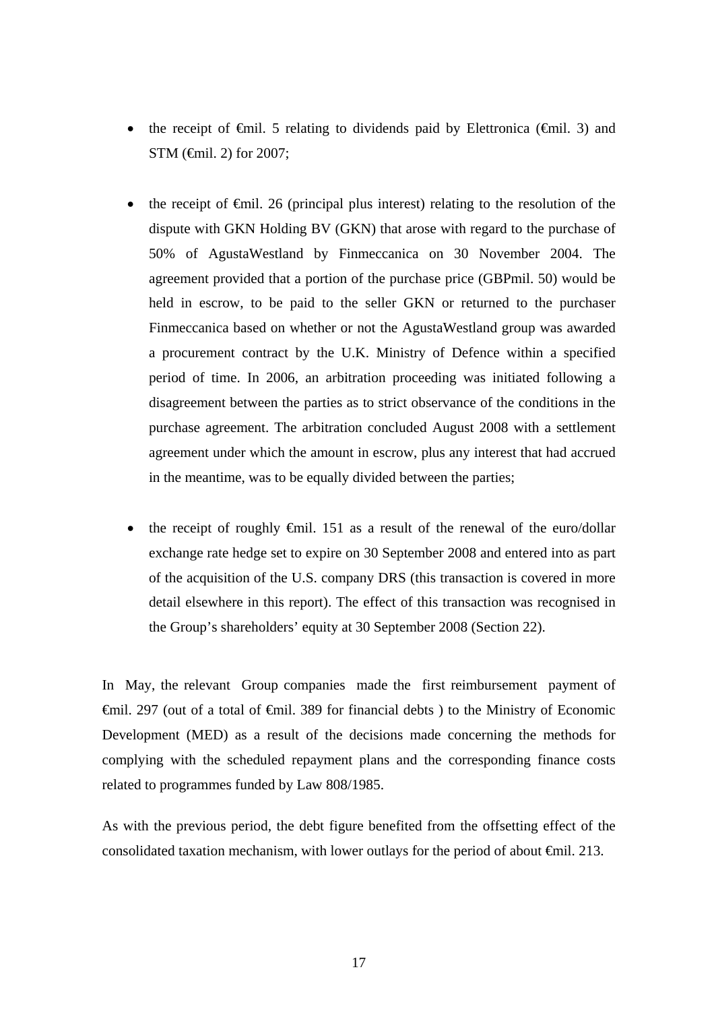- the receipt of  $\epsilon$ mil. 5 relating to dividends paid by Elettronica ( $\epsilon$ mil. 3) and STM (€mil. 2) for 2007:
- the receipt of  $\epsilon$ mil. 26 (principal plus interest) relating to the resolution of the dispute with GKN Holding BV (GKN) that arose with regard to the purchase of 50% of AgustaWestland by Finmeccanica on 30 November 2004. The agreement provided that a portion of the purchase price (GBPmil. 50) would be held in escrow, to be paid to the seller GKN or returned to the purchaser Finmeccanica based on whether or not the AgustaWestland group was awarded a procurement contract by the U.K. Ministry of Defence within a specified period of time. In 2006, an arbitration proceeding was initiated following a disagreement between the parties as to strict observance of the conditions in the purchase agreement. The arbitration concluded August 2008 with a settlement agreement under which the amount in escrow, plus any interest that had accrued in the meantime, was to be equally divided between the parties;
- the receipt of roughly  $\oplus$ mil. 151 as a result of the renewal of the euro/dollar exchange rate hedge set to expire on 30 September 2008 and entered into as part of the acquisition of the U.S. company DRS (this transaction is covered in more detail elsewhere in this report). The effect of this transaction was recognised in the Group's shareholders' equity at 30 September 2008 (Section 22).

In May, the relevant Group companies made the first reimbursement payment of €mil. 297 (out of a total of €mil. 389 for financial debts ) to the Ministry of Economic Development (MED) as a result of the decisions made concerning the methods for complying with the scheduled repayment plans and the corresponding finance costs related to programmes funded by Law 808/1985.

As with the previous period, the debt figure benefited from the offsetting effect of the consolidated taxation mechanism, with lower outlays for the period of about €mil. 213.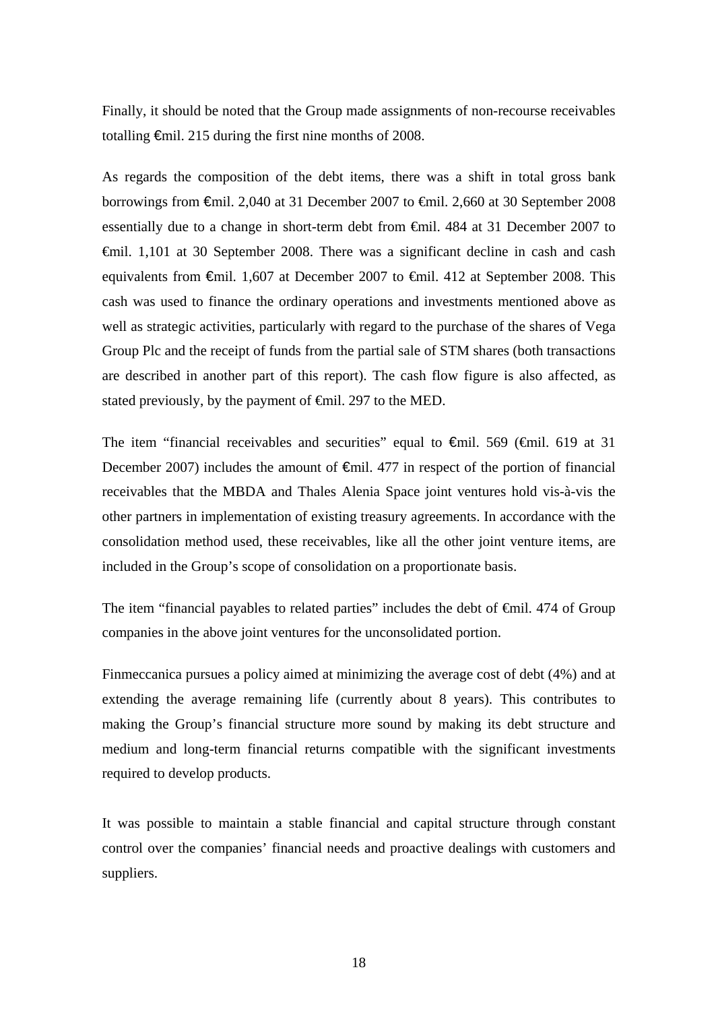Finally, it should be noted that the Group made assignments of non-recourse receivables totalling €mil. 215 during the first nine months of 2008.

As regards the composition of the debt items, there was a shift in total gross bank borrowings from €mil. 2,040 at 31 December 2007 to €mil. 2,660 at 30 September 2008 essentially due to a change in short-term debt from €mil. 484 at 31 December 2007 to €mil. 1,101 at 30 September 2008. There was a significant decline in cash and cash equivalents from €mil. 1,607 at December 2007 to €mil. 412 at September 2008. This cash was used to finance the ordinary operations and investments mentioned above as well as strategic activities, particularly with regard to the purchase of the shares of Vega Group Plc and the receipt of funds from the partial sale of STM shares (both transactions are described in another part of this report). The cash flow figure is also affected, as stated previously, by the payment of <del>€mil</del>. 297 to the MED.

The item "financial receivables and securities" equal to  $\epsilon$ mil. 569 ( $\epsilon$ mil. 619 at 31 December 2007) includes the amount of  $\epsilon$ mil. 477 in respect of the portion of financial receivables that the MBDA and Thales Alenia Space joint ventures hold vis-à-vis the other partners in implementation of existing treasury agreements. In accordance with the consolidation method used, these receivables, like all the other joint venture items, are included in the Group's scope of consolidation on a proportionate basis.

The item "financial payables to related parties" includes the debt of €mil. 474 of Group companies in the above joint ventures for the unconsolidated portion.

Finmeccanica pursues a policy aimed at minimizing the average cost of debt (4%) and at extending the average remaining life (currently about 8 years). This contributes to making the Group's financial structure more sound by making its debt structure and medium and long-term financial returns compatible with the significant investments required to develop products.

It was possible to maintain a stable financial and capital structure through constant control over the companies' financial needs and proactive dealings with customers and suppliers.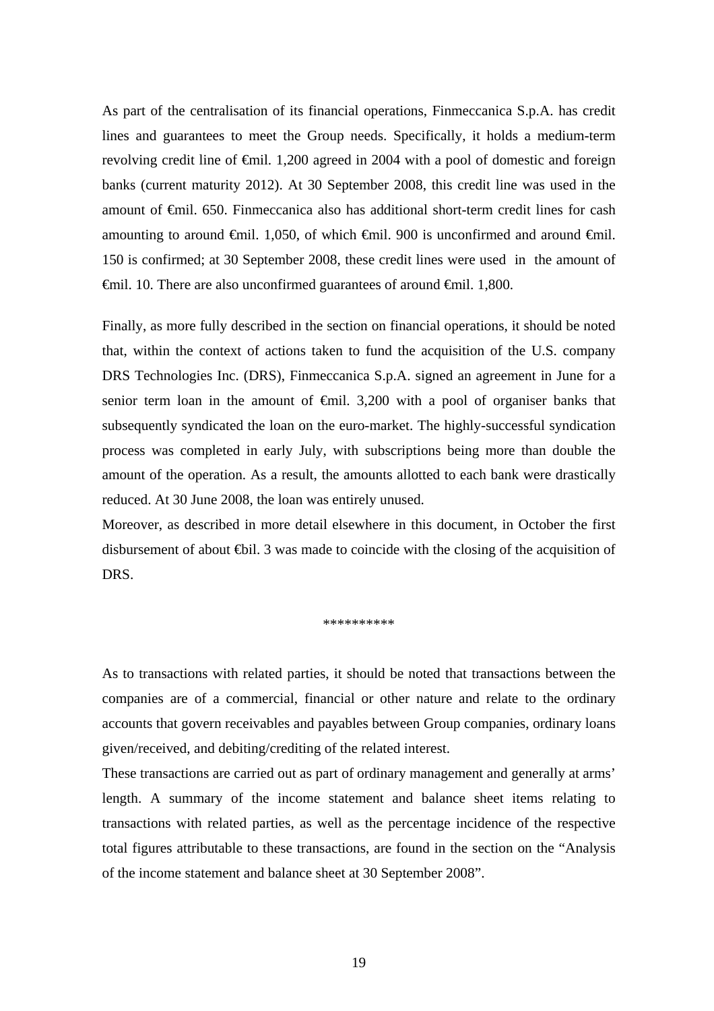As part of the centralisation of its financial operations, Finmeccanica S.p.A. has credit lines and guarantees to meet the Group needs. Specifically, it holds a medium-term revolving credit line of €mil. 1,200 agreed in 2004 with a pool of domestic and foreign banks (current maturity 2012). At 30 September 2008, this credit line was used in the amount of €mil. 650. Finmeccanica also has additional short-term credit lines for cash amounting to around  $\oplus$ mil. 1,050, of which  $\oplus$ mil. 900 is unconfirmed and around  $\oplus$ mil. 150 is confirmed; at 30 September 2008, these credit lines were used in the amount of €mil. 10. There are also unconfirmed guarantees of around €mil. 1,800.

Finally, as more fully described in the section on financial operations, it should be noted that, within the context of actions taken to fund the acquisition of the U.S. company DRS Technologies Inc. (DRS), Finmeccanica S.p.A. signed an agreement in June for a senior term loan in the amount of <del>€</del>mil. 3,200 with a pool of organiser banks that subsequently syndicated the loan on the euro-market. The highly-successful syndication process was completed in early July, with subscriptions being more than double the amount of the operation. As a result, the amounts allotted to each bank were drastically reduced. At 30 June 2008, the loan was entirely unused.

Moreover, as described in more detail elsewhere in this document, in October the first disbursement of about ⊕il. 3 was made to coincide with the closing of the acquisition of DRS.

\*\*\*\*\*\*\*\*\*\*

As to transactions with related parties, it should be noted that transactions between the companies are of a commercial, financial or other nature and relate to the ordinary accounts that govern receivables and payables between Group companies, ordinary loans given/received, and debiting/crediting of the related interest.

These transactions are carried out as part of ordinary management and generally at arms' length. A summary of the income statement and balance sheet items relating to transactions with related parties, as well as the percentage incidence of the respective total figures attributable to these transactions, are found in the section on the "Analysis of the income statement and balance sheet at 30 September 2008".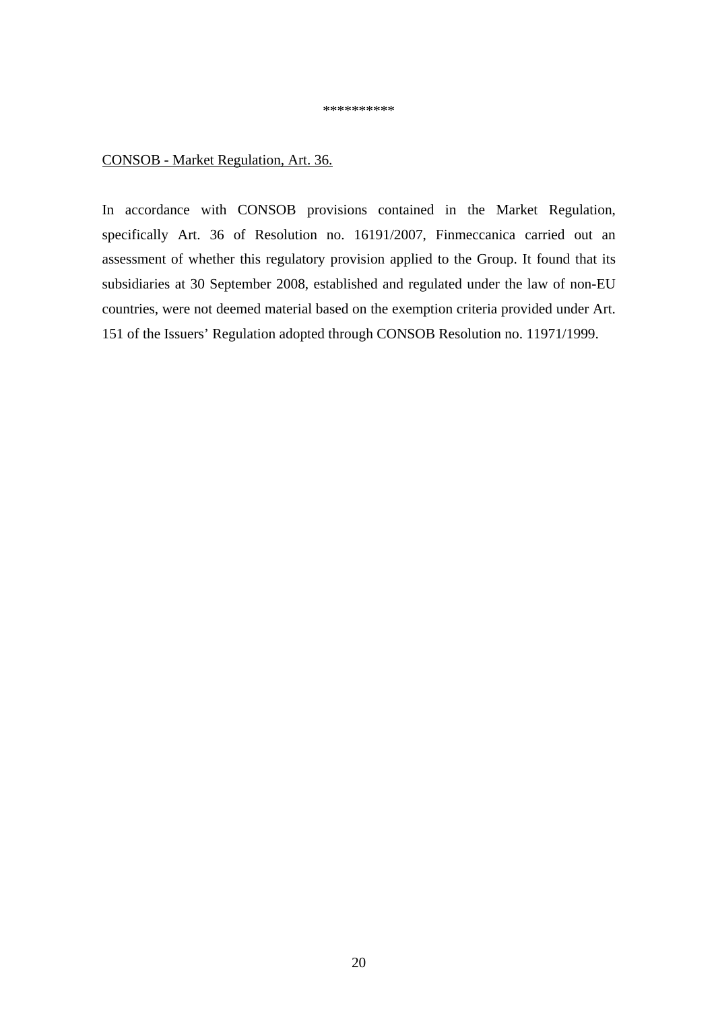\*\*\*\*\*\*\*\*\*\*

# CONSOB - Market Regulation, Art. 36.

In accordance with CONSOB provisions contained in the Market Regulation, specifically Art. 36 of Resolution no. 16191/2007, Finmeccanica carried out an assessment of whether this regulatory provision applied to the Group. It found that its subsidiaries at 30 September 2008, established and regulated under the law of non-EU countries, were not deemed material based on the exemption criteria provided under Art. 151 of the Issuers' Regulation adopted through CONSOB Resolution no. 11971/1999.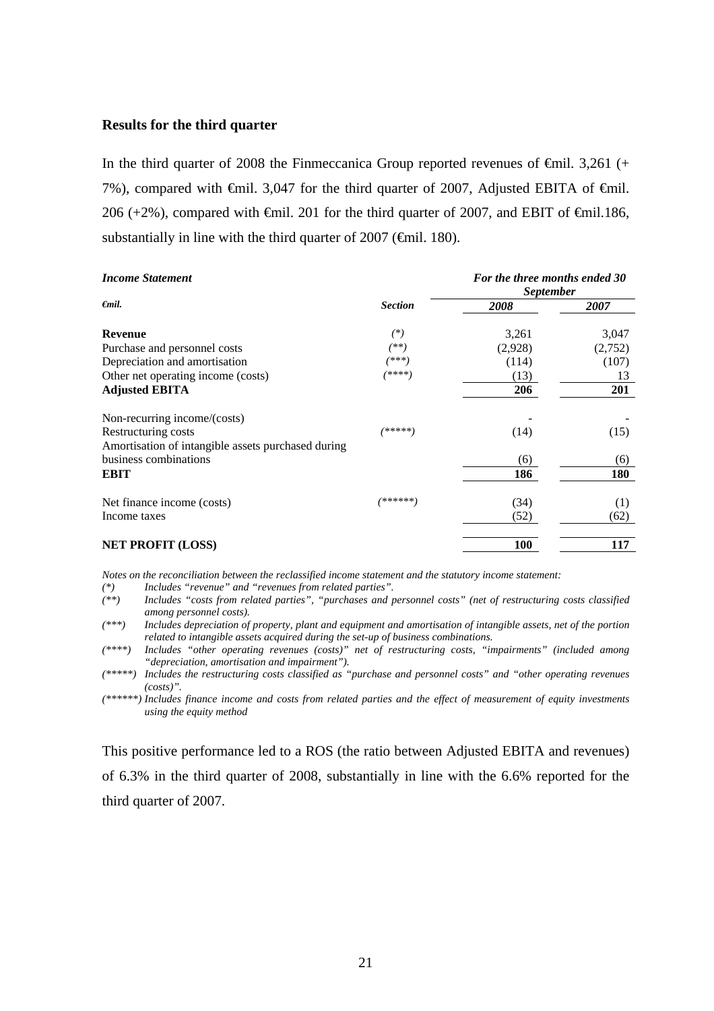### **Results for the third quarter**

In the third quarter of 2008 the Finmeccanica Group reported revenues of  $\epsilon$ mil. 3,261 (+ 7%), compared with  $\theta$ mil. 3,047 for the third quarter of 2007, Adjusted EBITA of  $\theta$ mil. 206 (+2%), compared with  $\epsilon$ mil. 201 for the third quarter of 2007, and EBIT of  $\epsilon$ mil.186, substantially in line with the third quarter of 2007 ( $\epsilon$ mil. 180).

| <b>Income Statement</b>                            |                | For the three months ended 30<br><i>September</i> |         |  |
|----------------------------------------------------|----------------|---------------------------------------------------|---------|--|
| $\epsilon$ mil.                                    | <b>Section</b> | 2008                                              | 2007    |  |
| <b>Revenue</b>                                     | $(*)$          | 3,261                                             | 3,047   |  |
| Purchase and personnel costs                       | $^{(**)}$      | (2,928)                                           | (2,752) |  |
| Depreciation and amortisation                      | (***)          | (114)                                             | (107)   |  |
| Other net operating income (costs)                 | (****)         | (13)                                              | 13      |  |
| <b>Adjusted EBITA</b>                              |                | 206                                               | 201     |  |
| Non-recurring income/(costs)                       |                |                                                   |         |  |
| Restructuring costs                                | /*****]        | (14)                                              | (15)    |  |
| Amortisation of intangible assets purchased during |                |                                                   |         |  |
| business combinations                              |                | (6)                                               | (6)     |  |
| <b>EBIT</b>                                        |                | 186                                               | 180     |  |
| Net finance income (costs)                         | /******)       | (34)                                              | (1)     |  |
| Income taxes                                       |                | (52)                                              | (62)    |  |
| <b>NET PROFIT (LOSS)</b>                           |                | <b>100</b>                                        | 117     |  |

*Notes on the reconciliation between the reclassified income statement and the statutory income statement:* 

*(\*) Includes "revenue" and "revenues from related parties".* 

*(\*\*) Includes "costs from related parties", "purchases and personnel costs" (net of restructuring costs classified among personnel costs).* 

*(\*\*\*) Includes depreciation of property, plant and equipment and amortisation of intangible assets, net of the portion related to intangible assets acquired during the set-up of business combinations.* 

*(\*\*\*\*) Includes "other operating revenues (costs)" net of restructuring costs, "impairments" (included among "depreciation, amortisation and impairment").* 

*(\*\*\*\*\*) Includes the restructuring costs classified as "purchase and personnel costs" and "other operating revenues (costs)".* 

*(\*\*\*\*\*\*) Includes finance income and costs from related parties and the effect of measurement of equity investments using the equity method*

This positive performance led to a ROS (the ratio between Adjusted EBITA and revenues) of 6.3% in the third quarter of 2008, substantially in line with the 6.6% reported for the third quarter of 2007.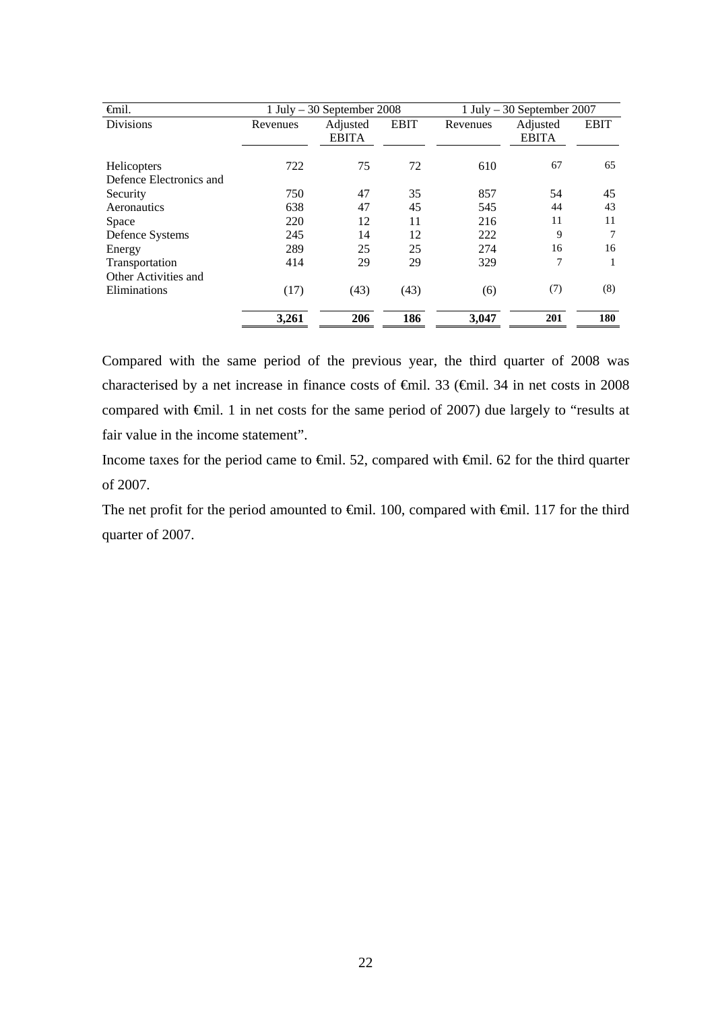| <b>€</b> mil.           | 1 July $-30$ September 2008 |                          |             | 1 July $-30$ September 2007 |                          |             |  |
|-------------------------|-----------------------------|--------------------------|-------------|-----------------------------|--------------------------|-------------|--|
| <b>Divisions</b>        | Revenues                    | Adjusted<br><b>EBITA</b> | <b>EBIT</b> | Revenues                    | Adjusted<br><b>EBITA</b> | <b>EBIT</b> |  |
| <b>Helicopters</b>      | 722                         | 75                       | 72          | 610                         | 67                       | 65          |  |
| Defence Electronics and |                             |                          |             |                             |                          |             |  |
| Security                | 750                         | 47                       | 35          | 857                         | 54                       | 45          |  |
| Aeronautics             | 638                         | 47                       | 45          | 545                         | 44                       | 43          |  |
| Space                   | 220                         | 12                       | 11          | 216                         | 11                       | 11          |  |
| Defence Systems         | 245                         | 14                       | 12          | 222                         | 9                        | 7           |  |
| Energy                  | 289                         | 25                       | 25          | 274                         | 16                       | 16          |  |
| Transportation          | 414                         | 29                       | 29          | 329                         | 7                        |             |  |
| Other Activities and    |                             |                          |             |                             |                          |             |  |
| Eliminations            | (17)                        | (43)                     | (43)        | (6)                         | (7)                      | (8)         |  |
|                         | 3,261                       | 206                      | 186         | 3,047                       | 201                      | 180         |  |

Compared with the same period of the previous year, the third quarter of 2008 was characterised by a net increase in finance costs of €mil. 33 (€mil. 34 in net costs in 2008 compared with €mil. 1 in net costs for the same period of 2007) due largely to "results at fair value in the income statement".

Income taxes for the period came to €mil. 52, compared with €mil. 62 for the third quarter of 2007.

The net profit for the period amounted to €mil. 100, compared with €mil. 117 for the third quarter of 2007.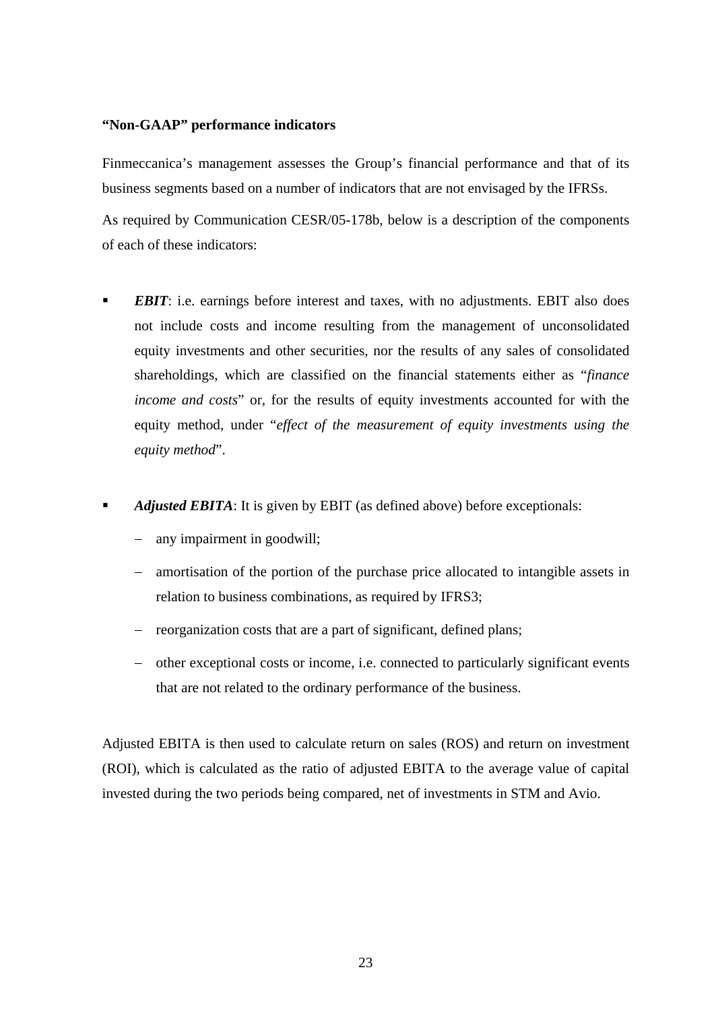# **"Non-GAAP" performance indicators**

Finmeccanica's management assesses the Group's financial performance and that of its business segments based on a number of indicators that are not envisaged by the IFRSs.

As required by Communication CESR/05-178b, below is a description of the components of each of these indicators:

- *EBIT*: i.e. earnings before interest and taxes, with no adjustments. EBIT also does not include costs and income resulting from the management of unconsolidated equity investments and other securities, nor the results of any sales of consolidated shareholdings, which are classified on the financial statements either as "*finance income and costs*" or, for the results of equity investments accounted for with the equity method, under "*effect of the measurement of equity investments using the equity method*".
- *Adjusted EBITA*: It is given by EBIT (as defined above) before exceptionals:
	- any impairment in goodwill;
	- − amortisation of the portion of the purchase price allocated to intangible assets in relation to business combinations, as required by IFRS3;
	- − reorganization costs that are a part of significant, defined plans;
	- − other exceptional costs or income, i.e. connected to particularly significant events that are not related to the ordinary performance of the business.

Adjusted EBITA is then used to calculate return on sales (ROS) and return on investment (ROI), which is calculated as the ratio of adjusted EBITA to the average value of capital invested during the two periods being compared, net of investments in STM and Avio.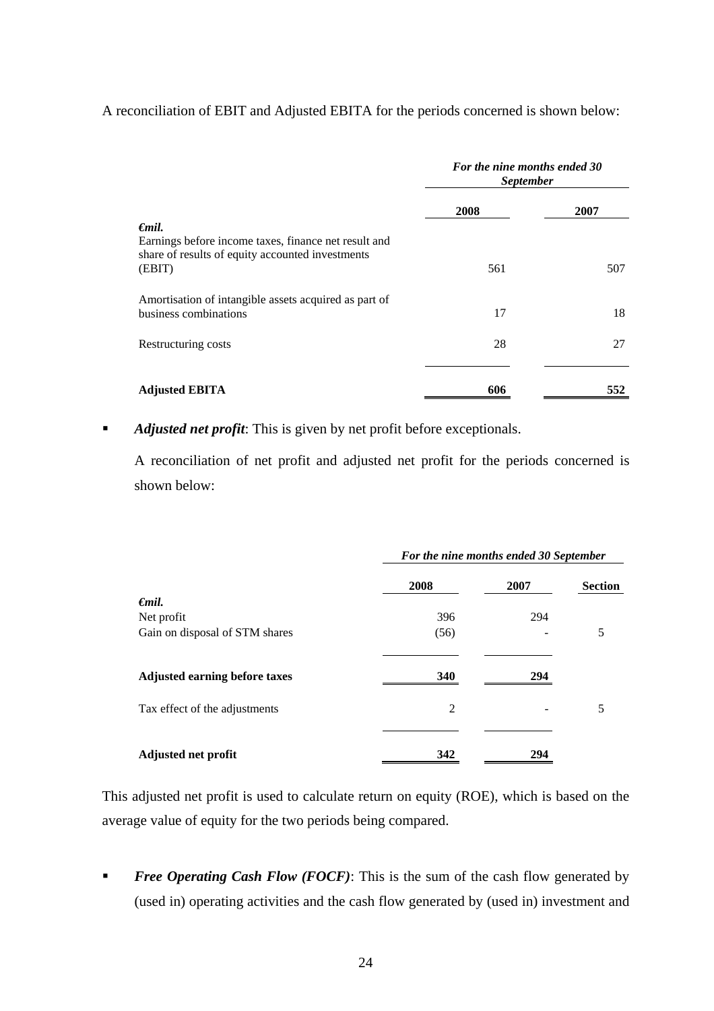# A reconciliation of EBIT and Adjusted EBITA for the periods concerned is shown below:

|                                                                                                                    | For the nine months ended 30<br><i>September</i> |      |  |
|--------------------------------------------------------------------------------------------------------------------|--------------------------------------------------|------|--|
|                                                                                                                    | 2008                                             | 2007 |  |
| $\epsilon$ mil.                                                                                                    |                                                  |      |  |
| Earnings before income taxes, finance net result and<br>share of results of equity accounted investments<br>(EBIT) | 561                                              | 507  |  |
| Amortisation of intangible assets acquired as part of<br>business combinations                                     | 17                                               | 18   |  |
| Restructuring costs                                                                                                | 28                                               | 27   |  |
| <b>Adjusted EBITA</b>                                                                                              | 606                                              | 552  |  |

**Adjusted net profit:** This is given by net profit before exceptionals.

A reconciliation of net profit and adjusted net profit for the periods concerned is shown below:

|                                      | For the nine months ended 30 September |      |                |  |
|--------------------------------------|----------------------------------------|------|----------------|--|
|                                      | 2008                                   | 2007 | <b>Section</b> |  |
| €mil.                                |                                        |      |                |  |
| Net profit                           | 396                                    | 294  |                |  |
| Gain on disposal of STM shares       | (56)                                   |      | 5              |  |
| <b>Adjusted earning before taxes</b> | 340                                    | 294  |                |  |
| Tax effect of the adjustments        | $\overline{2}$                         |      | 5              |  |
| <b>Adjusted net profit</b>           | 342                                    | 294  |                |  |

This adjusted net profit is used to calculate return on equity (ROE), which is based on the average value of equity for the two periods being compared.

**Free Operating Cash Flow (FOCF):** This is the sum of the cash flow generated by (used in) operating activities and the cash flow generated by (used in) investment and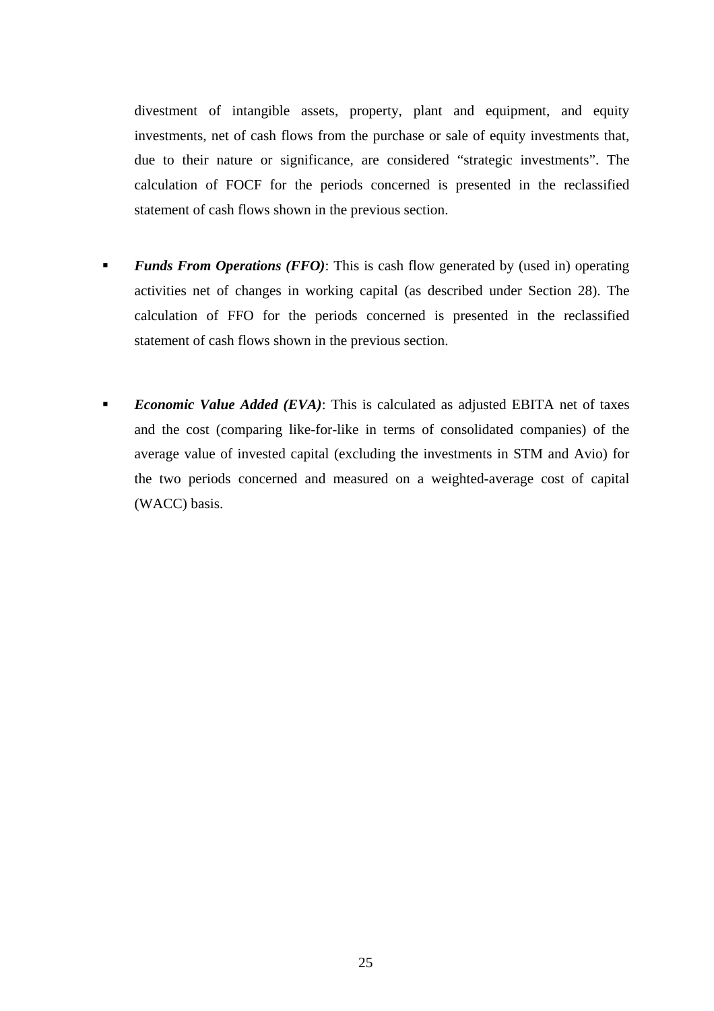divestment of intangible assets, property, plant and equipment, and equity investments, net of cash flows from the purchase or sale of equity investments that, due to their nature or significance, are considered "strategic investments". The calculation of FOCF for the periods concerned is presented in the reclassified statement of cash flows shown in the previous section.

- **Funds From Operations (FFO):** This is cash flow generated by (used in) operating activities net of changes in working capital (as described under Section 28). The calculation of FFO for the periods concerned is presented in the reclassified statement of cash flows shown in the previous section.
- *Economic Value Added (EVA)*: This is calculated as adjusted EBITA net of taxes and the cost (comparing like-for-like in terms of consolidated companies) of the average value of invested capital (excluding the investments in STM and Avio) for the two periods concerned and measured on a weighted-average cost of capital (WACC) basis.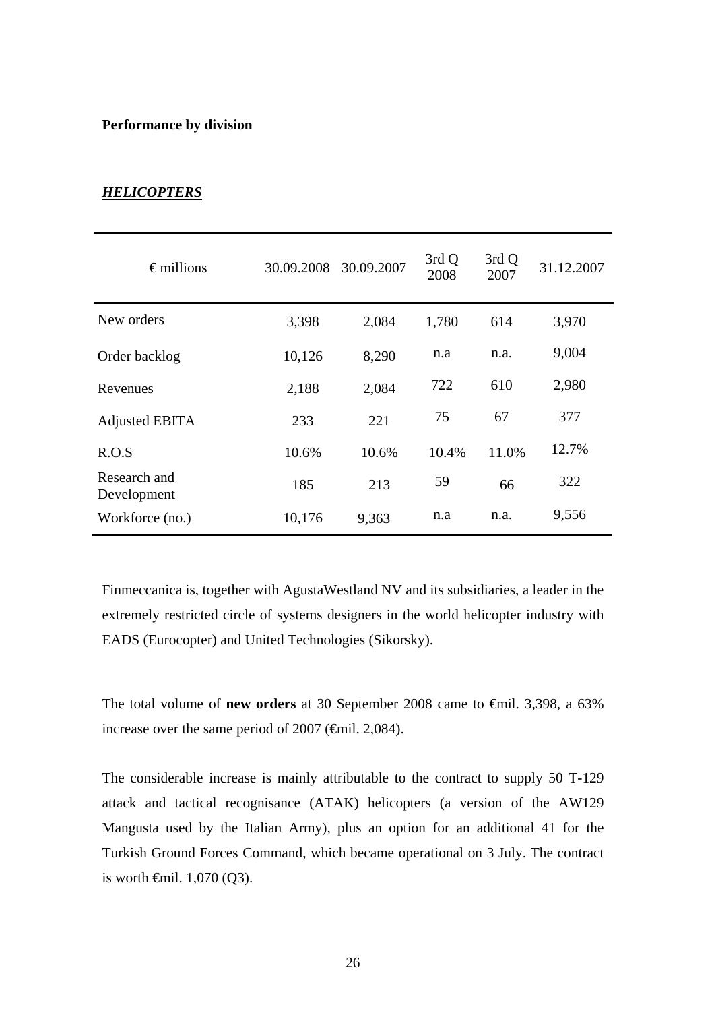## **Performance by division**

# *HELICOPTERS*

| $\epsilon$ millions         | 30.09.2008 | 30.09.2007 | 3rd Q<br>2008 | 3rd Q<br>2007 | 31.12.2007 |
|-----------------------------|------------|------------|---------------|---------------|------------|
| New orders                  | 3,398      | 2,084      | 1,780         | 614           | 3,970      |
| Order backlog               | 10,126     | 8,290      | n.a           | n.a.          | 9,004      |
| Revenues                    | 2,188      | 2,084      | 722           | 610           | 2,980      |
| <b>Adjusted EBITA</b>       | 233        | 221        | 75            | 67            | 377        |
| R.O.S                       | 10.6%      | 10.6%      | 10.4%         | 11.0%         | 12.7%      |
| Research and<br>Development | 185        | 213        | 59            | 66            | 322        |
| Workforce (no.)             | 10,176     | 9,363      | n.a           | n.a.          | 9,556      |

Finmeccanica is, together with AgustaWestland NV and its subsidiaries, a leader in the extremely restricted circle of systems designers in the world helicopter industry with EADS (Eurocopter) and United Technologies (Sikorsky).

The total volume of **new orders** at 30 September 2008 came to €mil. 3,398, a 63% increase over the same period of 2007 (€mil. 2,084).

The considerable increase is mainly attributable to the contract to supply 50 T-129 attack and tactical recognisance (ATAK) helicopters (a version of the AW129 Mangusta used by the Italian Army), plus an option for an additional 41 for the Turkish Ground Forces Command, which became operational on 3 July. The contract is worth  $\oplus$ mil. 1,070 (Q3).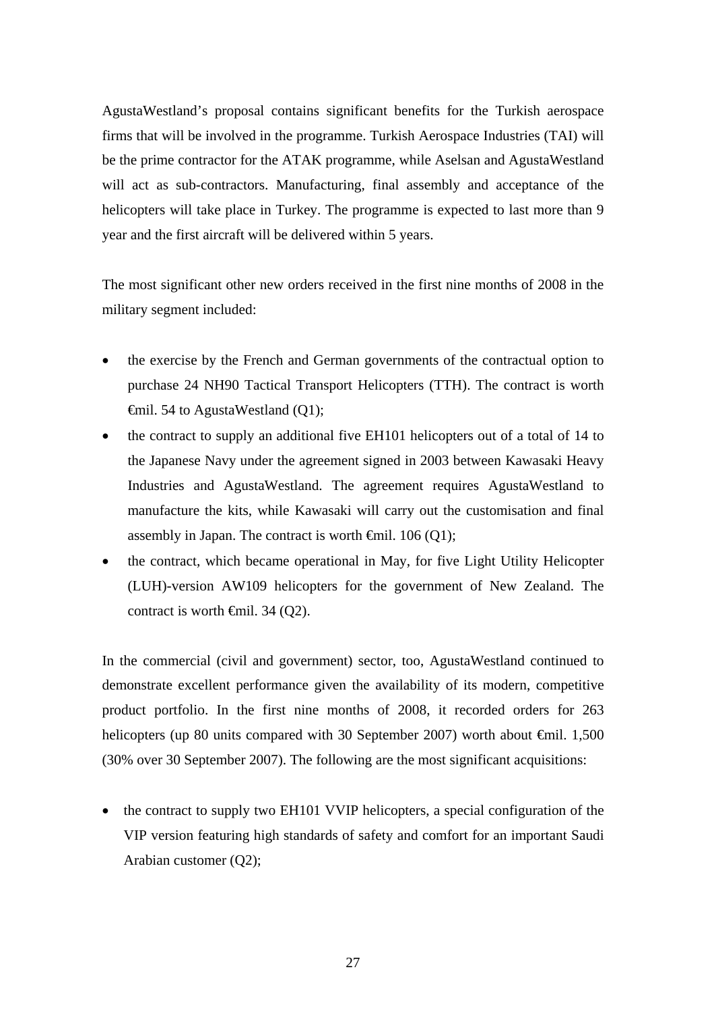AgustaWestland's proposal contains significant benefits for the Turkish aerospace firms that will be involved in the programme. Turkish Aerospace Industries (TAI) will be the prime contractor for the ATAK programme, while Aselsan and AgustaWestland will act as sub-contractors. Manufacturing, final assembly and acceptance of the helicopters will take place in Turkey. The programme is expected to last more than 9 year and the first aircraft will be delivered within 5 years.

The most significant other new orders received in the first nine months of 2008 in the military segment included:

- the exercise by the French and German governments of the contractual option to purchase 24 NH90 Tactical Transport Helicopters (TTH). The contract is worth €mil. 54 to AgustaWestland (Q1);
- the contract to supply an additional five EH101 helicopters out of a total of 14 to the Japanese Navy under the agreement signed in 2003 between Kawasaki Heavy Industries and AgustaWestland. The agreement requires AgustaWestland to manufacture the kits, while Kawasaki will carry out the customisation and final assembly in Japan. The contract is worth  $\Theta$ mil. 106 (Q1);
- the contract, which became operational in May, for five Light Utility Helicopter (LUH)-version AW109 helicopters for the government of New Zealand. The contract is worth  $\oplus$ mil. 34 (Q2).

In the commercial (civil and government) sector, too, AgustaWestland continued to demonstrate excellent performance given the availability of its modern, competitive product portfolio. In the first nine months of 2008, it recorded orders for 263 helicopters (up 80 units compared with 30 September 2007) worth about <del>€</del>mil. 1,500 (30% over 30 September 2007). The following are the most significant acquisitions:

• the contract to supply two EH101 VVIP helicopters, a special configuration of the VIP version featuring high standards of safety and comfort for an important Saudi Arabian customer (Q2);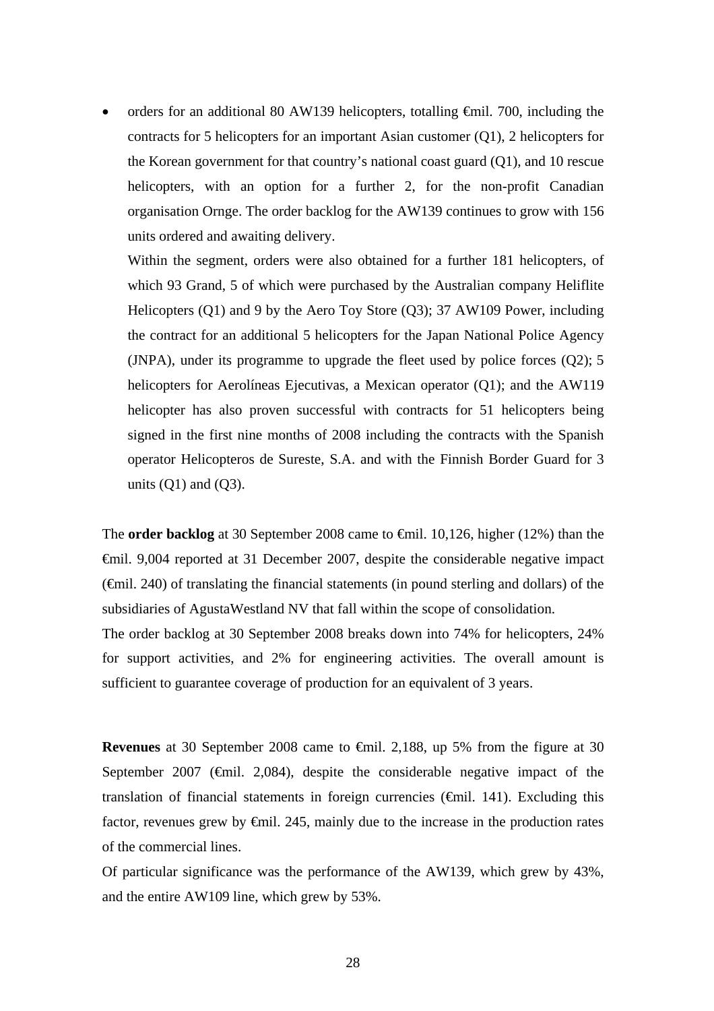orders for an additional 80 AW139 helicopters, totalling  $\theta$ mil. 700, including the contracts for 5 helicopters for an important Asian customer (Q1), 2 helicopters for the Korean government for that country's national coast guard (Q1), and 10 rescue helicopters, with an option for a further 2, for the non-profit Canadian organisation Ornge. The order backlog for the AW139 continues to grow with 156 units ordered and awaiting delivery.

Within the segment, orders were also obtained for a further 181 helicopters, of which 93 Grand, 5 of which were purchased by the Australian company Heliflite Helicopters (Q1) and 9 by the Aero Toy Store (Q3); 37 AW109 Power, including the contract for an additional 5 helicopters for the Japan National Police Agency (JNPA), under its programme to upgrade the fleet used by police forces (Q2); 5 helicopters for Aerolíneas Ejecutivas, a Mexican operator (Q1); and the AW119 helicopter has also proven successful with contracts for 51 helicopters being signed in the first nine months of 2008 including the contracts with the Spanish operator Helicopteros de Sureste, S.A. and with the Finnish Border Guard for 3 units  $(Q1)$  and  $(Q3)$ .

The **order backlog** at 30 September 2008 came to €mil. 10,126, higher (12%) than the €mil. 9,004 reported at 31 December 2007, despite the considerable negative impact (€mil. 240) of translating the financial statements (in pound sterling and dollars) of the subsidiaries of AgustaWestland NV that fall within the scope of consolidation. The order backlog at 30 September 2008 breaks down into 74% for helicopters, 24% for support activities, and 2% for engineering activities. The overall amount is sufficient to guarantee coverage of production for an equivalent of 3 years.

**Revenues** at 30 September 2008 came to €mil. 2,188, up 5% from the figure at 30 September 2007 ( $\epsilon$ mil. 2,084), despite the considerable negative impact of the translation of financial statements in foreign currencies  $(\widehat{\mathsf{f}}$ mil. 141). Excluding this factor, revenues grew by  $\epsilon$ mil. 245, mainly due to the increase in the production rates of the commercial lines.

Of particular significance was the performance of the AW139, which grew by 43%, and the entire AW109 line, which grew by 53%.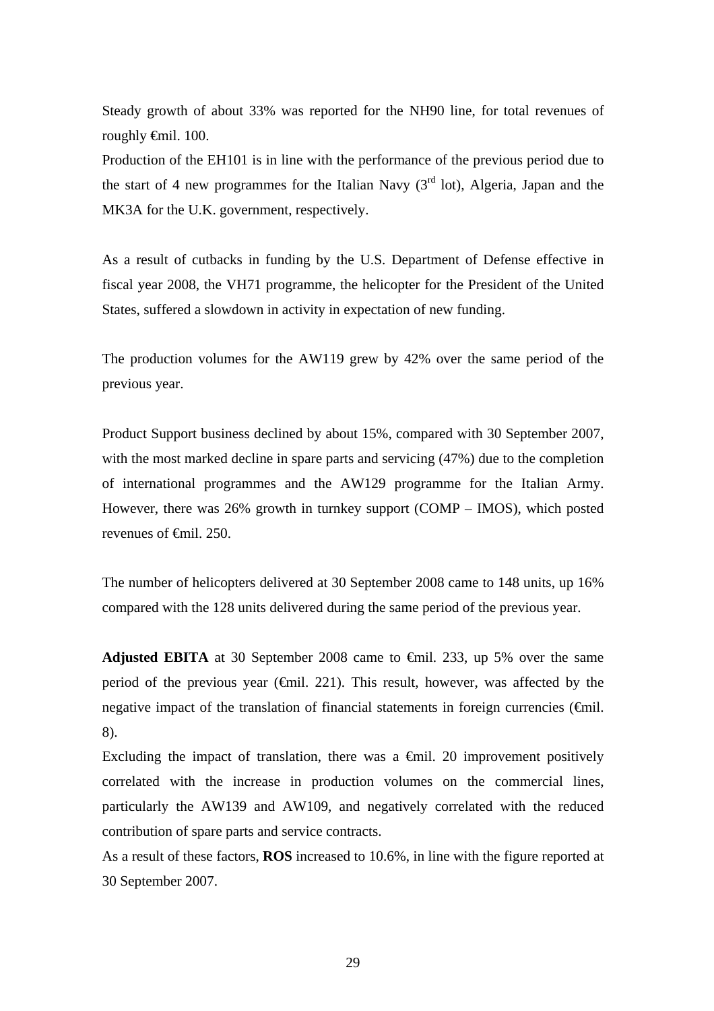Steady growth of about 33% was reported for the NH90 line, for total revenues of roughly €mil. 100.

Production of the EH101 is in line with the performance of the previous period due to the start of 4 new programmes for the Italian Navy  $3^{rd}$  lot), Algeria, Japan and the MK3A for the U.K. government, respectively.

As a result of cutbacks in funding by the U.S. Department of Defense effective in fiscal year 2008, the VH71 programme, the helicopter for the President of the United States, suffered a slowdown in activity in expectation of new funding.

The production volumes for the AW119 grew by 42% over the same period of the previous year.

Product Support business declined by about 15%, compared with 30 September 2007, with the most marked decline in spare parts and servicing (47%) due to the completion of international programmes and the AW129 programme for the Italian Army. However, there was 26% growth in turnkey support (COMP – IMOS), which posted revenues of €mil. 250.

The number of helicopters delivered at 30 September 2008 came to 148 units, up 16% compared with the 128 units delivered during the same period of the previous year.

**Adjusted EBITA** at 30 September 2008 came to €mil. 233, up 5% over the same period of the previous year ( $\epsilon$ mil. 221). This result, however, was affected by the negative impact of the translation of financial statements in foreign currencies ( $\epsilon$ mil. 8).

Excluding the impact of translation, there was a  $\epsilon$ mil. 20 improvement positively correlated with the increase in production volumes on the commercial lines, particularly the AW139 and AW109, and negatively correlated with the reduced contribution of spare parts and service contracts.

As a result of these factors, **ROS** increased to 10.6%, in line with the figure reported at 30 September 2007.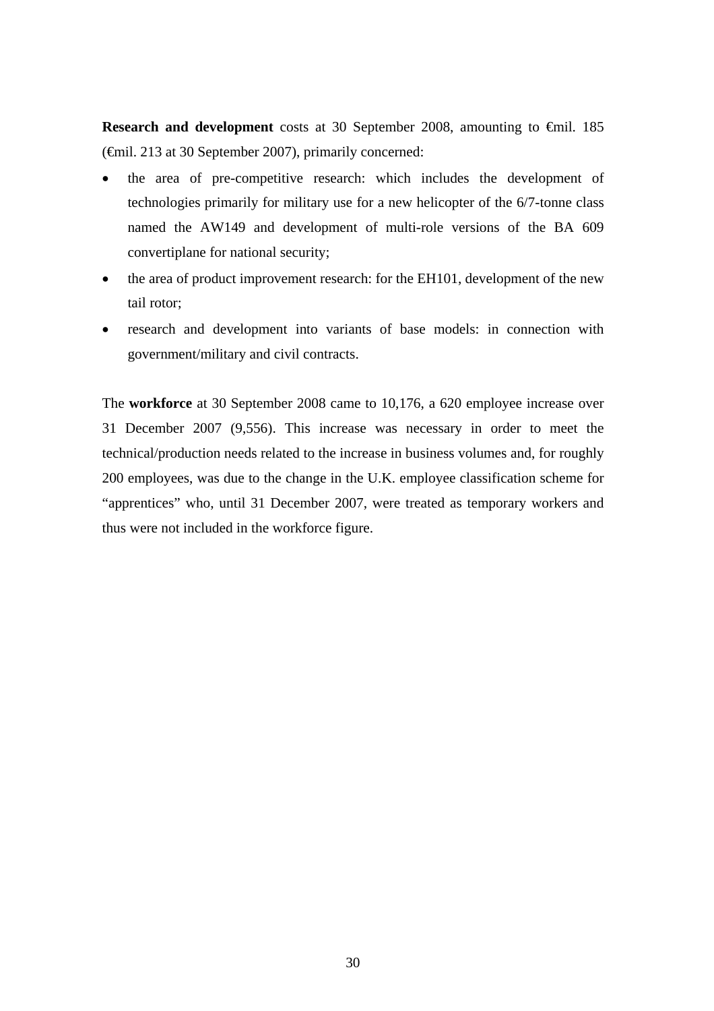**Research and development** costs at 30 September 2008, amounting to €mil. 185 (€mil. 213 at 30 September 2007), primarily concerned:

- the area of pre-competitive research: which includes the development of technologies primarily for military use for a new helicopter of the 6/7-tonne class named the AW149 and development of multi-role versions of the BA 609 convertiplane for national security;
- the area of product improvement research: for the EH101, development of the new tail rotor;
- research and development into variants of base models: in connection with government/military and civil contracts.

The **workforce** at 30 September 2008 came to 10,176, a 620 employee increase over 31 December 2007 (9,556). This increase was necessary in order to meet the technical/production needs related to the increase in business volumes and, for roughly 200 employees, was due to the change in the U.K. employee classification scheme for "apprentices" who, until 31 December 2007, were treated as temporary workers and thus were not included in the workforce figure.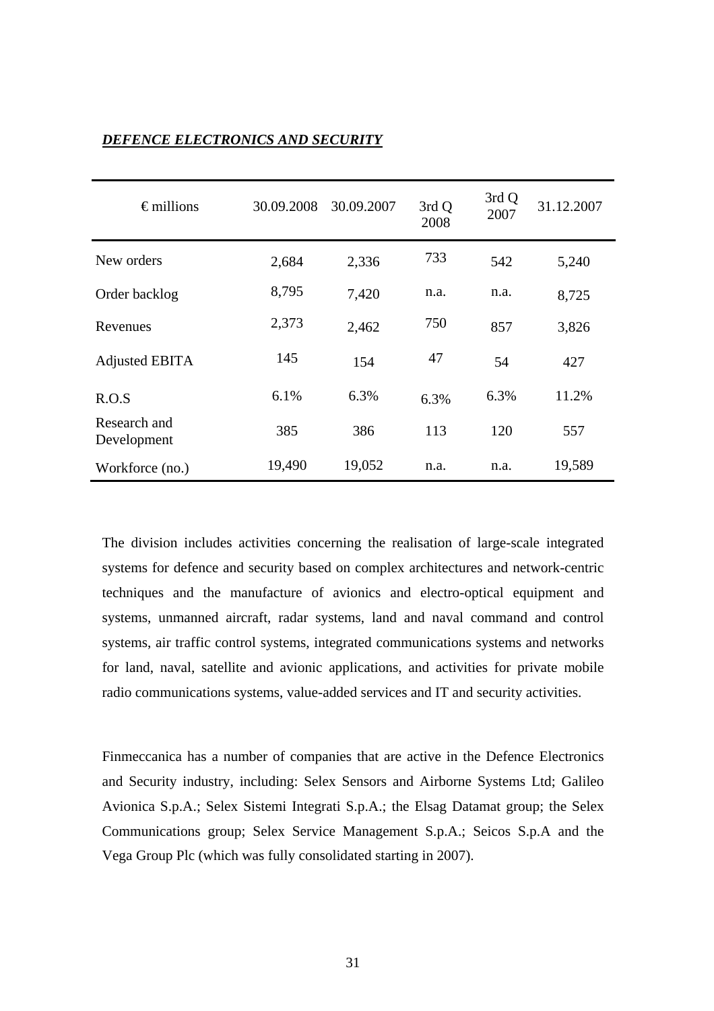| $\epsilon$ millions         | 30.09.2008 | 30.09.2007 | 3rd Q<br>2008 | 3rd Q<br>2007 | 31.12.2007 |
|-----------------------------|------------|------------|---------------|---------------|------------|
| New orders                  | 2,684      | 2,336      | 733           | 542           | 5,240      |
| Order backlog               | 8,795      | 7,420      | n.a.          | n.a.          | 8,725      |
| Revenues                    | 2,373      | 2,462      | 750           | 857           | 3,826      |
| <b>Adjusted EBITA</b>       | 145        | 154        | 47            | 54            | 427        |
| R.O.S                       | 6.1%       | 6.3%       | 6.3%          | 6.3%          | 11.2%      |
| Research and<br>Development | 385        | 386        | 113           | 120           | 557        |
| Workforce (no.)             | 19,490     | 19,052     | n.a.          | n.a.          | 19,589     |

# *DEFENCE ELECTRONICS AND SECURITY*

The division includes activities concerning the realisation of large-scale integrated systems for defence and security based on complex architectures and network-centric techniques and the manufacture of avionics and electro-optical equipment and systems, unmanned aircraft, radar systems, land and naval command and control systems, air traffic control systems, integrated communications systems and networks for land, naval, satellite and avionic applications, and activities for private mobile radio communications systems, value-added services and IT and security activities.

Finmeccanica has a number of companies that are active in the Defence Electronics and Security industry, including: Selex Sensors and Airborne Systems Ltd; Galileo Avionica S.p.A.; Selex Sistemi Integrati S.p.A.; the Elsag Datamat group; the Selex Communications group; Selex Service Management S.p.A.; Seicos S.p.A and the Vega Group Plc (which was fully consolidated starting in 2007).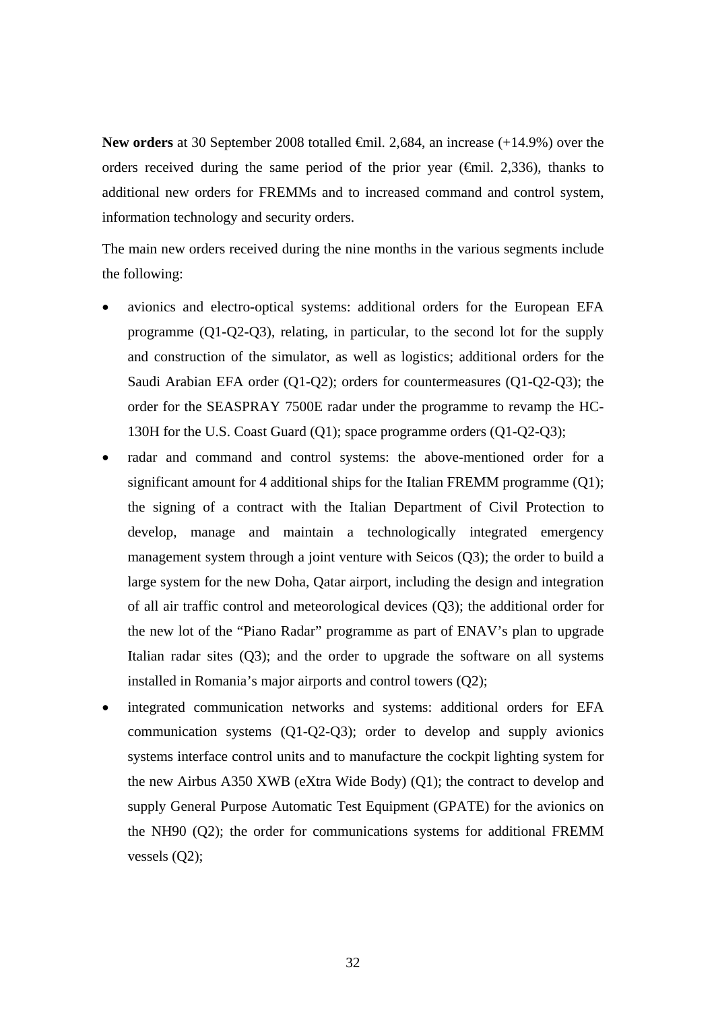**New orders** at 30 September 2008 totalled  $\oplus$  mil. 2,684, an increase (+14.9%) over the orders received during the same period of the prior year ( $\epsilon$ mil. 2,336), thanks to additional new orders for FREMMs and to increased command and control system, information technology and security orders.

The main new orders received during the nine months in the various segments include the following:

- avionics and electro-optical systems: additional orders for the European EFA programme (Q1-Q2-Q3), relating, in particular, to the second lot for the supply and construction of the simulator, as well as logistics; additional orders for the Saudi Arabian EFA order (Q1-Q2); orders for countermeasures (Q1-Q2-Q3); the order for the SEASPRAY 7500E radar under the programme to revamp the HC-130H for the U.S. Coast Guard (Q1); space programme orders (Q1-Q2-Q3);
- radar and command and control systems: the above-mentioned order for a significant amount for 4 additional ships for the Italian FREMM programme (Q1); the signing of a contract with the Italian Department of Civil Protection to develop, manage and maintain a technologically integrated emergency management system through a joint venture with Seicos (Q3); the order to build a large system for the new Doha, Qatar airport, including the design and integration of all air traffic control and meteorological devices (Q3); the additional order for the new lot of the "Piano Radar" programme as part of ENAV's plan to upgrade Italian radar sites (Q3); and the order to upgrade the software on all systems installed in Romania's major airports and control towers (Q2);
- integrated communication networks and systems: additional orders for EFA communication systems (Q1-Q2-Q3); order to develop and supply avionics systems interface control units and to manufacture the cockpit lighting system for the new Airbus A350 XWB (eXtra Wide Body) (Q1); the contract to develop and supply General Purpose Automatic Test Equipment (GPATE) for the avionics on the NH90 (Q2); the order for communications systems for additional FREMM vessels (Q2);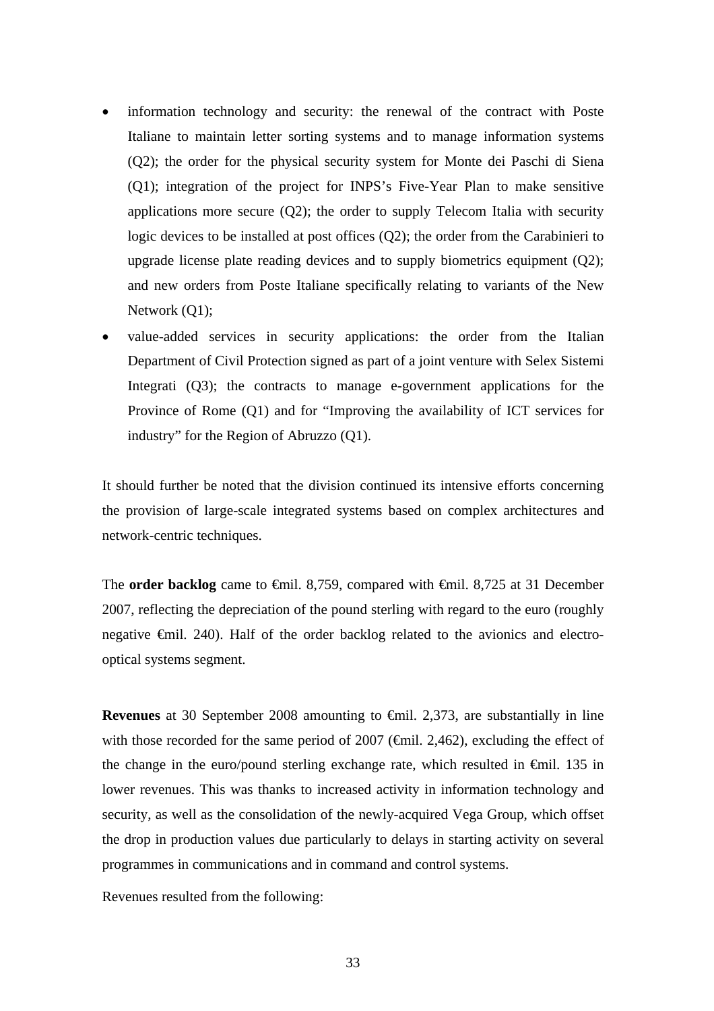- information technology and security: the renewal of the contract with Poste Italiane to maintain letter sorting systems and to manage information systems (Q2); the order for the physical security system for Monte dei Paschi di Siena (Q1); integration of the project for INPS's Five-Year Plan to make sensitive applications more secure (Q2); the order to supply Telecom Italia with security logic devices to be installed at post offices (Q2); the order from the Carabinieri to upgrade license plate reading devices and to supply biometrics equipment (Q2); and new orders from Poste Italiane specifically relating to variants of the New Network (O1):
- value-added services in security applications: the order from the Italian Department of Civil Protection signed as part of a joint venture with Selex Sistemi Integrati (Q3); the contracts to manage e-government applications for the Province of Rome (Q1) and for "Improving the availability of ICT services for industry" for the Region of Abruzzo (Q1).

It should further be noted that the division continued its intensive efforts concerning the provision of large-scale integrated systems based on complex architectures and network-centric techniques.

The **order backlog** came to <del>€mil.</del> 8,759, compared with <del>€mil.</del> 8,725 at 31 December 2007, reflecting the depreciation of the pound sterling with regard to the euro (roughly negative €mil. 240). Half of the order backlog related to the avionics and electrooptical systems segment.

**Revenues** at 30 September 2008 amounting to €mil. 2,373, are substantially in line with those recorded for the same period of 2007 ( $\epsilon$ mil. 2,462), excluding the effect of the change in the euro/pound sterling exchange rate, which resulted in €mil. 135 in lower revenues. This was thanks to increased activity in information technology and security, as well as the consolidation of the newly-acquired Vega Group, which offset the drop in production values due particularly to delays in starting activity on several programmes in communications and in command and control systems.

Revenues resulted from the following: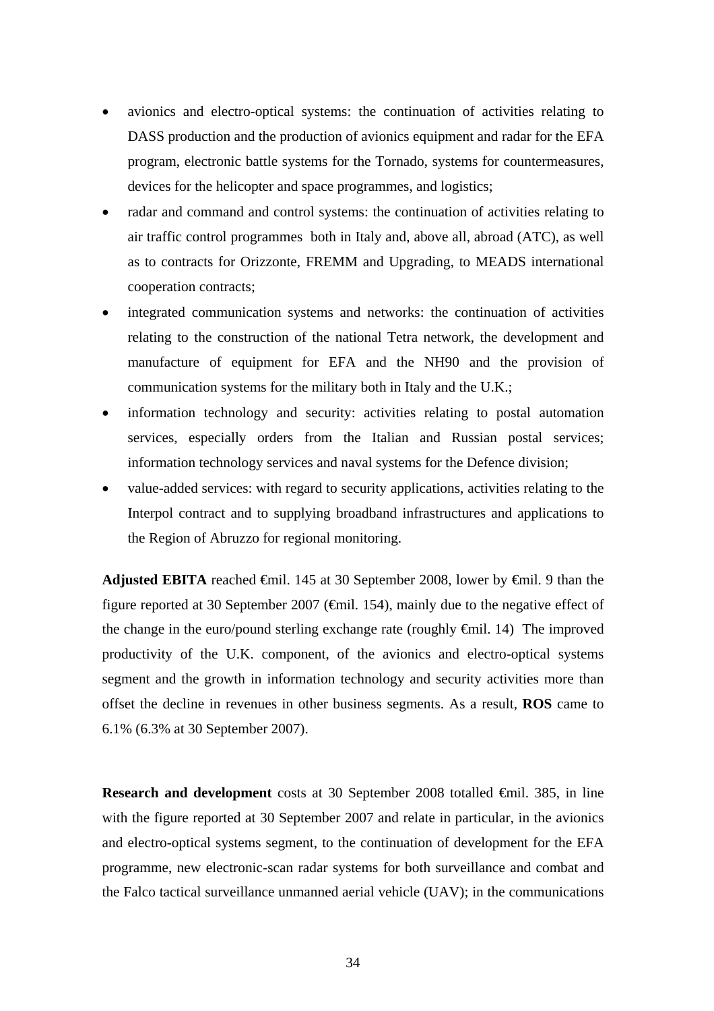- avionics and electro-optical systems: the continuation of activities relating to DASS production and the production of avionics equipment and radar for the EFA program, electronic battle systems for the Tornado, systems for countermeasures, devices for the helicopter and space programmes, and logistics;
- radar and command and control systems: the continuation of activities relating to air traffic control programmes both in Italy and, above all, abroad (ATC), as well as to contracts for Orizzonte, FREMM and Upgrading, to MEADS international cooperation contracts;
- integrated communication systems and networks: the continuation of activities relating to the construction of the national Tetra network, the development and manufacture of equipment for EFA and the NH90 and the provision of communication systems for the military both in Italy and the U.K.;
- information technology and security: activities relating to postal automation services, especially orders from the Italian and Russian postal services; information technology services and naval systems for the Defence division;
- value-added services: with regard to security applications, activities relating to the Interpol contract and to supplying broadband infrastructures and applications to the Region of Abruzzo for regional monitoring.

**Adjusted EBITA** reached €mil. 145 at 30 September 2008, lower by €mil. 9 than the figure reported at 30 September 2007 ( $\epsilon$ mil. 154), mainly due to the negative effect of the change in the euro/pound sterling exchange rate (roughly  $\oplus$ mil. 14) The improved productivity of the U.K. component, of the avionics and electro-optical systems segment and the growth in information technology and security activities more than offset the decline in revenues in other business segments. As a result, **ROS** came to 6.1% (6.3% at 30 September 2007).

**Research and development** costs at 30 September 2008 totalled €mil. 385, in line with the figure reported at 30 September 2007 and relate in particular, in the avionics and electro-optical systems segment, to the continuation of development for the EFA programme, new electronic-scan radar systems for both surveillance and combat and the Falco tactical surveillance unmanned aerial vehicle (UAV); in the communications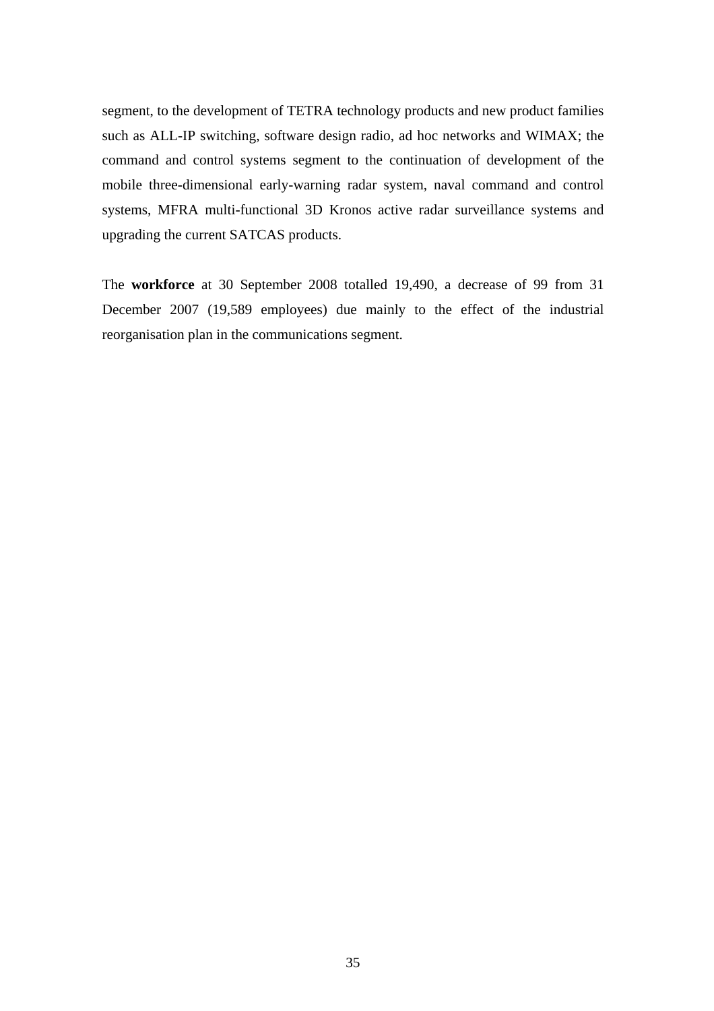segment, to the development of TETRA technology products and new product families such as ALL-IP switching, software design radio, ad hoc networks and WIMAX; the command and control systems segment to the continuation of development of the mobile three-dimensional early-warning radar system, naval command and control systems, MFRA multi-functional 3D Kronos active radar surveillance systems and upgrading the current SATCAS products.

The **workforce** at 30 September 2008 totalled 19,490, a decrease of 99 from 31 December 2007 (19,589 employees) due mainly to the effect of the industrial reorganisation plan in the communications segment.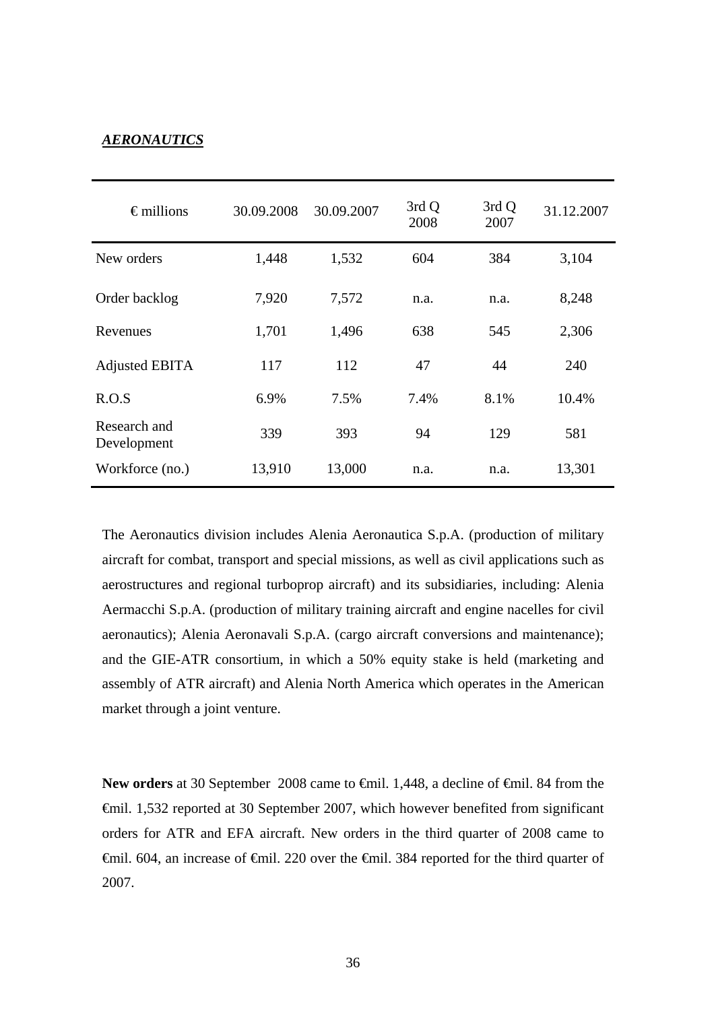## *AERONAUTICS*

| $\epsilon$ millions         | 30.09.2008 | 30.09.2007 | 3rd Q<br>2008 | 3rd Q<br>2007 | 31.12.2007 |
|-----------------------------|------------|------------|---------------|---------------|------------|
| New orders                  | 1,448      | 1,532      | 604           | 384           | 3,104      |
| Order backlog               | 7,920      | 7,572      | n.a.          | n.a.          | 8,248      |
| Revenues                    | 1,701      | 1,496      | 638           | 545           | 2,306      |
| <b>Adjusted EBITA</b>       | 117        | 112        | 47            | 44            | 240        |
| R.O.S                       | 6.9%       | 7.5%       | 7.4%          | 8.1%          | 10.4%      |
| Research and<br>Development | 339        | 393        | 94            | 129           | 581        |
| Workforce (no.)             | 13,910     | 13,000     | n.a.          | n.a.          | 13,301     |

The Aeronautics division includes Alenia Aeronautica S.p.A. (production of military aircraft for combat, transport and special missions, as well as civil applications such as aerostructures and regional turboprop aircraft) and its subsidiaries, including: Alenia Aermacchi S.p.A. (production of military training aircraft and engine nacelles for civil aeronautics); Alenia Aeronavali S.p.A. (cargo aircraft conversions and maintenance); and the GIE-ATR consortium, in which a 50% equity stake is held (marketing and assembly of ATR aircraft) and Alenia North America which operates in the American market through a joint venture.

New orders at 30 September 2008 came to <del>€</del>mil. 1,448, a decline of <del>€</del>mil. 84 from the €mil. 1,532 reported at 30 September 2007, which however benefited from significant orders for ATR and EFA aircraft. New orders in the third quarter of 2008 came to €mil. 604, an increase of €mil. 220 over the €mil. 384 reported for the third quarter of 2007.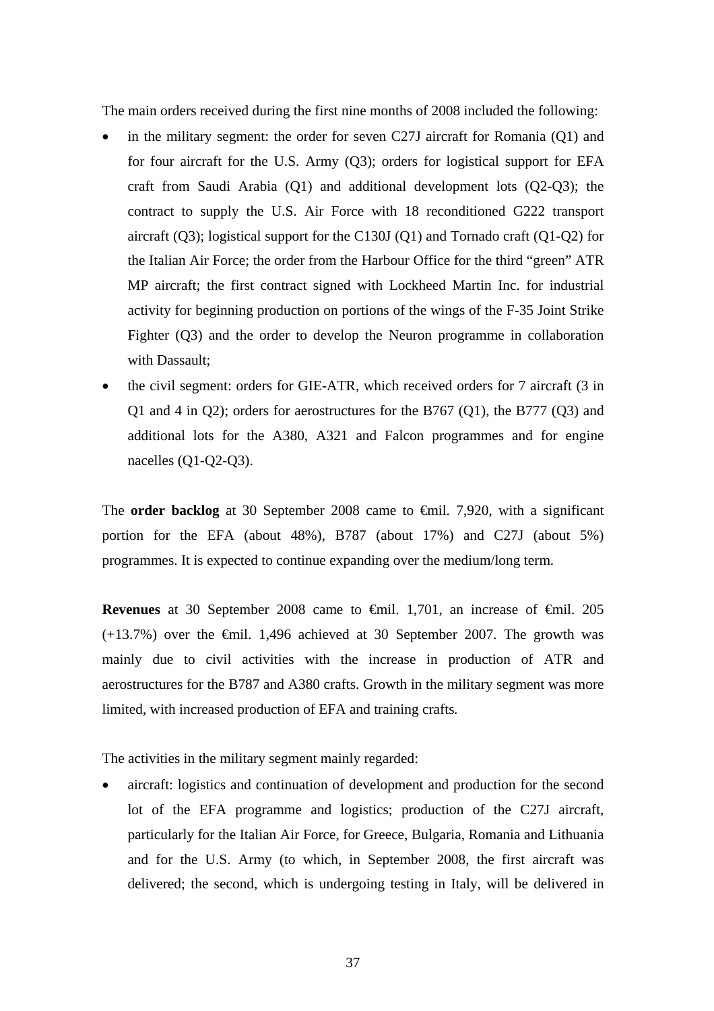The main orders received during the first nine months of 2008 included the following:

- in the military segment: the order for seven C27J aircraft for Romania  $(Q1)$  and for four aircraft for the U.S. Army (Q3); orders for logistical support for EFA craft from Saudi Arabia (Q1) and additional development lots (Q2-Q3); the contract to supply the U.S. Air Force with 18 reconditioned G222 transport aircraft (Q3); logistical support for the C130J (Q1) and Tornado craft (Q1-Q2) for the Italian Air Force; the order from the Harbour Office for the third "green" ATR MP aircraft; the first contract signed with Lockheed Martin Inc. for industrial activity for beginning production on portions of the wings of the F-35 Joint Strike Fighter (Q3) and the order to develop the Neuron programme in collaboration with Dassault;
- the civil segment: orders for GIE-ATR, which received orders for 7 aircraft (3 in Q1 and 4 in Q2); orders for aerostructures for the B767 (Q1), the B777 (Q3) and additional lots for the A380, A321 and Falcon programmes and for engine nacelles (Q1-Q2-Q3).

The **order backlog** at 30 September 2008 came to €mil. 7,920, with a significant portion for the EFA (about 48%), B787 (about 17%) and C27J (about 5%) programmes. It is expected to continue expanding over the medium/long term.

Revenues at 30 September 2008 came to €mil. 1,701, an increase of €mil. 205  $(+13.7%)$  over the  $\epsilon$ mil. 1,496 achieved at 30 September 2007. The growth was mainly due to civil activities with the increase in production of ATR and aerostructures for the B787 and A380 crafts. Growth in the military segment was more limited, with increased production of EFA and training crafts*.* 

The activities in the military segment mainly regarded:

• aircraft: logistics and continuation of development and production for the second lot of the EFA programme and logistics; production of the C27J aircraft, particularly for the Italian Air Force, for Greece, Bulgaria, Romania and Lithuania and for the U.S. Army (to which, in September 2008, the first aircraft was delivered; the second, which is undergoing testing in Italy, will be delivered in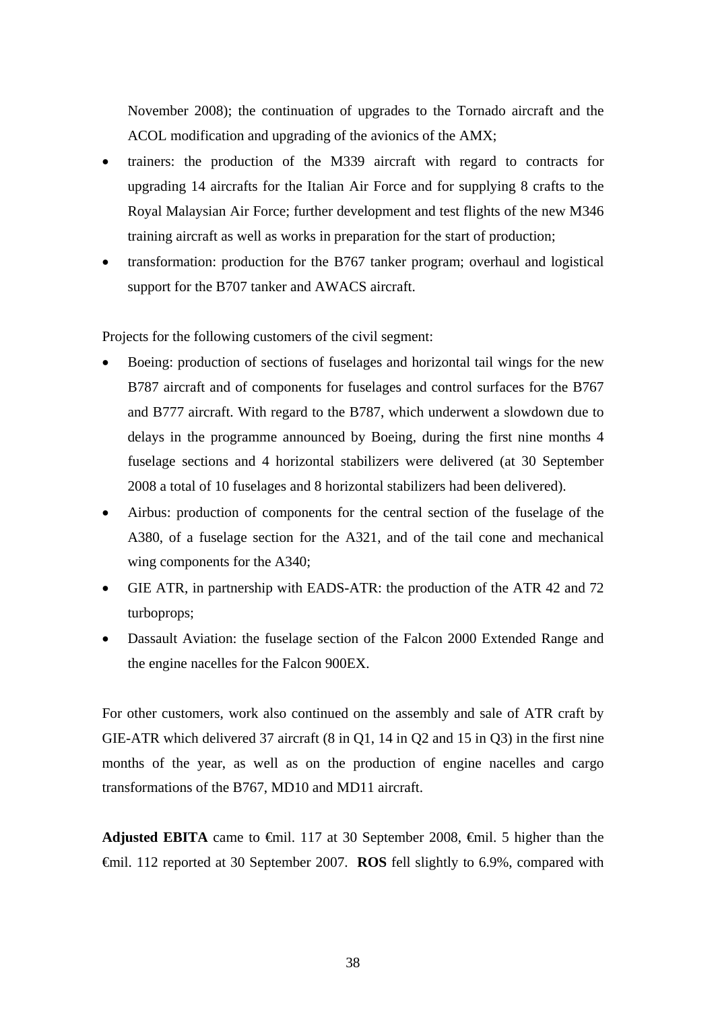November 2008); the continuation of upgrades to the Tornado aircraft and the ACOL modification and upgrading of the avionics of the AMX;

- trainers: the production of the M339 aircraft with regard to contracts for upgrading 14 aircrafts for the Italian Air Force and for supplying 8 crafts to the Royal Malaysian Air Force; further development and test flights of the new M346 training aircraft as well as works in preparation for the start of production;
- transformation: production for the B767 tanker program; overhaul and logistical support for the B707 tanker and AWACS aircraft.

Projects for the following customers of the civil segment:

- Boeing: production of sections of fuselages and horizontal tail wings for the new B787 aircraft and of components for fuselages and control surfaces for the B767 and B777 aircraft. With regard to the B787, which underwent a slowdown due to delays in the programme announced by Boeing, during the first nine months 4 fuselage sections and 4 horizontal stabilizers were delivered (at 30 September 2008 a total of 10 fuselages and 8 horizontal stabilizers had been delivered).
- Airbus: production of components for the central section of the fuselage of the A380, of a fuselage section for the A321, and of the tail cone and mechanical wing components for the A340;
- GIE ATR, in partnership with EADS-ATR: the production of the ATR 42 and 72 turboprops;
- Dassault Aviation: the fuselage section of the Falcon 2000 Extended Range and the engine nacelles for the Falcon 900EX.

For other customers, work also continued on the assembly and sale of ATR craft by GIE-ATR which delivered 37 aircraft (8 in Q1, 14 in Q2 and 15 in Q3) in the first nine months of the year, as well as on the production of engine nacelles and cargo transformations of the B767, MD10 and MD11 aircraft.

**Adjusted EBITA** came to €mil. 117 at 30 September 2008, €mil. 5 higher than the €mil. 112 reported at 30 September 2007. **ROS** fell slightly to 6.9%, compared with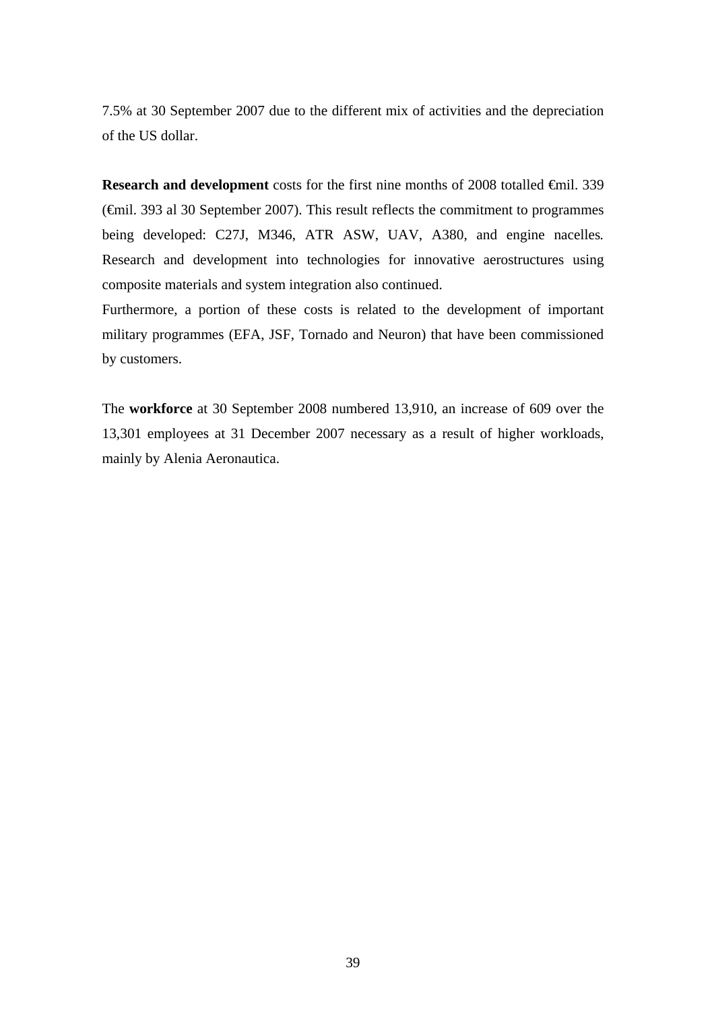7.5% at 30 September 2007 due to the different mix of activities and the depreciation of the US dollar.

**Research and development** costs for the first nine months of 2008 totalled €mil. 339 (€mil. 393 al 30 September 2007). This result reflects the commitment to programmes being developed: C27J, M346, ATR ASW, UAV, A380, and engine nacelles*.* Research and development into technologies for innovative aerostructures using composite materials and system integration also continued.

Furthermore, a portion of these costs is related to the development of important military programmes (EFA, JSF, Tornado and Neuron) that have been commissioned by customers.

The **workforce** at 30 September 2008 numbered 13,910, an increase of 609 over the 13,301 employees at 31 December 2007 necessary as a result of higher workloads, mainly by Alenia Aeronautica.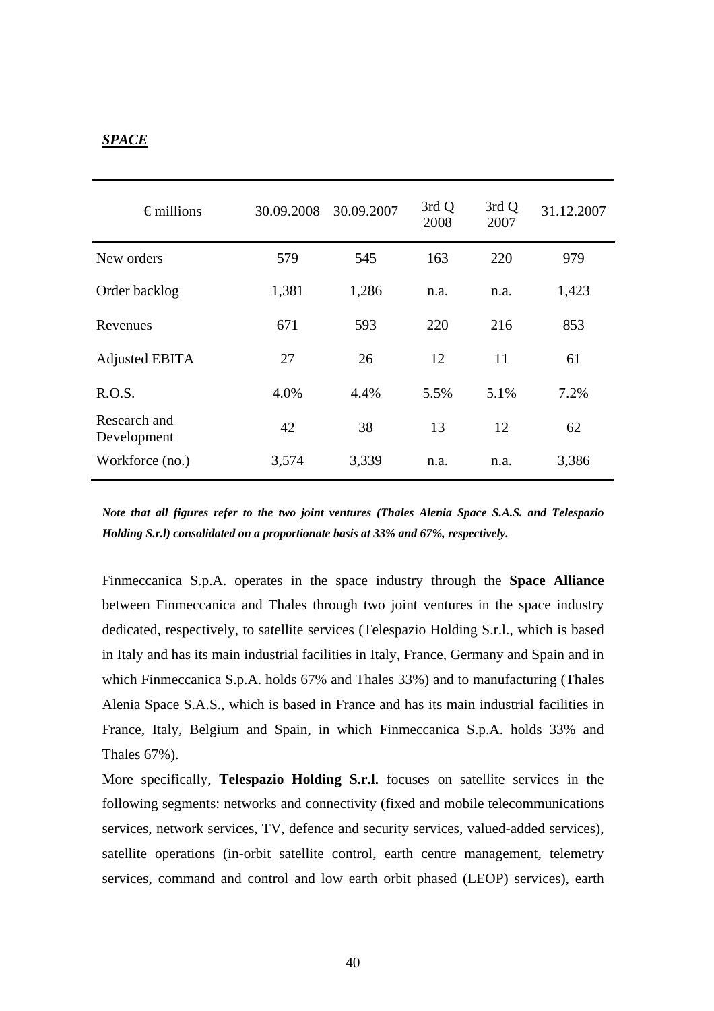### *SPACE*

| $\epsilon$ millions         | 30.09.2008 | 30.09.2007 | 3rd Q<br>2008 | 3rd Q<br>2007 | 31.12.2007 |
|-----------------------------|------------|------------|---------------|---------------|------------|
| New orders                  | 579        | 545        | 163           | 220           | 979        |
| Order backlog               | 1,381      | 1,286      | n.a.          | n.a.          | 1,423      |
| Revenues                    | 671        | 593        | 220           | 216           | 853        |
| <b>Adjusted EBITA</b>       | 27         | 26         | 12            | 11            | 61         |
| R.O.S.                      | 4.0%       | 4.4%       | 5.5%          | 5.1%          | 7.2%       |
| Research and<br>Development | 42         | 38         | 13            | 12            | 62         |
| Workforce (no.)             | 3,574      | 3,339      | n.a.          | n.a.          | 3,386      |

*Note that all figures refer to the two joint ventures (Thales Alenia Space S.A.S. and Telespazio Holding S.r.l) consolidated on a proportionate basis at 33% and 67%, respectively.* 

Finmeccanica S.p.A. operates in the space industry through the **Space Alliance** between Finmeccanica and Thales through two joint ventures in the space industry dedicated, respectively, to satellite services (Telespazio Holding S.r.l., which is based in Italy and has its main industrial facilities in Italy, France, Germany and Spain and in which Finmeccanica S.p.A. holds 67% and Thales 33%) and to manufacturing (Thales Alenia Space S.A.S., which is based in France and has its main industrial facilities in France, Italy, Belgium and Spain, in which Finmeccanica S.p.A. holds 33% and Thales 67%).

More specifically, **Telespazio Holding S.r.l.** focuses on satellite services in the following segments: networks and connectivity (fixed and mobile telecommunications services, network services, TV, defence and security services, valued-added services), satellite operations (in-orbit satellite control, earth centre management, telemetry services, command and control and low earth orbit phased (LEOP) services), earth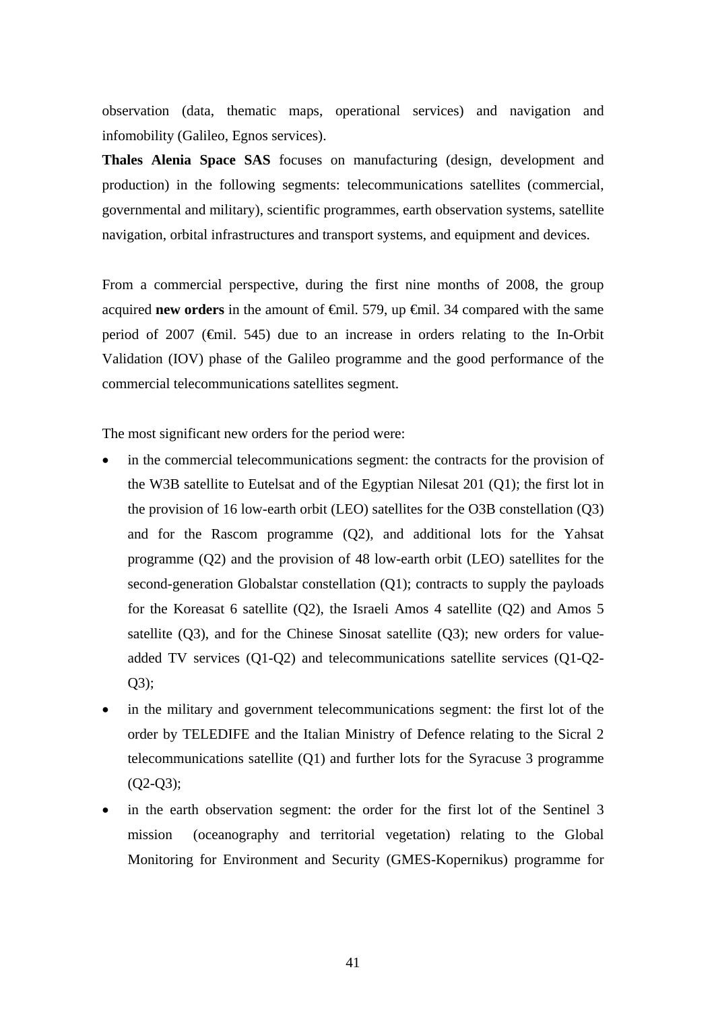observation (data, thematic maps, operational services) and navigation and infomobility (Galileo, Egnos services).

**Thales Alenia Space SAS** focuses on manufacturing (design, development and production) in the following segments: telecommunications satellites (commercial, governmental and military), scientific programmes, earth observation systems, satellite navigation, orbital infrastructures and transport systems, and equipment and devices.

From a commercial perspective, during the first nine months of 2008, the group acquired **new orders** in the amount of  $\oplus$  inil. 579, up  $\oplus$  inil. 34 compared with the same period of 2007 (€mil. 545) due to an increase in orders relating to the In-Orbit Validation (IOV) phase of the Galileo programme and the good performance of the commercial telecommunications satellites segment.

The most significant new orders for the period were:

- in the commercial telecommunications segment: the contracts for the provision of the W3B satellite to Eutelsat and of the Egyptian Nilesat 201 (Q1); the first lot in the provision of 16 low-earth orbit (LEO) satellites for the O3B constellation (Q3) and for the Rascom programme (Q2), and additional lots for the Yahsat programme (Q2) and the provision of 48 low-earth orbit (LEO) satellites for the second-generation Globalstar constellation (Q1); contracts to supply the payloads for the Koreasat 6 satellite  $(Q2)$ , the Israeli Amos 4 satellite  $(Q2)$  and Amos 5 satellite  $(Q3)$ , and for the Chinese Sinosat satellite  $(Q3)$ ; new orders for valueadded TV services (Q1-Q2) and telecommunications satellite services (Q1-Q2- Q3);
- in the military and government telecommunications segment: the first lot of the order by TELEDIFE and the Italian Ministry of Defence relating to the Sicral 2 telecommunications satellite (Q1) and further lots for the Syracuse 3 programme  $(O2-O3)$ ;
- in the earth observation segment: the order for the first lot of the Sentinel 3 mission (oceanography and territorial vegetation) relating to the Global Monitoring for Environment and Security (GMES-Kopernikus) programme for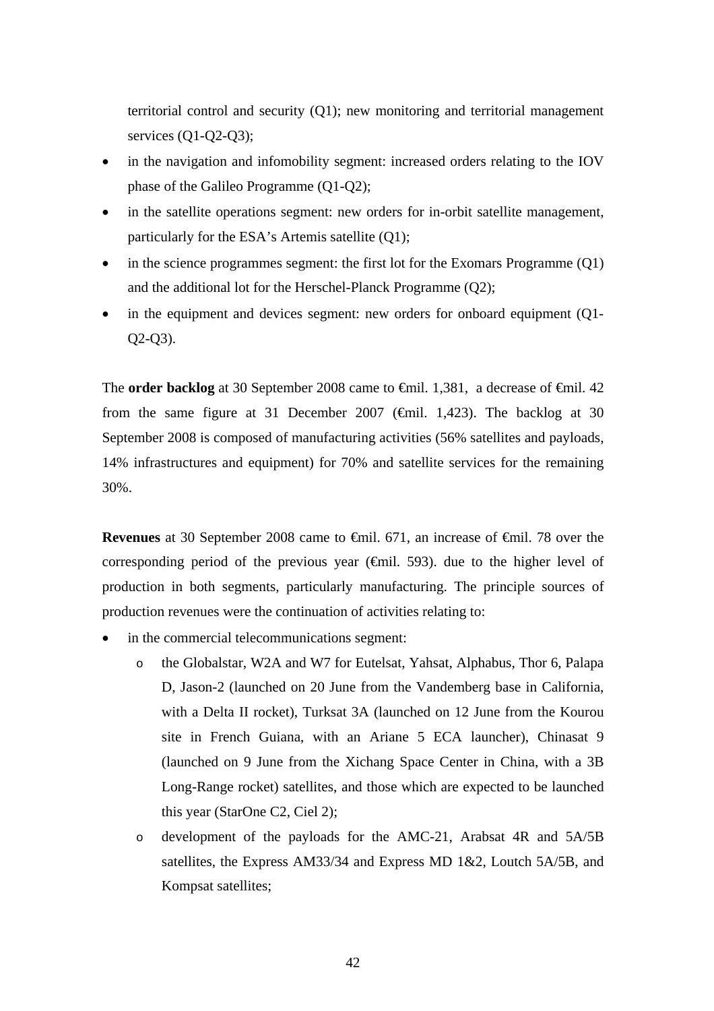territorial control and security (Q1); new monitoring and territorial management services (Q1-Q2-Q3);

- in the navigation and infomobility segment: increased orders relating to the IOV phase of the Galileo Programme (Q1-Q2);
- in the satellite operations segment: new orders for in-orbit satellite management, particularly for the ESA's Artemis satellite (Q1);
- in the science programmes segment: the first lot for the Exomars Programme  $(Q1)$ and the additional lot for the Herschel-Planck Programme (Q2);
- in the equipment and devices segment: new orders for onboard equipment (Q1-Q2-Q3).

The **order backlog** at 30 September 2008 came to <del>€</del>mil. 1,381, a decrease of <del>€</del>mil. 42 from the same figure at 31 December 2007 ( $\theta$ mil. 1,423). The backlog at 30 September 2008 is composed of manufacturing activities (56% satellites and payloads, 14% infrastructures and equipment) for 70% and satellite services for the remaining 30%.

**Revenues** at 30 September 2008 came to <del>€mil.</del> 671, an increase of €mil. 78 over the corresponding period of the previous year  $(\theta$ mil. 593). due to the higher level of production in both segments, particularly manufacturing. The principle sources of production revenues were the continuation of activities relating to:

- in the commercial telecommunications segment:
	- o the Globalstar, W2A and W7 for Eutelsat, Yahsat, Alphabus, Thor 6, Palapa D, Jason-2 (launched on 20 June from the Vandemberg base in California, with a Delta II rocket), Turksat 3A (launched on 12 June from the Kourou site in French Guiana, with an Ariane 5 ECA launcher), Chinasat 9 (launched on 9 June from the Xichang Space Center in China, with a 3B Long-Range rocket) satellites, and those which are expected to be launched this year (StarOne C2, Ciel 2);
	- o development of the payloads for the AMC-21, Arabsat 4R and 5A/5B satellites, the Express AM33/34 and Express MD 1&2, Loutch 5A/5B, and Kompsat satellites;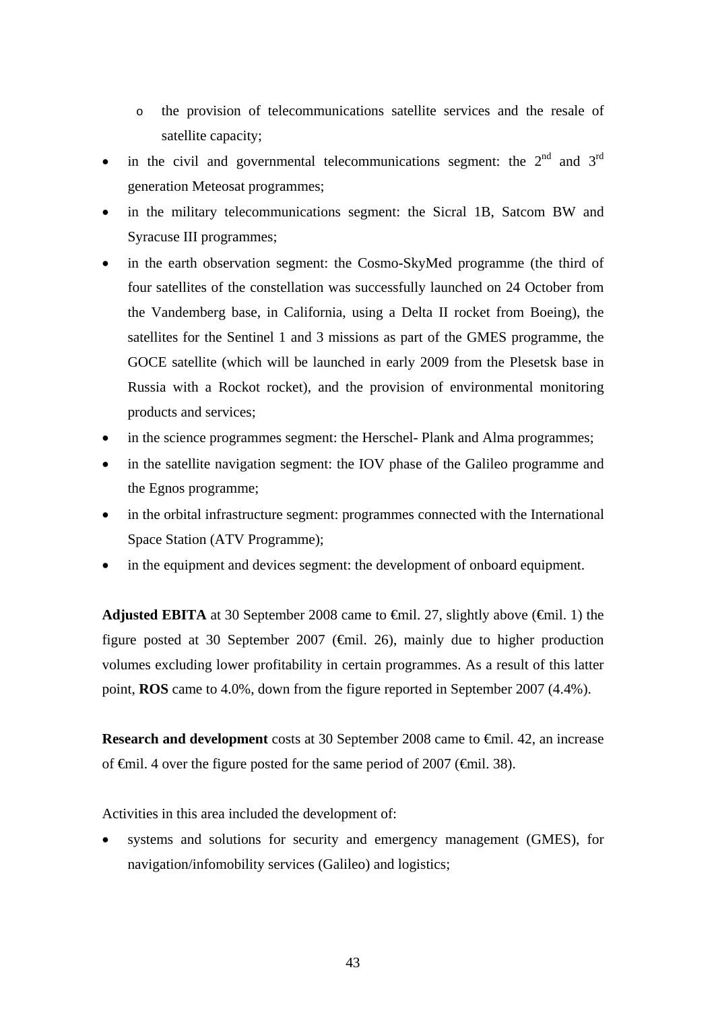- o the provision of telecommunications satellite services and the resale of satellite capacity;
- in the civil and governmental telecommunications segment: the  $2<sup>nd</sup>$  and  $3<sup>rd</sup>$ generation Meteosat programmes;
- in the military telecommunications segment: the Sicral 1B, Satcom BW and Syracuse III programmes;
- in the earth observation segment: the Cosmo-SkyMed programme (the third of four satellites of the constellation was successfully launched on 24 October from the Vandemberg base, in California, using a Delta II rocket from Boeing), the satellites for the Sentinel 1 and 3 missions as part of the GMES programme, the GOCE satellite (which will be launched in early 2009 from the Plesetsk base in Russia with a Rockot rocket), and the provision of environmental monitoring products and services;
- in the science programmes segment: the Herschel- Plank and Alma programmes;
- in the satellite navigation segment: the IOV phase of the Galileo programme and the Egnos programme;
- in the orbital infrastructure segment: programmes connected with the International Space Station (ATV Programme);
- in the equipment and devices segment: the development of onboard equipment.

**Adjusted EBITA** at 30 September 2008 came to  $\theta$ mil. 27, slightly above ( $\theta$ mil. 1) the figure posted at 30 September 2007 ( $\epsilon$ mil. 26), mainly due to higher production volumes excluding lower profitability in certain programmes. As a result of this latter point, **ROS** came to 4.0%, down from the figure reported in September 2007 (4.4%).

**Research and development** costs at 30 September 2008 came to €mil. 42, an increase of  $\epsilon$ mil. 4 over the figure posted for the same period of 2007 ( $\epsilon$ mil. 38).

Activities in this area included the development of:

systems and solutions for security and emergency management (GMES), for navigation/infomobility services (Galileo) and logistics;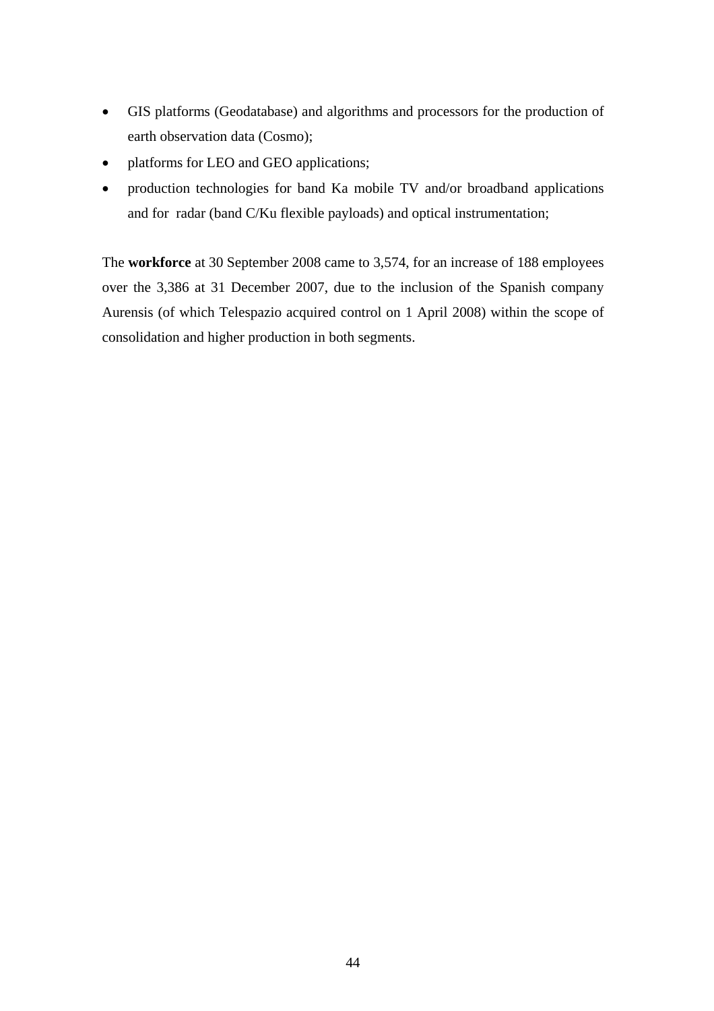- GIS platforms (Geodatabase) and algorithms and processors for the production of earth observation data (Cosmo);
- platforms for LEO and GEO applications;
- production technologies for band Ka mobile TV and/or broadband applications and for radar (band C/Ku flexible payloads) and optical instrumentation;

The **workforce** at 30 September 2008 came to 3,574, for an increase of 188 employees over the 3,386 at 31 December 2007, due to the inclusion of the Spanish company Aurensis (of which Telespazio acquired control on 1 April 2008) within the scope of consolidation and higher production in both segments.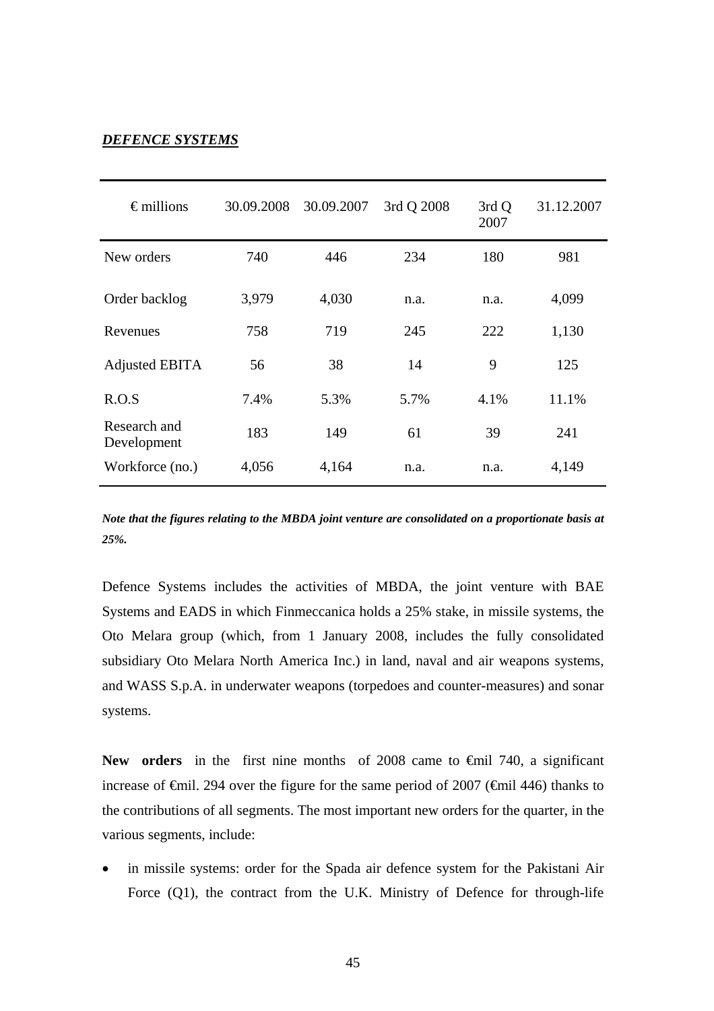#### *DEFENCE SYSTEMS*

| $\epsilon$ millions         | 30.09.2008 | 30.09.2007 | 3rd Q 2008 | 3rd Q<br>2007 | 31.12.2007 |
|-----------------------------|------------|------------|------------|---------------|------------|
| New orders                  | 740        | 446        | 234        | 180           | 981        |
| Order backlog               | 3,979      | 4,030      | n.a.       | n.a.          | 4,099      |
| Revenues                    | 758        | 719        | 245        | 222           | 1,130      |
| Adjusted EBITA              | 56         | 38         | 14         | 9             | 125        |
| R.O.S                       | 7.4%       | 5.3%       | 5.7%       | 4.1%          | 11.1%      |
| Research and<br>Development | 183        | 149        | 61         | 39            | 241        |
| Workforce (no.)             | 4,056      | 4,164      | n.a.       | n.a.          | 4,149      |

*Note that the figures relating to the MBDA joint venture are consolidated on a proportionate basis at 25%.*

Defence Systems includes the activities of MBDA, the joint venture with BAE Systems and EADS in which Finmeccanica holds a 25% stake, in missile systems, the Oto Melara group (which, from 1 January 2008, includes the fully consolidated subsidiary Oto Melara North America Inc.) in land, naval and air weapons systems, and WASS S.p.A. in underwater weapons (torpedoes and counter-measures) and sonar systems.

New orders in the first nine months of 2008 came to <del>€</del>mil 740, a significant increase of  $\epsilon$ mil. 294 over the figure for the same period of 2007 ( $\epsilon$ mil 446) thanks to the contributions of all segments. The most important new orders for the quarter, in the various segments, include:

in missile systems: order for the Spada air defence system for the Pakistani Air Force (Q1), the contract from the U.K. Ministry of Defence for through-life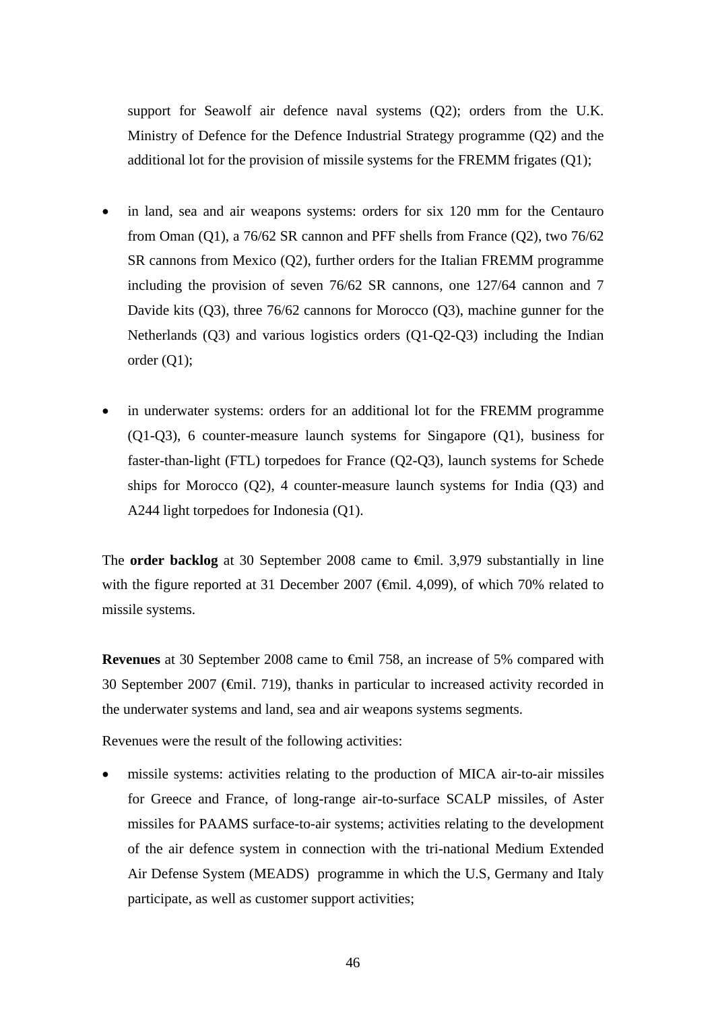support for Seawolf air defence naval systems (Q2); orders from the U.K. Ministry of Defence for the Defence Industrial Strategy programme (Q2) and the additional lot for the provision of missile systems for the FREMM frigates (Q1);

- in land, sea and air weapons systems: orders for six 120 mm for the Centauro from Oman (Q1), a 76/62 SR cannon and PFF shells from France (Q2), two 76/62 SR cannons from Mexico (Q2), further orders for the Italian FREMM programme including the provision of seven 76/62 SR cannons, one 127/64 cannon and 7 Davide kits (Q3), three 76/62 cannons for Morocco (Q3), machine gunner for the Netherlands (Q3) and various logistics orders (Q1-Q2-Q3) including the Indian order (Q1);
- in underwater systems: orders for an additional lot for the FREMM programme (Q1-Q3), 6 counter-measure launch systems for Singapore (Q1), business for faster-than-light (FTL) torpedoes for France (Q2-Q3), launch systems for Schede ships for Morocco  $(Q2)$ , 4 counter-measure launch systems for India  $(Q3)$  and A244 light torpedoes for Indonesia (Q1).

The **order backlog** at 30 September 2008 came to €mil. 3,979 substantially in line with the figure reported at 31 December 2007 ( $\epsilon$ mil. 4,099), of which 70% related to missile systems.

**Revenues** at 30 September 2008 came to €mil 758, an increase of 5% compared with 30 September 2007 (€mil. 719), thanks in particular to increased activity recorded in the underwater systems and land, sea and air weapons systems segments.

Revenues were the result of the following activities:

• missile systems: activities relating to the production of MICA air-to-air missiles for Greece and France, of long-range air-to-surface SCALP missiles, of Aster missiles for PAAMS surface-to-air systems; activities relating to the development of the air defence system in connection with the tri-national Medium Extended Air Defense System (MEADS)programme in which the U.S, Germany and Italy participate, as well as customer support activities;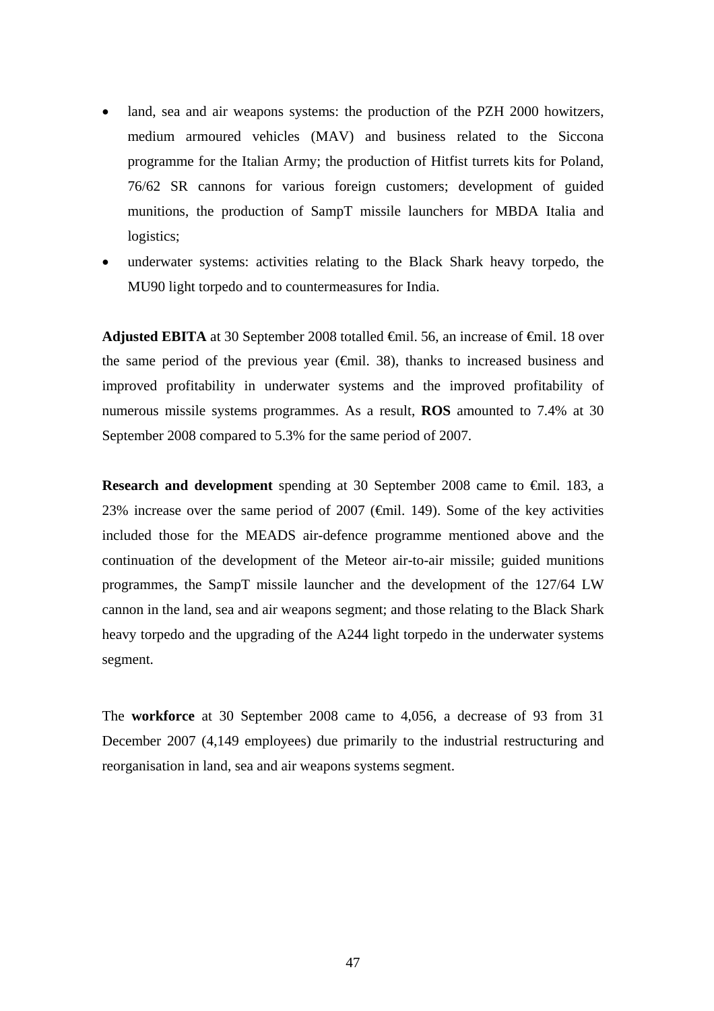- land, sea and air weapons systems: the production of the PZH 2000 howitzers, medium armoured vehicles (MAV) and business related to the Siccona programme for the Italian Army; the production of Hitfist turrets kits for Poland, 76/62 SR cannons for various foreign customers; development of guided munitions, the production of SampT missile launchers for MBDA Italia and logistics:
- underwater systems: activities relating to the Black Shark heavy torpedo, the MU90 light torpedo and to countermeasures for India.

**Adjusted EBITA** at 30 September 2008 totalled <del>C</del>mil. 56, an increase of <del>C</del>mil. 18 over the same period of the previous year ( $\epsilon$ mil. 38), thanks to increased business and improved profitability in underwater systems and the improved profitability of numerous missile systems programmes. As a result, **ROS** amounted to 7.4% at 30 September 2008 compared to 5.3% for the same period of 2007.

**Research and development** spending at 30 September 2008 came to €mil. 183, a 23% increase over the same period of 2007 ( $\epsilon$ mil. 149). Some of the key activities included those for the MEADS air-defence programme mentioned above and the continuation of the development of the Meteor air-to-air missile; guided munitions programmes, the SampT missile launcher and the development of the 127/64 LW cannon in the land, sea and air weapons segment; and those relating to the Black Shark heavy torpedo and the upgrading of the A244 light torpedo in the underwater systems segment.

The **workforce** at 30 September 2008 came to 4,056, a decrease of 93 from 31 December 2007 (4,149 employees) due primarily to the industrial restructuring and reorganisation in land, sea and air weapons systems segment.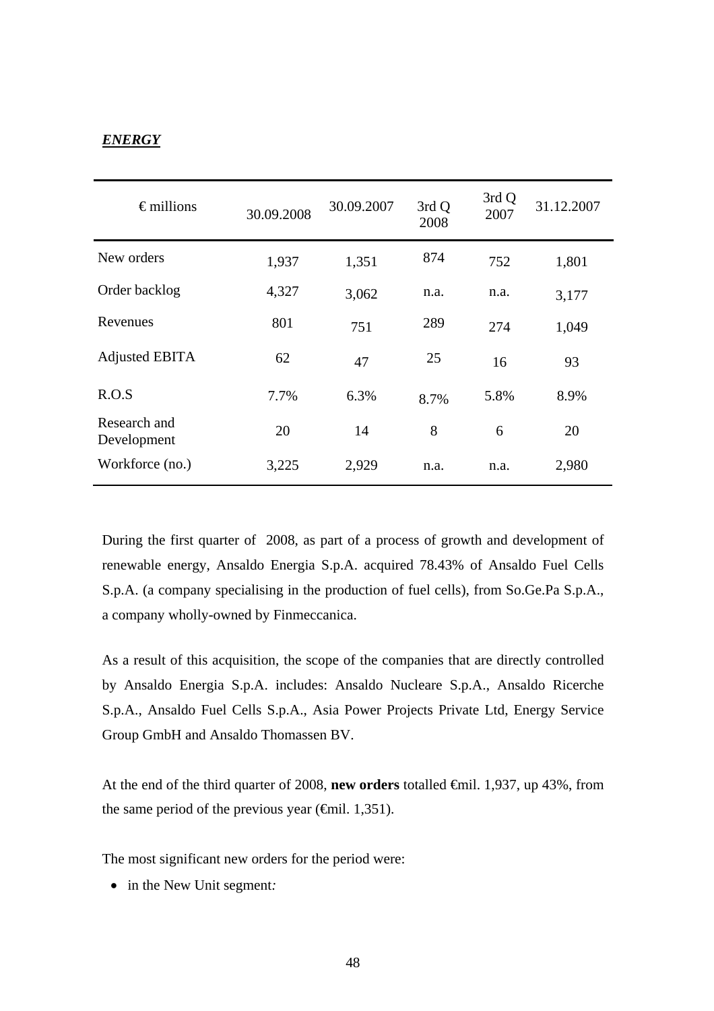## *ENERGY*

| $\epsilon$ millions         | 30.09.2008 | 30.09.2007 | 3rd Q<br>2008 | 3rd Q<br>2007 | 31.12.2007 |
|-----------------------------|------------|------------|---------------|---------------|------------|
| New orders                  | 1,937      | 1,351      | 874           | 752           | 1,801      |
| Order backlog               | 4,327      | 3,062      | n.a.          | n.a.          | 3,177      |
| Revenues                    | 801        | 751        | 289           | 274           | 1,049      |
| Adjusted EBITA              | 62         | 47         | 25            | 16            | 93         |
| R.O.S                       | 7.7%       | 6.3%       | 8.7%          | 5.8%          | 8.9%       |
| Research and<br>Development | 20         | 14         | 8             | 6             | 20         |
| Workforce (no.)             | 3,225      | 2,929      | n.a.          | n.a.          | 2,980      |

During the first quarter of 2008, as part of a process of growth and development of renewable energy, Ansaldo Energia S.p.A. acquired 78.43% of Ansaldo Fuel Cells S.p.A. (a company specialising in the production of fuel cells), from So.Ge.Pa S.p.A., a company wholly-owned by Finmeccanica.

As a result of this acquisition, the scope of the companies that are directly controlled by Ansaldo Energia S.p.A. includes: Ansaldo Nucleare S.p.A., Ansaldo Ricerche S.p.A., Ansaldo Fuel Cells S.p.A., Asia Power Projects Private Ltd, Energy Service Group GmbH and Ansaldo Thomassen BV.

At the end of the third quarter of 2008, **new orders** totalled €mil. 1,937, up 43%, from the same period of the previous year ( $\epsilon$ mil. 1,351).

The most significant new orders for the period were:

• in the New Unit segment*:*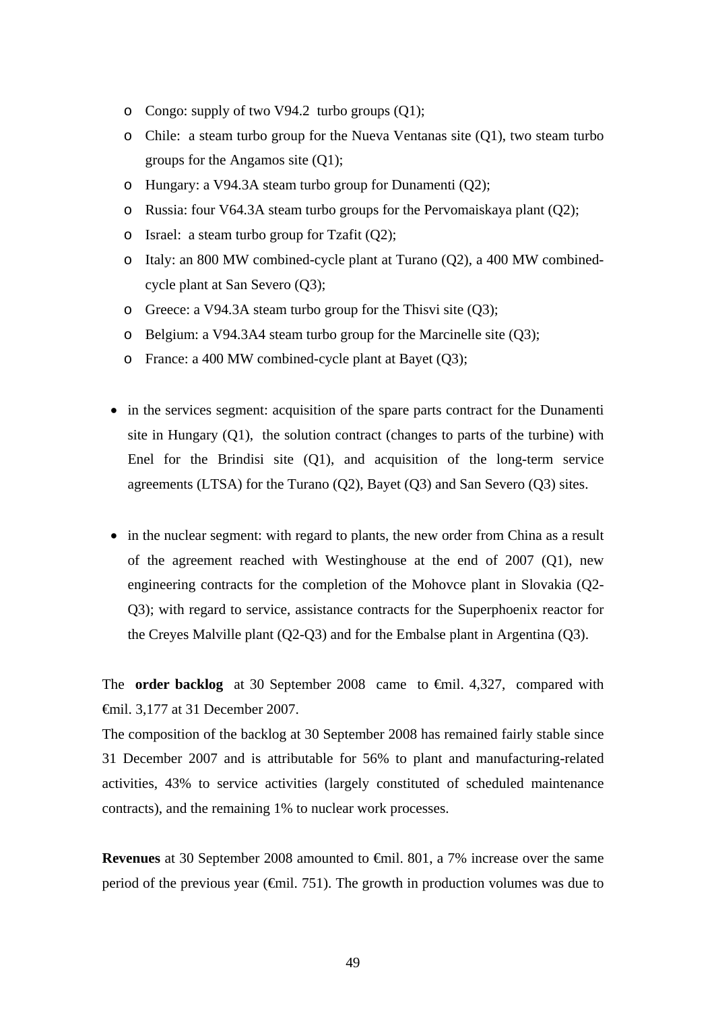- o Congo: supply of two V94.2 turbo groups (Q1);
- o Chile: a steam turbo group for the Nueva Ventanas site (Q1), two steam turbo groups for the Angamos site (Q1);
- o Hungary: a V94.3A steam turbo group for Dunamenti (Q2);
- o Russia: four V64.3A steam turbo groups for the Pervomaiskaya plant (Q2);
- o Israel: a steam turbo group for Tzafit (Q2);
- o Italy: an 800 MW combined-cycle plant at Turano (Q2), a 400 MW combinedcycle plant at San Severo (Q3);
- o Greece: a V94.3A steam turbo group for the Thisvi site (Q3);
- o Belgium: a V94.3A4 steam turbo group for the Marcinelle site (Q3);
- o France: a 400 MW combined-cycle plant at Bayet (Q3);
- in the services segment: acquisition of the spare parts contract for the Dunamenti site in Hungary  $(Q1)$ , the solution contract (changes to parts of the turbine) with Enel for the Brindisi site (Q1), and acquisition of the long-term service agreements (LTSA) for the Turano (Q2), Bayet (Q3) and San Severo (Q3) sites.
- in the nuclear segment: with regard to plants, the new order from China as a result of the agreement reached with Westinghouse at the end of 2007 (Q1), new engineering contracts for the completion of the Mohovce plant in Slovakia (Q2- Q3); with regard to service, assistance contracts for the Superphoenix reactor for the Creyes Malville plant (Q2-Q3) and for the Embalse plant in Argentina (Q3).

The **order backlog** at 30 September 2008 came to €mil. 4,327, compared with €mil. 3,177 at 31 December 2007.

The composition of the backlog at 30 September 2008 has remained fairly stable since 31 December 2007 and is attributable for 56% to plant and manufacturing-related activities, 43% to service activities (largely constituted of scheduled maintenance contracts), and the remaining 1% to nuclear work processes.

**Revenues** at 30 September 2008 amounted to €mil. 801, a 7% increase over the same period of the previous year ( $\epsilon$ mil. 751). The growth in production volumes was due to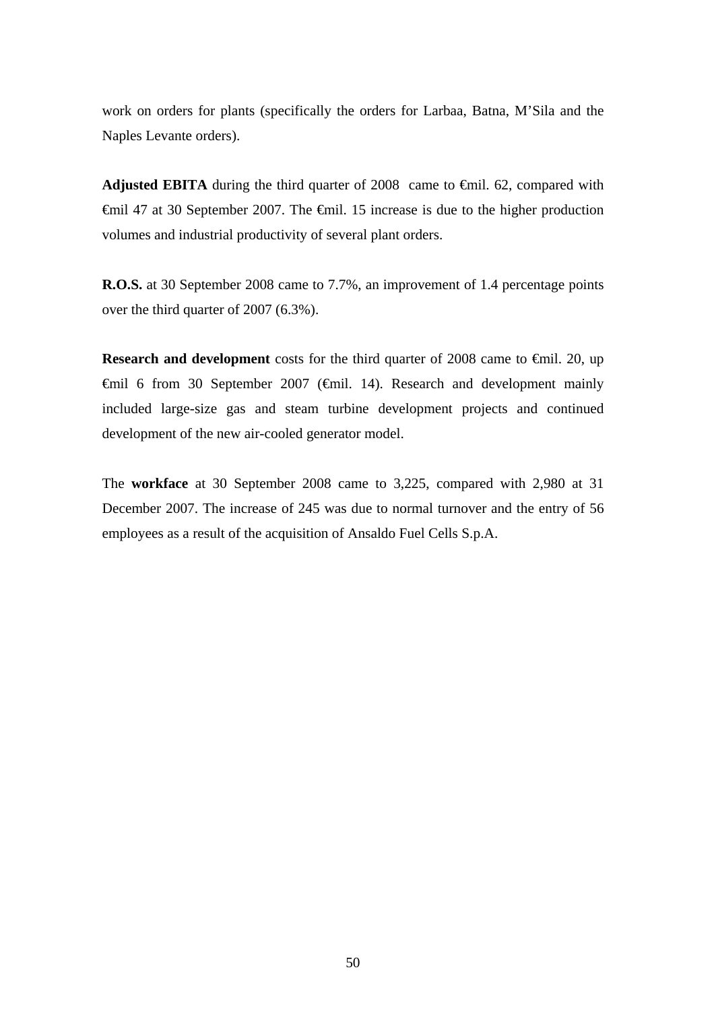work on orders for plants (specifically the orders for Larbaa, Batna, M'Sila and the Naples Levante orders).

**Adjusted EBITA** during the third quarter of 2008 came to €mil. 62, compared with €mil 47 at 30 September 2007. The €mil. 15 increase is due to the higher production volumes and industrial productivity of several plant orders.

**R.O.S.** at 30 September 2008 came to 7.7%, an improvement of 1.4 percentage points over the third quarter of 2007 (6.3%).

**Research and development** costs for the third quarter of 2008 came to €mil. 20, up €mil 6 from 30 September 2007 (€mil. 14). Research and development mainly included large-size gas and steam turbine development projects and continued development of the new air-cooled generator model.

The **workface** at 30 September 2008 came to 3,225, compared with 2,980 at 31 December 2007. The increase of 245 was due to normal turnover and the entry of 56 employees as a result of the acquisition of Ansaldo Fuel Cells S.p.A.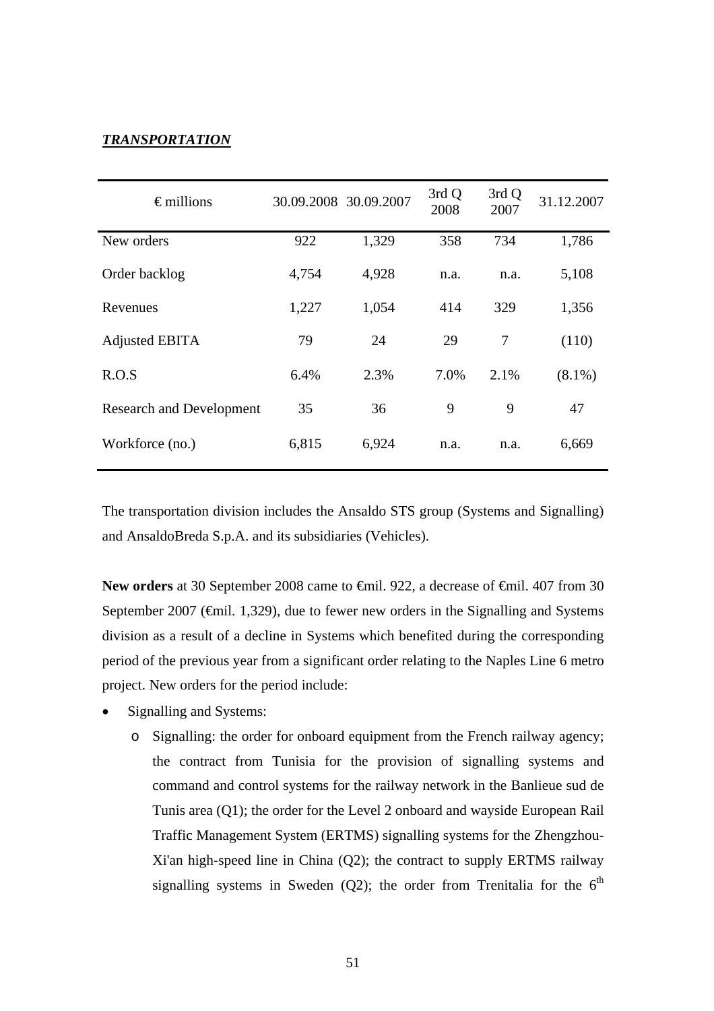## *TRANSPORTATION*

| $\epsilon$ millions             |       | 30.09.2008 30.09.2007 | 3rd Q<br>2008 | 3rd Q<br>2007 | 31.12.2007 |
|---------------------------------|-------|-----------------------|---------------|---------------|------------|
| New orders                      | 922   | 1,329                 | 358           | 734           | 1,786      |
| Order backlog                   | 4,754 | 4,928                 | n.a.          | n.a.          | 5,108      |
| Revenues                        | 1,227 | 1,054                 | 414           | 329           | 1,356      |
| Adjusted EBITA                  | 79    | 24                    | 29            | 7             | (110)      |
| R.O.S                           | 6.4%  | 2.3%                  | 7.0%          | 2.1%          | $(8.1\%)$  |
| <b>Research and Development</b> | 35    | 36                    | 9             | 9             | 47         |
| Workforce (no.)                 | 6,815 | 6,924                 | n.a.          | n.a.          | 6,669      |

The transportation division includes the Ansaldo STS group (Systems and Signalling) and AnsaldoBreda S.p.A. and its subsidiaries (Vehicles).

New orders at 30 September 2008 came to <del>€</del>mil. 922, a decrease of <del>€</del>mil. 407 from 30 September 2007 ( $\epsilon$ mil. 1,329), due to fewer new orders in the Signalling and Systems division as a result of a decline in Systems which benefited during the corresponding period of the previous year from a significant order relating to the Naples Line 6 metro project. New orders for the period include:

- Signalling and Systems:
	- o Signalling: the order for onboard equipment from the French railway agency; the contract from Tunisia for the provision of signalling systems and command and control systems for the railway network in the Banlieue sud de Tunis area (Q1); the order for the Level 2 onboard and wayside European Rail Traffic Management System (ERTMS) signalling systems for the Zhengzhou-Xi'an high-speed line in China (Q2); the contract to supply ERTMS railway signalling systems in Sweden (Q2); the order from Trenitalia for the  $6<sup>th</sup>$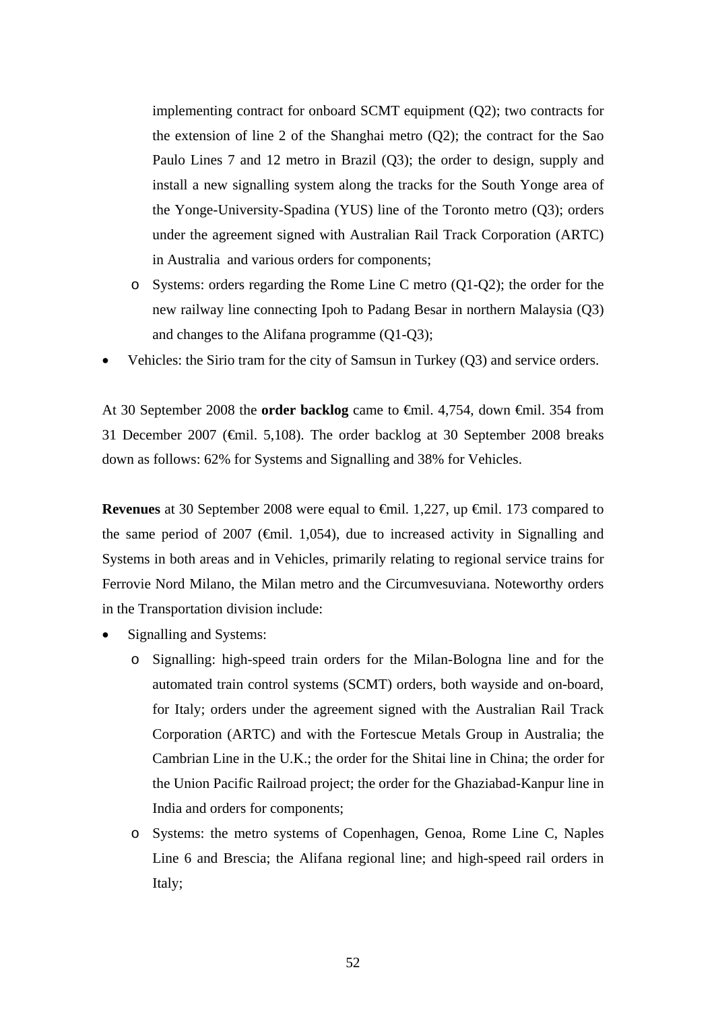implementing contract for onboard SCMT equipment (Q2); two contracts for the extension of line 2 of the Shanghai metro  $(Q2)$ ; the contract for the Sao Paulo Lines 7 and 12 metro in Brazil (Q3); the order to design, supply and install a new signalling system along the tracks for the South Yonge area of the Yonge-University-Spadina (YUS) line of the Toronto metro (Q3); orders under the agreement signed with Australian Rail Track Corporation (ARTC) in Australia and various orders for components;

- o Systems: orders regarding the Rome Line C metro (Q1-Q2); the order for the new railway line connecting Ipoh to Padang Besar in northern Malaysia (Q3) and changes to the Alifana programme (Q1-Q3);
- Vehicles: the Sirio tram for the city of Samsun in Turkey (Q3) and service orders.

At 30 September 2008 the **order backlog** came to €mil. 4,754, down €mil. 354 from 31 December 2007 (€mil. 5,108). The order backlog at 30 September 2008 breaks down as follows: 62% for Systems and Signalling and 38% for Vehicles.

**Revenues** at 30 September 2008 were equal to €mil. 1,227, up €mil. 173 compared to the same period of 2007 ( $\epsilon$ mil. 1,054), due to increased activity in Signalling and Systems in both areas and in Vehicles, primarily relating to regional service trains for Ferrovie Nord Milano, the Milan metro and the Circumvesuviana. Noteworthy orders in the Transportation division include:

- Signalling and Systems:
	- o Signalling: high-speed train orders for the Milan-Bologna line and for the automated train control systems (SCMT) orders, both wayside and on-board, for Italy; orders under the agreement signed with the Australian Rail Track Corporation (ARTC) and with the Fortescue Metals Group in Australia; the Cambrian Line in the U.K.; the order for the Shitai line in China; the order for the Union Pacific Railroad project; the order for the Ghaziabad-Kanpur line in India and orders for components;
	- o Systems: the metro systems of Copenhagen, Genoa, Rome Line C, Naples Line 6 and Brescia; the Alifana regional line; and high-speed rail orders in Italy;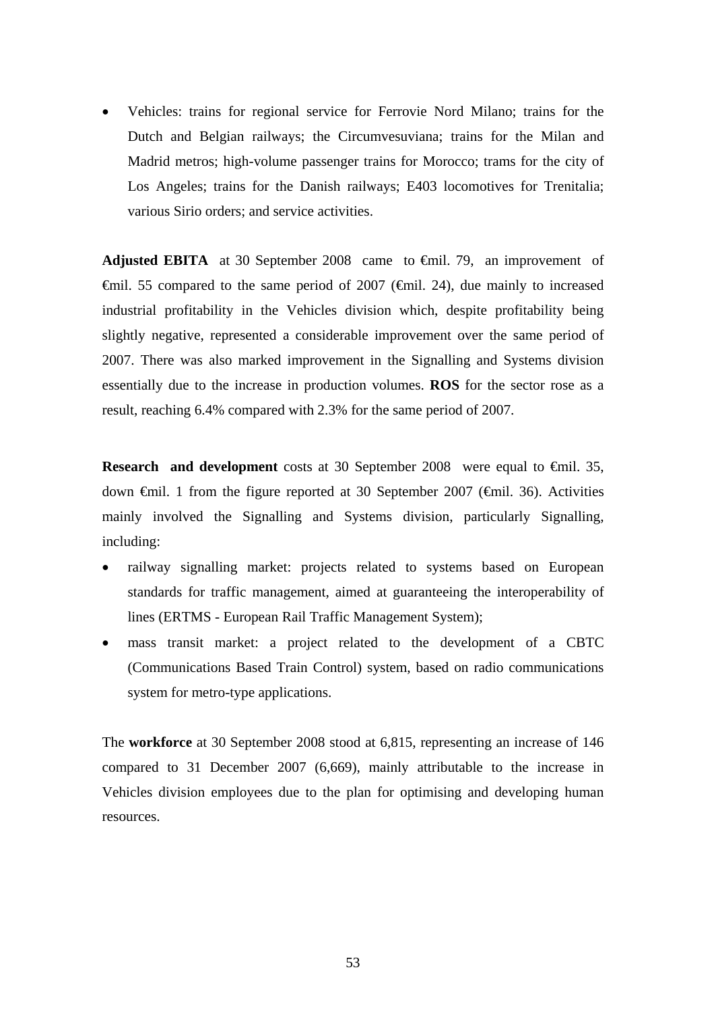• Vehicles: trains for regional service for Ferrovie Nord Milano; trains for the Dutch and Belgian railways; the Circumvesuviana; trains for the Milan and Madrid metros; high-volume passenger trains for Morocco; trams for the city of Los Angeles; trains for the Danish railways; E403 locomotives for Trenitalia; various Sirio orders; and service activities.

Adjusted EBITA at 30 September 2008 came to <del>€</del>mil. 79, an improvement of  $\theta$ mil. 55 compared to the same period of 2007 ( $\theta$ mil. 24), due mainly to increased industrial profitability in the Vehicles division which, despite profitability being slightly negative, represented a considerable improvement over the same period of 2007. There was also marked improvement in the Signalling and Systems division essentially due to the increase in production volumes. **ROS** for the sector rose as a result, reaching 6.4% compared with 2.3% for the same period of 2007.

**Research and development** costs at 30 September 2008 were equal to €mil. 35, down €mil. 1 from the figure reported at 30 September 2007 (€mil. 36). Activities mainly involved the Signalling and Systems division, particularly Signalling, including:

- railway signalling market: projects related to systems based on European standards for traffic management, aimed at guaranteeing the interoperability of lines (ERTMS - European Rail Traffic Management System);
- mass transit market: a project related to the development of a CBTC (Communications Based Train Control) system, based on radio communications system for metro-type applications.

The **workforce** at 30 September 2008 stood at 6,815, representing an increase of 146 compared to 31 December 2007 (6,669), mainly attributable to the increase in Vehicles division employees due to the plan for optimising and developing human resources.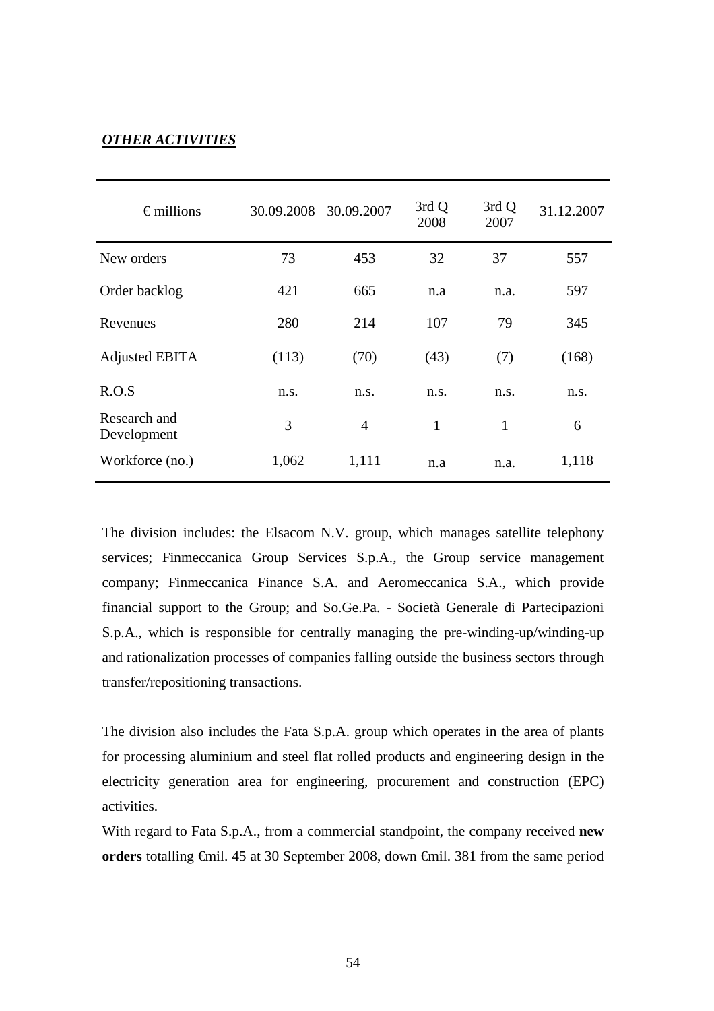# *OTHER ACTIVITIES*

| $\epsilon$ millions         | 30.09.2008 | 30.09.2007     | 3rd Q<br>2008 | 3rd Q<br>2007 | 31.12.2007 |
|-----------------------------|------------|----------------|---------------|---------------|------------|
| New orders                  | 73         | 453            | 32            | 37            | 557        |
| Order backlog               | 421        | 665            | n.a           | n.a.          | 597        |
| Revenues                    | 280        | 214            | 107           | 79            | 345        |
| Adjusted EBITA              | (113)      | (70)           | (43)          | (7)           | (168)      |
| R.O.S                       | n.s.       | n.s.           | n.s.          | n.s.          | n.s.       |
| Research and<br>Development | 3          | $\overline{4}$ | 1             | $\mathbf{1}$  | 6          |
| Workforce (no.)             | 1,062      | 1,111          | n.a           | n.a.          | 1,118      |

The division includes: the Elsacom N.V. group, which manages satellite telephony services; Finmeccanica Group Services S.p.A., the Group service management company; Finmeccanica Finance S.A. and Aeromeccanica S.A., which provide financial support to the Group; and So.Ge.Pa. - Società Generale di Partecipazioni S.p.A., which is responsible for centrally managing the pre-winding-up/winding-up and rationalization processes of companies falling outside the business sectors through transfer/repositioning transactions.

The division also includes the Fata S.p.A. group which operates in the area of plants for processing aluminium and steel flat rolled products and engineering design in the electricity generation area for engineering, procurement and construction (EPC) activities.

With regard to Fata S.p.A., from a commercial standpoint, the company received **new orders** totalling €mil. 45 at 30 September 2008, down €mil. 381 from the same period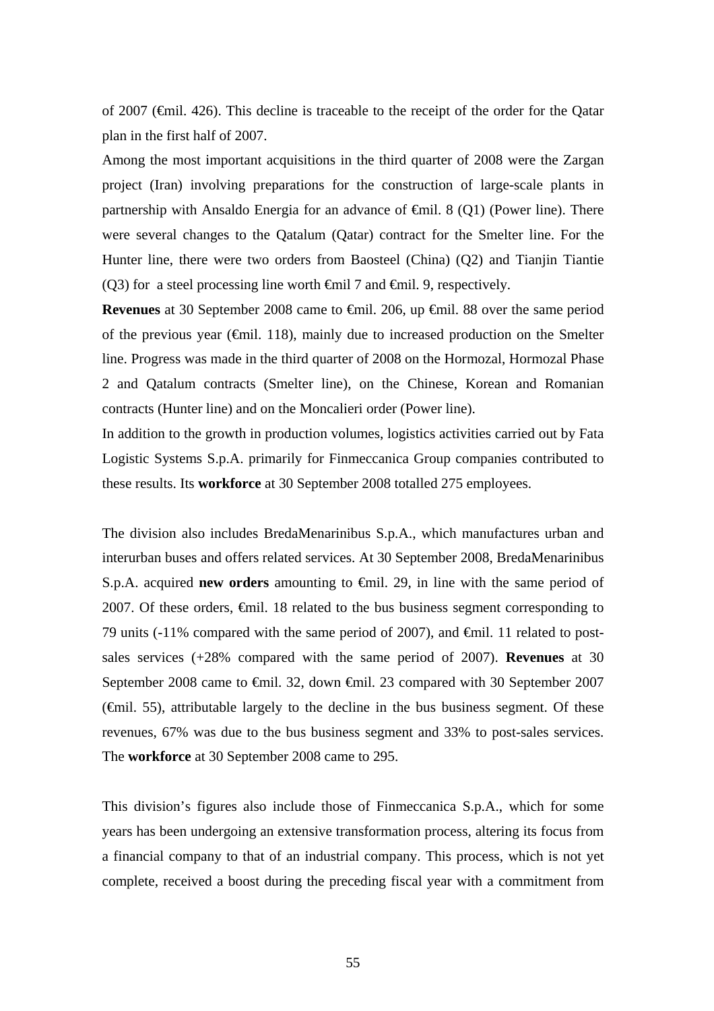of 2007 (€mil. 426). This decline is traceable to the receipt of the order for the Qatar plan in the first half of 2007.

Among the most important acquisitions in the third quarter of 2008 were the Zargan project (Iran) involving preparations for the construction of large-scale plants in partnership with Ansaldo Energia for an advance of  $\oplus$ mil. 8 (Q1) (Power line). There were several changes to the Qatalum (Qatar) contract for the Smelter line. For the Hunter line, there were two orders from Baosteel (China) (Q2) and Tianjin Tiantie (Q3) for a steel processing line worth  $\oplus$ mil 7 and  $\oplus$ mil. 9, respectively.

**Revenues** at 30 September 2008 came to €mil. 206, up €mil. 88 over the same period of the previous year ( $\epsilon$ mil. 118), mainly due to increased production on the Smelter line. Progress was made in the third quarter of 2008 on the Hormozal, Hormozal Phase 2 and Qatalum contracts (Smelter line), on the Chinese, Korean and Romanian contracts (Hunter line) and on the Moncalieri order (Power line).

In addition to the growth in production volumes, logistics activities carried out by Fata Logistic Systems S.p.A. primarily for Finmeccanica Group companies contributed to these results. Its **workforce** at 30 September 2008 totalled 275 employees.

The division also includes BredaMenarinibus S.p.A., which manufactures urban and interurban buses and offers related services. At 30 September 2008, BredaMenarinibus S.p.A. acquired **new orders** amounting to €mil. 29, in line with the same period of 2007. Of these orders, €mil. 18 related to the bus business segment corresponding to 79 units (-11% compared with the same period of 2007), and  $\epsilon$ mil. 11 related to postsales services (+28% compared with the same period of 2007). **Revenues** at 30 September 2008 came to €mil. 32, down €mil. 23 compared with 30 September 2007 (€mil. 55), attributable largely to the decline in the bus business segment. Of these revenues, 67% was due to the bus business segment and 33% to post-sales services. The **workforce** at 30 September 2008 came to 295.

This division's figures also include those of Finmeccanica S.p.A., which for some years has been undergoing an extensive transformation process, altering its focus from a financial company to that of an industrial company. This process, which is not yet complete, received a boost during the preceding fiscal year with a commitment from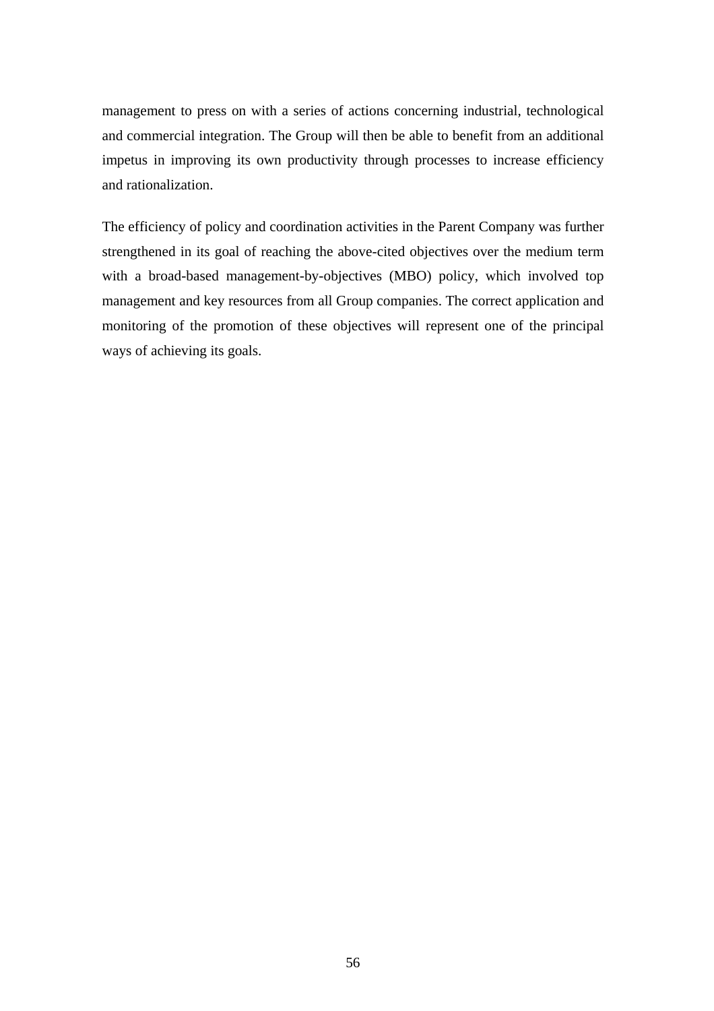management to press on with a series of actions concerning industrial, technological and commercial integration. The Group will then be able to benefit from an additional impetus in improving its own productivity through processes to increase efficiency and rationalization.

The efficiency of policy and coordination activities in the Parent Company was further strengthened in its goal of reaching the above-cited objectives over the medium term with a broad-based management-by-objectives (MBO) policy, which involved top management and key resources from all Group companies. The correct application and monitoring of the promotion of these objectives will represent one of the principal ways of achieving its goals.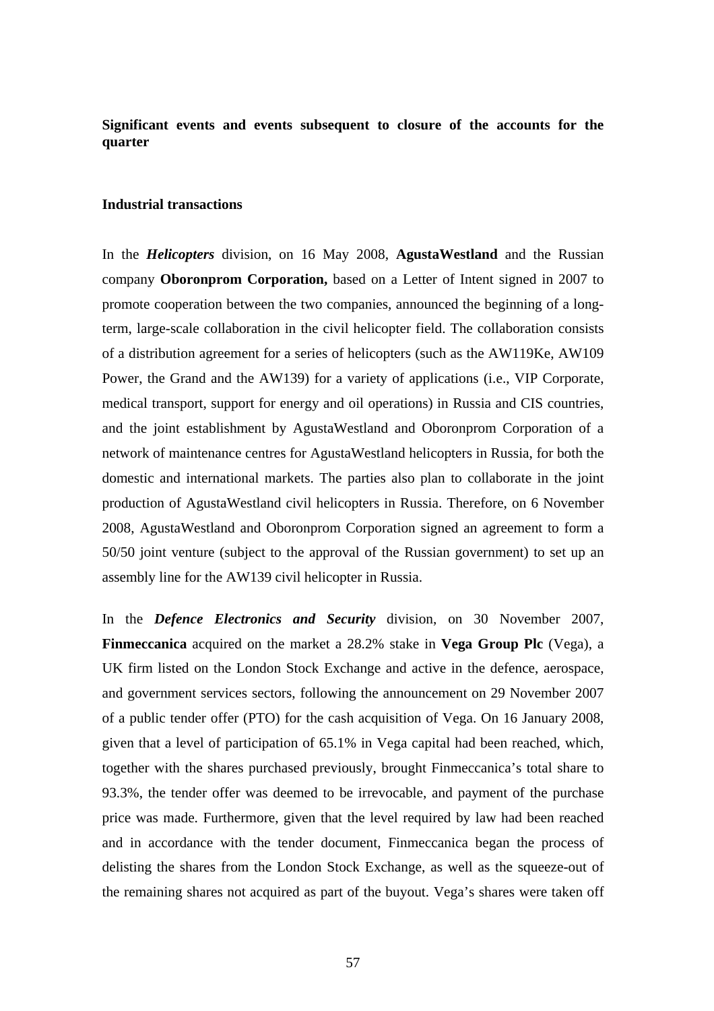**Significant events and events subsequent to closure of the accounts for the quarter** 

## **Industrial transactions**

In the *Helicopters* division, on 16 May 2008, **AgustaWestland** and the Russian company **Oboronprom Corporation,** based on a Letter of Intent signed in 2007 to promote cooperation between the two companies, announced the beginning of a longterm, large-scale collaboration in the civil helicopter field. The collaboration consists of a distribution agreement for a series of helicopters (such as the AW119Ke, AW109 Power, the Grand and the AW139) for a variety of applications (i.e., VIP Corporate, medical transport, support for energy and oil operations) in Russia and CIS countries, and the joint establishment by AgustaWestland and Oboronprom Corporation of a network of maintenance centres for AgustaWestland helicopters in Russia, for both the domestic and international markets. The parties also plan to collaborate in the joint production of AgustaWestland civil helicopters in Russia. Therefore, on 6 November 2008, AgustaWestland and Oboronprom Corporation signed an agreement to form a 50/50 joint venture (subject to the approval of the Russian government) to set up an assembly line for the AW139 civil helicopter in Russia.

In the *Defence Electronics and Security* division, on 30 November 2007, **Finmeccanica** acquired on the market a 28.2% stake in **Vega Group Plc** (Vega), a UK firm listed on the London Stock Exchange and active in the defence, aerospace, and government services sectors, following the announcement on 29 November 2007 of a public tender offer (PTO) for the cash acquisition of Vega. On 16 January 2008, given that a level of participation of 65.1% in Vega capital had been reached, which, together with the shares purchased previously, brought Finmeccanica's total share to 93.3%, the tender offer was deemed to be irrevocable, and payment of the purchase price was made. Furthermore, given that the level required by law had been reached and in accordance with the tender document, Finmeccanica began the process of delisting the shares from the London Stock Exchange, as well as the squeeze-out of the remaining shares not acquired as part of the buyout. Vega's shares were taken off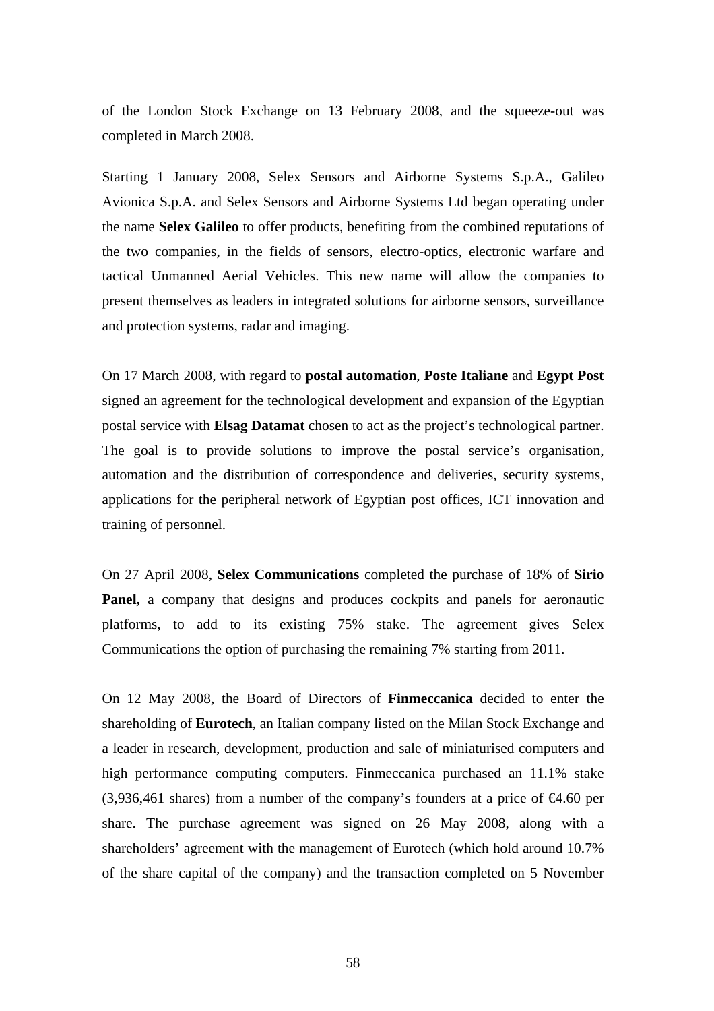of the London Stock Exchange on 13 February 2008, and the squeeze-out was completed in March 2008.

Starting 1 January 2008, Selex Sensors and Airborne Systems S.p.A., Galileo Avionica S.p.A. and Selex Sensors and Airborne Systems Ltd began operating under the name **Selex Galileo** to offer products, benefiting from the combined reputations of the two companies, in the fields of sensors, electro-optics, electronic warfare and tactical Unmanned Aerial Vehicles. This new name will allow the companies to present themselves as leaders in integrated solutions for airborne sensors, surveillance and protection systems, radar and imaging.

On 17 March 2008, with regard to **postal automation**, **Poste Italiane** and **Egypt Post** signed an agreement for the technological development and expansion of the Egyptian postal service with **Elsag Datamat** chosen to act as the project's technological partner. The goal is to provide solutions to improve the postal service's organisation, automation and the distribution of correspondence and deliveries, security systems, applications for the peripheral network of Egyptian post offices, ICT innovation and training of personnel.

On 27 April 2008, **Selex Communications** completed the purchase of 18% of **Sirio Panel,** a company that designs and produces cockpits and panels for aeronautic platforms, to add to its existing 75% stake. The agreement gives Selex Communications the option of purchasing the remaining 7% starting from 2011.

On 12 May 2008, the Board of Directors of **Finmeccanica** decided to enter the shareholding of **Eurotech**, an Italian company listed on the Milan Stock Exchange and a leader in research, development, production and sale of miniaturised computers and high performance computing computers. Finmeccanica purchased an 11.1% stake (3,936,461 shares) from a number of the company's founders at a price of  $\epsilon 4.60$  per share. The purchase agreement was signed on 26 May 2008, along with a shareholders' agreement with the management of Eurotech (which hold around 10.7% of the share capital of the company) and the transaction completed on 5 November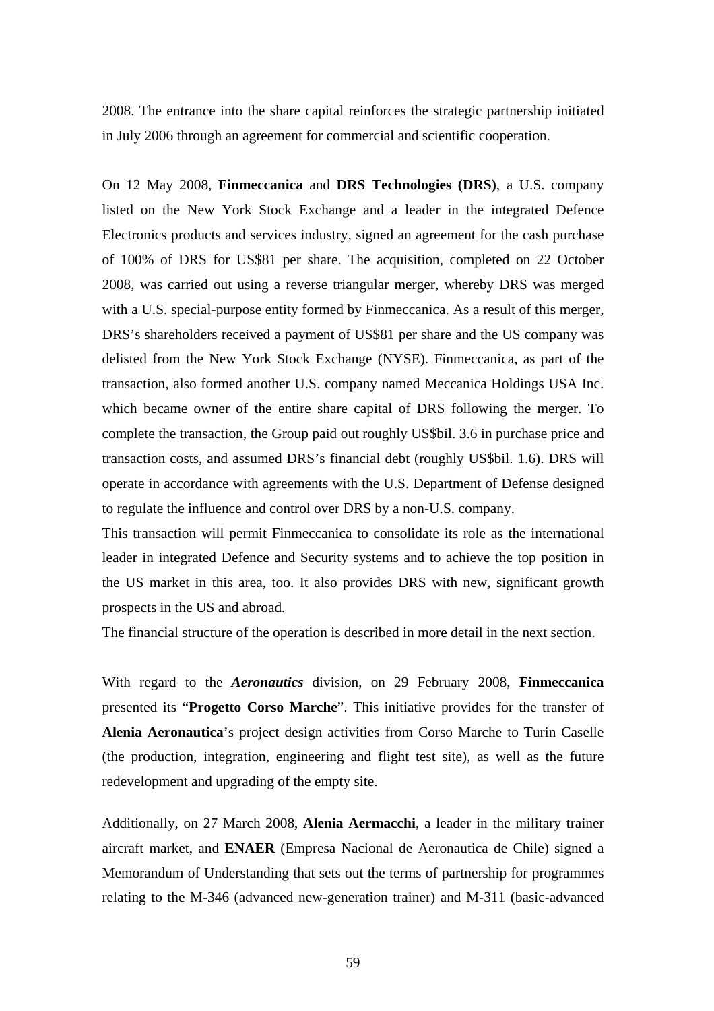2008. The entrance into the share capital reinforces the strategic partnership initiated in July 2006 through an agreement for commercial and scientific cooperation.

On 12 May 2008, **Finmeccanica** and **DRS Technologies (DRS)**, a U.S. company listed on the New York Stock Exchange and a leader in the integrated Defence Electronics products and services industry, signed an agreement for the cash purchase of 100% of DRS for US\$81 per share. The acquisition, completed on 22 October 2008, was carried out using a reverse triangular merger, whereby DRS was merged with a U.S. special-purpose entity formed by Finmeccanica. As a result of this merger, DRS's shareholders received a payment of US\$81 per share and the US company was delisted from the New York Stock Exchange (NYSE). Finmeccanica, as part of the transaction, also formed another U.S. company named Meccanica Holdings USA Inc. which became owner of the entire share capital of DRS following the merger. To complete the transaction, the Group paid out roughly US\$bil. 3.6 in purchase price and transaction costs, and assumed DRS's financial debt (roughly US\$bil. 1.6). DRS will operate in accordance with agreements with the U.S. Department of Defense designed to regulate the influence and control over DRS by a non-U.S. company.

This transaction will permit Finmeccanica to consolidate its role as the international leader in integrated Defence and Security systems and to achieve the top position in the US market in this area, too. It also provides DRS with new, significant growth prospects in the US and abroad.

The financial structure of the operation is described in more detail in the next section.

With regard to the *Aeronautics* division, on 29 February 2008, **Finmeccanica** presented its "**Progetto Corso Marche**". This initiative provides for the transfer of **Alenia Aeronautica**'s project design activities from Corso Marche to Turin Caselle (the production, integration, engineering and flight test site), as well as the future redevelopment and upgrading of the empty site.

Additionally, on 27 March 2008, **Alenia Aermacchi**, a leader in the military trainer aircraft market, and **ENAER** (Empresa Nacional de Aeronautica de Chile) signed a Memorandum of Understanding that sets out the terms of partnership for programmes relating to the M-346 (advanced new-generation trainer) and M-311 (basic-advanced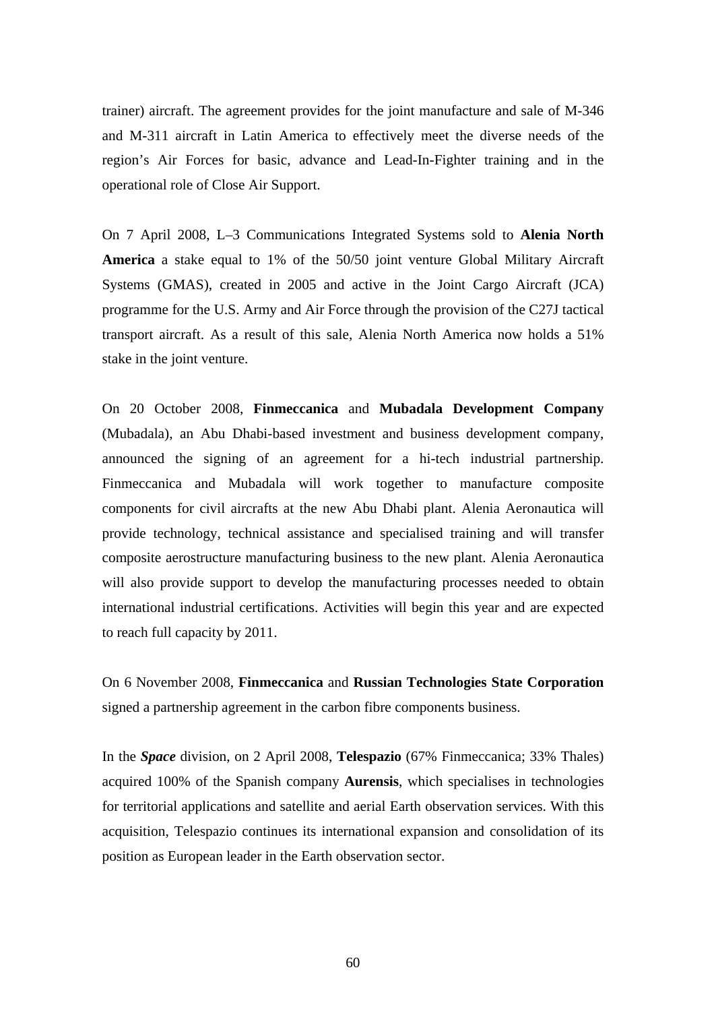trainer) aircraft. The agreement provides for the joint manufacture and sale of M-346 and M-311 aircraft in Latin America to effectively meet the diverse needs of the region's Air Forces for basic, advance and Lead-In-Fighter training and in the operational role of Close Air Support.

On 7 April 2008, L–3 Communications Integrated Systems sold to **Alenia North America** a stake equal to 1% of the 50/50 joint venture Global Military Aircraft Systems (GMAS), created in 2005 and active in the Joint Cargo Aircraft (JCA) programme for the U.S. Army and Air Force through the provision of the C27J tactical transport aircraft. As a result of this sale, Alenia North America now holds a 51% stake in the joint venture.

On 20 October 2008, **Finmeccanica** and **Mubadala Development Company** (Mubadala), an Abu Dhabi-based investment and business development company, announced the signing of an agreement for a hi-tech industrial partnership. Finmeccanica and Mubadala will work together to manufacture composite components for civil aircrafts at the new Abu Dhabi plant. Alenia Aeronautica will provide technology, technical assistance and specialised training and will transfer composite aerostructure manufacturing business to the new plant. Alenia Aeronautica will also provide support to develop the manufacturing processes needed to obtain international industrial certifications. Activities will begin this year and are expected to reach full capacity by 2011.

On 6 November 2008, **Finmeccanica** and **Russian Technologies State Corporation** signed a partnership agreement in the carbon fibre components business.

In the *Space* division, on 2 April 2008, **Telespazio** (67% Finmeccanica; 33% Thales) acquired 100% of the Spanish company **Aurensis**, which specialises in technologies for territorial applications and satellite and aerial Earth observation services. With this acquisition, Telespazio continues its international expansion and consolidation of its position as European leader in the Earth observation sector.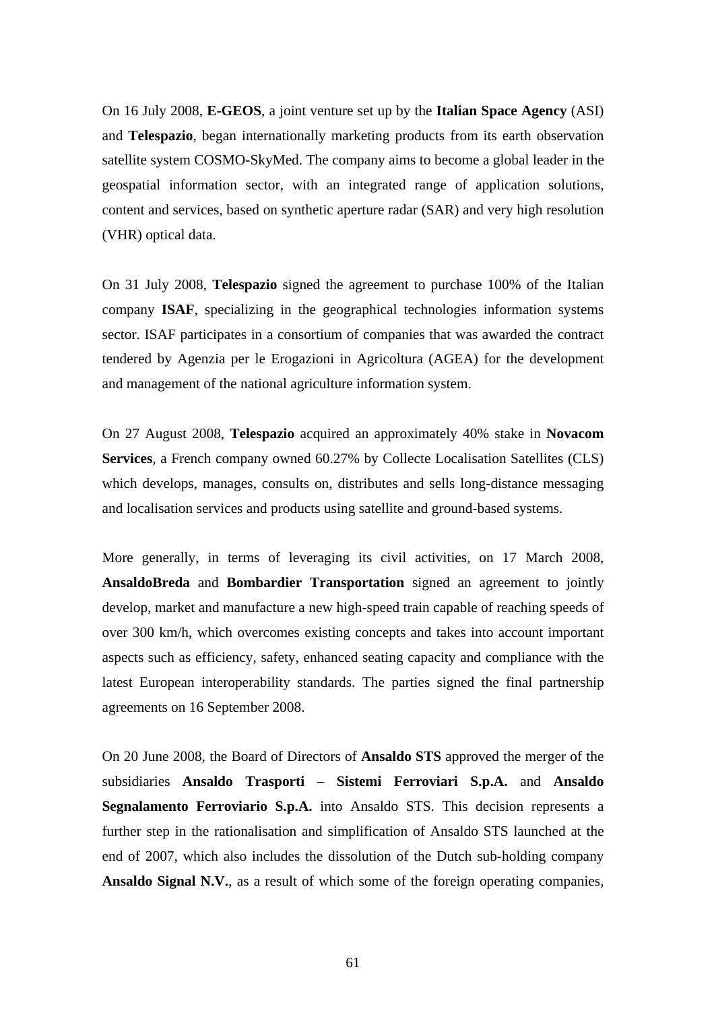On 16 July 2008, **E-GEOS**, a joint venture set up by the **Italian Space Agency** (ASI) and **Telespazio**, began internationally marketing products from its earth observation satellite system COSMO-SkyMed. The company aims to become a global leader in the geospatial information sector, with an integrated range of application solutions, content and services, based on synthetic aperture radar (SAR) and very high resolution (VHR) optical data.

On 31 July 2008, **Telespazio** signed the agreement to purchase 100% of the Italian company **ISAF**, specializing in the geographical technologies information systems sector. ISAF participates in a consortium of companies that was awarded the contract tendered by Agenzia per le Erogazioni in Agricoltura (AGEA) for the development and management of the national agriculture information system.

On 27 August 2008, **Telespazio** acquired an approximately 40% stake in **Novacom Services**, a French company owned 60.27% by Collecte Localisation Satellites (CLS) which develops, manages, consults on, distributes and sells long-distance messaging and localisation services and products using satellite and ground-based systems.

More generally, in terms of leveraging its civil activities, on 17 March 2008, **AnsaldoBreda** and **Bombardier Transportation** signed an agreement to jointly develop, market and manufacture a new high-speed train capable of reaching speeds of over 300 km/h, which overcomes existing concepts and takes into account important aspects such as efficiency, safety, enhanced seating capacity and compliance with the latest European interoperability standards. The parties signed the final partnership agreements on 16 September 2008.

On 20 June 2008, the Board of Directors of **Ansaldo STS** approved the merger of the subsidiaries **Ansaldo Trasporti – Sistemi Ferroviari S.p.A.** and **Ansaldo Segnalamento Ferroviario S.p.A.** into Ansaldo STS. This decision represents a further step in the rationalisation and simplification of Ansaldo STS launched at the end of 2007, which also includes the dissolution of the Dutch sub-holding company **Ansaldo Signal N.V.**, as a result of which some of the foreign operating companies,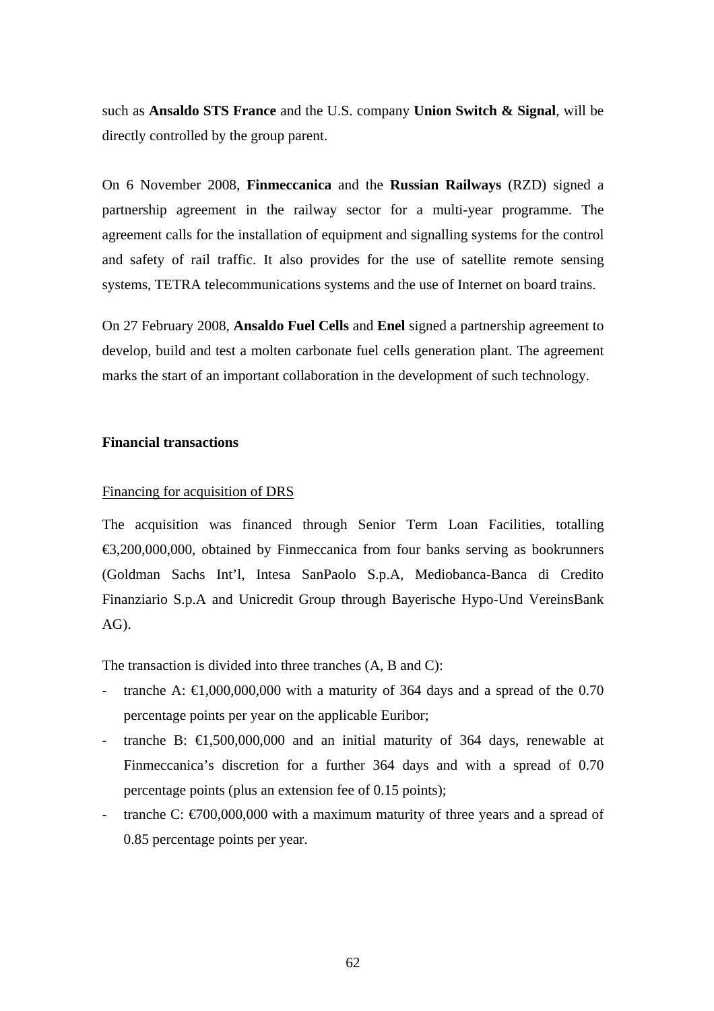such as **Ansaldo STS France** and the U.S. company **Union Switch & Signal**, will be directly controlled by the group parent.

On 6 November 2008, **Finmeccanica** and the **Russian Railways** (RZD) signed a partnership agreement in the railway sector for a multi-year programme. The agreement calls for the installation of equipment and signalling systems for the control and safety of rail traffic. It also provides for the use of satellite remote sensing systems, TETRA telecommunications systems and the use of Internet on board trains.

On 27 February 2008, **Ansaldo Fuel Cells** and **Enel** signed a partnership agreement to develop, build and test a molten carbonate fuel cells generation plant. The agreement marks the start of an important collaboration in the development of such technology.

## **Financial transactions**

#### Financing for acquisition of DRS

The acquisition was financed through Senior Term Loan Facilities, totalling €3,200,000,000, obtained by Finmeccanica from four banks serving as bookrunners (Goldman Sachs Int'l, Intesa SanPaolo S.p.A, Mediobanca-Banca di Credito Finanziario S.p.A and Unicredit Group through Bayerische Hypo-Und VereinsBank AG).

The transaction is divided into three tranches (A, B and C):

- tranche A:  $\text{E1,000,000,000}$  with a maturity of 364 days and a spread of the 0.70 percentage points per year on the applicable Euribor;
- tranche B:  $\text{ } \infty$ 1,500,000,000 and an initial maturity of 364 days, renewable at Finmeccanica's discretion for a further 364 days and with a spread of 0.70 percentage points (plus an extension fee of 0.15 points);
- tranche C:  $\epsilon$ 700,000,000 with a maximum maturity of three years and a spread of 0.85 percentage points per year.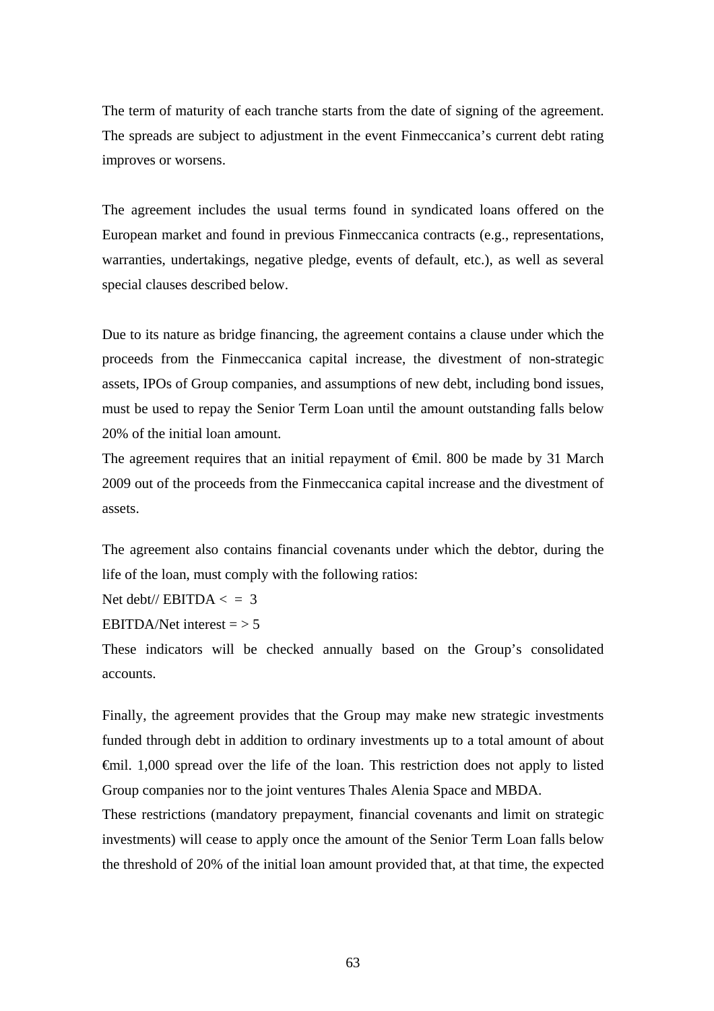The term of maturity of each tranche starts from the date of signing of the agreement. The spreads are subject to adjustment in the event Finmeccanica's current debt rating improves or worsens.

The agreement includes the usual terms found in syndicated loans offered on the European market and found in previous Finmeccanica contracts (e.g., representations, warranties, undertakings, negative pledge, events of default, etc.), as well as several special clauses described below.

Due to its nature as bridge financing, the agreement contains a clause under which the proceeds from the Finmeccanica capital increase, the divestment of non-strategic assets, IPOs of Group companies, and assumptions of new debt, including bond issues, must be used to repay the Senior Term Loan until the amount outstanding falls below 20% of the initial loan amount.

The agreement requires that an initial repayment of €mil. 800 be made by 31 March 2009 out of the proceeds from the Finmeccanica capital increase and the divestment of assets.

The agreement also contains financial covenants under which the debtor, during the life of the loan, must comply with the following ratios:

Net debt//  $EBITDA <$  = 3

EBITDA/Net interest  $=$  > 5

These indicators will be checked annually based on the Group's consolidated accounts.

Finally, the agreement provides that the Group may make new strategic investments funded through debt in addition to ordinary investments up to a total amount of about €mil. 1,000 spread over the life of the loan. This restriction does not apply to listed Group companies nor to the joint ventures Thales Alenia Space and MBDA.

These restrictions (mandatory prepayment, financial covenants and limit on strategic investments) will cease to apply once the amount of the Senior Term Loan falls below the threshold of 20% of the initial loan amount provided that, at that time, the expected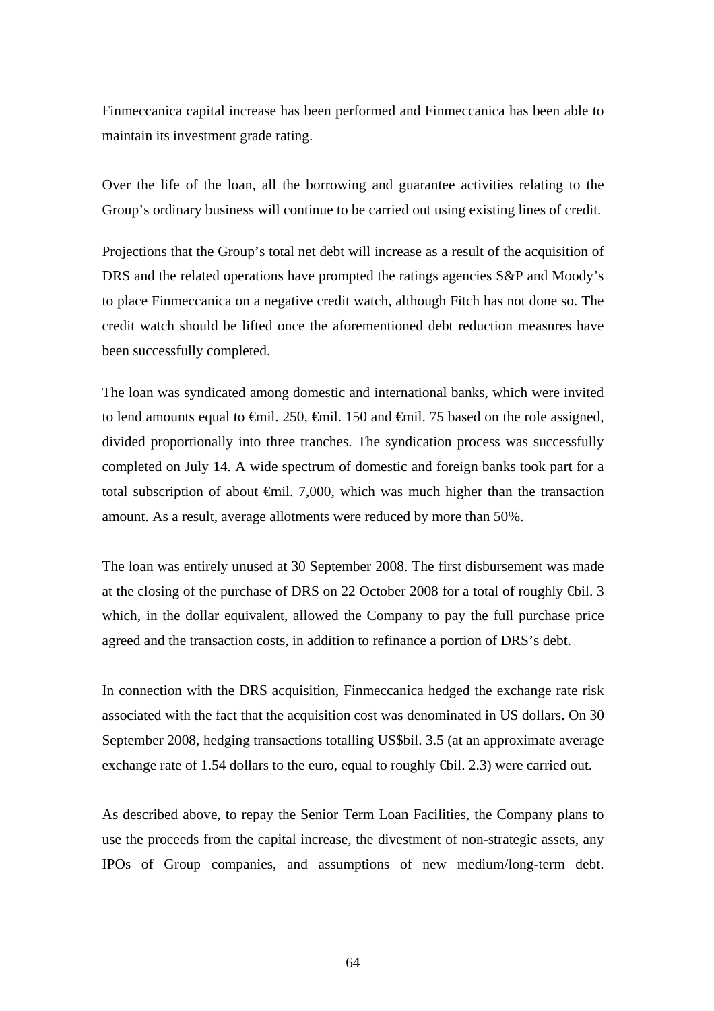Finmeccanica capital increase has been performed and Finmeccanica has been able to maintain its investment grade rating.

Over the life of the loan, all the borrowing and guarantee activities relating to the Group's ordinary business will continue to be carried out using existing lines of credit.

Projections that the Group's total net debt will increase as a result of the acquisition of DRS and the related operations have prompted the ratings agencies S&P and Moody's to place Finmeccanica on a negative credit watch, although Fitch has not done so. The credit watch should be lifted once the aforementioned debt reduction measures have been successfully completed.

The loan was syndicated among domestic and international banks, which were invited to lend amounts equal to  $\epsilon$ mil. 250,  $\epsilon$ mil. 150 and  $\epsilon$ mil. 75 based on the role assigned, divided proportionally into three tranches. The syndication process was successfully completed on July 14. A wide spectrum of domestic and foreign banks took part for a total subscription of about  $\oplus$ mil. 7,000, which was much higher than the transaction amount. As a result, average allotments were reduced by more than 50%.

The loan was entirely unused at 30 September 2008. The first disbursement was made at the closing of the purchase of DRS on 22 October 2008 for a total of roughly  $\bigoplus$ il. 3 which, in the dollar equivalent, allowed the Company to pay the full purchase price agreed and the transaction costs, in addition to refinance a portion of DRS's debt.

In connection with the DRS acquisition, Finmeccanica hedged the exchange rate risk associated with the fact that the acquisition cost was denominated in US dollars. On 30 September 2008, hedging transactions totalling US\$bil. 3.5 (at an approximate average exchange rate of 1.54 dollars to the euro, equal to roughly  $\bigoplus$ il. 2.3) were carried out.

As described above, to repay the Senior Term Loan Facilities, the Company plans to use the proceeds from the capital increase, the divestment of non-strategic assets, any IPOs of Group companies, and assumptions of new medium/long-term debt.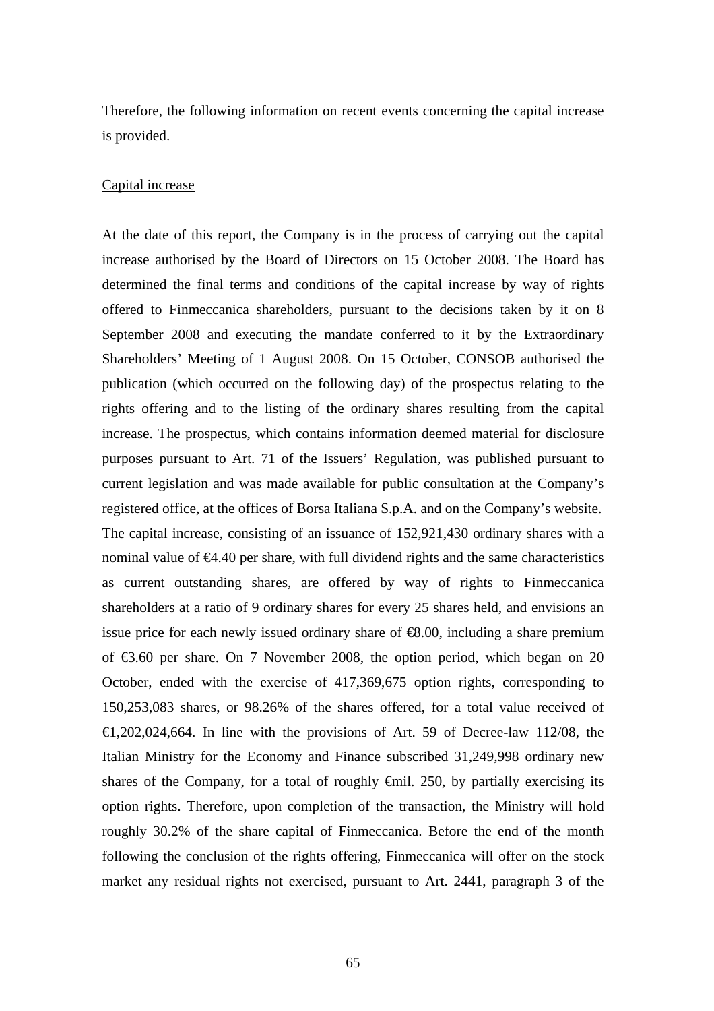Therefore, the following information on recent events concerning the capital increase is provided.

#### Capital increase

At the date of this report, the Company is in the process of carrying out the capital increase authorised by the Board of Directors on 15 October 2008. The Board has determined the final terms and conditions of the capital increase by way of rights offered to Finmeccanica shareholders, pursuant to the decisions taken by it on 8 September 2008 and executing the mandate conferred to it by the Extraordinary Shareholders' Meeting of 1 August 2008. On 15 October, CONSOB authorised the publication (which occurred on the following day) of the prospectus relating to the rights offering and to the listing of the ordinary shares resulting from the capital increase. The prospectus, which contains information deemed material for disclosure purposes pursuant to Art. 71 of the Issuers' Regulation, was published pursuant to current legislation and was made available for public consultation at the Company's registered office, at the offices of Borsa Italiana S.p.A. and on the Company's website. The capital increase, consisting of an issuance of 152,921,430 ordinary shares with a nominal value of  $64.40$  per share, with full dividend rights and the same characteristics as current outstanding shares, are offered by way of rights to Finmeccanica shareholders at a ratio of 9 ordinary shares for every 25 shares held, and envisions an issue price for each newly issued ordinary share of  $\epsilon 8.00$ , including a share premium of  $\epsilon$ 3.60 per share. On 7 November 2008, the option period, which began on 20 October, ended with the exercise of 417,369,675 option rights, corresponding to 150,253,083 shares, or 98.26% of the shares offered, for a total value received of  $\text{E}1,202,024,664$ . In line with the provisions of Art. 59 of Decree-law 112/08, the Italian Ministry for the Economy and Finance subscribed 31,249,998 ordinary new shares of the Company, for a total of roughly  $\oplus$ mil. 250, by partially exercising its option rights. Therefore, upon completion of the transaction, the Ministry will hold roughly 30.2% of the share capital of Finmeccanica. Before the end of the month following the conclusion of the rights offering, Finmeccanica will offer on the stock market any residual rights not exercised, pursuant to Art. 2441, paragraph 3 of the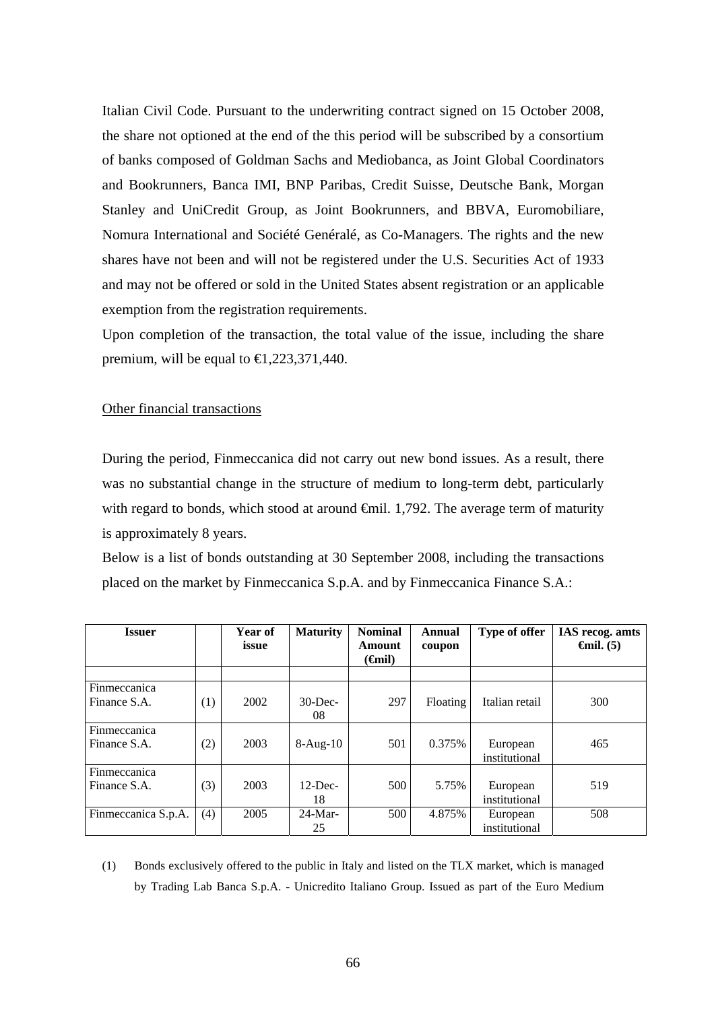Italian Civil Code. Pursuant to the underwriting contract signed on 15 October 2008, the share not optioned at the end of the this period will be subscribed by a consortium of banks composed of Goldman Sachs and Mediobanca, as Joint Global Coordinators and Bookrunners, Banca IMI, BNP Paribas, Credit Suisse, Deutsche Bank, Morgan Stanley and UniCredit Group, as Joint Bookrunners, and BBVA, Euromobiliare, Nomura International and Société Genéralé, as Co-Managers. The rights and the new shares have not been and will not be registered under the U.S. Securities Act of 1933 and may not be offered or sold in the United States absent registration or an applicable exemption from the registration requirements.

Upon completion of the transaction, the total value of the issue, including the share premium, will be equal to  $\in$ 1,223,371,440.

#### Other financial transactions

During the period, Finmeccanica did not carry out new bond issues. As a result, there was no substantial change in the structure of medium to long-term debt, particularly with regard to bonds, which stood at around  $\oplus$ mil. 1,792. The average term of maturity is approximately 8 years.

Below is a list of bonds outstanding at 30 September 2008, including the transactions placed on the market by Finmeccanica S.p.A. and by Finmeccanica Finance S.A.:

| Issuer              |     | Year of<br>issue | <b>Maturity</b> | <b>Nominal</b><br>Amount<br>( <del>C</del> inil) | Annual<br>coupon | Type of offer  | IAS recog. amts<br>$\boldsymbol{\Theta}$ mil. (5) |
|---------------------|-----|------------------|-----------------|--------------------------------------------------|------------------|----------------|---------------------------------------------------|
|                     |     |                  |                 |                                                  |                  |                |                                                   |
| Finmeccanica        |     |                  |                 |                                                  |                  |                |                                                   |
| Finance S.A.        | (1) | 2002             | $30$ -Dec-      | 297                                              | Floating         | Italian retail | 300                                               |
|                     |     |                  | 08              |                                                  |                  |                |                                                   |
| Finmeccanica        |     |                  |                 |                                                  |                  |                |                                                   |
| Finance S.A.        | (2) | 2003             | $8-Aug-10$      | 501                                              | 0.375%           | European       | 465                                               |
|                     |     |                  |                 |                                                  |                  | institutional  |                                                   |
| Finmeccanica        |     |                  |                 |                                                  |                  |                |                                                   |
| Finance S.A.        | (3) | 2003             | $12$ -Dec-      | 500                                              | 5.75%            | European       | 519                                               |
|                     |     |                  | 18              |                                                  |                  | institutional  |                                                   |
| Finmeccanica S.p.A. | (4) | 2005             | $24-Mar-$       | 500                                              | 4.875%           | European       | 508                                               |
|                     |     |                  | 25              |                                                  |                  | institutional  |                                                   |

(1) Bonds exclusively offered to the public in Italy and listed on the TLX market, which is managed by Trading Lab Banca S.p.A. - Unicredito Italiano Group. Issued as part of the Euro Medium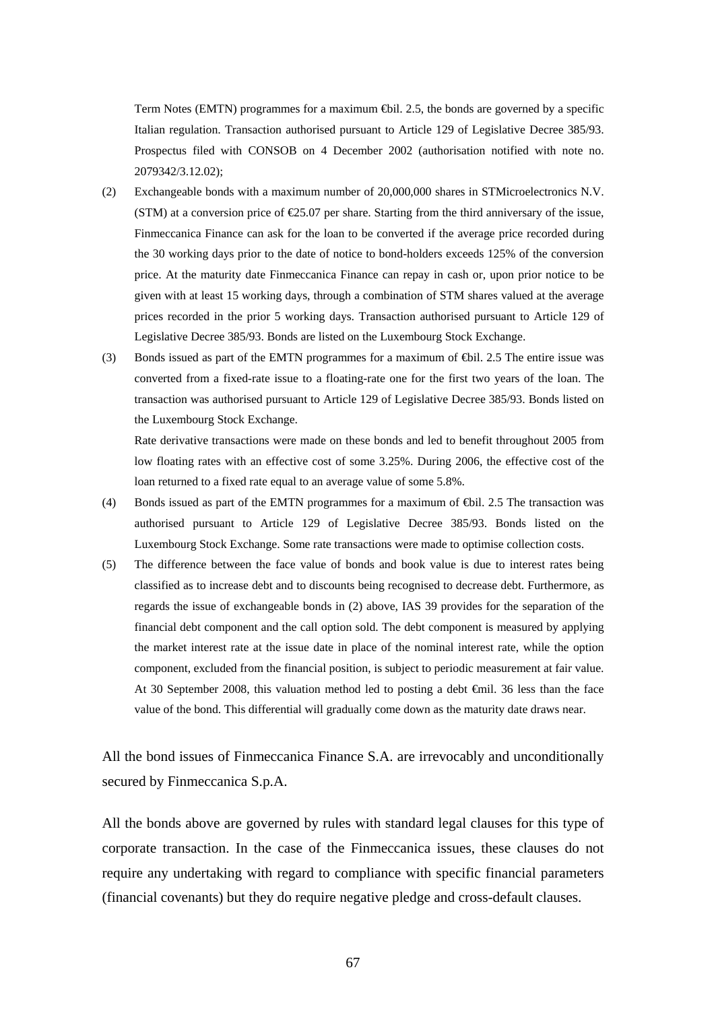Term Notes (EMTN) programmes for a maximum €bil. 2.5, the bonds are governed by a specific Italian regulation. Transaction authorised pursuant to Article 129 of Legislative Decree 385/93. Prospectus filed with CONSOB on 4 December 2002 (authorisation notified with note no. 2079342/3.12.02);

- (2) Exchangeable bonds with a maximum number of 20,000,000 shares in STMicroelectronics N.V. (STM) at a conversion price of  $\epsilon$ 25.07 per share. Starting from the third anniversary of the issue, Finmeccanica Finance can ask for the loan to be converted if the average price recorded during the 30 working days prior to the date of notice to bond-holders exceeds 125% of the conversion price. At the maturity date Finmeccanica Finance can repay in cash or, upon prior notice to be given with at least 15 working days, through a combination of STM shares valued at the average prices recorded in the prior 5 working days. Transaction authorised pursuant to Article 129 of Legislative Decree 385/93. Bonds are listed on the Luxembourg Stock Exchange.
- (3) Bonds issued as part of the EMTN programmes for a maximum of €bil. 2.5 The entire issue was converted from a fixed-rate issue to a floating-rate one for the first two years of the loan. The transaction was authorised pursuant to Article 129 of Legislative Decree 385/93. Bonds listed on the Luxembourg Stock Exchange.

Rate derivative transactions were made on these bonds and led to benefit throughout 2005 from low floating rates with an effective cost of some 3.25%. During 2006, the effective cost of the loan returned to a fixed rate equal to an average value of some 5.8%.

- (4) Bonds issued as part of the EMTN programmes for a maximum of €bil. 2.5 The transaction was authorised pursuant to Article 129 of Legislative Decree 385/93. Bonds listed on the Luxembourg Stock Exchange. Some rate transactions were made to optimise collection costs.
- (5) The difference between the face value of bonds and book value is due to interest rates being classified as to increase debt and to discounts being recognised to decrease debt. Furthermore, as regards the issue of exchangeable bonds in (2) above, IAS 39 provides for the separation of the financial debt component and the call option sold. The debt component is measured by applying the market interest rate at the issue date in place of the nominal interest rate, while the option component, excluded from the financial position, is subject to periodic measurement at fair value. At 30 September 2008, this valuation method led to posting a debt €mil. 36 less than the face value of the bond. This differential will gradually come down as the maturity date draws near.

All the bond issues of Finmeccanica Finance S.A. are irrevocably and unconditionally secured by Finmeccanica S.p.A.

All the bonds above are governed by rules with standard legal clauses for this type of corporate transaction. In the case of the Finmeccanica issues, these clauses do not require any undertaking with regard to compliance with specific financial parameters (financial covenants) but they do require negative pledge and cross-default clauses.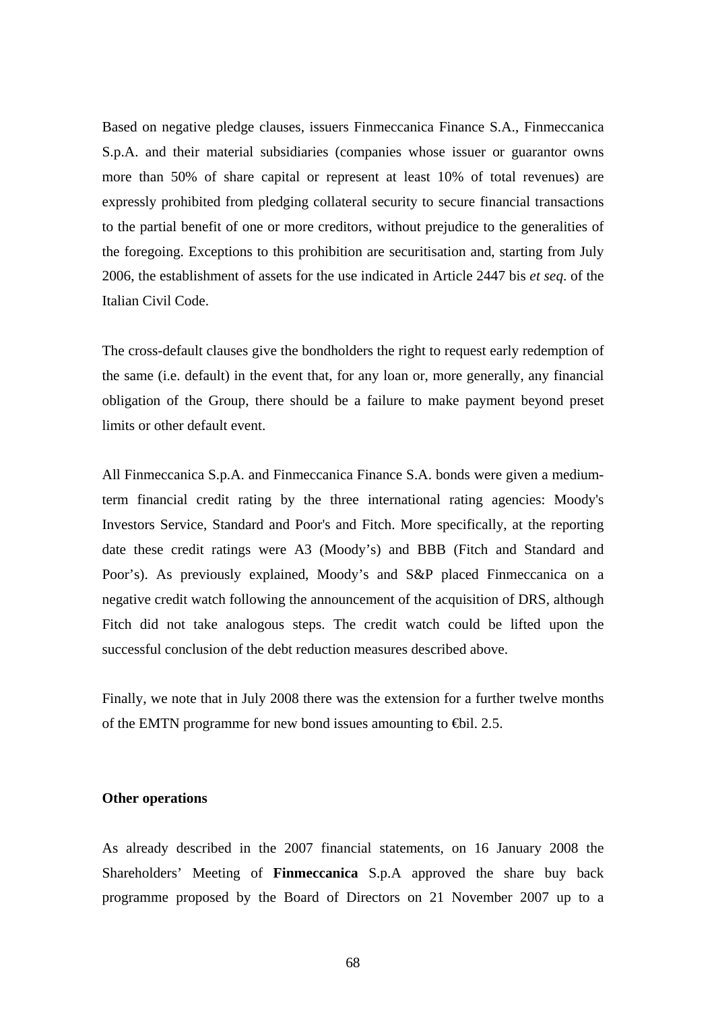Based on negative pledge clauses, issuers Finmeccanica Finance S.A., Finmeccanica S.p.A. and their material subsidiaries (companies whose issuer or guarantor owns more than 50% of share capital or represent at least 10% of total revenues) are expressly prohibited from pledging collateral security to secure financial transactions to the partial benefit of one or more creditors, without prejudice to the generalities of the foregoing. Exceptions to this prohibition are securitisation and, starting from July 2006, the establishment of assets for the use indicated in Article 2447 bis *et seq*. of the Italian Civil Code.

The cross-default clauses give the bondholders the right to request early redemption of the same (i.e. default) in the event that, for any loan or, more generally, any financial obligation of the Group, there should be a failure to make payment beyond preset limits or other default event.

All Finmeccanica S.p.A. and Finmeccanica Finance S.A. bonds were given a mediumterm financial credit rating by the three international rating agencies: Moody's Investors Service, Standard and Poor's and Fitch. More specifically, at the reporting date these credit ratings were A3 (Moody's) and BBB (Fitch and Standard and Poor's). As previously explained, Moody's and S&P placed Finmeccanica on a negative credit watch following the announcement of the acquisition of DRS, although Fitch did not take analogous steps. The credit watch could be lifted upon the successful conclusion of the debt reduction measures described above.

Finally, we note that in July 2008 there was the extension for a further twelve months of the EMTN programme for new bond issues amounting to  $\Theta$ il. 2.5.

### **Other operations**

As already described in the 2007 financial statements, on 16 January 2008 the Shareholders' Meeting of **Finmeccanica** S.p.A approved the share buy back programme proposed by the Board of Directors on 21 November 2007 up to a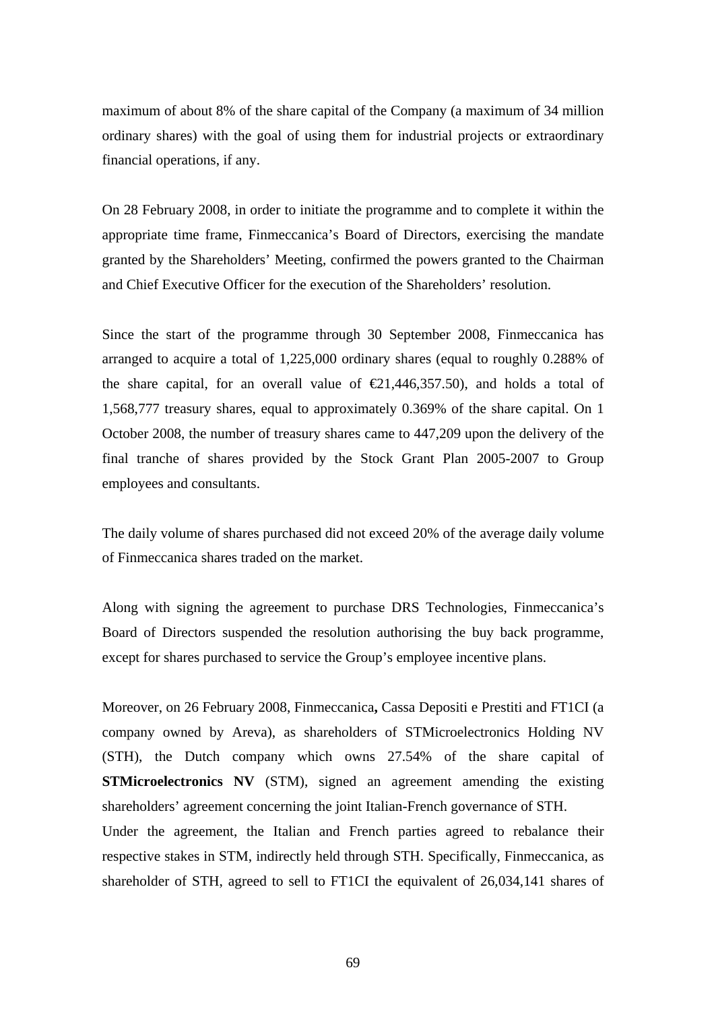maximum of about 8% of the share capital of the Company (a maximum of 34 million ordinary shares) with the goal of using them for industrial projects or extraordinary financial operations, if any.

On 28 February 2008, in order to initiate the programme and to complete it within the appropriate time frame, Finmeccanica's Board of Directors, exercising the mandate granted by the Shareholders' Meeting, confirmed the powers granted to the Chairman and Chief Executive Officer for the execution of the Shareholders' resolution.

Since the start of the programme through 30 September 2008, Finmeccanica has arranged to acquire a total of 1,225,000 ordinary shares (equal to roughly 0.288% of the share capital, for an overall value of  $\epsilon 21,446,357.50$ , and holds a total of 1,568,777 treasury shares, equal to approximately 0.369% of the share capital. On 1 October 2008, the number of treasury shares came to 447,209 upon the delivery of the final tranche of shares provided by the Stock Grant Plan 2005-2007 to Group employees and consultants.

The daily volume of shares purchased did not exceed 20% of the average daily volume of Finmeccanica shares traded on the market.

Along with signing the agreement to purchase DRS Technologies, Finmeccanica's Board of Directors suspended the resolution authorising the buy back programme, except for shares purchased to service the Group's employee incentive plans.

Moreover, on 26 February 2008, Finmeccanica**,** Cassa Depositi e Prestiti and FT1CI (a company owned by Areva), as shareholders of STMicroelectronics Holding NV (STH), the Dutch company which owns 27.54% of the share capital of **STMicroelectronics NV** (STM), signed an agreement amending the existing shareholders' agreement concerning the joint Italian-French governance of STH. Under the agreement, the Italian and French parties agreed to rebalance their respective stakes in STM, indirectly held through STH. Specifically, Finmeccanica, as shareholder of STH, agreed to sell to FT1CI the equivalent of 26,034,141 shares of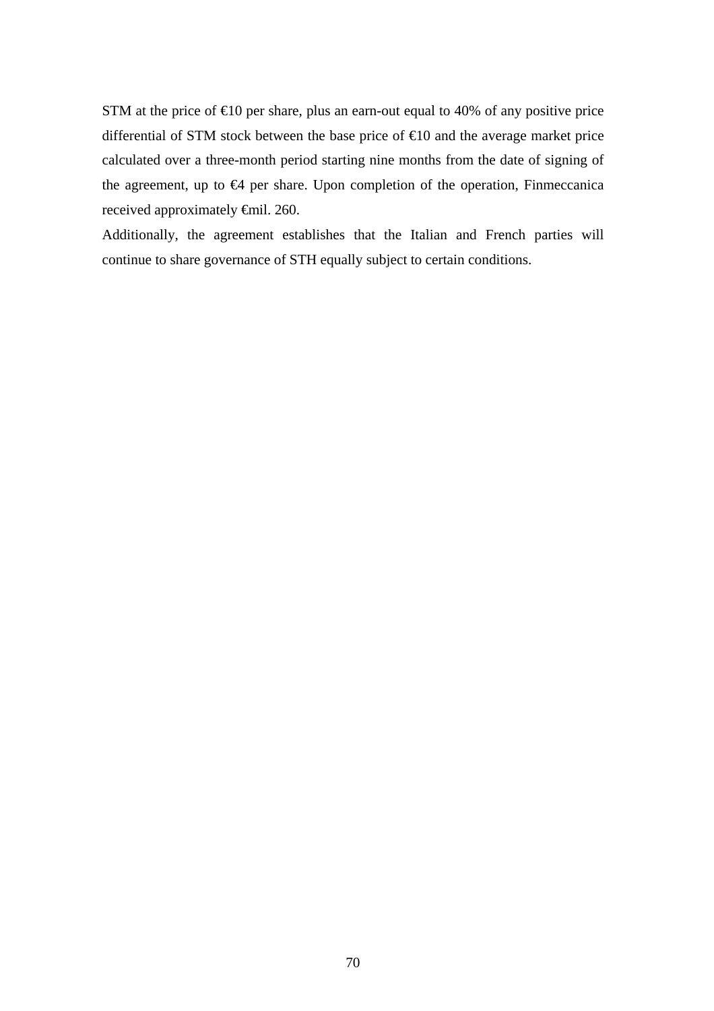STM at the price of  $\epsilon 10$  per share, plus an earn-out equal to 40% of any positive price differential of STM stock between the base price of  $\epsilon$ 10 and the average market price calculated over a three-month period starting nine months from the date of signing of the agreement, up to  $\Theta$  per share. Upon completion of the operation, Finmeccanica received approximately €mil. 260.

Additionally, the agreement establishes that the Italian and French parties will continue to share governance of STH equally subject to certain conditions.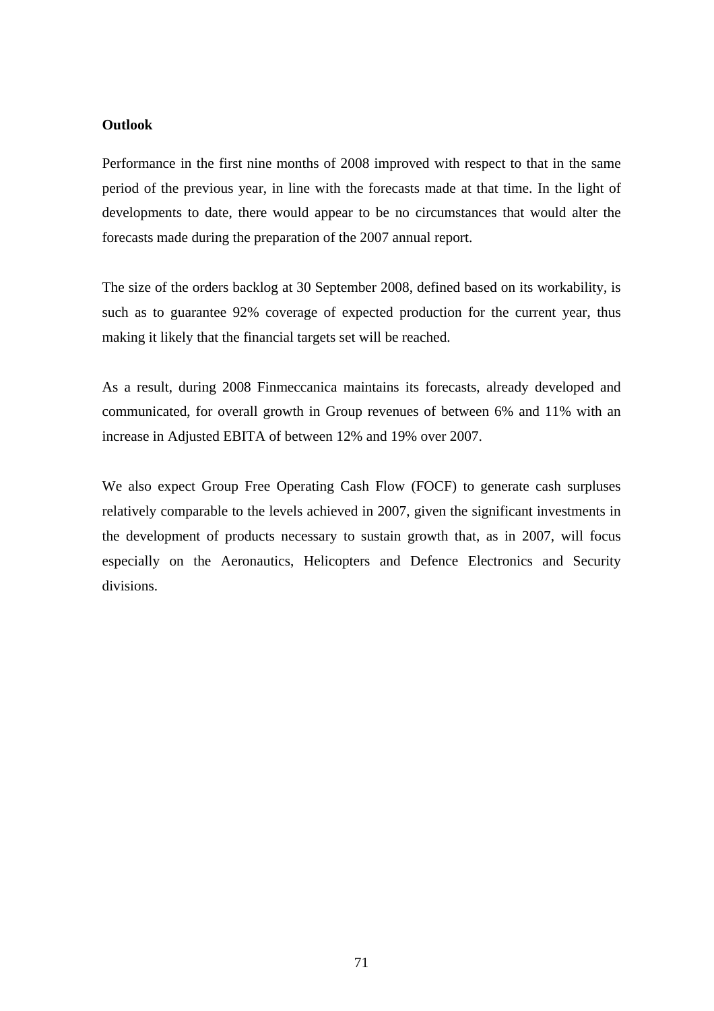# **Outlook**

Performance in the first nine months of 2008 improved with respect to that in the same period of the previous year, in line with the forecasts made at that time. In the light of developments to date, there would appear to be no circumstances that would alter the forecasts made during the preparation of the 2007 annual report.

The size of the orders backlog at 30 September 2008, defined based on its workability, is such as to guarantee 92% coverage of expected production for the current year, thus making it likely that the financial targets set will be reached.

As a result, during 2008 Finmeccanica maintains its forecasts, already developed and communicated, for overall growth in Group revenues of between 6% and 11% with an increase in Adjusted EBITA of between 12% and 19% over 2007.

We also expect Group Free Operating Cash Flow (FOCF) to generate cash surpluses relatively comparable to the levels achieved in 2007, given the significant investments in the development of products necessary to sustain growth that, as in 2007, will focus especially on the Aeronautics, Helicopters and Defence Electronics and Security divisions.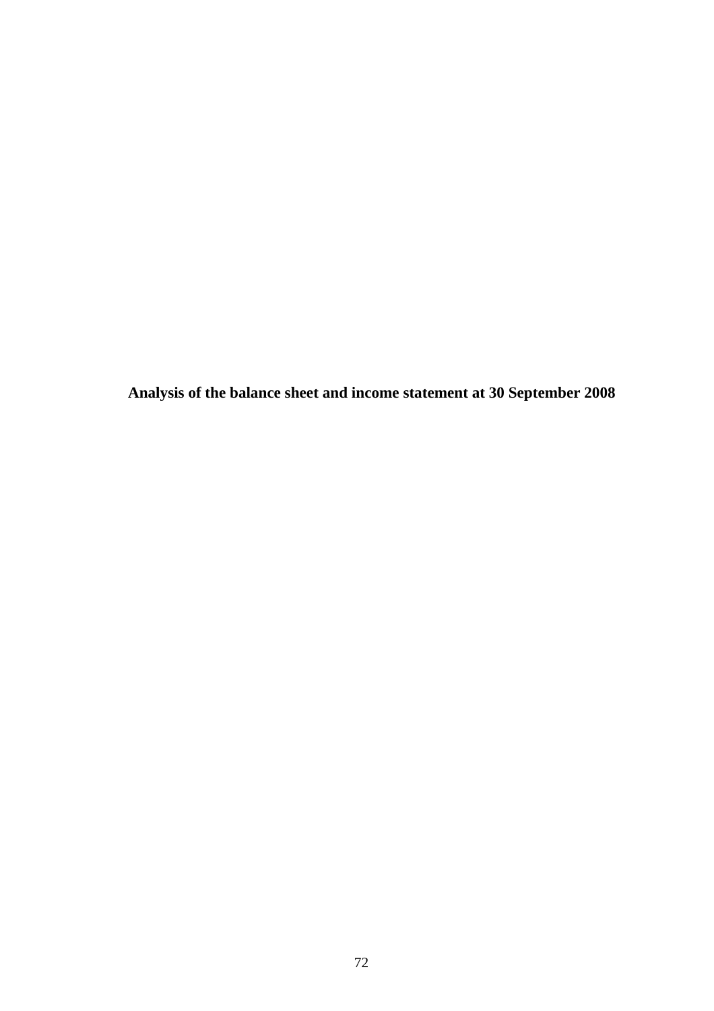**Analysis of the balance sheet and income statement at 30 September 2008**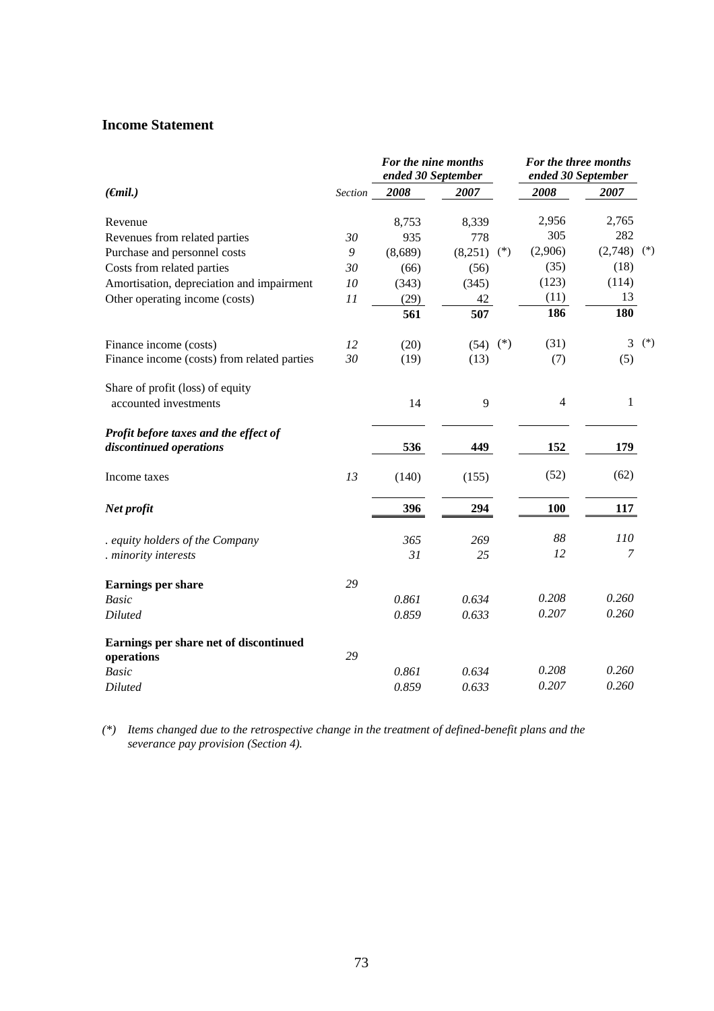# **Income Statement**

|                                                      |         | For the nine months<br>ended 30 September |                  | For the three months<br>ended 30 September |            |       |
|------------------------------------------------------|---------|-------------------------------------------|------------------|--------------------------------------------|------------|-------|
| $(\epsilon$ mil.)                                    | Section | 2008                                      | 2007             | 2008                                       | 2007       |       |
| Revenue                                              |         | 8,753                                     | 8,339            | 2,956                                      | 2,765      |       |
| Revenues from related parties                        | 30      | 935                                       | 778              | 305                                        | 282        |       |
| Purchase and personnel costs                         | 9       | (8,689)                                   | (8,251)<br>$(*)$ | (2,906)                                    | (2,748)    | $(*)$ |
| Costs from related parties                           | 30      | (66)                                      | (56)             | (35)                                       | (18)       |       |
| Amortisation, depreciation and impairment            | 10      | (343)                                     | (345)            | (123)                                      | (114)      |       |
| Other operating income (costs)                       | 11      | (29)                                      | 42               | (11)                                       | 13         |       |
|                                                      |         | 561                                       | 507              | 186                                        | 180        |       |
| Finance income (costs)                               | 12      | (20)                                      | $(*)$<br>(54)    | (31)                                       | 3          | $(*)$ |
| Finance income (costs) from related parties          | 30      | (19)                                      | (13)             | (7)                                        | (5)        |       |
| Share of profit (loss) of equity                     |         |                                           |                  |                                            |            |       |
| accounted investments                                |         | 14                                        | 9                | $\overline{4}$                             | 1          |       |
| Profit before taxes and the effect of                |         |                                           |                  |                                            |            |       |
| discontinued operations                              |         | 536                                       | 449              | 152                                        | 179        |       |
| Income taxes                                         | 13      | (140)                                     | (155)            | (52)                                       | (62)       |       |
| Net profit                                           |         | 396                                       | 294              | 100                                        | 117        |       |
| equity holders of the Company                        |         | 365                                       | 269              | 88                                         | <i>110</i> |       |
| . minority interests                                 |         | 31                                        | 25               | 12                                         | 7          |       |
| <b>Earnings per share</b>                            | 29      |                                           |                  |                                            |            |       |
| <b>Basic</b>                                         |         | 0.861                                     | 0.634            | 0.208                                      | 0.260      |       |
| Diluted                                              |         | 0.859                                     | 0.633            | 0.207                                      | 0.260      |       |
| Earnings per share net of discontinued<br>operations | 29      |                                           |                  |                                            |            |       |
| <b>Basic</b>                                         |         | 0.861                                     | 0.634            | 0.208                                      | 0.260      |       |
| <b>Diluted</b>                                       |         | 0.859                                     | 0.633            | 0.207                                      | 0.260      |       |
|                                                      |         |                                           |                  |                                            |            |       |

*(\*) Items changed due to the retrospective change in the treatment of defined-benefit plans and the severance pay provision (Section 4).*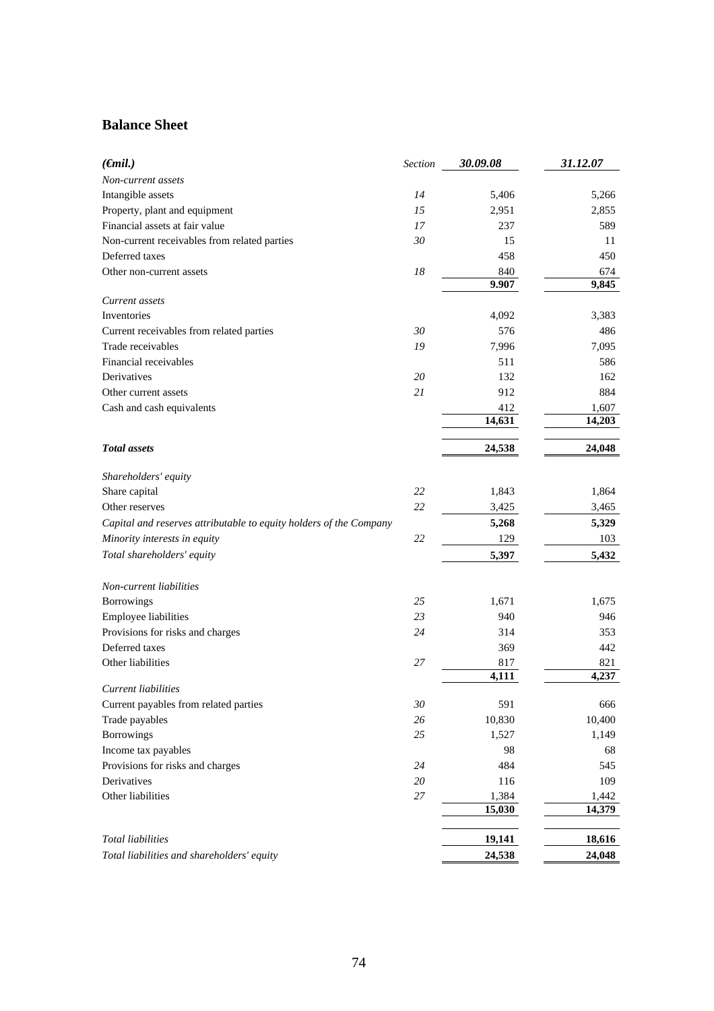# **Balance Sheet**

| $(\epsilon$ mil.)                                                  | <b>Section</b> | 30.09.08 | 31.12.07 |
|--------------------------------------------------------------------|----------------|----------|----------|
| Non-current assets                                                 |                |          |          |
| Intangible assets                                                  | 14             | 5,406    | 5,266    |
| Property, plant and equipment                                      | 15             | 2,951    | 2,855    |
| Financial assets at fair value                                     | 17             | 237      | 589      |
| Non-current receivables from related parties                       | 30             | 15       | 11       |
| Deferred taxes                                                     |                | 458      | 450      |
| Other non-current assets                                           | 18             | 840      | 674      |
|                                                                    |                | 9.907    | 9,845    |
| Current assets                                                     |                |          |          |
| Inventories                                                        |                | 4,092    | 3,383    |
| Current receivables from related parties                           | 30             | 576      | 486      |
| Trade receivables                                                  | 19             | 7,996    | 7,095    |
| Financial receivables                                              |                | 511      | 586      |
| Derivatives                                                        | 20             | 132      | 162      |
| Other current assets                                               | 21             | 912      | 884      |
| Cash and cash equivalents                                          |                | 412      | 1,607    |
|                                                                    |                | 14,631   | 14,203   |
|                                                                    |                |          |          |
| <b>Total</b> assets                                                |                | 24,538   | 24,048   |
| Shareholders' equity                                               |                |          |          |
| Share capital                                                      | 22             | 1,843    | 1,864    |
| Other reserves                                                     | 22             | 3,425    | 3,465    |
| Capital and reserves attributable to equity holders of the Company |                | 5,268    | 5,329    |
| Minority interests in equity                                       | 22             | 129      | 103      |
| Total shareholders' equity                                         |                | 5,397    | 5,432    |
|                                                                    |                |          |          |
| Non-current liabilities                                            |                |          |          |
| Borrowings                                                         | 25             | 1,671    | 1,675    |
| <b>Employee liabilities</b>                                        | 23             | 940      | 946      |
| Provisions for risks and charges                                   | 24             | 314      | 353      |
| Deferred taxes                                                     |                | 369      | 442      |
| Other liabilities                                                  | 27             | 817      | 821      |
|                                                                    |                | 4,111    | 4,237    |
| Current liabilities                                                |                |          |          |
| Current payables from related parties                              | $30\,$         | 591      | 666      |
| Trade payables                                                     | 26             | 10,830   | 10,400   |
| Borrowings                                                         | 25             | 1,527    | 1,149    |
| Income tax payables                                                |                | 98       | 68       |
| Provisions for risks and charges                                   | $24\,$         | 484      | 545      |
| Derivatives                                                        | 20             | 116      | 109      |
| Other liabilities                                                  | $27\,$         | 1,384    | 1,442    |
|                                                                    |                | 15,030   | 14,379   |
| <b>Total liabilities</b>                                           |                | 19,141   | 18,616   |
| Total liabilities and shareholders' equity                         |                | 24,538   | 24,048   |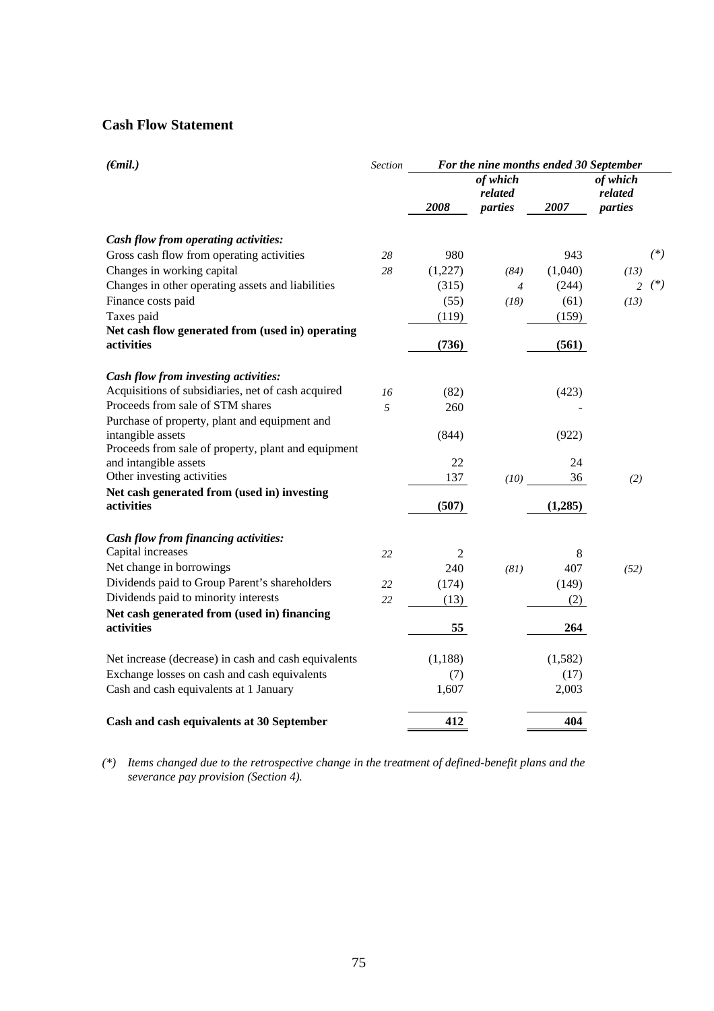# **Cash Flow Statement**

| $(\epsilon mil.)$                                    | <b>Section</b> | For the nine months ended 30 September |                     |         |                     |       |
|------------------------------------------------------|----------------|----------------------------------------|---------------------|---------|---------------------|-------|
|                                                      |                |                                        | of which<br>related |         | of which<br>related |       |
|                                                      |                | 2008                                   | parties             | 2007    | parties             |       |
| Cash flow from operating activities:                 |                |                                        |                     |         |                     |       |
| Gross cash flow from operating activities            | 28             | 980                                    |                     | 943     |                     | $(*)$ |
| Changes in working capital                           | 28             | (1,227)                                | (84)                | (1,040) | (13)                |       |
| Changes in other operating assets and liabilities    |                | (315)                                  | $\overline{4}$      | (244)   | 2                   | $(*)$ |
| Finance costs paid                                   |                | (55)                                   | (18)                | (61)    | (13)                |       |
| Taxes paid                                           |                | (119)                                  |                     | (159)   |                     |       |
| Net cash flow generated from (used in) operating     |                |                                        |                     |         |                     |       |
| activities                                           |                | (736)                                  |                     | (561)   |                     |       |
| Cash flow from investing activities:                 |                |                                        |                     |         |                     |       |
| Acquisitions of subsidiaries, net of cash acquired   | 16             | (82)                                   |                     | (423)   |                     |       |
| Proceeds from sale of STM shares                     | 5              | 260                                    |                     |         |                     |       |
| Purchase of property, plant and equipment and        |                |                                        |                     |         |                     |       |
| intangible assets                                    |                | (844)                                  |                     | (922)   |                     |       |
| Proceeds from sale of property, plant and equipment  |                |                                        |                     |         |                     |       |
| and intangible assets                                |                | 22                                     |                     | 24      |                     |       |
| Other investing activities                           |                | 137                                    | (10)                | 36      | (2)                 |       |
| Net cash generated from (used in) investing          |                |                                        |                     |         |                     |       |
| activities                                           |                | (507)                                  |                     | (1,285) |                     |       |
| Cash flow from financing activities:                 |                |                                        |                     |         |                     |       |
| Capital increases                                    | 22             | $\overline{2}$                         |                     | 8       |                     |       |
| Net change in borrowings                             |                | 240                                    | (81)                | 407     | (52)                |       |
| Dividends paid to Group Parent's shareholders        | 22             | (174)                                  |                     | (149)   |                     |       |
| Dividends paid to minority interests                 | 22             | (13)                                   |                     | (2)     |                     |       |
| Net cash generated from (used in) financing          |                |                                        |                     |         |                     |       |
| activities                                           |                | 55                                     |                     | 264     |                     |       |
| Net increase (decrease) in cash and cash equivalents |                | (1, 188)                               |                     | (1,582) |                     |       |
| Exchange losses on cash and cash equivalents         |                | (7)                                    |                     | (17)    |                     |       |
| Cash and cash equivalents at 1 January               |                | 1,607                                  |                     | 2,003   |                     |       |
| Cash and cash equivalents at 30 September            |                | 412                                    |                     | 404     |                     |       |

*(\*) Items changed due to the retrospective change in the treatment of defined-benefit plans and the severance pay provision (Section 4).*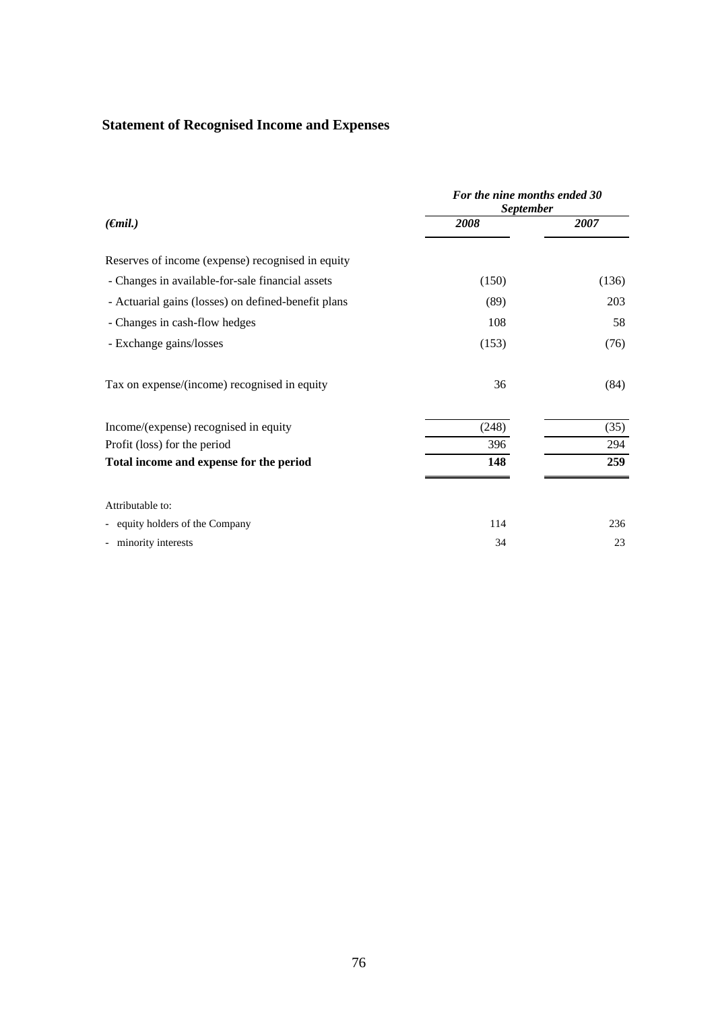# **Statement of Recognised Income and Expenses**

|                                                     | For the nine months ended 30<br><b>September</b> |       |  |
|-----------------------------------------------------|--------------------------------------------------|-------|--|
| $(\epsilon$ mil.)                                   | 2008                                             | 2007  |  |
| Reserves of income (expense) recognised in equity   |                                                  |       |  |
| - Changes in available-for-sale financial assets    | (150)                                            | (136) |  |
| - Actuarial gains (losses) on defined-benefit plans | (89)                                             | 203   |  |
| - Changes in cash-flow hedges                       | 108                                              | 58    |  |
| - Exchange gains/losses                             | (153)                                            | (76)  |  |
| Tax on expense/(income) recognised in equity        | 36                                               | (84)  |  |
| Income/(expense) recognised in equity               | (248)                                            | (35)  |  |
| Profit (loss) for the period                        | 396                                              | 294   |  |
| Total income and expense for the period             | 148                                              | 259   |  |
| Attributable to:                                    |                                                  |       |  |
| - equity holders of the Company                     | 114                                              | 236   |  |
| - minority interests                                | 34                                               | 23    |  |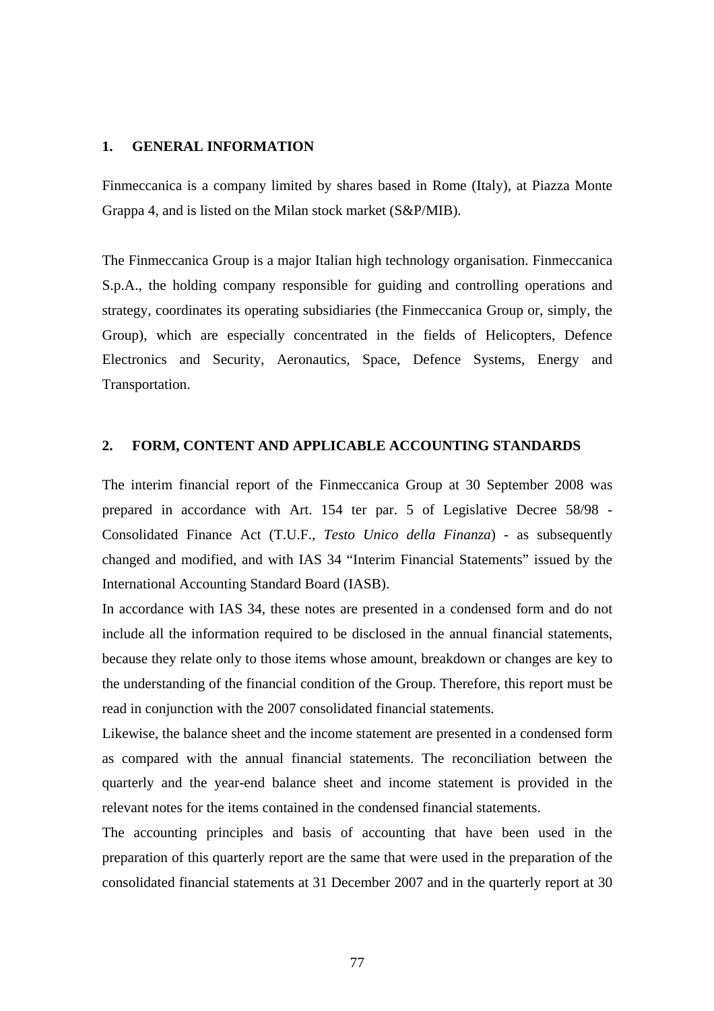### **1. GENERAL INFORMATION**

Finmeccanica is a company limited by shares based in Rome (Italy), at Piazza Monte Grappa 4, and is listed on the Milan stock market (S&P/MIB).

The Finmeccanica Group is a major Italian high technology organisation. Finmeccanica S.p.A., the holding company responsible for guiding and controlling operations and strategy, coordinates its operating subsidiaries (the Finmeccanica Group or, simply, the Group), which are especially concentrated in the fields of Helicopters, Defence Electronics and Security, Aeronautics, Space, Defence Systems, Energy and Transportation.

## **2. FORM, CONTENT AND APPLICABLE ACCOUNTING STANDARDS**

The interim financial report of the Finmeccanica Group at 30 September 2008 was prepared in accordance with Art. 154 ter par. 5 of Legislative Decree 58/98 - Consolidated Finance Act (T.U.F., *Testo Unico della Finanza*) - as subsequently changed and modified, and with IAS 34 "Interim Financial Statements" issued by the International Accounting Standard Board (IASB).

In accordance with IAS 34, these notes are presented in a condensed form and do not include all the information required to be disclosed in the annual financial statements, because they relate only to those items whose amount, breakdown or changes are key to the understanding of the financial condition of the Group. Therefore, this report must be read in conjunction with the 2007 consolidated financial statements.

Likewise, the balance sheet and the income statement are presented in a condensed form as compared with the annual financial statements. The reconciliation between the quarterly and the year-end balance sheet and income statement is provided in the relevant notes for the items contained in the condensed financial statements.

The accounting principles and basis of accounting that have been used in the preparation of this quarterly report are the same that were used in the preparation of the consolidated financial statements at 31 December 2007 and in the quarterly report at 30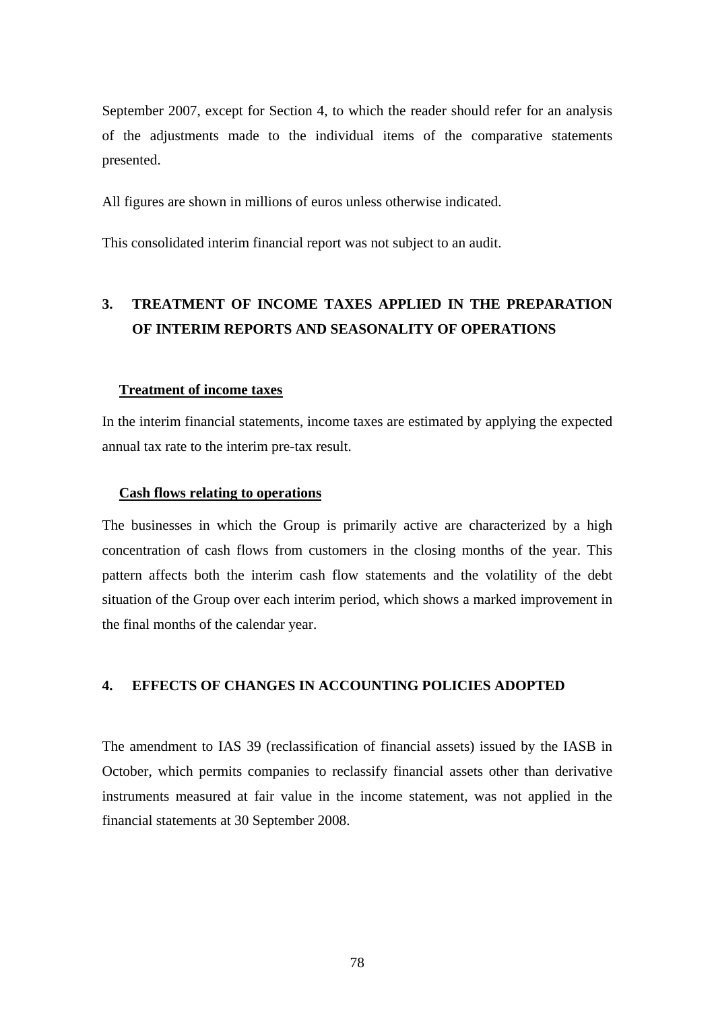September 2007, except for Section 4, to which the reader should refer for an analysis of the adjustments made to the individual items of the comparative statements presented.

All figures are shown in millions of euros unless otherwise indicated.

This consolidated interim financial report was not subject to an audit.

# **3. TREATMENT OF INCOME TAXES APPLIED IN THE PREPARATION OF INTERIM REPORTS AND SEASONALITY OF OPERATIONS**

#### **Treatment of income taxes**

In the interim financial statements, income taxes are estimated by applying the expected annual tax rate to the interim pre-tax result.

## **Cash flows relating to operations**

The businesses in which the Group is primarily active are characterized by a high concentration of cash flows from customers in the closing months of the year. This pattern affects both the interim cash flow statements and the volatility of the debt situation of the Group over each interim period, which shows a marked improvement in the final months of the calendar year.

#### **4. EFFECTS OF CHANGES IN ACCOUNTING POLICIES ADOPTED**

The amendment to IAS 39 (reclassification of financial assets) issued by the IASB in October, which permits companies to reclassify financial assets other than derivative instruments measured at fair value in the income statement, was not applied in the financial statements at 30 September 2008.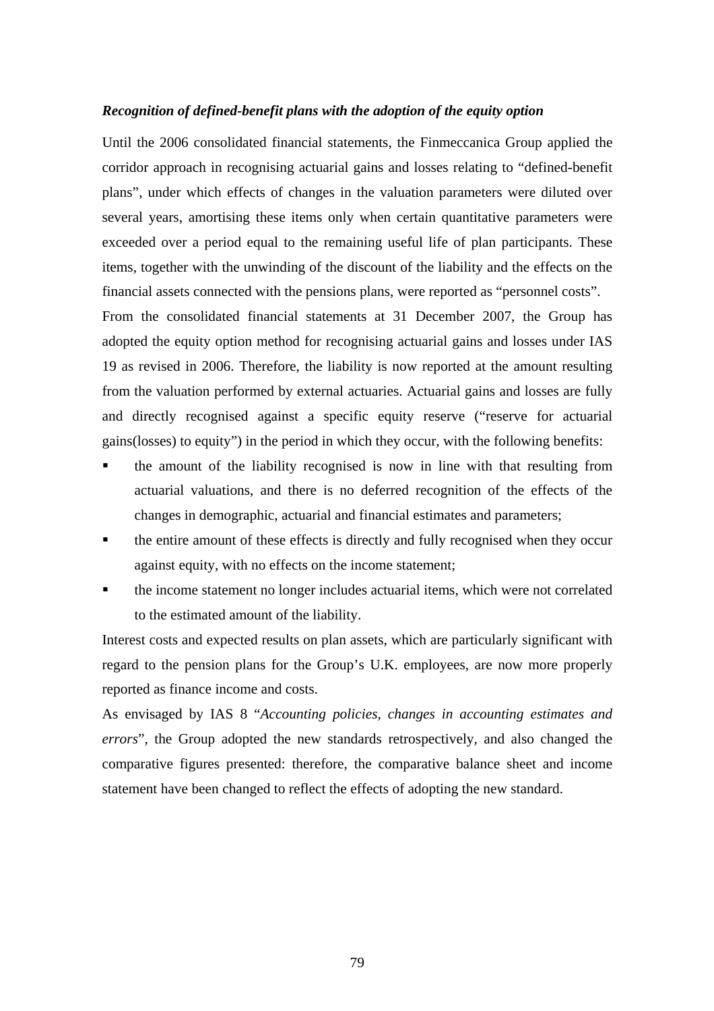#### *Recognition of defined-benefit plans with the adoption of the equity option*

Until the 2006 consolidated financial statements, the Finmeccanica Group applied the corridor approach in recognising actuarial gains and losses relating to "defined-benefit plans", under which effects of changes in the valuation parameters were diluted over several years, amortising these items only when certain quantitative parameters were exceeded over a period equal to the remaining useful life of plan participants. These items, together with the unwinding of the discount of the liability and the effects on the financial assets connected with the pensions plans, were reported as "personnel costs".

From the consolidated financial statements at 31 December 2007, the Group has adopted the equity option method for recognising actuarial gains and losses under IAS 19 as revised in 2006. Therefore, the liability is now reported at the amount resulting from the valuation performed by external actuaries. Actuarial gains and losses are fully and directly recognised against a specific equity reserve ("reserve for actuarial gains(losses) to equity") in the period in which they occur, with the following benefits:

- the amount of the liability recognised is now in line with that resulting from actuarial valuations, and there is no deferred recognition of the effects of the changes in demographic, actuarial and financial estimates and parameters;
- the entire amount of these effects is directly and fully recognised when they occur against equity, with no effects on the income statement;
- the income statement no longer includes actuarial items, which were not correlated to the estimated amount of the liability.

Interest costs and expected results on plan assets, which are particularly significant with regard to the pension plans for the Group's U.K. employees, are now more properly reported as finance income and costs.

As envisaged by IAS 8 "*Accounting policies, changes in accounting estimates and errors*", the Group adopted the new standards retrospectively, and also changed the comparative figures presented: therefore, the comparative balance sheet and income statement have been changed to reflect the effects of adopting the new standard.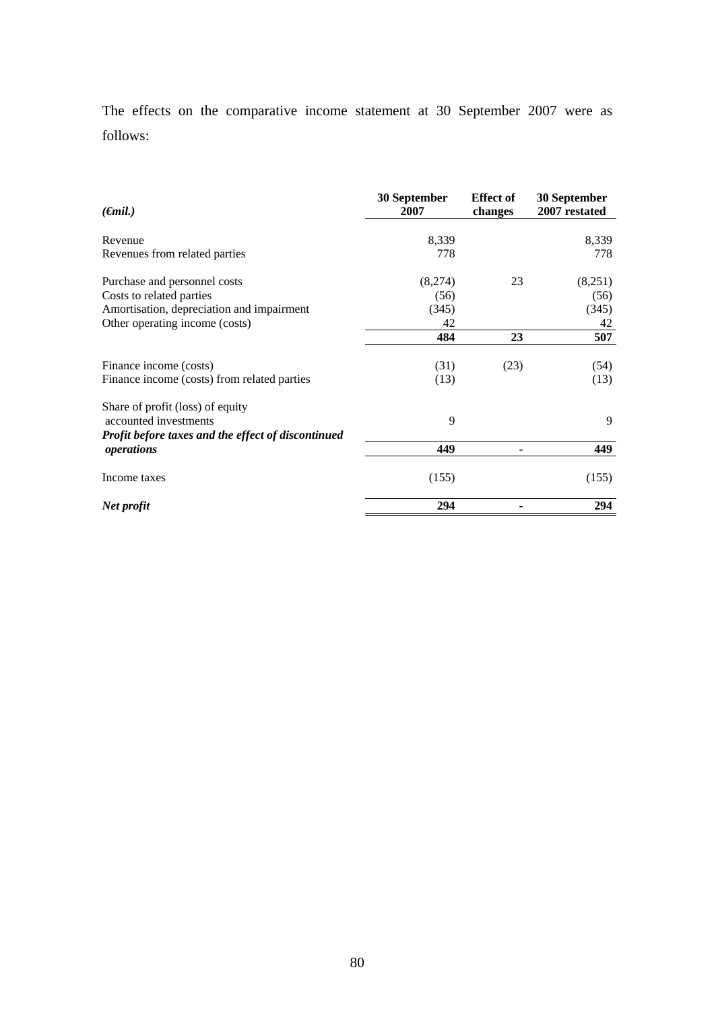The effects on the comparative income statement at 30 September 2007 were as follows:

| $(\epsilon mil.)$                                  | 30 September<br>2007 | <b>Effect of</b><br>changes | 30 September<br>2007 restated |
|----------------------------------------------------|----------------------|-----------------------------|-------------------------------|
| Revenue                                            | 8,339                |                             | 8,339                         |
| Revenues from related parties                      | 778                  |                             | 778                           |
| Purchase and personnel costs                       | (8,274)              | 23                          | (8,251)                       |
| Costs to related parties                           | (56)                 |                             | (56)                          |
| Amortisation, depreciation and impairment          | (345)                |                             | (345)                         |
| Other operating income (costs)                     | 42                   |                             | 42                            |
|                                                    | 484                  | 23                          | 507                           |
| Finance income (costs)                             | (31)                 | (23)                        | (54)                          |
|                                                    |                      |                             |                               |
| Finance income (costs) from related parties        | (13)                 |                             | (13)                          |
| Share of profit (loss) of equity                   |                      |                             |                               |
| accounted investments                              | 9                    |                             | 9                             |
| Profit before taxes and the effect of discontinued |                      |                             |                               |
| operations                                         | 449                  |                             | 449                           |
| Income taxes                                       | (155)                |                             | (155)                         |
| Net profit                                         | 294                  |                             | 294                           |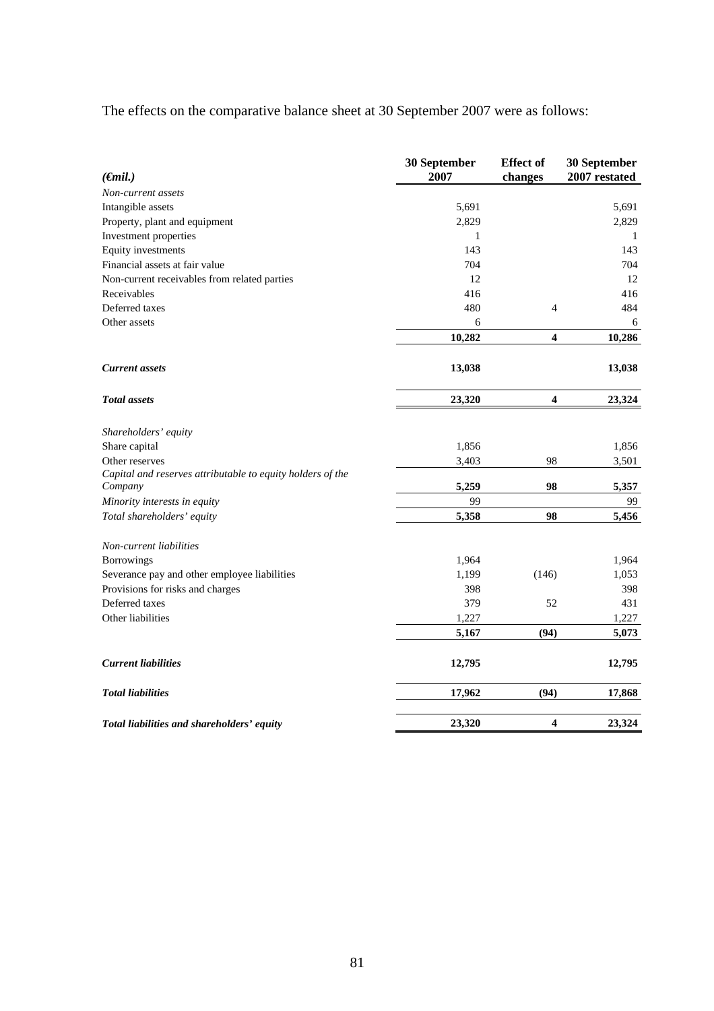# The effects on the comparative balance sheet at 30 September 2007 were as follows:

| $(\epsilon$ <i>mil.</i> )                                             | 30 September<br>2007 | <b>Effect of</b><br>changes | 30 September<br>2007 restated |
|-----------------------------------------------------------------------|----------------------|-----------------------------|-------------------------------|
| Non-current assets                                                    |                      |                             |                               |
| Intangible assets                                                     | 5,691                |                             | 5,691                         |
| Property, plant and equipment                                         | 2,829                |                             | 2,829                         |
| Investment properties                                                 | 1                    |                             | 1                             |
| Equity investments                                                    | 143                  |                             | 143                           |
| Financial assets at fair value                                        | 704                  |                             | 704                           |
| Non-current receivables from related parties                          | 12                   |                             | 12                            |
| Receivables                                                           | 416                  |                             | 416                           |
| Deferred taxes                                                        | 480                  | $\overline{4}$              | 484                           |
| Other assets                                                          | 6                    |                             | 6                             |
|                                                                       | 10,282               | 4                           | 10,286                        |
| <b>Current assets</b>                                                 | 13,038               |                             | 13,038                        |
| <b>Total</b> assets                                                   | 23,320               | 4                           | 23,324                        |
| Shareholders' equity                                                  |                      |                             |                               |
| Share capital                                                         | 1,856                |                             | 1,856                         |
| Other reserves                                                        | 3,403                | 98                          | 3,501                         |
| Capital and reserves attributable to equity holders of the<br>Company | 5,259                | 98                          | 5,357                         |
| Minority interests in equity                                          | 99                   |                             | 99                            |
| Total shareholders' equity                                            | 5,358                | 98                          | 5,456                         |
| Non-current liabilities                                               |                      |                             |                               |
| <b>Borrowings</b>                                                     | 1,964                |                             | 1,964                         |
| Severance pay and other employee liabilities                          | 1,199                | (146)                       | 1,053                         |
| Provisions for risks and charges                                      | 398                  |                             | 398                           |
| Deferred taxes                                                        | 379                  | 52                          | 431                           |
| Other liabilities                                                     | 1,227                |                             | 1,227                         |
|                                                                       | 5,167                | (94)                        | 5,073                         |
| <b>Current liabilities</b>                                            | 12,795               |                             | 12,795                        |
| <b>Total liabilities</b>                                              | 17,962               | (94)                        | 17,868                        |
| Total liabilities and shareholders' equity                            | 23,320               | 4                           | 23,324                        |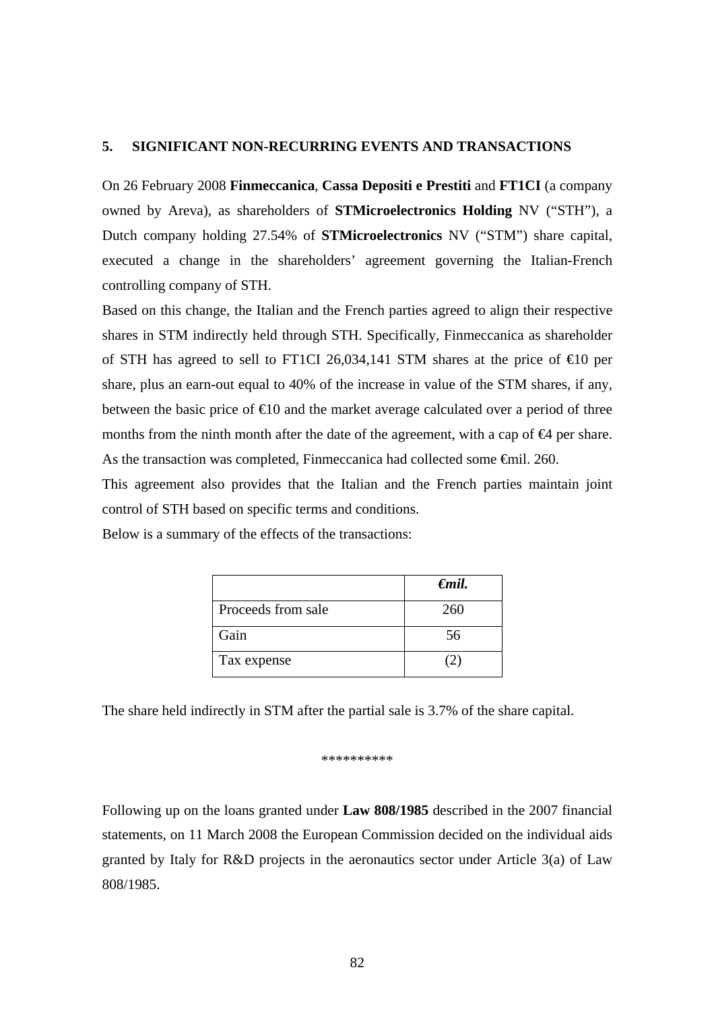## **5. SIGNIFICANT NON-RECURRING EVENTS AND TRANSACTIONS**

On 26 February 2008 **Finmeccanica**, **Cassa Depositi e Prestiti** and **FT1CI** (a company owned by Areva), as shareholders of **STMicroelectronics Holding** NV ("STH"), a Dutch company holding 27.54% of **STMicroelectronics** NV ("STM") share capital, executed a change in the shareholders' agreement governing the Italian-French controlling company of STH.

Based on this change, the Italian and the French parties agreed to align their respective shares in STM indirectly held through STH. Specifically, Finmeccanica as shareholder of STH has agreed to sell to FT1CI 26,034,141 STM shares at the price of  $\epsilon 0$  per share, plus an earn-out equal to 40% of the increase in value of the STM shares, if any, between the basic price of  $\epsilon 10$  and the market average calculated over a period of three months from the ninth month after the date of the agreement, with a cap of  $\bigoplus$  per share. As the transaction was completed, Finmeccanica had collected some €mil. 260.

This agreement also provides that the Italian and the French parties maintain joint control of STH based on specific terms and conditions.

Below is a summary of the effects of the transactions:

|                    | $\epsilon$ mil. |
|--------------------|-----------------|
| Proceeds from sale | 260             |
| Gain               | 56              |
| Tax expense        |                 |

The share held indirectly in STM after the partial sale is 3.7% of the share capital.

#### \*\*\*\*\*\*\*\*\*\*

Following up on the loans granted under **Law 808/1985** described in the 2007 financial statements, on 11 March 2008 the European Commission decided on the individual aids granted by Italy for R&D projects in the aeronautics sector under Article 3(a) of Law 808/1985.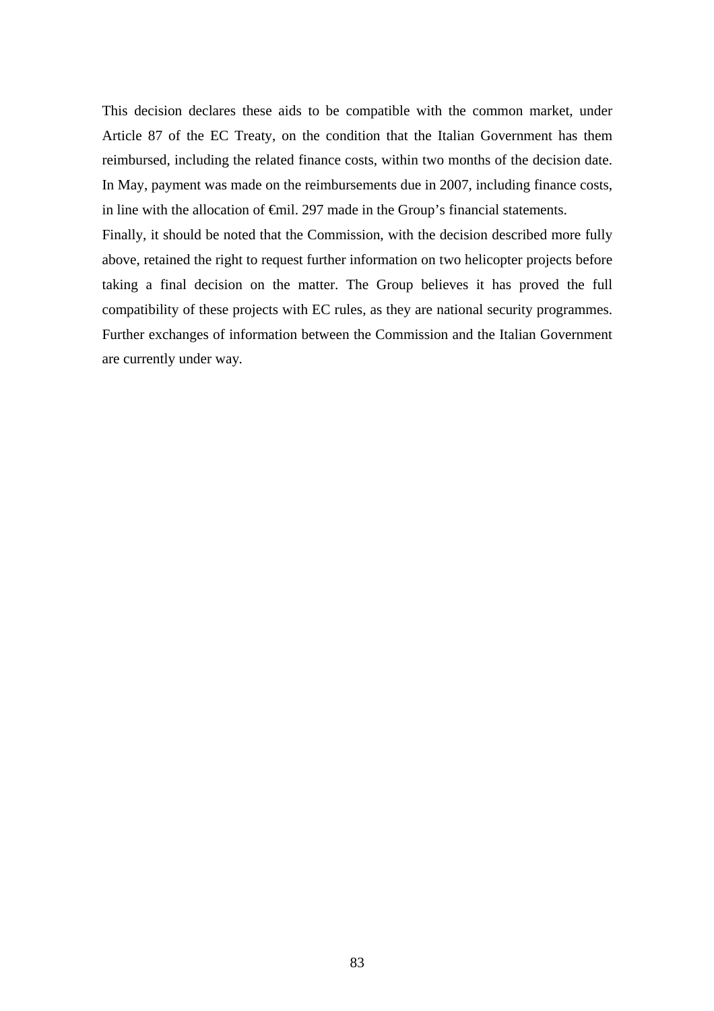This decision declares these aids to be compatible with the common market, under Article 87 of the EC Treaty, on the condition that the Italian Government has them reimbursed, including the related finance costs, within two months of the decision date. In May, payment was made on the reimbursements due in 2007, including finance costs, in line with the allocation of €mil. 297 made in the Group's financial statements.

Finally, it should be noted that the Commission, with the decision described more fully above, retained the right to request further information on two helicopter projects before taking a final decision on the matter. The Group believes it has proved the full compatibility of these projects with EC rules, as they are national security programmes. Further exchanges of information between the Commission and the Italian Government are currently under way*.*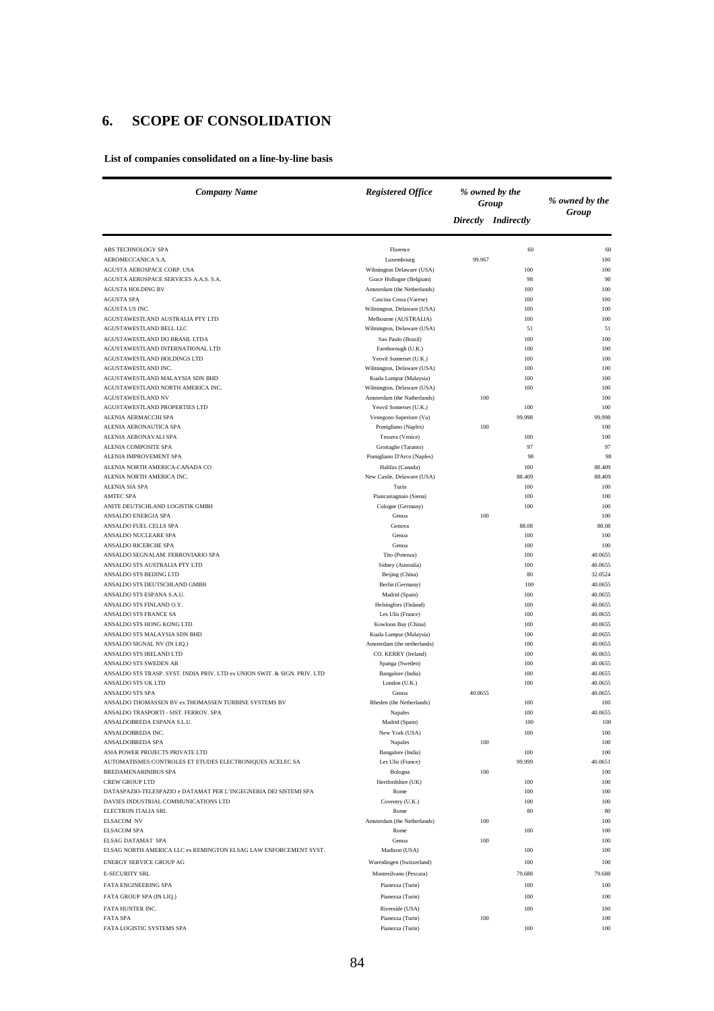# **6. SCOPE OF CONSOLIDATION**

**List of companies consolidated on a line-by-line basis**

| <b>Company Name</b>                                                       | <b>Registered Office</b><br>% owned by the<br>Group |         |                     | % owned by the     |
|---------------------------------------------------------------------------|-----------------------------------------------------|---------|---------------------|--------------------|
|                                                                           |                                                     |         | Directly Indirectly | Group              |
| ABS TECHNOLOGY SPA                                                        | Florence                                            |         | 60                  | 60                 |
| AEROMECCANICA S.A.                                                        | Luxembourg                                          | 99.967  |                     | 100                |
| AGUSTA AEROSPACE CORP. USA                                                | Wilmington Delaware (USA)                           |         | 100                 | 100                |
| AGUSTA AEROSPACE SERVICES A.A.S. S.A.                                     | Grace Hollogne (Belgium)                            |         | 98                  | 98                 |
| <b>AGUSTA HOLDING BV</b>                                                  | Amsterdam (the Netherlands)                         |         | 100                 | 100                |
| <b>AGUSTA SPA</b>                                                         | Cascina Costa (Varese)                              |         | 100                 | 100                |
| AGUSTA US INC.                                                            | Wilmington, Delaware (USA)                          |         | 100                 | 100                |
| AGUSTAWESTLAND AUSTRALIA PTY LTD                                          | Melbourne (AUSTRALIA)                               |         | 100                 | 100                |
| AGUSTAWESTLAND BELL LLC                                                   | Wilmington, Delaware (USA)                          |         | 51                  | 51                 |
| AGUSTAWESTLAND DO BRASIL LTDA                                             | Sao Paulo (Brazil)                                  |         | 100                 | 100                |
| AGUSTAWESTLAND INTERNATIONAL LTD<br>AGUSTAWESTLAND HOLDINGS LTD           | Farnborough (U.K.)<br>Yeovil Somerset (U.K.)        |         | 100                 | 100<br>100         |
| AGUSTAWESTLAND INC.                                                       | Wilmington, Delaware (USA)                          |         | 100<br>100          | 100                |
| AGUSTAWESTLAND MALAYSIA SDN BHD                                           | Kuala Lumpur (Malaysia)                             |         | 100                 | 100                |
| AGUSTAWESTLAND NORTH AMERICA INC.                                         | Wilmington, Delaware (USA)                          |         | 100                 | 100                |
| AGUSTAWESTLAND NV                                                         | Amsterdam (the Natherlands)                         | 100     |                     | 100                |
| AGUSTAWESTLAND PROPERTIES LTD                                             | Yeovil Somerset (U.K.)                              |         | 100                 | 100                |
| ALENIA AERMACCHI SPA                                                      | Venegono Superiore (Va)                             |         | 99.998              | 99.998             |
| ALENIA AERONAUTICA SPA                                                    | Pomigliano (Naples)                                 | 100     |                     | 100                |
| ALENIA AERONAVALI SPA                                                     | Tessera (Venice)                                    |         | 100                 | 100                |
| ALENIA COMPOSITE SPA                                                      | Grottaglie (Taranto)                                |         | 97                  | 97                 |
| ALENIA IMPROVEMENT SPA                                                    | Pomigliano D'Arco (Naples)                          |         | 98                  | 98                 |
| ALENIA NORTH AMERICA-CANADA CO                                            | Halifax (Canada)                                    |         | 100                 | 88.409             |
| ALENIA NORTH AMERICA INC.                                                 | New Castle, Delaware (USA)                          |         | 88.409              | 88.409             |
| ALENIA SIA SPA                                                            | Turin                                               |         | 100                 | 100                |
| <b>AMTEC SPA</b>                                                          | Piancastagnaio (Siena)                              |         | 100                 | 100                |
| ANITE DEUTSCHLAND LOGISTIK GMBH                                           | Cologne (Germany)                                   |         | 100                 | 100                |
| <b>ANSALDO ENERGIA SPA</b>                                                | Genoa                                               | 100     |                     | 100                |
| ANSALDO FUEL CELLS SPA                                                    | Genova                                              |         | 88.08               | 88.08              |
| ANSALDO NUCLEARE SPA                                                      | Genoa                                               |         | 100                 | 100                |
| ANSALDO RICERCHE SPA                                                      | Genoa                                               |         | 100                 | 100                |
| ANSALDO SEGNALAM. FERROVIARIO SPA                                         | Tito (Potenza)                                      |         | 100                 | 40.0655            |
| ANSALDO STS AUSTRALIA PTY LTD<br>ANSALDO STS BEIJING LTD                  | Sidney (Australia)<br>Beijing (China)               |         | 100<br>80           | 40.0655<br>32.0524 |
| ANSALDO STS DEUTSCHLAND GMBH                                              | Berlin (Germany)                                    |         | 100                 | 40.0655            |
| ANSALDO STS ESPANA S.A.U.                                                 | Madrid (Spain)                                      |         | 100                 | 40.0655            |
| ANSALDO STS FINLAND O.Y.                                                  | Helsingfors (Finland)                               |         | 100                 | 40.0655            |
| ANSALDO STS FRANCE SA                                                     | Les Ulis (France)                                   |         | 100                 | 40.0655            |
| ANSALDO STS HONG KONG LTD                                                 | Kowloon Bay (China)                                 |         | 100                 | 40.0655            |
| ANSALDO STS MALAYSIA SDN BHD                                              | Kuala Lumpur (Malaysia)                             |         | 100                 | 40.0655            |
| ANSALDO SIGNAL NV (IN LIQ.)                                               | Amsterdam (the netherlands)                         |         | 100                 | 40.0655            |
| ANSALDO STS IRELAND LTD                                                   | CO. KERRY (Ireland)                                 |         | 100                 | 40.0655            |
| ANSALDO STS SWEDEN AB                                                     | Spanga (Sweden)                                     |         | 100                 | 40.0655            |
| ANSALDO STS TRASP. SYST. INDIA PRIV. LTD ex UNION SWIT. & SIGN. PRIV. LTD | Bangalore (India)                                   |         | 100                 | 40.0655            |
| ANSALDO STS UK LTD                                                        | London (U.K.)                                       |         | 100                 | 40.0655            |
| ANSALDO STS SPA                                                           | Genoa                                               | 40.0655 |                     | 40.0655            |
| ANSALDO THOMASSEN BV ex THOMASSEN TURBINE SYSTEMS BV                      | Rheden (the Netherlands)                            |         | 100                 | 100                |
| ANSALDO TRASPORTI - SIST. FERROV. SPA                                     | Napales                                             |         | 100                 | 40.0655            |
| ANSALDOBREDA ESPANA S.L.U.                                                | Madrid (Spain)                                      |         | 100                 | 100                |
| ANSALDOBREDA INC.                                                         | New York (USA)                                      |         | 100                 | 100                |
| ANSALDOBREDA SPA                                                          | Napales                                             | 100     |                     | 100                |
| ASIA POWER PROJECTS PRIVATE LTD                                           | Bangalore (India)                                   |         | 100                 | 100                |
| AUTOMATISMES CONTROLES ET ETUDES ELECTRONIQUES ACELEC SA                  | Les Ulis (France)                                   |         | 99.999              | 40.0651            |
| BREDAMENARINIBUS SPA<br><b>CREW GROUP LTD</b>                             | Bologna<br>Hertfordshire (UK)                       | 100     |                     | 100                |
| DATASPAZIO-TELESPAZIO e DATAMAT PER L'INGEGNERIA DEI SISTEMI SPA          | Rome                                                |         | 100<br>100          | 100<br>100         |
| DAVIES INDUSTRIAL COMMUNICATIONS LTD                                      | Coventry (U.K.)                                     |         | 100                 | 100                |
| ELECTRON ITALIA SRL                                                       | Rome                                                |         | 80                  | 80                 |
| ELSACOM NV                                                                | Amsterdam (the Netherlands)                         | 100     |                     | 100                |
| <b>ELSACOM SPA</b>                                                        | Rome                                                |         | 100                 | 100                |
| ELSAG DATAMAT SPA                                                         | Genoa                                               | 100     |                     | 100                |
| ELSAG NORTH AMERICA LLC ex REMINGTON ELSAG LAW ENFORCEMENT SYST.          | Madison (USA)                                       |         | 100                 | 100                |
| <b>ENERGY SERVICE GROUP AG</b>                                            | Wurenlingen (Switzerland)                           |         | 100                 | 100                |
| <b>E-SECURITY SRL</b>                                                     |                                                     |         |                     |                    |
|                                                                           | Montesilvano (Pescara)                              |         | 79.688              | 79.688             |
| FATA ENGINEERING SPA                                                      | Pianezza (Turin)                                    |         | 100                 | 100                |
| FATA GROUP SPA (IN LIQ.)                                                  | Pianezza (Turin)                                    |         | 100                 | 100                |
| FATA HUNTER INC.                                                          | Riverside (USA)                                     |         | 100                 | 100                |
| <b>FATA SPA</b>                                                           | Pianezza (Turin)                                    | 100     |                     | 100                |
| FATA LOGISTIC SYSTEMS SPA                                                 | Pianezza (Turin)                                    |         | 100                 | 100                |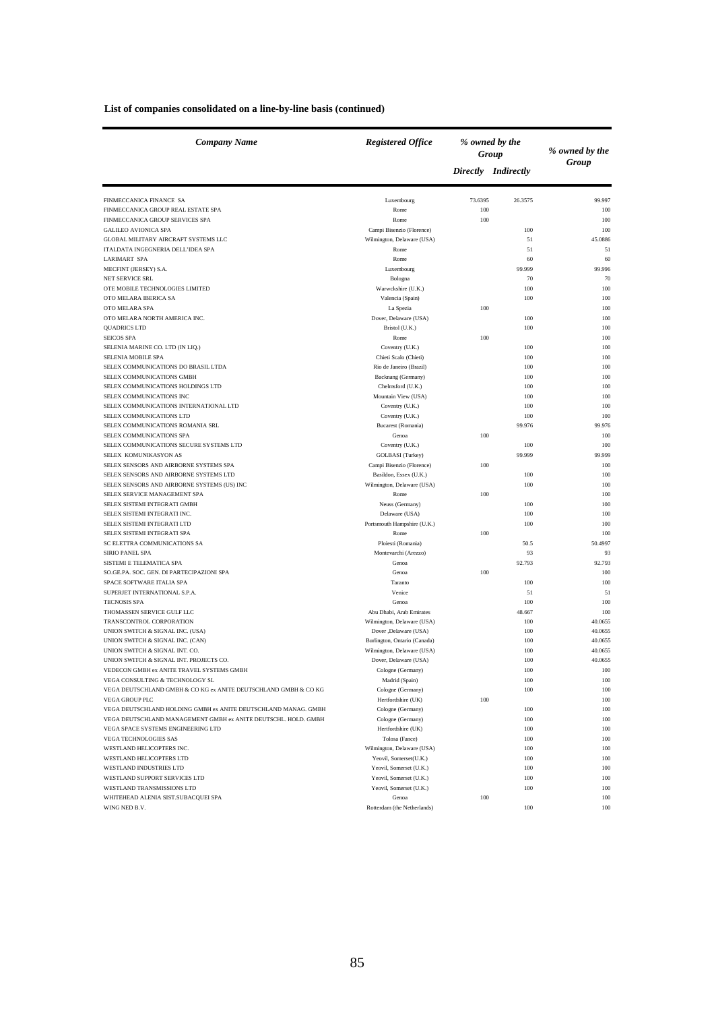| <b>Company Name</b>                                                | <b>Registered Office</b>               | % owned by the<br>Group |                     |            |  | % owned by the |
|--------------------------------------------------------------------|----------------------------------------|-------------------------|---------------------|------------|--|----------------|
|                                                                    |                                        |                         | Directly Indirectly | Group      |  |                |
| FINMECCANICA FINANCE SA                                            | Luxembourg                             | 73.6395                 | 26.3575             | 99.997     |  |                |
| FINMECCANICA GROUP REAL ESTATE SPA                                 | Rome                                   | 100                     |                     | 100        |  |                |
| FINMECCANICA GROUP SERVICES SPA                                    | Rome                                   | 100                     |                     | 100        |  |                |
| <b>GALILEO AVIONICA SPA</b>                                        | Campi Bisenzio (Florence)              |                         | 100                 | 100        |  |                |
| GLOBAL MILITARY AIRCRAFT SYSTEMS LLC                               | Wilmington, Delaware (USA)             |                         | 51                  | 45.0886    |  |                |
| ITALDATA INGEGNERIA DELL'IDEA SPA                                  | Rome                                   |                         | 51                  | 51         |  |                |
| <b>LARIMART SPA</b>                                                | Rome                                   |                         | 60                  | 60         |  |                |
| MECFINT (JERSEY) S.A.                                              | Luxembourg                             |                         | 99.999              | 99.996     |  |                |
| <b>NET SERVICE SRL</b>                                             | Bologna                                |                         | 70                  | 70         |  |                |
| OTE MOBILE TECHNOLOGIES LIMITED                                    | Warwckshire (U.K.)                     |                         | 100                 | 100        |  |                |
| OTO MELARA IBERICA SA                                              | Valencia (Spain)                       |                         | 100                 | 100        |  |                |
| OTO MELARA SPA                                                     | La Spezia                              | 100                     |                     | 100        |  |                |
| OTO MELARA NORTH AMERICA INC.                                      | Dover, Delaware (USA)                  |                         | 100                 | 100        |  |                |
| <b>QUADRICS LTD</b>                                                | Bristol (U.K.)                         |                         | 100                 | 100        |  |                |
| <b>SEICOS SPA</b>                                                  | Rome                                   | 100                     |                     | 100        |  |                |
| SELENIA MARINE CO. LTD (IN LIQ.)                                   | Coventry (U.K.)                        |                         | 100                 | 100        |  |                |
| SELENIA MOBILE SPA                                                 | Chieti Scalo (Chieti)                  |                         | 100                 | 100        |  |                |
| SELEX COMMUNICATIONS DO BRASIL LTDA                                | Rio de Janeiro (Brazil)                |                         | 100                 | 100        |  |                |
| SELEX COMMUNICATIONS GMBH                                          | Backnang (Germany)                     |                         | 100                 | 100        |  |                |
| SELEX COMMUNICATIONS HOLDINGS LTD                                  | Chelmsford (U.K.)                      |                         | 100                 | 100        |  |                |
| SELEX COMMUNICATIONS INC<br>SELEX COMMUNICATIONS INTERNATIONAL LTD | Mountain View (USA)<br>Coventry (U.K.) |                         | 100                 | 100<br>100 |  |                |
| SELEX COMMUNICATIONS LTD                                           | Coventry (U.K.)                        |                         | 100<br>100          | 100        |  |                |
| SELEX COMMUNICATIONS ROMANIA SRL                                   | Bucarest (Romania)                     |                         | 99.976              | 99.976     |  |                |
| SELEX COMMUNICATIONS SPA                                           | Genoa                                  | 100                     |                     | 100        |  |                |
| SELEX COMMUNICATIONS SECURE SYSTEMS LTD                            | Coventry (U.K.)                        |                         | 100                 | 100        |  |                |
| SELEX KOMUNIKASYON AS                                              | GOLBASI (Turkey)                       |                         | 99.999              | 99.999     |  |                |
| SELEX SENSORS AND AIRBORNE SYSTEMS SPA                             | Campi Bisenzio (Florence)              | 100                     |                     | 100        |  |                |
| SELEX SENSORS AND AIRBORNE SYSTEMS LTD                             | Basildon, Essex (U.K.)                 |                         | 100                 | 100        |  |                |
| SELEX SENSORS AND AIRBORNE SYSTEMS (US) INC                        | Wilmington, Delaware (USA)             |                         | 100                 | 100        |  |                |
| SELEX SERVICE MANAGEMENT SPA                                       | Rome                                   | 100                     |                     | 100        |  |                |
| SELEX SISTEMI INTEGRATI GMBH                                       | Neuss (Germany)                        |                         | 100                 | 100        |  |                |
| SELEX SISTEMI INTEGRATI INC.                                       | Delaware (USA)                         |                         | 100                 | 100        |  |                |
| SELEX SISTEMI INTEGRATI LTD                                        | Portsmouth Hampshire (U.K.)            |                         | 100                 | 100        |  |                |
| SELEX SISTEMI INTEGRATI SPA                                        | Rome                                   | 100                     |                     | 100        |  |                |
| SC ELETTRA COMMUNICATIONS SA                                       | Ploiesti (Romania)                     |                         | 50.5                | 50.4997    |  |                |
| <b>SIRIO PANEL SPA</b>                                             | Montevarchi (Arezzo)                   |                         | 93                  | 93         |  |                |
| SISTEMI E TELEMATICA SPA                                           | Genoa                                  |                         | 92.793              | 92.793     |  |                |
| SO.GE.PA. SOC. GEN. DI PARTECIPAZIONI SPA                          | Genoa                                  | 100                     |                     | 100        |  |                |
| SPACE SOFTWARE ITALIA SPA                                          | Taranto                                |                         | 100                 | 100        |  |                |
| SUPERJET INTERNATIONAL S.P.A.                                      | Venice                                 |                         | 51                  | 51         |  |                |
| <b>TECNOSIS SPA</b>                                                | Genoa                                  |                         | 100                 | 100        |  |                |
| THOMASSEN SERVICE GULF LLC                                         | Abu Dhabi, Arab Emirates               |                         | 48.667              | 100        |  |                |
| TRANSCONTROL CORPORATION                                           | Wilmington, Delaware (USA)             |                         | 100                 | 40.0655    |  |                |
| UNION SWITCH & SIGNAL INC. (USA)                                   | Dover ,Delaware (USA)                  |                         | 100                 | 40.0655    |  |                |
| UNION SWITCH & SIGNAL INC. (CAN)                                   | Burlington, Ontario (Canada)           |                         | 100                 | 40.0655    |  |                |
| UNION SWITCH & SIGNAL INT. CO.                                     | Wilmington, Delaware (USA)             |                         | 100                 | 40.0655    |  |                |
| UNION SWITCH & SIGNAL INT. PROJECTS CO.                            | Dover, Delaware (USA)                  |                         | 100                 | 40.0655    |  |                |
| VEDECON GMBH ex ANITE TRAVEL SYSTEMS GMBH                          | Cologne (Germany)                      |                         | 100                 | 100        |  |                |
| VEGA CONSULTING & TECHNOLOGY SL                                    | Madrid (Spain)                         |                         | 100                 | 100        |  |                |
| VEGA DEUTSCHLAND GMBH & CO KG ex ANITE DEUTSCHLAND GMBH & CO KG    | Cologne (Germany)                      |                         | 100                 | 100        |  |                |
| <b>VEGA GROUP PLC</b>                                              | Hertfordshire (UK)                     | 100                     |                     | 100        |  |                |
| VEGA DEUTSCHLAND HOLDING GMBH ex ANITE DEUTSCHLAND MANAG. GMBH     | Cologne (Germany)                      |                         | 100                 | 100        |  |                |
| VEGA DEUTSCHLAND MANAGEMENT GMBH ex ANITE DEUTSCHL. HOLD. GMBH     | Cologne (Germany)                      |                         | 100                 | 100        |  |                |
| VEGA SPACE SYSTEMS ENGINEERING LTD                                 | Hertfordshire (UK)                     |                         | 100                 | 100        |  |                |
| <b>VEGA TECHNOLOGIES SAS</b>                                       | Tolosa (Fance)                         |                         | 100                 | 100        |  |                |
| WESTLAND HELICOPTERS INC.                                          | Wilmington, Delaware (USA)             |                         | 100                 | 100        |  |                |
| WESTLAND HELICOPTERS LTD                                           | Yeovil, Somerset(U.K.)                 |                         | 100                 | 100        |  |                |
| WESTLAND INDUSTRIES LTD<br>WESTLAND SUPPORT SERVICES LTD           | Yeovil, Somerset (U.K.)                |                         | 100                 | 100        |  |                |
| WESTLAND TRANSMISSIONS LTD                                         | Yeovil, Somerset (U.K.)                |                         | 100                 | 100        |  |                |
|                                                                    | Yeovil, Somerset (U.K.)                | 100                     | 100                 | 100        |  |                |
| WHITEHEAD ALENIA SIST.SUBACQUEI SPA<br>WING NED B.V.               | Genoa<br>Rotterdam (the Netherlands)   |                         | 100                 | 100<br>100 |  |                |
|                                                                    |                                        |                         |                     |            |  |                |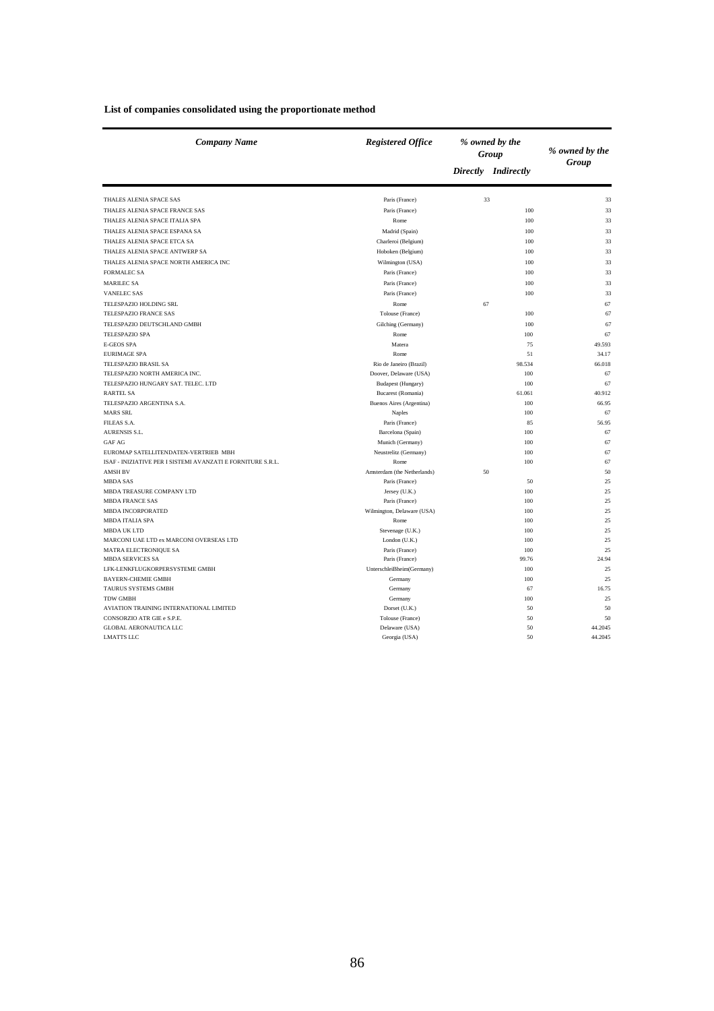| <b>Company Name</b>                                         | <b>Registered Office</b><br>% owned by the<br>Group |    |                     | % owned by the |
|-------------------------------------------------------------|-----------------------------------------------------|----|---------------------|----------------|
|                                                             |                                                     |    | Directly Indirectly | Group          |
| THALES ALENIA SPACE SAS                                     | Paris (France)                                      | 33 |                     | 33             |
| THALES ALENIA SPACE FRANCE SAS                              | Paris (France)                                      |    | 100                 | 33             |
| THALES ALENIA SPACE ITALIA SPA                              | Rome                                                |    | 100                 | 33             |
| THALES ALENIA SPACE ESPANA SA                               | Madrid (Spain)                                      |    | 100                 | 33             |
| THALES ALENIA SPACE ETCA SA                                 | Charleroi (Belgium)                                 |    | 100                 | 33             |
| THALES ALENIA SPACE ANTWERP SA                              | Hoboken (Belgium)                                   |    | 100                 | 33             |
| THALES ALENIA SPACE NORTH AMERICA INC                       | Wilmington (USA)                                    |    | 100                 | 33             |
| <b>FORMALEC SA</b>                                          | Paris (France)                                      |    | 100                 | 33             |
| <b>MARILEC SA</b>                                           | Paris (France)                                      |    | 100                 | 33             |
| <b>VANELEC SAS</b>                                          | Paris (France)                                      |    | 100                 | 33             |
| TELESPAZIO HOLDING SRL                                      |                                                     |    |                     |                |
|                                                             | Rome                                                | 67 |                     | 67             |
| TELESPAZIO FRANCE SAS                                       | Tolouse (France)                                    |    | 100                 | 67             |
| TELESPAZIO DEUTSCHLAND GMBH                                 | Gilching (Germany)                                  |    | 100                 | 67             |
| <b>TELESPAZIO SPA</b>                                       | Rome                                                |    | 100                 | 67             |
| <b>E-GEOS SPA</b>                                           | Matera                                              |    | 75                  | 49.593         |
| <b>EURIMAGE SPA</b>                                         | Rome                                                |    | 51                  | 34.17          |
| TELESPAZIO BRASIL SA                                        | Rio de Janeiro (Brazil)                             |    | 98.534              | 66.018         |
| TELESPAZIO NORTH AMERICA INC.                               | Doover, Delaware (USA)                              |    | 100                 | 67             |
| TELESPAZIO HUNGARY SAT. TELEC. LTD                          | Budapest (Hungary)                                  |    | 100                 | 67             |
| <b>RARTEL SA</b>                                            | Bucarest (Romania)                                  |    | 61.061<br>100       | 40.912         |
| TELESPAZIO ARGENTINA S.A.<br><b>MARS SRL</b>                | Buenos Aires (Argentina)                            |    | 100                 | 66.95<br>67    |
|                                                             | <b>Naples</b>                                       |    |                     |                |
| FILEAS S.A.<br>AURENSIS S.L.                                | Paris (France)                                      |    | 85                  | 56.95          |
|                                                             | Barcelona (Spain)                                   |    | 100                 | 67<br>67       |
| <b>GAF AG</b><br>EUROMAP SATELLITENDATEN-VERTRIEB MBH       | Munich (Germany)<br>Neustrelitz (Germany)           |    | 100<br>100          | 67             |
| ISAF - INIZIATIVE PER I SISTEMI AVANZATI E FORNITURE S.R.L. | Rome                                                |    | 100                 | 67             |
| <b>AMSH BV</b>                                              | Amsterdam (the Netherlands)                         | 50 |                     | 50             |
| <b>MBDA SAS</b>                                             | Paris (France)                                      |    | 50                  | 25             |
| MBDA TREASURE COMPANY LTD                                   | Jersey (U.K.)                                       |    | 100                 | 25             |
| <b>MBDA FRANCE SAS</b>                                      | Paris (France)                                      |    | 100                 | 25             |
| <b>MBDA INCORPORATED</b>                                    | Wilmington, Delaware (USA)                          |    | 100                 | 25             |
| MBDA ITALIA SPA                                             | Rome                                                |    | 100                 | 25             |
| <b>MBDA UK LTD</b>                                          | Stevenage (U.K.)                                    |    | 100                 | 25             |
| MARCONI UAE LTD ex MARCONI OVERSEAS LTD                     | London (U.K.)                                       |    | 100                 | 25             |
| <b>MATRA ELECTRONIQUE SA</b>                                | Paris (France)                                      |    | 100                 | 25             |
| <b>MBDA SERVICES SA</b>                                     | Paris (France)                                      |    | 99.76               | 24.94          |
| LFK-LENKFLUGKORPERSYSTEME GMBH                              | Unterschleißheim(Germany)                           |    | 100                 | 25             |
| <b>BAYERN-CHEMIE GMBH</b>                                   | Germany                                             |    | 100                 | 25             |
| TAURUS SYSTEMS GMBH                                         | Germany                                             |    | 67                  | 16.75          |
| <b>TDW GMBH</b>                                             | Germany                                             |    | 100                 | 25             |
| AVIATION TRAINING INTERNATIONAL LIMITED                     | Dorset (U.K.)                                       |    | 50                  | 50             |
| CONSORZIO ATR GIE e S.P.E.                                  | Tolouse (France)                                    |    | 50                  | 50             |
| <b>GLOBAL AERONAUTICA LLC</b>                               | Delaware (USA)                                      |    | 50                  | 44.2045        |
| <b>LMATTS LLC</b>                                           | Georgia (USA)                                       |    | 50                  | 44.2045        |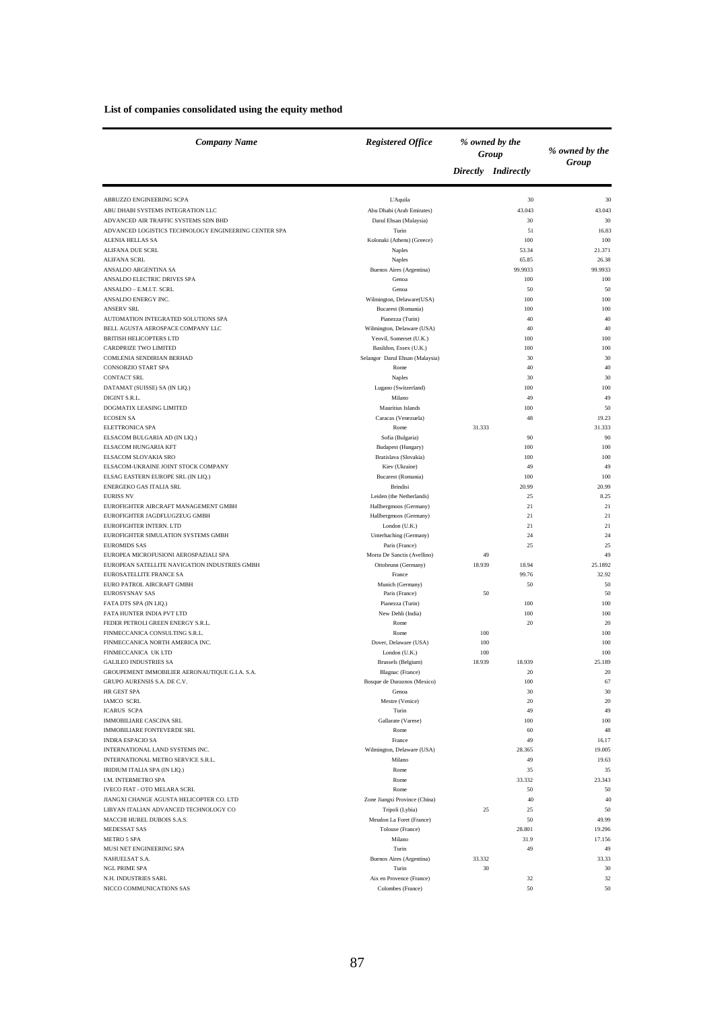#### **List of companies consolidated using the equity method**

| Company Name                                                                      | <b>Registered Office</b>                    |        | % owned by the<br>Group | % owned by the |
|-----------------------------------------------------------------------------------|---------------------------------------------|--------|-------------------------|----------------|
|                                                                                   |                                             |        | Directly Indirectly     | Group          |
| ABRUZZO ENGINEERING SCPA                                                          | L'Aquila                                    |        | 30                      | 30             |
| ABU DHABI SYSTEMS INTEGRATION LLC                                                 | Abu Dhabi (Arab Emirates)                   |        | 43.043                  | 43.043         |
| ADVANCED AIR TRAFFIC SYSTEMS SDN BHD                                              | Darul Ehsan (Malaysia)                      |        | 30                      | 30             |
| ADVANCED LOGISTICS TECHNOLOGY ENGINEERING CENTER SPA<br><b>ALENIA HELLAS SA</b>   | Turin                                       |        | 51                      | 16.83<br>100   |
| <b>ALIFANA DUE SCRL</b>                                                           | Kolonaki (Athens) (Greece)<br>Naples        |        | 100<br>53.34            | 21.371         |
| <b>ALIFANA SCRL</b>                                                               | Naples                                      |        | 65.85                   | 26.38          |
| ANSALDO ARGENTINA SA                                                              | Buenos Aires (Argentina)                    |        | 99.9933                 | 99.9933        |
| ANSALDO ELECTRIC DRIVES SPA                                                       | Genoa                                       |        | 100                     | 100            |
| ANSALDO - E.M.I.T. SCRL                                                           | Genoa                                       |        | 50                      | 50             |
| ANSALDO ENERGY INC.                                                               | Wilmington, Delaware(USA)                   |        | 100                     | 100            |
| <b>ANSERV SRL</b><br>AUTOMATION INTEGRATED SOLUTIONS SPA                          | Bucarest (Romania)<br>Pianezza (Turin)      |        | 100<br>40               | 100<br>40      |
| BELL AGUSTA AEROSPACE COMPANY LLC                                                 | Wilmington, Delaware (USA)                  |        | 40                      | 40             |
| <b>BRITISH HELICOPTERS LTD</b>                                                    | Yeovil, Somerset (U.K.)                     |        | 100                     | 100            |
| CARDPRIZE TWO LIMITED                                                             | Basildon, Essex (U.K.)                      |        | 100                     | 100            |
| COMLENIA SENDIRIAN BERHAD                                                         | Selangor Darul Ehsan (Malaysia)             |        | 30                      | 30             |
| CONSORZIO START SPA                                                               | Rome                                        |        | 40                      | 40             |
| <b>CONTACT SRL</b>                                                                | Naples                                      |        | 30                      | 30             |
| DATAMAT (SUISSE) SA (IN LIQ.)                                                     | Lugano (Switzerland)                        |        | 100                     | 100            |
| DIGINT S.R.L.                                                                     | Milano                                      |        | 49                      | 49             |
| DOGMATIX LEASING LIMITED                                                          | Mauritius Islands                           |        | 100                     | 50             |
| <b>ECOSEN SA</b>                                                                  | Caracas (Venezuela)                         |        | 48                      | 19.23          |
| ELETTRONICA SPA<br>ELSACOM BULGARIA AD (IN LIQ.)                                  | Rome<br>Sofia (Bulgaria)                    | 31.333 | 90                      | 31.333<br>90   |
| ELSACOM HUNGARIA KFT                                                              | Budapest (Hungary)                          |        | 100                     | 100            |
| ELSACOM SLOVAKIA SRO                                                              | Bratislava (Slovakia)                       |        | 100                     | 100            |
| ELSACOM-UKRAINE JOINT STOCK COMPANY                                               | Kiev (Ukraine)                              |        | 49                      | 49             |
| ELSAG EASTERN EUROPE SRL (IN LIQ.)                                                | Bucarest (Romania)                          |        | 100                     | 100            |
| ENERGEKO GAS ITALIA SRL                                                           | <b>Brindisi</b>                             |        | 20.99                   | 20.99          |
| <b>EURISS NV</b>                                                                  | Leiden (the Netherlands)                    |        | 25                      | 8.25           |
| EUROFIGHTER AIRCRAFT MANAGEMENT GMBH                                              | Hallbergmoos (Germany)                      |        | 21                      | 21             |
| EUROFIGHTER JAGDFLUGZEUG GMBH                                                     | Hallbergmoos (Germany)                      |        | 21                      | 21             |
| EUROFIGHTER INTERN. LTD<br>EUROFIGHTER SIMULATION SYSTEMS GMBH                    | London (U.K.)<br>Unterhaching (Germany)     |        | 21<br>24                | 21<br>24       |
| <b>EUROMIDS SAS</b>                                                               | Paris (France)                              |        | 25                      | 25             |
| EUROPEA MICROFUSIONI AEROSPAZIALI SPA                                             | Morra De Sanctis (Avellino)                 | 49     |                         | 49             |
| EUROPEAN SATELLITE NAVIGATION INDUSTRIES GMBH                                     | Ottobrunn (Germany)                         | 18.939 | 18.94                   | 25.1892        |
| <b>EUROSATELLITE FRANCE SA</b>                                                    | France                                      |        | 99.76                   | 32.92          |
| EURO PATROL AIRCRAFT GMBH                                                         | Munich (Germany)                            |        | 50                      | 50             |
| <b>EUROSYSNAV SAS</b>                                                             | Paris (France)                              | 50     |                         | 50             |
| FATA DTS SPA (IN LIQ.)                                                            | Pianezza (Turin)                            |        | 100                     | 100            |
| FATA HUNTER INDIA PVT LTD<br>FEDER PETROLI GREEN ENERGY S.R.L.                    | New Dehli (India)<br>Rome                   |        | 100<br>20               | 100<br>20      |
| FINMECCANICA CONSULTING S.R.L.                                                    | Rome                                        | 100    |                         | 100            |
| FINMECCANICA NORTH AMERICA INC.                                                   | Dover, Delaware (USA)                       | 100    |                         | 100            |
| FINMECCANICA UK LTD                                                               | London (U.K.)                               | 100    |                         | 100            |
| <b>GALILEO INDUSTRIES SA</b>                                                      | Brussels (Belgium)                          | 18.939 | 18.939                  | 25.189         |
| GROUPEMENT IMMOBILIER AERONAUTIQUE G.I.A. S.A.                                    | Blagnac (France)                            |        | 20                      | 20             |
| GRUPO AURENSIS S.A. DE C.V.                                                       | Bosque de Duraznos (Mexico)                 |        | 100                     | 67             |
| HR GEST SPA<br><b>IAMCO SCRL</b>                                                  | Genoa                                       |        | 30                      | 30             |
| <b>ICARUS SCPA</b>                                                                | Mestre (Venice)<br>Turin                    |        | 20<br>49                | 20<br>49       |
| <b>IMMOBILIARE CASCINA SRL</b>                                                    | Gallarate (Varese)                          |        | 100                     | 100            |
| <b>IMMOBILIARE FONTEVERDE SRL</b>                                                 | Rome                                        |        | 60                      | 48             |
| <b>INDRA ESPACIO SA</b>                                                           | France                                      |        | 49                      | 16.17          |
| INTERNATIONAL LAND SYSTEMS INC.                                                   | Wilmington, Delaware (USA)                  |        | 28.365                  | 19.005         |
| INTERNATIONAL METRO SERVICE S.R.L.                                                | Milano                                      |        | 49                      | 19.63          |
| IRIDIUM ITALIA SPA (IN LIQ.)                                                      | Rome                                        |        | 35                      | 35             |
| <b>I.M. INTERMETRO SPA</b>                                                        | Rome                                        |        | 33.332                  | 23.343         |
| IVECO FIAT - OTO MELARA SCRL                                                      | Rome                                        |        | 50                      | 50<br>40       |
| JIANGXI CHANGE AGUSTA HELICOPTER CO. LTD<br>LIBYAN ITALIAN ADVANCED TECHNOLOGY CO | Zone Jiangxi Province (China)               | 25     | 40<br>25                | 50             |
| MACCHI HUREL DUBOIS S.A.S.                                                        | Tripoli (Lybia)<br>Meudon La Foret (France) |        | 50                      | 49.99          |
| MEDESSAT SAS                                                                      | Tolouse (France)                            |        | 28.801                  | 19.296         |
| <b>METRO 5 SPA</b>                                                                | Milano                                      |        | 31.9                    | 17.156         |
| MUSI NET ENGINEERING SPA                                                          | Turin                                       |        | 49                      | 49             |
| NAHUELSAT S.A.                                                                    | Buenos Aires (Argentina)                    | 33.332 |                         | 33.33          |
| NGL PRIME SPA                                                                     | Turin                                       | 30     |                         | 30             |
| N.H. INDUSTRIES SARL                                                              | Aix en Provence (France)                    |        | 32                      | 32             |
| NICCO COMMUNICATIONS SAS                                                          | Colombes (France)                           |        | 50                      | 50             |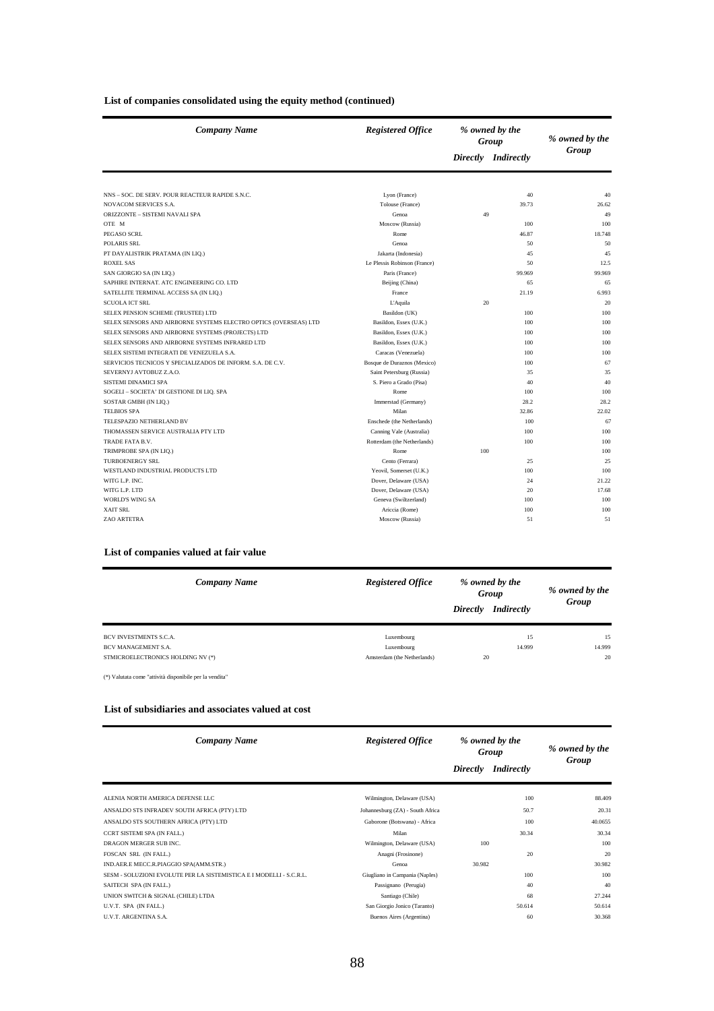|  | List of companies consolidated using the equity method (continued) |  |
|--|--------------------------------------------------------------------|--|
|--|--------------------------------------------------------------------|--|

| <b>Company Name</b>                                              | <b>Registered Office</b>     |     | % owned by the<br>Group | % owned by the |
|------------------------------------------------------------------|------------------------------|-----|-------------------------|----------------|
|                                                                  |                              |     | Directly Indirectly     | Group          |
|                                                                  |                              |     |                         |                |
| NNS - SOC. DE SERV. POUR REACTEUR RAPIDE S.N.C.                  | Lyon (France)                |     | 40                      | 40             |
| NOVACOM SERVICES S.A.                                            | Tolouse (France)             |     | 39.73                   | 26.62          |
| ORIZZONTE - SISTEMI NAVALI SPA                                   | Genoa                        | 49  |                         | 49             |
| OTE M                                                            | Moscow (Russia)              |     | 100                     | 100            |
| PEGASO SCRL                                                      | Rome                         |     | 46.87                   | 18.748         |
| <b>POLARIS SRL</b>                                               | Genoa                        |     | 50                      | 50             |
| PT DAYALISTRIK PRATAMA (IN LIQ.)                                 | Jakarta (Indonesia)          |     | 45                      | 45             |
| <b>ROXEL SAS</b>                                                 | Le Plessis Robinson (France) |     | 50                      | 12.5           |
| SAN GIORGIO SA (IN LIQ.)                                         | Paris (France)               |     | 99.969                  | 99.969         |
| SAPHIRE INTERNAT. ATC ENGINEERING CO. LTD                        | Beijing (China)              |     | 65                      | 65             |
| SATELLITE TERMINAL ACCESS SA (IN LIQ.)                           | France                       |     | 21.19                   | 6.993          |
| <b>SCUOLA ICT SRL</b>                                            | L'Aquila                     | 20  |                         | 20             |
| SELEX PENSION SCHEME (TRUSTEE) LTD                               | Basildon (UK)                |     | 100                     | 100            |
| SELEX SENSORS AND AIRBORNE SYSTEMS ELECTRO OPTICS (OVERSEAS) LTD | Basildon, Essex (U.K.)       |     | 100                     | 100            |
| SELEX SENSORS AND AIRBORNE SYSTEMS (PROJECTS) LTD                | Basildon, Essex (U.K.)       |     | 100                     | 100            |
| SELEX SENSORS AND AIRBORNE SYSTEMS INFRARED LTD                  | Basildon, Essex (U.K.)       |     | 100                     | 100            |
| SELEX SISTEMI INTEGRATI DE VENEZUELA S.A.                        | Caracas (Venezuela)          |     | 100                     | 100            |
| SERVICIOS TECNICOS Y SPECIALIZADOS DE INFORM. S.A. DE C.V.       | Bosque de Duraznos (Mexico)  |     | 100                     | 67             |
| SEVERNYJ AVTOBUZ Z.A.O.                                          | Saint Petersburg (Russia)    |     | 35                      | 35             |
| <b>SISTEMI DINAMICI SPA</b>                                      | S. Piero a Grado (Pisa)      |     | 40                      | 40             |
| SOGELI - SOCIETA' DI GESTIONE DI LIQ. SPA                        | Rome                         |     | 100                     | 100            |
| SOSTAR GMBH (IN LIQ.)                                            | Immerstad (Germany)          |     | 28.2                    | 28.2           |
| <b>TELBIOS SPA</b>                                               | Milan                        |     | 32.86                   | 22.02          |
| TELESPAZIO NETHERLAND BV                                         | Enschede (the Netherlands)   |     | 100                     | 67             |
| THOMASSEN SERVICE AUSTRALIA PTY LTD                              | Canning Vale (Australia)     |     | 100                     | 100            |
| TRADE FATA B.V.                                                  | Rotterdam (the Netherlands)  |     | 100                     | 100            |
| TRIMPROBE SPA (IN LIQ.)                                          | Rome                         | 100 |                         | 100            |
| <b>TURBOENERGY SRL</b>                                           | Cento (Ferrara)              |     | 25                      | 25             |
| WESTLAND INDUSTRIAL PRODUCTS LTD                                 | Yeovil, Somerset (U.K.)      |     | 100                     | 100            |
| WITG L.P. INC.                                                   | Dover, Delaware (USA)        |     | 24                      | 21.22          |
| WITG L.P. LTD                                                    | Dover, Delaware (USA)        |     | 20                      | 17.68          |
| <b>WORLD'S WING SA</b>                                           | Geneva (Swiltzerland)        |     | 100                     | 100            |
| <b>XAIT SRL</b>                                                  | Ariccia (Rome)               |     | 100                     | 100            |
| ZAO ARTETRA                                                      | Moscow (Russia)              |     | 51                      | 51             |

#### **List of companies valued at fair value**

| <b>Company Name</b>               | <b>Registered Office</b>    | % owned by the<br>Group<br><i>Indirectly</i><br><b>Directly</b> | % owned by the<br>Group |
|-----------------------------------|-----------------------------|-----------------------------------------------------------------|-------------------------|
| BCV INVESTMENTS S.C.A.            | Luxembourg                  | 15                                                              | 15                      |
| BCV MANAGEMENT S.A.               | Luxembourg                  | 14.999                                                          | 14.999                  |
| STMICROELECTRONICS HOLDING NV (*) | Amsterdam (the Netherlands) | 20                                                              | 20                      |

(\*) Valutata come "attività disponibile per la vendita"

#### **List of subsidiaries and associates valued at cost**

| <b>Company Name</b>                                                 | <b>Registered Office</b>         | Group    | % owned by the | % owned by the<br>Group |
|---------------------------------------------------------------------|----------------------------------|----------|----------------|-------------------------|
|                                                                     |                                  | Directly | Indirectly     |                         |
| ALENIA NORTH AMERICA DEFENSE LLC                                    | Wilmington, Delaware (USA)       |          | 100            | 88.409                  |
| ANSALDO STS INFRADEV SOUTH AFRICA (PTY) LTD                         | Johannesburg (ZA) - South Africa |          | 50.7           | 20.31                   |
| ANSALDO STS SOUTHERN AFRICA (PTY) LTD                               | Gaborone (Botswana) - Africa     |          | 100            | 40.0655                 |
| CCRT SISTEMI SPA (IN FALL.)                                         | Milan                            |          | 30.34          | 30.34                   |
| DRAGON MERGER SUB INC.                                              | Wilmington, Delaware (USA)       | 100      |                | 100                     |
| FOSCAN SRL (IN FALL.)                                               | Anagni (Frosinone)               |          | 20             | 20                      |
| IND.AER.E MECC.R.PIAGGIO SPA(AMM.STR.)                              | Genoa                            | 30.982   |                | 30.982                  |
| SESM - SOLUZIONI EVOLUTE PER LA SISTEMISTICA E I MODELLI - S.C.R.L. | Giugliano in Campania (Naples)   |          | 100            | 100                     |
| SAITECH SPA (IN FALL.)                                              | Passignano (Perugia)             |          | 40             | 40                      |
| UNION SWITCH & SIGNAL (CHILE) LTDA                                  | Santiago (Chile)                 |          | 68             | 27.244                  |
| U.V.T. SPA (IN FALL.)                                               | San Giorgio Jonico (Taranto)     |          | 50.614         | 50.614                  |
| U.V.T. ARGENTINA S.A.                                               | Buenos Aires (Argentina)         |          | 60             | 30.368                  |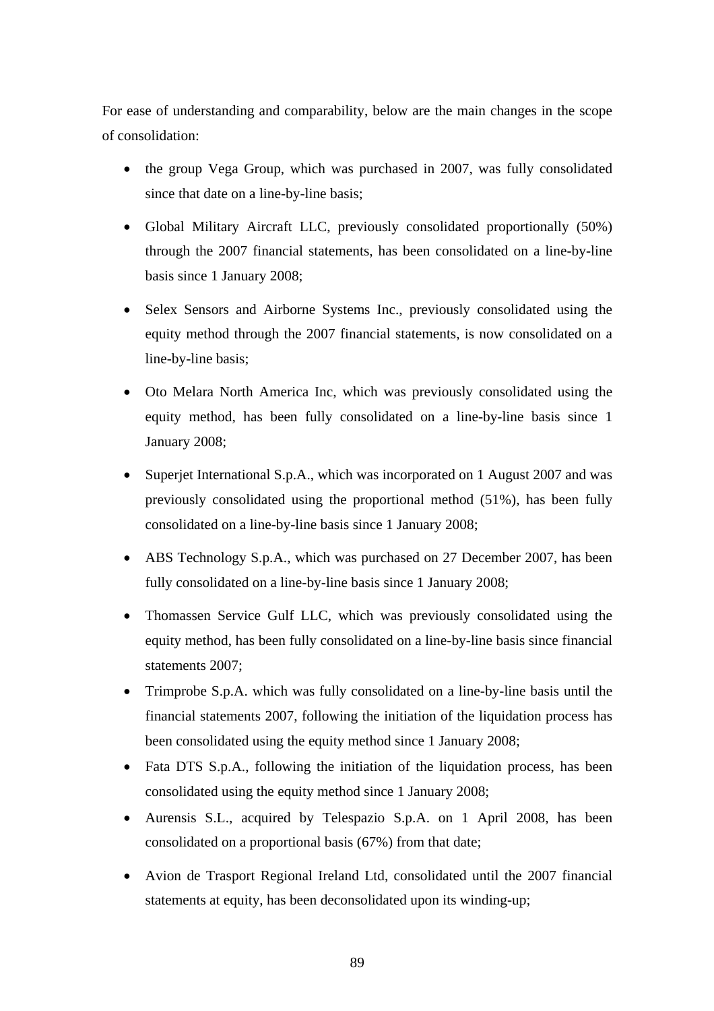For ease of understanding and comparability, below are the main changes in the scope of consolidation:

- the group Vega Group, which was purchased in 2007, was fully consolidated since that date on a line-by-line basis;
- Global Military Aircraft LLC, previously consolidated proportionally (50%) through the 2007 financial statements, has been consolidated on a line-by-line basis since 1 January 2008;
- Selex Sensors and Airborne Systems Inc., previously consolidated using the equity method through the 2007 financial statements, is now consolidated on a line-by-line basis;
- Oto Melara North America Inc, which was previously consolidated using the equity method, has been fully consolidated on a line-by-line basis since 1 January 2008;
- Superjet International S.p.A., which was incorporated on 1 August 2007 and was previously consolidated using the proportional method (51%), has been fully consolidated on a line-by-line basis since 1 January 2008;
- ABS Technology S.p.A., which was purchased on 27 December 2007, has been fully consolidated on a line-by-line basis since 1 January 2008;
- Thomassen Service Gulf LLC, which was previously consolidated using the equity method, has been fully consolidated on a line-by-line basis since financial statements 2007;
- Trimprobe S.p.A. which was fully consolidated on a line-by-line basis until the financial statements 2007, following the initiation of the liquidation process has been consolidated using the equity method since 1 January 2008;
- Fata DTS S.p.A., following the initiation of the liquidation process, has been consolidated using the equity method since 1 January 2008;
- Aurensis S.L., acquired by Telespazio S.p.A. on 1 April 2008, has been consolidated on a proportional basis (67%) from that date;
- Avion de Trasport Regional Ireland Ltd, consolidated until the 2007 financial statements at equity, has been deconsolidated upon its winding-up;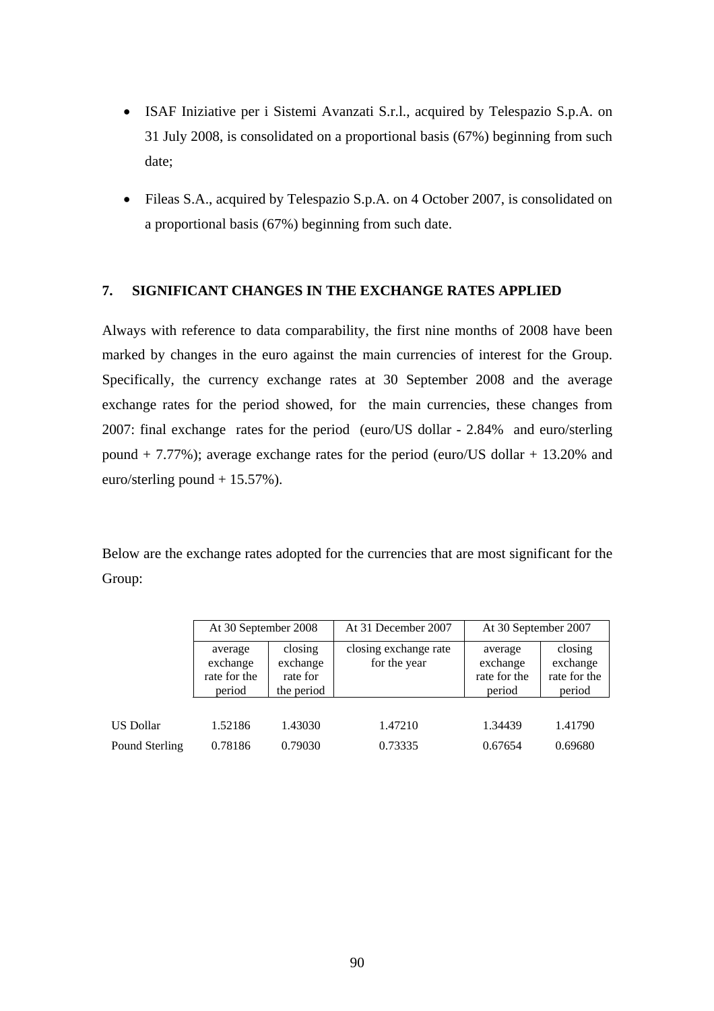- ISAF Iniziative per i Sistemi Avanzati S.r.l., acquired by Telespazio S.p.A. on 31 July 2008, is consolidated on a proportional basis (67%) beginning from such date;
- Fileas S.A., acquired by Telespazio S.p.A. on 4 October 2007, is consolidated on a proportional basis (67%) beginning from such date.

## **7. SIGNIFICANT CHANGES IN THE EXCHANGE RATES APPLIED**

Always with reference to data comparability, the first nine months of 2008 have been marked by changes in the euro against the main currencies of interest for the Group. Specifically, the currency exchange rates at 30 September 2008 and the average exchange rates for the period showed, for the main currencies, these changes from 2007: final exchange rates for the period (euro/US dollar - 2.84% and euro/sterling pound + 7.77%); average exchange rates for the period (euro/US dollar + 13.20% and euro/sterling pound + 15.57%).

Below are the exchange rates adopted for the currencies that are most significant for the Group:

|                | At 30 September 2008                                                                           |         | At 31 December 2007                   | At 30 September 2007                          |                                               |  |
|----------------|------------------------------------------------------------------------------------------------|---------|---------------------------------------|-----------------------------------------------|-----------------------------------------------|--|
|                | closing<br>average<br>exchange<br>exchange<br>rate for the<br>rate for<br>the period<br>period |         | closing exchange rate<br>for the year | average<br>exchange<br>rate for the<br>period | closing<br>exchange<br>rate for the<br>period |  |
|                |                                                                                                |         |                                       |                                               |                                               |  |
| US Dollar      | 1.52186                                                                                        | 1.43030 | 1.47210                               | 1.34439                                       | 1.41790                                       |  |
| Pound Sterling | 0.78186                                                                                        | 0.79030 | 0.73335                               | 0.67654                                       | 0.69680                                       |  |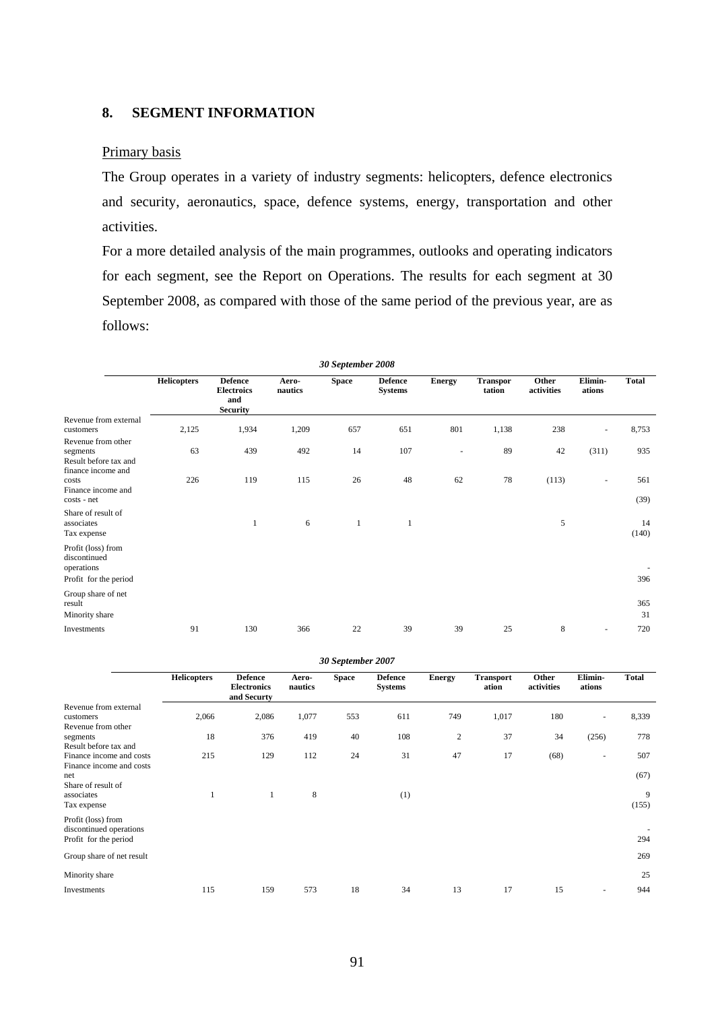# **8. SEGMENT INFORMATION**

## Primary basis

The Group operates in a variety of industry segments: helicopters, defence electronics and security, aeronautics, space, defence systems, energy, transportation and other activities.

For a more detailed analysis of the main programmes, outlooks and operating indicators for each segment, see the Report on Operations. The results for each segment at 30 September 2008, as compared with those of the same period of the previous year, are as follows:

| 30 September 2008                                                             |                    |                                                               |                  |              |                                  |               |                           |                     |                          |              |
|-------------------------------------------------------------------------------|--------------------|---------------------------------------------------------------|------------------|--------------|----------------------------------|---------------|---------------------------|---------------------|--------------------------|--------------|
|                                                                               | <b>Helicopters</b> | <b>Defence</b><br><b>Electroics</b><br>and<br><b>Security</b> | Aero-<br>nautics | <b>Space</b> | <b>Defence</b><br><b>Systems</b> | <b>Energy</b> | <b>Transpor</b><br>tation | Other<br>activities | Elimin-<br>ations        | <b>Total</b> |
| Revenue from external<br>customers                                            | 2,125              | 1,934                                                         | 1,209            | 657          | 651                              | 801           | 1,138                     | 238                 | $\overline{\phantom{a}}$ | 8,753        |
| Revenue from other<br>segments<br>Result before tax and<br>finance income and | 63                 | 439                                                           | 492              | 14           | 107                              | ٠             | 89                        | 42                  | (311)                    | 935          |
| costs<br>Finance income and<br>costs - net                                    | 226                | 119                                                           | 115              | 26           | 48                               | 62            | 78                        | (113)               | $\overline{\phantom{a}}$ | 561<br>(39)  |
| Share of result of<br>associates<br>Tax expense                               |                    | 1                                                             | 6                | $\mathbf{1}$ | 1                                |               |                           | 5                   |                          | 14<br>(140)  |
| Profit (loss) from<br>discontinued<br>operations<br>Profit for the period     |                    |                                                               |                  |              |                                  |               |                           |                     |                          | 396          |
| Group share of net<br>result<br>Minority share                                |                    |                                                               |                  |              |                                  |               |                           |                     |                          | 365<br>31    |
| Investments                                                                   | 91                 | 130                                                           | 366              | 22           | 39                               | 39            | 25                        | 8                   | ÷,                       | 720          |

| 30 September 2007                                                      |                    |                                                     |                  |              |                                  |               |                           |                     |                          |              |
|------------------------------------------------------------------------|--------------------|-----------------------------------------------------|------------------|--------------|----------------------------------|---------------|---------------------------|---------------------|--------------------------|--------------|
|                                                                        | <b>Helicopters</b> | <b>Defence</b><br><b>Electronics</b><br>and Securty | Aero-<br>nautics | <b>Space</b> | <b>Defence</b><br><b>Systems</b> | <b>Energy</b> | <b>Transport</b><br>ation | Other<br>activities | Elimin-<br>ations        | <b>Total</b> |
| Revenue from external                                                  |                    |                                                     |                  |              |                                  |               |                           |                     |                          |              |
| customers                                                              | 2,066              | 2,086                                               | 1,077            | 553          | 611                              | 749           | 1,017                     | 180                 | $\overline{\phantom{a}}$ | 8,339        |
| Revenue from other                                                     |                    |                                                     |                  |              |                                  |               |                           |                     |                          |              |
| segments<br>Result before tax and                                      | 18                 | 376                                                 | 419              | 40           | 108                              | 2             | 37                        | 34                  | (256)                    | 778          |
| Finance income and costs<br>Finance income and costs                   | 215                | 129                                                 | 112              | 24           | 31                               | 47            | 17                        | (68)                | $\sim$                   | 507          |
| net<br>Share of result of                                              |                    |                                                     |                  |              |                                  |               |                           |                     |                          | (67)         |
| associates                                                             | 1                  | 1                                                   | 8                |              | (1)                              |               |                           |                     |                          | 9            |
| Tax expense                                                            |                    |                                                     |                  |              |                                  |               |                           |                     |                          | (155)        |
| Profit (loss) from<br>discontinued operations<br>Profit for the period |                    |                                                     |                  |              |                                  |               |                           |                     |                          | 294          |
|                                                                        |                    |                                                     |                  |              |                                  |               |                           |                     |                          |              |
| Group share of net result                                              |                    |                                                     |                  |              |                                  |               |                           |                     |                          | 269          |
| Minority share                                                         |                    |                                                     |                  |              |                                  |               |                           |                     |                          | 25           |
| Investments                                                            | 115                | 159                                                 | 573              | 18           | 34                               | 13            | 17                        | 15                  |                          | 944          |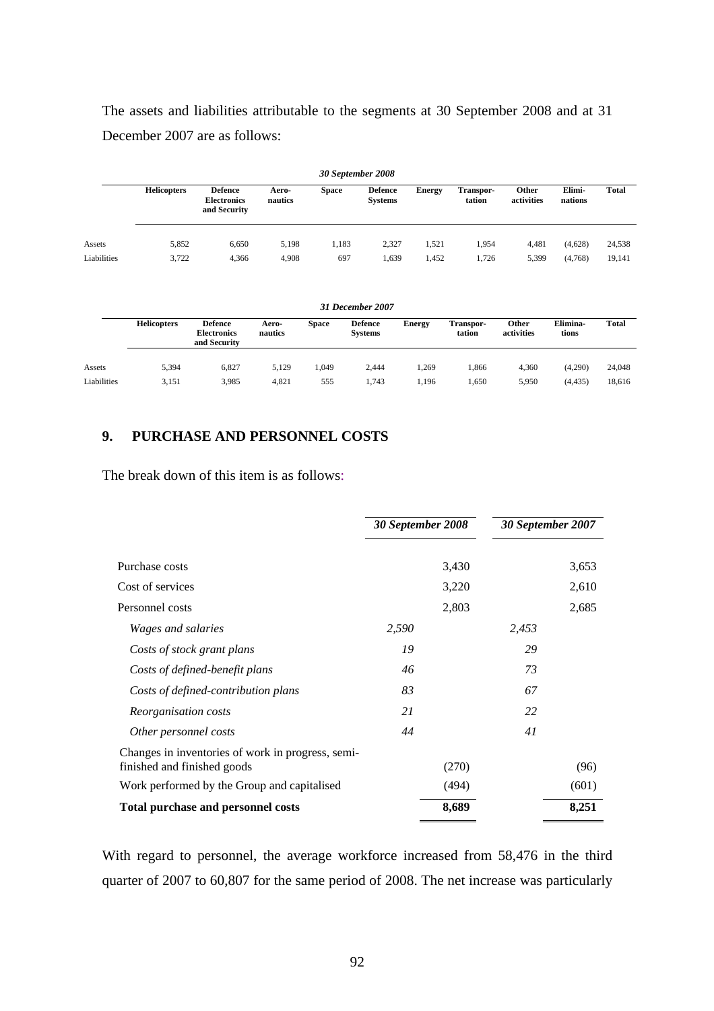The assets and liabilities attributable to the segments at 30 September 2008 and at 31 December 2007 are as follows:

|             | 30 September 2008  |                                                      |                  |              |                                  |               |                            |                     |                   |              |  |
|-------------|--------------------|------------------------------------------------------|------------------|--------------|----------------------------------|---------------|----------------------------|---------------------|-------------------|--------------|--|
|             | <b>Helicopters</b> | <b>Defence</b><br><b>Electronics</b><br>and Security | Aero-<br>nautics | <b>Space</b> | <b>Defence</b><br><b>Systems</b> | <b>Energy</b> | <b>Transpor-</b><br>tation | Other<br>activities | Elimi-<br>nations | <b>Total</b> |  |
| Assets      | 5,852              | 6,650                                                | 5,198            | 1,183        | 2,327                            | 1,521         | 1,954                      | 4.481               | (4,628)           | 24,538       |  |
| Liabilities | 3,722              | 4,366                                                | 4.908            | 697          | 1,639                            | 1,452         | 1.726                      | 5,399               | (4,768)           | 19,141       |  |

| 31 December 2007 |                    |                                                      |                  |              |                                  |               |                            |                     |                   |              |
|------------------|--------------------|------------------------------------------------------|------------------|--------------|----------------------------------|---------------|----------------------------|---------------------|-------------------|--------------|
|                  | <b>Helicopters</b> | <b>Defence</b><br><b>Electronics</b><br>and Security | Aero-<br>nautics | <b>Space</b> | <b>Defence</b><br><b>Systems</b> | <b>Energy</b> | <b>Transpor-</b><br>tation | Other<br>activities | Elimina-<br>tions | <b>Total</b> |
| Assets           | 5.394              | 6.827                                                | 5.129            | 1.049        | 2.444                            | 1.269         | .866                       | 4,360               | (4,290)           | 24,048       |
| Liabilities      | 3,151              | 3,985                                                | 4,821            | 555          | 1,743                            | 1.196         | .650                       | 5,950               | (4, 435)          | 18,616       |

## **9. PURCHASE AND PERSONNEL COSTS**

The break down of this item is as follows:

|                                                                                  | 30 September 2008 |       | 30 September 2007 |       |  |
|----------------------------------------------------------------------------------|-------------------|-------|-------------------|-------|--|
| Purchase costs                                                                   |                   | 3,430 |                   | 3,653 |  |
| Cost of services                                                                 |                   | 3,220 |                   | 2,610 |  |
| Personnel costs                                                                  |                   | 2,803 |                   | 2,685 |  |
| <i>Wages and salaries</i>                                                        | 2,590             |       | 2,453             |       |  |
| Costs of stock grant plans                                                       | 19                |       | 29                |       |  |
| Costs of defined-benefit plans                                                   | 46                |       | 73                |       |  |
| Costs of defined-contribution plans                                              | 83                |       | 67                |       |  |
| Reorganisation costs                                                             | 21                |       | 22                |       |  |
| Other personnel costs                                                            | 44                |       | 41                |       |  |
| Changes in inventories of work in progress, semi-<br>finished and finished goods |                   | (270) |                   | (96)  |  |
| Work performed by the Group and capitalised                                      |                   | (494) |                   | (601) |  |
| <b>Total purchase and personnel costs</b>                                        |                   | 8,689 |                   | 8,251 |  |

With regard to personnel, the average workforce increased from 58,476 in the third quarter of 2007 to 60,807 for the same period of 2008. The net increase was particularly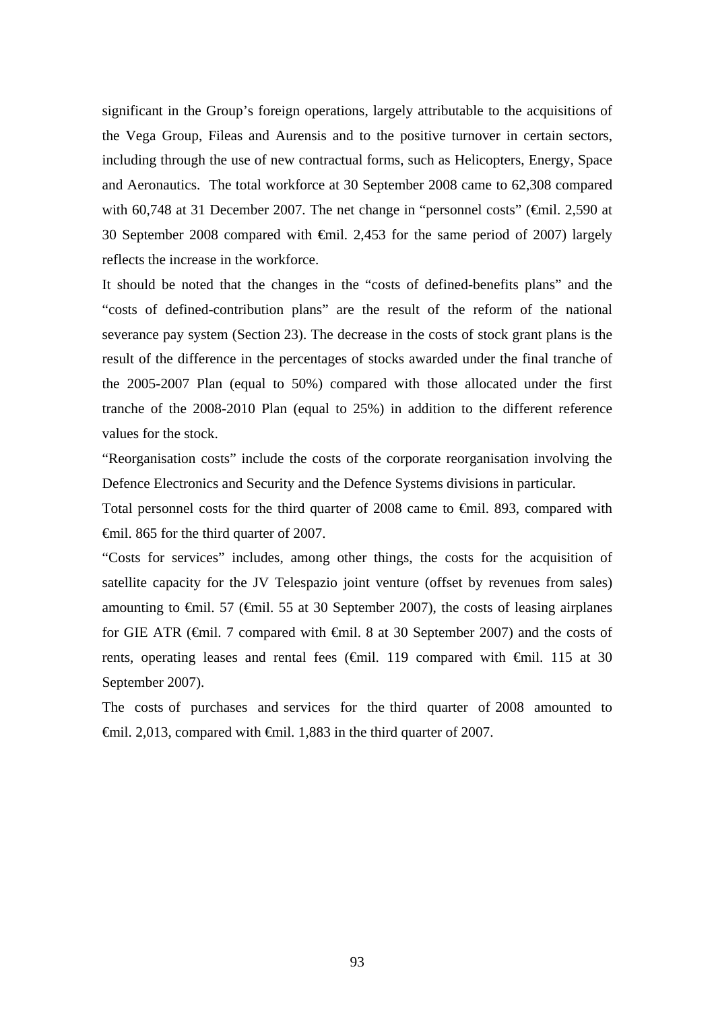significant in the Group's foreign operations, largely attributable to the acquisitions of the Vega Group, Fileas and Aurensis and to the positive turnover in certain sectors, including through the use of new contractual forms, such as Helicopters, Energy, Space and Aeronautics. The total workforce at 30 September 2008 came to 62,308 compared with 60,748 at 31 December 2007. The net change in "personnel costs" (€mil. 2,590 at 30 September 2008 compared with €mil. 2,453 for the same period of 2007) largely reflects the increase in the workforce.

It should be noted that the changes in the "costs of defined-benefits plans" and the "costs of defined-contribution plans" are the result of the reform of the national severance pay system (Section 23). The decrease in the costs of stock grant plans is the result of the difference in the percentages of stocks awarded under the final tranche of the 2005-2007 Plan (equal to 50%) compared with those allocated under the first tranche of the 2008-2010 Plan (equal to 25%) in addition to the different reference values for the stock.

"Reorganisation costs" include the costs of the corporate reorganisation involving the Defence Electronics and Security and the Defence Systems divisions in particular.

Total personnel costs for the third quarter of 2008 came to €mil. 893, compared with €mil. 865 for the third quarter of 2007.

"Costs for services" includes, among other things, the costs for the acquisition of satellite capacity for the JV Telespazio joint venture (offset by revenues from sales) amounting to  $\epsilon$ mil. 57 ( $\epsilon$ mil. 55 at 30 September 2007), the costs of leasing airplanes for GIE ATR (€mil. 7 compared with €mil. 8 at 30 September 2007) and the costs of rents, operating leases and rental fees (€mil. 119 compared with €mil. 115 at 30 September 2007).

The costs of purchases and services for the third quarter of 2008 amounted to  $\theta$ mil. 2,013, compared with  $\theta$ mil. 1,883 in the third quarter of 2007.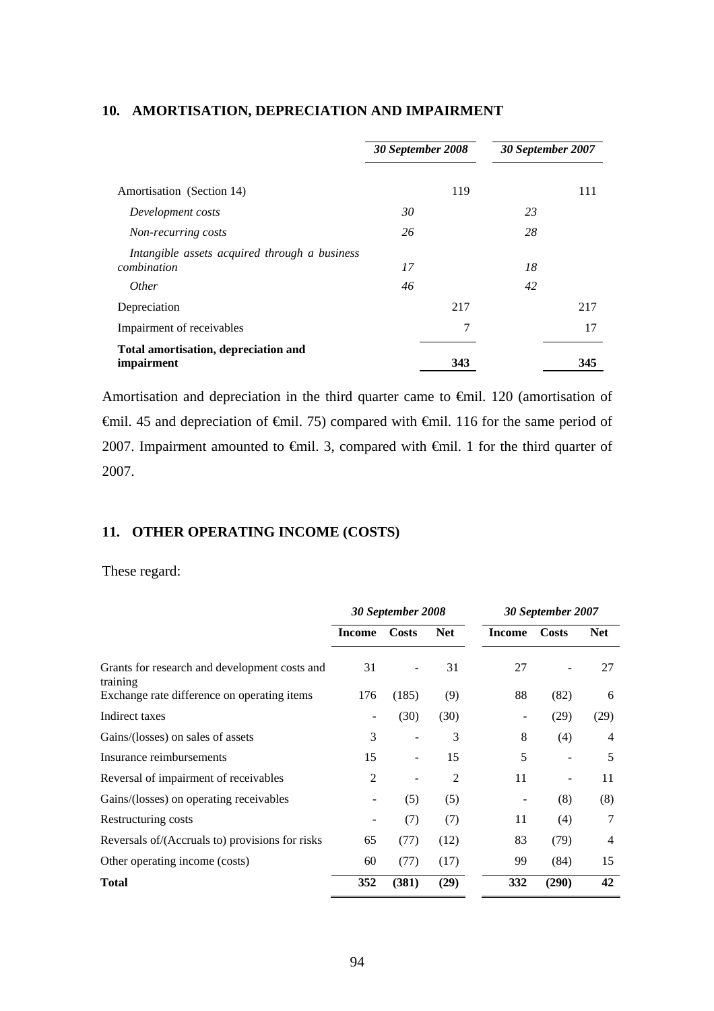|                                               | 30 September 2008 |     | 30 September 2007 |     |  |
|-----------------------------------------------|-------------------|-----|-------------------|-----|--|
|                                               |                   |     |                   |     |  |
| Amortisation (Section 14)                     |                   | 119 |                   | 111 |  |
| Development costs                             | 30                |     | 23                |     |  |
| Non-recurring costs                           | 26                |     | 28                |     |  |
| Intangible assets acquired through a business |                   |     |                   |     |  |
| combination                                   | 17                |     | 18                |     |  |
| <i>Other</i>                                  | 46                |     | 42                |     |  |
| Depreciation                                  |                   | 217 |                   | 217 |  |
| Impairment of receivables                     |                   | 7   |                   | 17  |  |
| Total amortisation, depreciation and          |                   |     |                   |     |  |
| impairment                                    |                   | 343 |                   | 345 |  |

# **10. AMORTISATION, DEPRECIATION AND IMPAIRMENT**

Amortisation and depreciation in the third quarter came to €mil. 120 (amortisation of €mil. 45 and depreciation of €mil. 75) compared with €mil. 116 for the same period of 2007. Impairment amounted to €mil. 3, compared with €mil. 1 for the third quarter of 2007.

# **11. OTHER OPERATING INCOME (COSTS)**

# These regard:

|                                                           | 30 September 2008            |       | 30 September 2007 |               |       |                |
|-----------------------------------------------------------|------------------------------|-------|-------------------|---------------|-------|----------------|
|                                                           | <b>Income</b>                | Costs | <b>Net</b>        | <b>Income</b> | Costs | <b>Net</b>     |
| Grants for research and development costs and<br>training | 31                           |       | 31                | 27            |       | 27             |
| Exchange rate difference on operating items               | 176                          | (185) | (9)               | 88            | (82)  | 6              |
| Indirect taxes                                            | $\qquad \qquad \blacksquare$ | (30)  | (30)              |               | (29)  | (29)           |
| Gains/(losses) on sales of assets                         | 3                            |       | 3                 | 8             | (4)   | 4              |
| Insurance reimbursements                                  | 15                           | -     | 15                | 5             |       | 5              |
| Reversal of impairment of receivables                     | $\overline{2}$               |       | 2                 | 11            | -     | 11             |
| Gains/(losses) on operating receivables                   |                              | (5)   | (5)               |               | (8)   | (8)            |
| Restructuring costs                                       |                              | (7)   | (7)               | 11            | (4)   | 7              |
| Reversals of/(Accruals to) provisions for risks           | 65                           | (77)  | (12)              | 83            | (79)  | $\overline{4}$ |
| Other operating income (costs)                            | 60                           | (77)  | (17)              | 99            | (84)  | 15             |
| Total                                                     | 352                          | (381) | (29)              | 332           | (290) | 42             |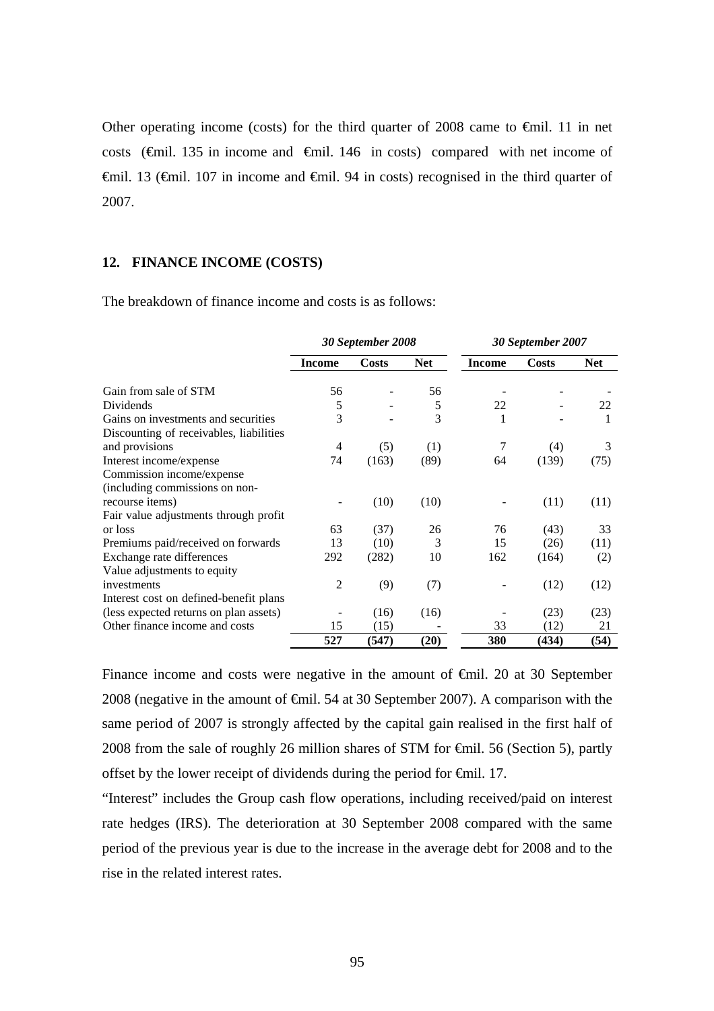Other operating income (costs) for the third quarter of 2008 came to  $\epsilon$ mil. 11 in net costs ( $\theta$ mil. 135 in income and  $\theta$ mil. 146 in costs) compared with net income of €mil. 13 (€mil. 107 in income and €mil. 94 in costs) recognised in the third quarter of 2007.

#### **12. FINANCE INCOME (COSTS)**

The breakdown of finance income and costs is as follows:

|                                         | 30 September 2008 |       |            | 30 September 2007 |              |            |
|-----------------------------------------|-------------------|-------|------------|-------------------|--------------|------------|
|                                         | <b>Income</b>     | Costs | <b>Net</b> | <b>Income</b>     | <b>Costs</b> | <b>Net</b> |
| Gain from sale of STM                   | 56                |       | 56         |                   |              |            |
| <b>Dividends</b>                        | 5                 |       | 5          | 22                |              | 22         |
| Gains on investments and securities     | 3                 |       | 3          | 1                 |              | 1          |
| Discounting of receivables, liabilities |                   |       |            |                   |              |            |
| and provisions                          | 4                 | (5)   | (1)        | 7                 | (4)          | 3          |
| Interest income/expense                 | 74                | (163) | (89)       | 64                | (139)        | (75)       |
| Commission income/expense               |                   |       |            |                   |              |            |
| (including commissions on non-          |                   |       |            |                   |              |            |
| recourse items)                         |                   | (10)  | (10)       |                   | (11)         | (11)       |
| Fair value adjustments through profit   |                   |       |            |                   |              |            |
| or loss                                 | 63                | (37)  | 26         | 76                | (43)         | 33         |
| Premiums paid/received on forwards      | 13                | (10)  | 3          | 15                | (26)         | (11)       |
| Exchange rate differences               | 292               | (282) | 10         | 162               | (164)        | (2)        |
| Value adjustments to equity             |                   |       |            |                   |              |            |
| investments                             | $\overline{2}$    | (9)   | (7)        |                   | (12)         | (12)       |
| Interest cost on defined-benefit plans  |                   |       |            |                   |              |            |
| (less expected returns on plan assets)  |                   | (16)  | (16)       |                   | (23)         | (23)       |
| Other finance income and costs          | 15                | (15)  |            | 33                | (12)         | 21         |
|                                         | 527               | (547) | (20)       | 380               | (434)        | (54)       |

Finance income and costs were negative in the amount of €mil. 20 at 30 September 2008 (negative in the amount of €mil. 54 at 30 September 2007). A comparison with the same period of 2007 is strongly affected by the capital gain realised in the first half of 2008 from the sale of roughly 26 million shares of STM for €mil. 56 (Section 5), partly offset by the lower receipt of dividends during the period for €mil. 17.

"Interest" includes the Group cash flow operations, including received/paid on interest rate hedges (IRS). The deterioration at 30 September 2008 compared with the same period of the previous year is due to the increase in the average debt for 2008 and to the rise in the related interest rates.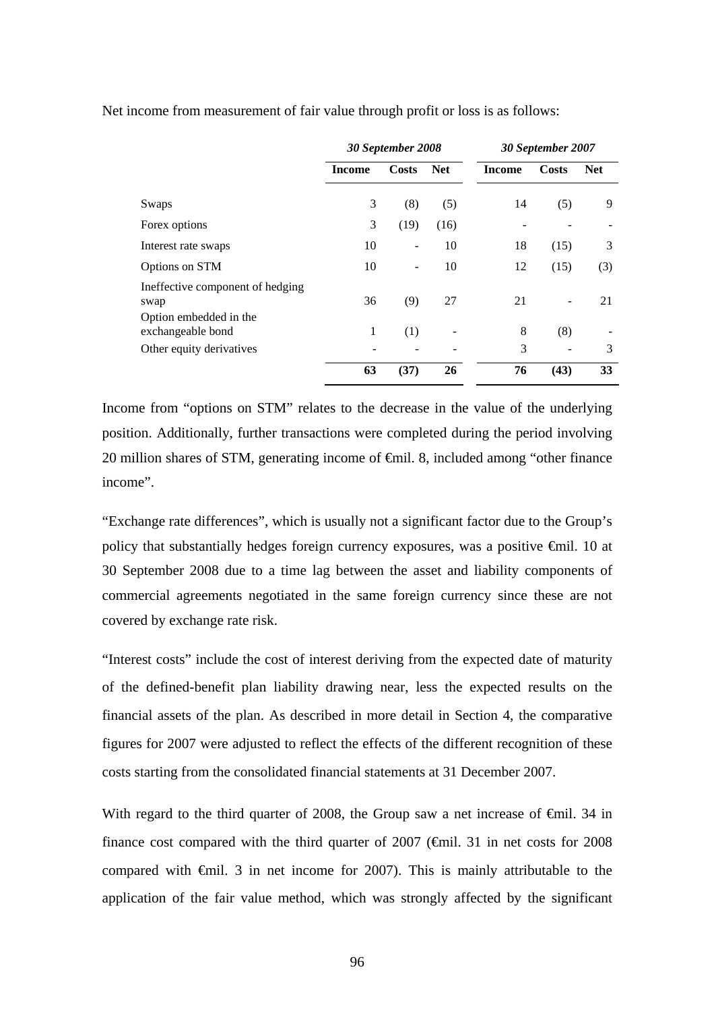|                                             | 30 September 2008 |                | 30 September 2007 |        |       |            |
|---------------------------------------------|-------------------|----------------|-------------------|--------|-------|------------|
|                                             | <b>Income</b>     | <b>Costs</b>   | <b>Net</b>        | Income | Costs | <b>Net</b> |
| Swaps                                       | 3                 | (8)            | (5)               | 14     | (5)   | 9          |
| Forex options                               | 3                 | (19)           | (16)              |        |       |            |
| Interest rate swaps                         | 10                | $\overline{a}$ | 10                | 18     | (15)  | 3          |
| Options on STM                              | 10                | ۰              | 10                | 12     | (15)  | (3)        |
| Ineffective component of hedging<br>swap    | 36                | (9)            | 27                | 21     |       | 21         |
| Option embedded in the<br>exchangeable bond | 1                 | (1)            |                   | 8      | (8)   |            |
| Other equity derivatives                    |                   |                |                   | 3      |       | 3          |
|                                             | 63                | (37)           | 26                | 76     | (43)  | 33         |

Net income from measurement of fair value through profit or loss is as follows:

Income from "options on STM" relates to the decrease in the value of the underlying position. Additionally, further transactions were completed during the period involving 20 million shares of STM, generating income of €mil. 8, included among "other finance income".

"Exchange rate differences", which is usually not a significant factor due to the Group's policy that substantially hedges foreign currency exposures, was a positive €mil. 10 at 30 September 2008 due to a time lag between the asset and liability components of commercial agreements negotiated in the same foreign currency since these are not covered by exchange rate risk.

"Interest costs" include the cost of interest deriving from the expected date of maturity of the defined-benefit plan liability drawing near, less the expected results on the financial assets of the plan. As described in more detail in Section 4, the comparative figures for 2007 were adjusted to reflect the effects of the different recognition of these costs starting from the consolidated financial statements at 31 December 2007.

With regard to the third quarter of 2008, the Group saw a net increase of  $\epsilon$ mil. 34 in finance cost compared with the third quarter of  $2007$  ( $\epsilon$ mil. 31 in net costs for 2008 compared with €mil. 3 in net income for 2007). This is mainly attributable to the application of the fair value method, which was strongly affected by the significant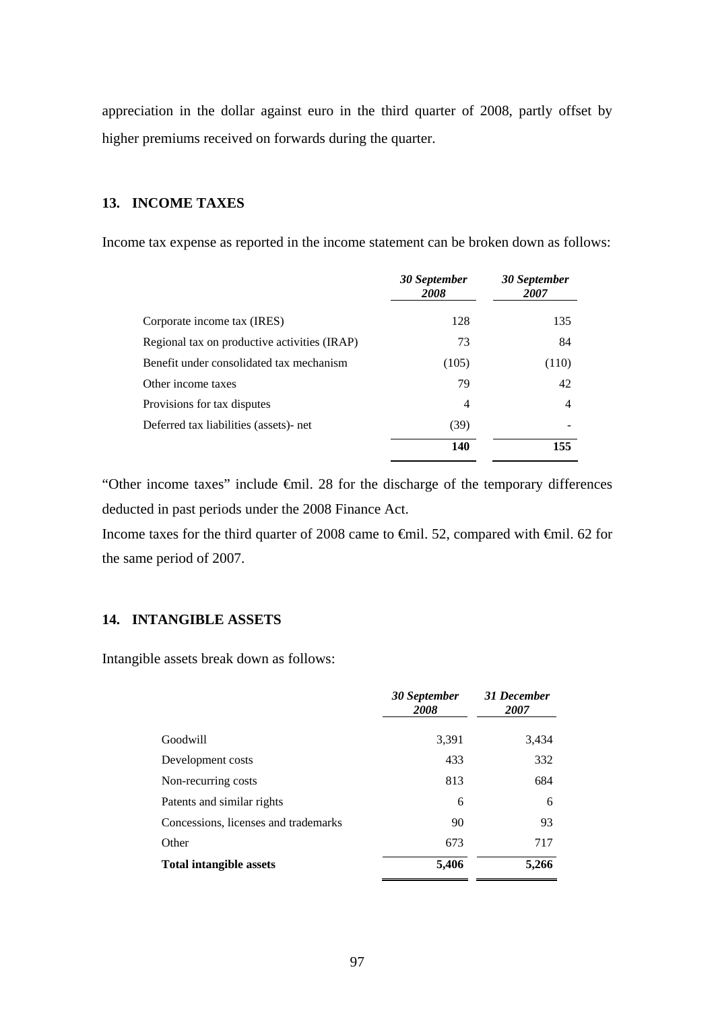appreciation in the dollar against euro in the third quarter of 2008, partly offset by higher premiums received on forwards during the quarter.

# **13. INCOME TAXES**

Income tax expense as reported in the income statement can be broken down as follows:

|                                              | 30 September<br>2008 | 30 September<br>2007 |
|----------------------------------------------|----------------------|----------------------|
| Corporate income tax (IRES)                  | 128                  | 135                  |
| Regional tax on productive activities (IRAP) | 73                   | 84                   |
| Benefit under consolidated tax mechanism     | (105)                | (110)                |
| Other income taxes                           | 79                   | 42                   |
| Provisions for tax disputes                  | 4                    | 4                    |
| Deferred tax liabilities (assets)- net       | (39)                 |                      |
|                                              | 140                  | 155                  |

"Other income taxes" include €mil. 28 for the discharge of the temporary differences deducted in past periods under the 2008 Finance Act.

Income taxes for the third quarter of 2008 came to €mil. 52, compared with €mil. 62 for the same period of 2007.

# **14. INTANGIBLE ASSETS**

Intangible assets break down as follows:

|                                      | 30 September<br>2008 | 31 December<br>2007 |
|--------------------------------------|----------------------|---------------------|
| Goodwill                             | 3,391                | 3,434               |
| Development costs                    | 433                  | 332                 |
| Non-recurring costs                  | 813                  | 684                 |
| Patents and similar rights           | 6                    | 6                   |
| Concessions, licenses and trademarks | 90                   | 93                  |
| Other                                | 673                  | 717                 |
| <b>Total intangible assets</b>       | 5,406                | 5,266               |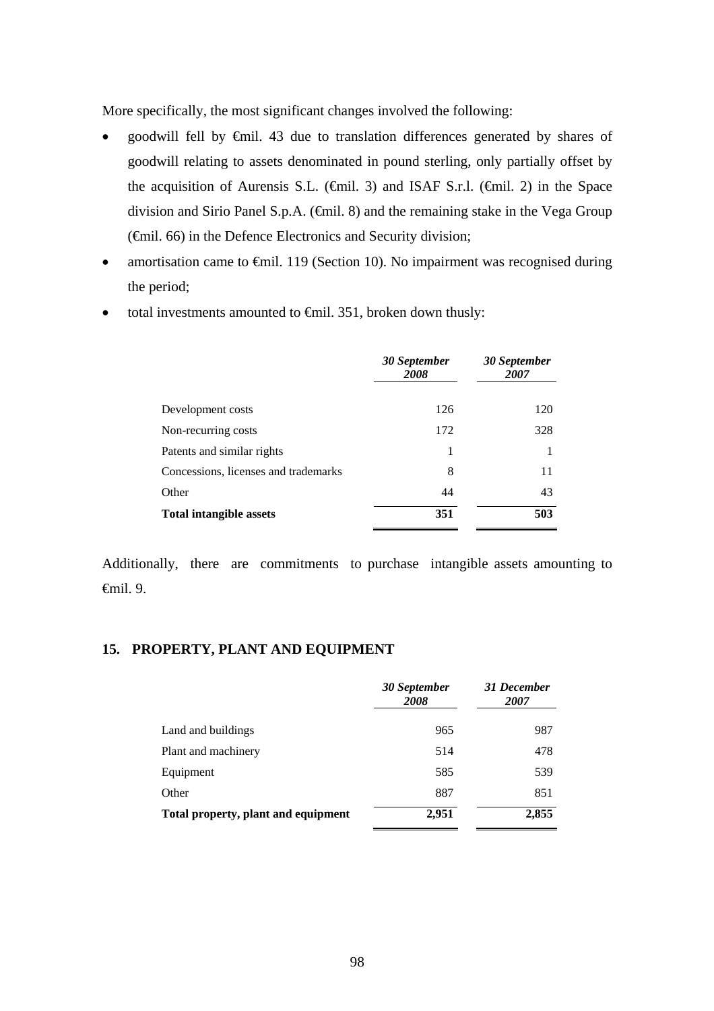More specifically, the most significant changes involved the following:

- goodwill fell by €mil. 43 due to translation differences generated by shares of goodwill relating to assets denominated in pound sterling, only partially offset by the acquisition of Aurensis S.L. ( $\epsilon$ mil. 3) and ISAF S.r.l. ( $\epsilon$ mil. 2) in the Space division and Sirio Panel S.p.A. (€mil. 8) and the remaining stake in the Vega Group (€mil. 66) in the Defence Electronics and Security division;
- amortisation came to  $\oplus$ mil. 119 (Section 10). No impairment was recognised during the period;
- total investments amounted to  $\epsilon$ mil. 351, broken down thusly:

|                                      | 30 September<br>2008 | 30 September<br>2007 |
|--------------------------------------|----------------------|----------------------|
| Development costs                    | 126                  | 120                  |
| Non-recurring costs                  | 172                  | 328                  |
| Patents and similar rights           | 1                    |                      |
| Concessions, licenses and trademarks | 8                    | 11                   |
| Other                                | 44                   | 43                   |
| <b>Total intangible assets</b>       | 351                  | 503                  |

Additionally, there are commitments to purchase intangible assets amounting to €mil. 9.

## **15. PROPERTY, PLANT AND EQUIPMENT**

|                                     | 30 September<br>2008 | 31 December<br>2007 |
|-------------------------------------|----------------------|---------------------|
| Land and buildings                  | 965                  | 987                 |
| Plant and machinery                 | 514                  | 478                 |
| Equipment                           | 585                  | 539                 |
| Other                               | 887                  | 851                 |
| Total property, plant and equipment | 2,951                | 2,855               |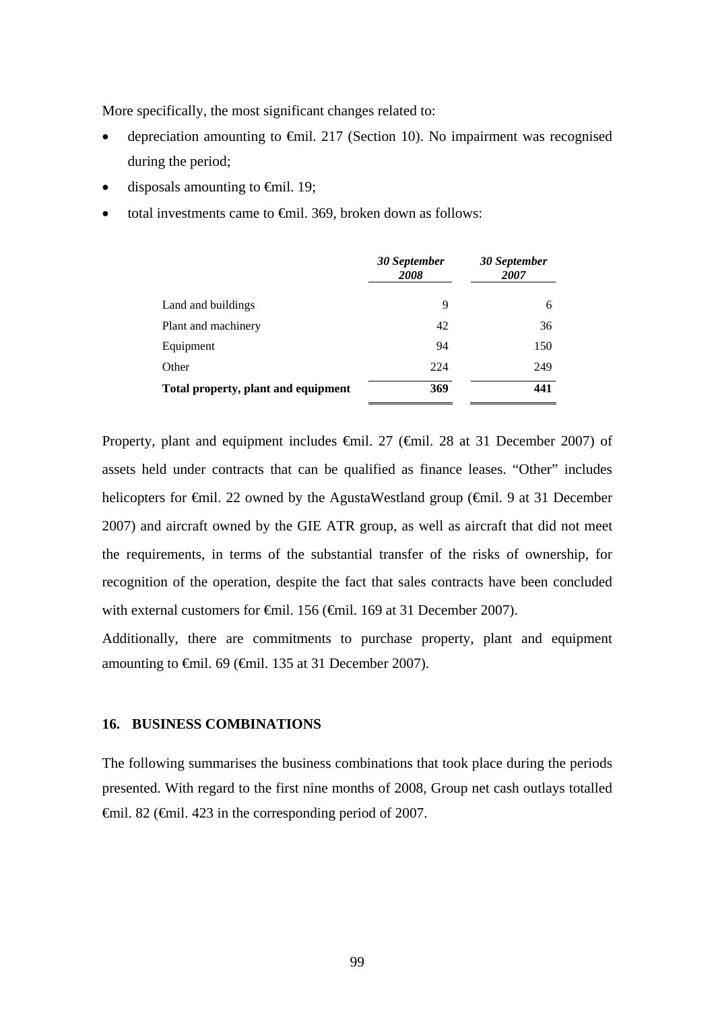More specifically, the most significant changes related to:

- depreciation amounting to  $\epsilon$ mil. 217 (Section 10). No impairment was recognised during the period;
- disposals amounting to  $\epsilon$ mil. 19;
- total investments came to €mil. 369, broken down as follows:

|                                     | 30 September<br>2008 | 30 September<br>2007 |
|-------------------------------------|----------------------|----------------------|
| Land and buildings                  | 9                    | 6                    |
| Plant and machinery                 | 42                   | 36                   |
| Equipment                           | 94                   | 150                  |
| Other                               | 224                  | 249                  |
| Total property, plant and equipment | 369                  | 441                  |

Property, plant and equipment includes €mil. 27 (€mil. 28 at 31 December 2007) of assets held under contracts that can be qualified as finance leases. "Other" includes helicopters for €mil. 22 owned by the AgustaWestland group (€mil. 9 at 31 December 2007) and aircraft owned by the GIE ATR group, as well as aircraft that did not meet the requirements, in terms of the substantial transfer of the risks of ownership, for recognition of the operation, despite the fact that sales contracts have been concluded with external customers for <del>€</del>mil. 156 (€mil. 169 at 31 December 2007).

Additionally, there are commitments to purchase property, plant and equipment amounting to  $\theta$ mil. 69 ( $\theta$ mil. 135 at 31 December 2007).

### **16. BUSINESS COMBINATIONS**

The following summarises the business combinations that took place during the periods presented. With regard to the first nine months of 2008, Group net cash outlays totalled €mil. 82 (€mil. 423 in the corresponding period of 2007.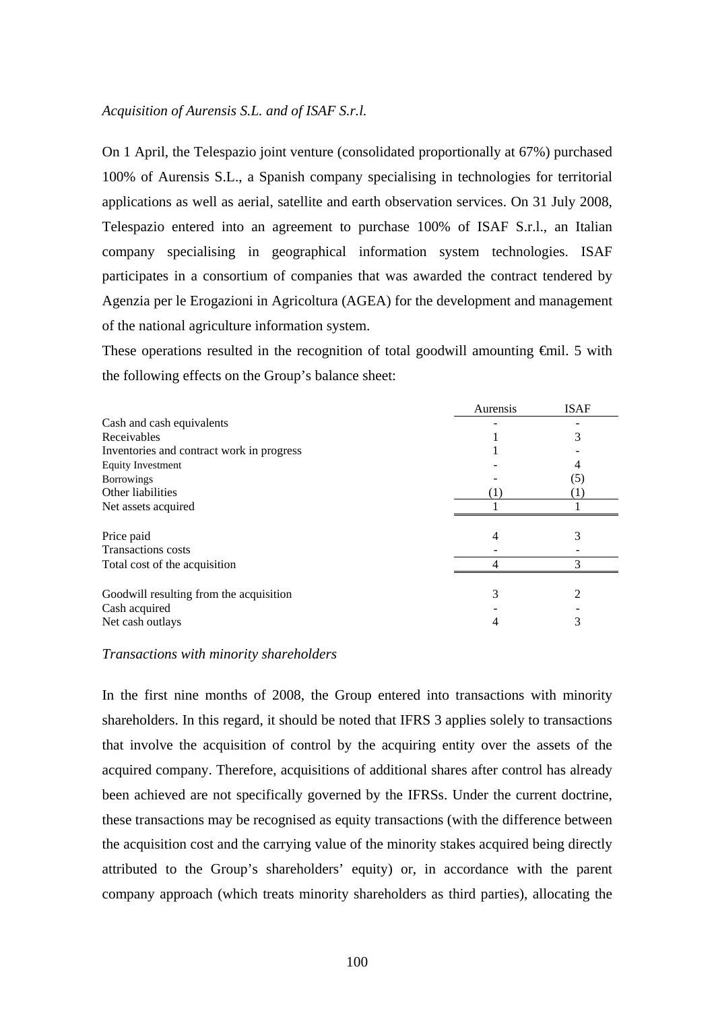## *Acquisition of Aurensis S.L. and of ISAF S.r.l.*

On 1 April, the Telespazio joint venture (consolidated proportionally at 67%) purchased 100% of Aurensis S.L., a Spanish company specialising in technologies for territorial applications as well as aerial, satellite and earth observation services. On 31 July 2008, Telespazio entered into an agreement to purchase 100% of ISAF S.r.l., an Italian company specialising in geographical information system technologies. ISAF participates in a consortium of companies that was awarded the contract tendered by Agenzia per le Erogazioni in Agricoltura (AGEA) for the development and management of the national agriculture information system.

These operations resulted in the recognition of total goodwill amounting <del>€</del>mil. 5 with the following effects on the Group's balance sheet:

|                                           | Aurensis | <b>ISAF</b> |
|-------------------------------------------|----------|-------------|
| Cash and cash equivalents                 |          |             |
| Receivables                               |          | 3           |
| Inventories and contract work in progress |          |             |
| <b>Equity Investment</b>                  |          | 4           |
| <b>Borrowings</b>                         |          | (5)         |
| Other liabilities                         |          | (1)         |
| Net assets acquired                       |          |             |
| Price paid                                | 4        | 3           |
| <b>Transactions</b> costs                 |          |             |
| Total cost of the acquisition             |          |             |
| Goodwill resulting from the acquisition   | 3        |             |
| Cash acquired                             |          |             |
| Net cash outlays                          |          |             |

#### *Transactions with minority shareholders*

In the first nine months of 2008, the Group entered into transactions with minority shareholders. In this regard, it should be noted that IFRS 3 applies solely to transactions that involve the acquisition of control by the acquiring entity over the assets of the acquired company. Therefore, acquisitions of additional shares after control has already been achieved are not specifically governed by the IFRSs. Under the current doctrine, these transactions may be recognised as equity transactions (with the difference between the acquisition cost and the carrying value of the minority stakes acquired being directly attributed to the Group's shareholders' equity) or, in accordance with the parent company approach (which treats minority shareholders as third parties), allocating the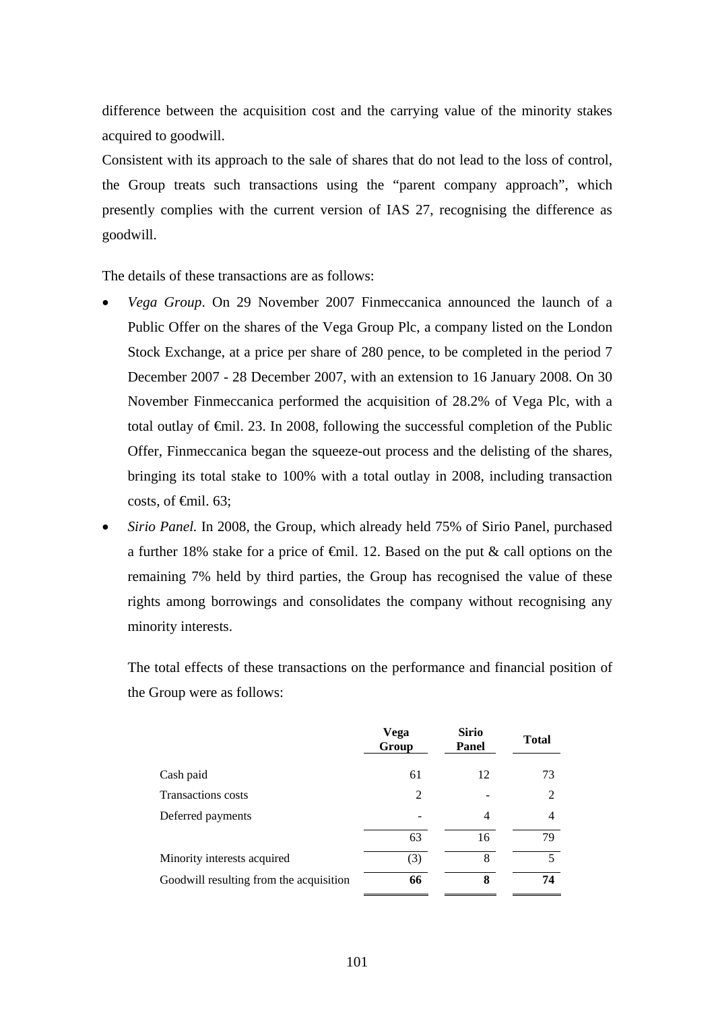difference between the acquisition cost and the carrying value of the minority stakes acquired to goodwill.

Consistent with its approach to the sale of shares that do not lead to the loss of control, the Group treats such transactions using the "parent company approach", which presently complies with the current version of IAS 27, recognising the difference as goodwill.

The details of these transactions are as follows:

- *Vega Group*. On 29 November 2007 Finmeccanica announced the launch of a Public Offer on the shares of the Vega Group Plc, a company listed on the London Stock Exchange, at a price per share of 280 pence, to be completed in the period 7 December 2007 - 28 December 2007, with an extension to 16 January 2008. On 30 November Finmeccanica performed the acquisition of 28.2% of Vega Plc, with a total outlay of €mil. 23. In 2008, following the successful completion of the Public Offer, Finmeccanica began the squeeze-out process and the delisting of the shares, bringing its total stake to 100% with a total outlay in 2008, including transaction costs, of  $\epsilon$ mil. 63;
- *Sirio Panel.* In 2008, the Group, which already held 75% of Sirio Panel, purchased a further 18% stake for a price of  $\epsilon$ mil. 12. Based on the put & call options on the remaining 7% held by third parties, the Group has recognised the value of these rights among borrowings and consolidates the company without recognising any minority interests.

The total effects of these transactions on the performance and financial position of the Group were as follows:

|                                         | Vega<br>Group | <b>Sirio</b><br>Panel | <b>Total</b> |
|-----------------------------------------|---------------|-----------------------|--------------|
| Cash paid                               | 61            | 12                    | 73           |
| <b>Transactions</b> costs               | 2             |                       | 2            |
| Deferred payments                       |               | 4                     | 4            |
|                                         | 63            | 16                    | 79           |
| Minority interests acquired             | (3)           | 8                     | 5            |
| Goodwill resulting from the acquisition | 66            | 8                     | 74           |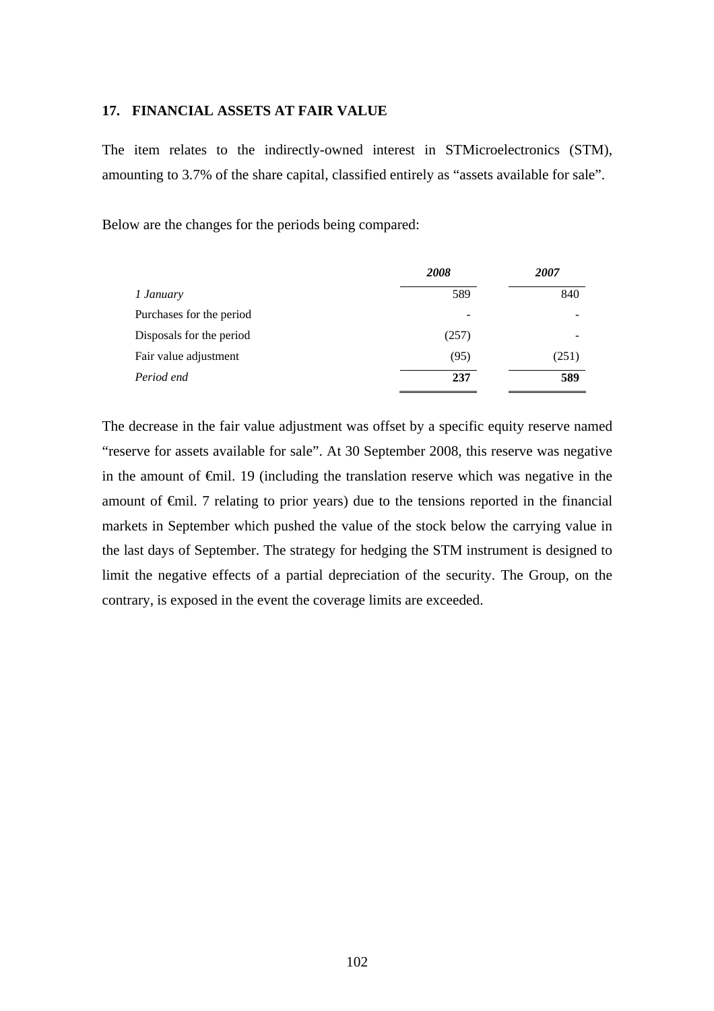#### **17. FINANCIAL ASSETS AT FAIR VALUE**

The item relates to the indirectly-owned interest in STMicroelectronics (STM), amounting to 3.7% of the share capital, classified entirely as "assets available for sale".

Below are the changes for the periods being compared:

|                          | 2008  | 2007  |
|--------------------------|-------|-------|
| 1 January                | 589   | 840   |
| Purchases for the period |       |       |
| Disposals for the period | (257) |       |
| Fair value adjustment    | (95)  | (251) |
| Period end               | 237   | 589   |

The decrease in the fair value adjustment was offset by a specific equity reserve named "reserve for assets available for sale". At 30 September 2008, this reserve was negative in the amount of €mil. 19 (including the translation reserve which was negative in the amount of €mil. 7 relating to prior years) due to the tensions reported in the financial markets in September which pushed the value of the stock below the carrying value in the last days of September. The strategy for hedging the STM instrument is designed to limit the negative effects of a partial depreciation of the security. The Group, on the contrary, is exposed in the event the coverage limits are exceeded.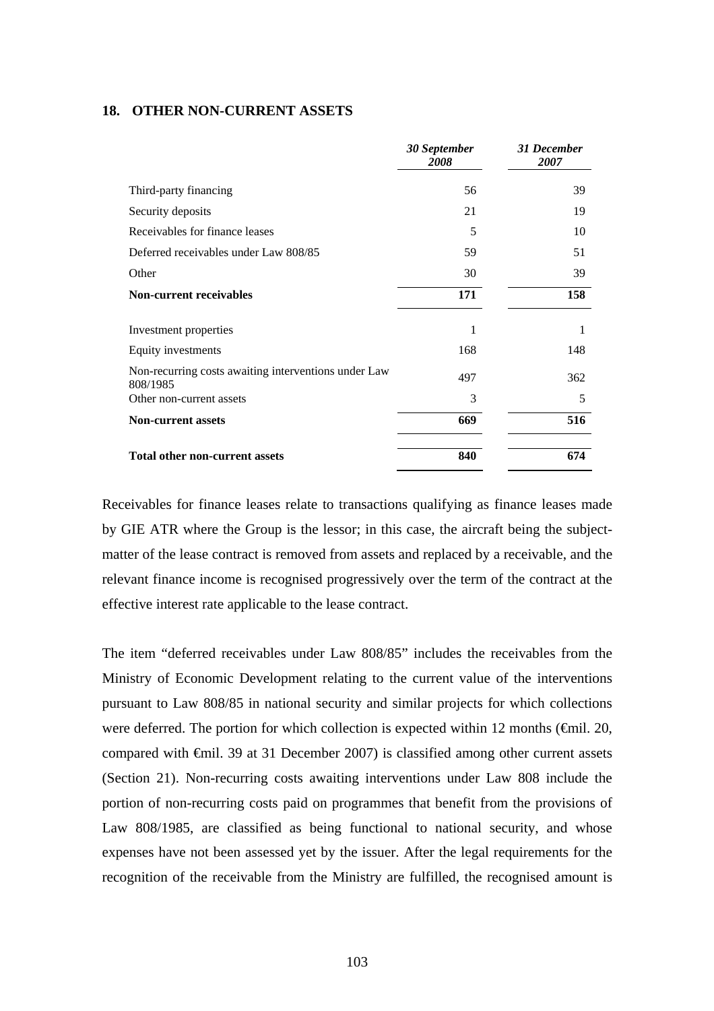### **18. OTHER NON-CURRENT ASSETS**

|                                                                  | 30 September<br>2008 | 31 December<br>2007 |
|------------------------------------------------------------------|----------------------|---------------------|
| Third-party financing                                            | 56                   | 39                  |
| Security deposits                                                | 21                   | 19                  |
| Receivables for finance leases                                   | 5                    | 10                  |
| Deferred receivables under Law 808/85                            | 59                   | 51                  |
| Other                                                            | 30                   | 39                  |
| <b>Non-current receivables</b>                                   | 171                  | 158                 |
| Investment properties                                            | 1                    |                     |
| Equity investments                                               | 168                  | 148                 |
| Non-recurring costs awaiting interventions under Law<br>808/1985 | 497                  | 362                 |
| Other non-current assets                                         | 3                    | 5                   |
| <b>Non-current assets</b>                                        | 669                  | 516                 |
| <b>Total other non-current assets</b>                            | 840                  | 674                 |

Receivables for finance leases relate to transactions qualifying as finance leases made by GIE ATR where the Group is the lessor; in this case, the aircraft being the subjectmatter of the lease contract is removed from assets and replaced by a receivable, and the relevant finance income is recognised progressively over the term of the contract at the effective interest rate applicable to the lease contract.

The item "deferred receivables under Law 808/85" includes the receivables from the Ministry of Economic Development relating to the current value of the interventions pursuant to Law 808/85 in national security and similar projects for which collections were deferred. The portion for which collection is expected within 12 months ( $\epsilon$ mil. 20, compared with €mil. 39 at 31 December 2007) is classified among other current assets (Section 21). Non-recurring costs awaiting interventions under Law 808 include the portion of non-recurring costs paid on programmes that benefit from the provisions of Law 808/1985, are classified as being functional to national security, and whose expenses have not been assessed yet by the issuer. After the legal requirements for the recognition of the receivable from the Ministry are fulfilled, the recognised amount is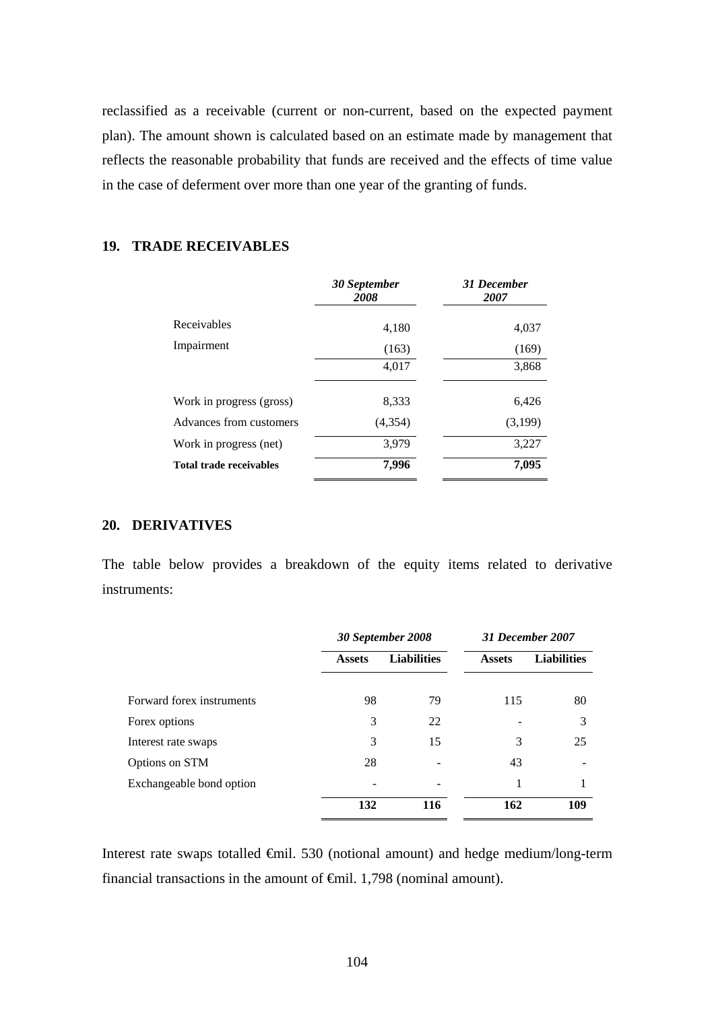reclassified as a receivable (current or non-current, based on the expected payment plan). The amount shown is calculated based on an estimate made by management that reflects the reasonable probability that funds are received and the effects of time value in the case of deferment over more than one year of the granting of funds.

# **19. TRADE RECEIVABLES**

|                                | 30 September<br>2008 | 31 December<br>2007 |
|--------------------------------|----------------------|---------------------|
| Receivables                    | 4,180                | 4,037               |
| Impairment                     | (163)                | (169)               |
|                                | 4,017                | 3,868               |
| Work in progress (gross)       | 8,333                | 6,426               |
| Advances from customers        | (4,354)              | (3,199)             |
| Work in progress (net)         | 3,979                | 3,227               |
| <b>Total trade receivables</b> | 7,996                | 7,095               |

## **20. DERIVATIVES**

The table below provides a breakdown of the equity items related to derivative instruments:

|                           |               | 30 September 2008  | 31 December 2007 |                    |  |
|---------------------------|---------------|--------------------|------------------|--------------------|--|
|                           | <b>Assets</b> | <b>Liabilities</b> | <b>Assets</b>    | <b>Liabilities</b> |  |
| Forward forex instruments | 98            | 79                 | 115              | 80                 |  |
| Forex options             | 3             | 22                 |                  | 3                  |  |
| Interest rate swaps       | 3             | 15                 | 3                | 25                 |  |
| Options on STM            | 28            |                    | 43               |                    |  |
| Exchangeable bond option  |               |                    | 1                |                    |  |
|                           | 132           | 116                | 162              | 109                |  |

Interest rate swaps totalled €mil. 530 (notional amount) and hedge medium/long-term financial transactions in the amount of  $\oplus$ mil. 1,798 (nominal amount).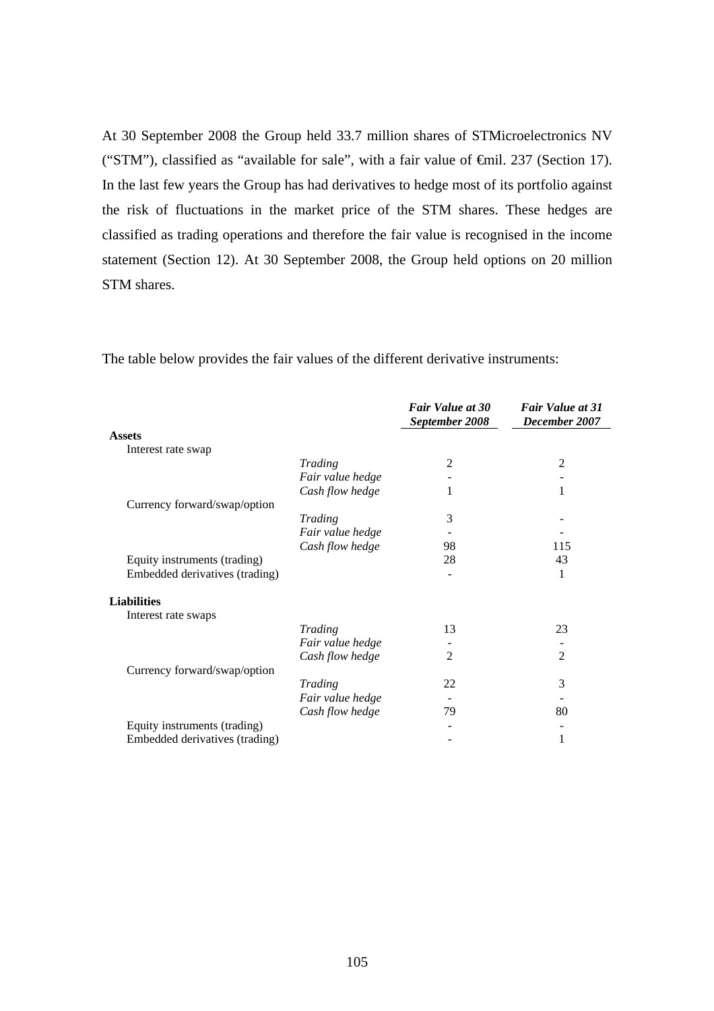At 30 September 2008 the Group held 33.7 million shares of STMicroelectronics NV ("STM"), classified as "available for sale", with a fair value of €mil. 237 (Section 17). In the last few years the Group has had derivatives to hedge most of its portfolio against the risk of fluctuations in the market price of the STM shares. These hedges are classified as trading operations and therefore the fair value is recognised in the income statement (Section 12). At 30 September 2008, the Group held options on 20 million STM shares.

 *Fair Value at 30 September 2008 Fair Value at 31 December 2007*  **Assets**  Interest rate swap *Trading* 2 2 *Fair value hedge* - - *Cash flow hedge* 1 1 Currency forward/swap/option *Trading* 3 - *Fair value hedge* - - *Cash flow hedge* 98 115 Equity instruments (trading) 28 28 43 Embedded derivatives (trading)  $\qquad \qquad$  1 **Liabilities**  Interest rate swaps *Trading* 13 23 *Fair value hedge* - - *Cash flow hedge* 2 2 Currency forward/swap/option *Trading* 22 3  $Fair value hedge$ *Cash flow hedge* 79 80 Equity instruments (trading) - - Embedded derivatives (trading) and the state of the 1 and 1 and 1 and 1 and 1 and 1 and 1 and 1 and 1 and 1 and 1 and 1 and 1 and 1 and 1 and 1 and 1 and 1 and 1 and 1 and 1 and 1 and 1 and 1 and 1 and 1 and 1 and 1 and 1

The table below provides the fair values of the different derivative instruments: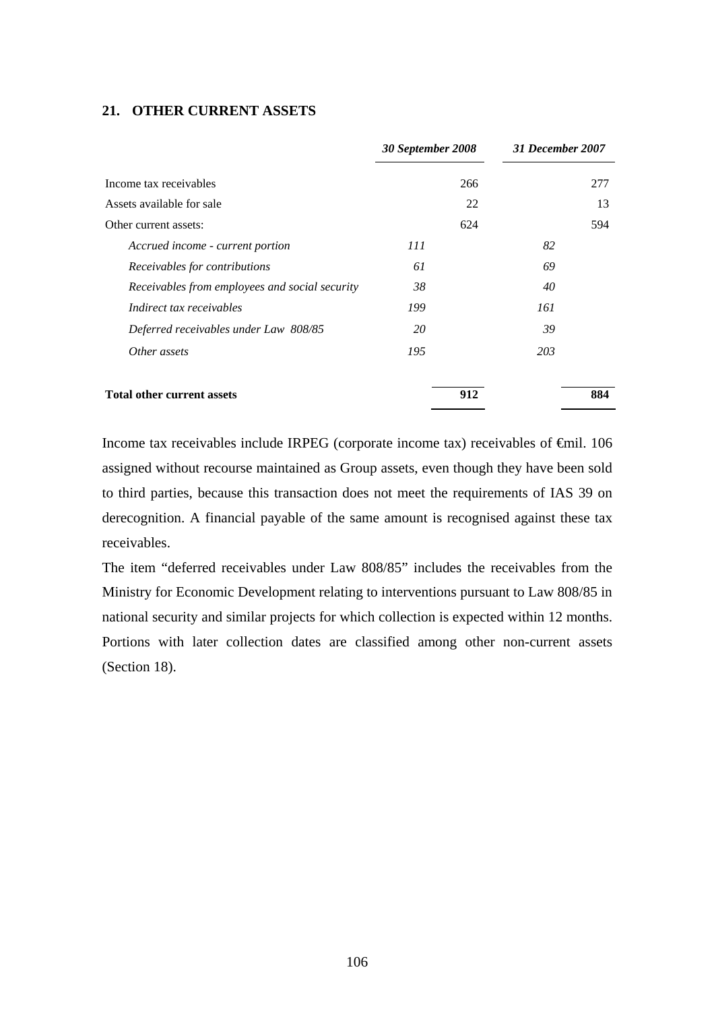## **21. OTHER CURRENT ASSETS**

|                                                | 30 September 2008 |     | 31 December 2007 |     |
|------------------------------------------------|-------------------|-----|------------------|-----|
| Income tax receivables                         |                   | 266 |                  | 277 |
| Assets available for sale                      |                   | 22  |                  | 13  |
| Other current assets:                          |                   | 624 |                  | 594 |
| Accrued income - current portion               | 111               |     | 82               |     |
| Receivables for contributions                  | 61                |     | 69               |     |
| Receivables from employees and social security | 38                |     | 40               |     |
| Indirect tax receivables                       | 199               |     | 161              |     |
| Deferred receivables under Law 808/85          | 20                |     | 39               |     |
| Other assets                                   | 195               |     | 203              |     |
| <b>Total other current assets</b>              |                   | 912 |                  | 884 |

Income tax receivables include IRPEG (corporate income tax) receivables of €mil. 106 assigned without recourse maintained as Group assets, even though they have been sold to third parties, because this transaction does not meet the requirements of IAS 39 on derecognition. A financial payable of the same amount is recognised against these tax receivables.

The item "deferred receivables under Law 808/85" includes the receivables from the Ministry for Economic Development relating to interventions pursuant to Law 808/85 in national security and similar projects for which collection is expected within 12 months. Portions with later collection dates are classified among other non-current assets (Section 18).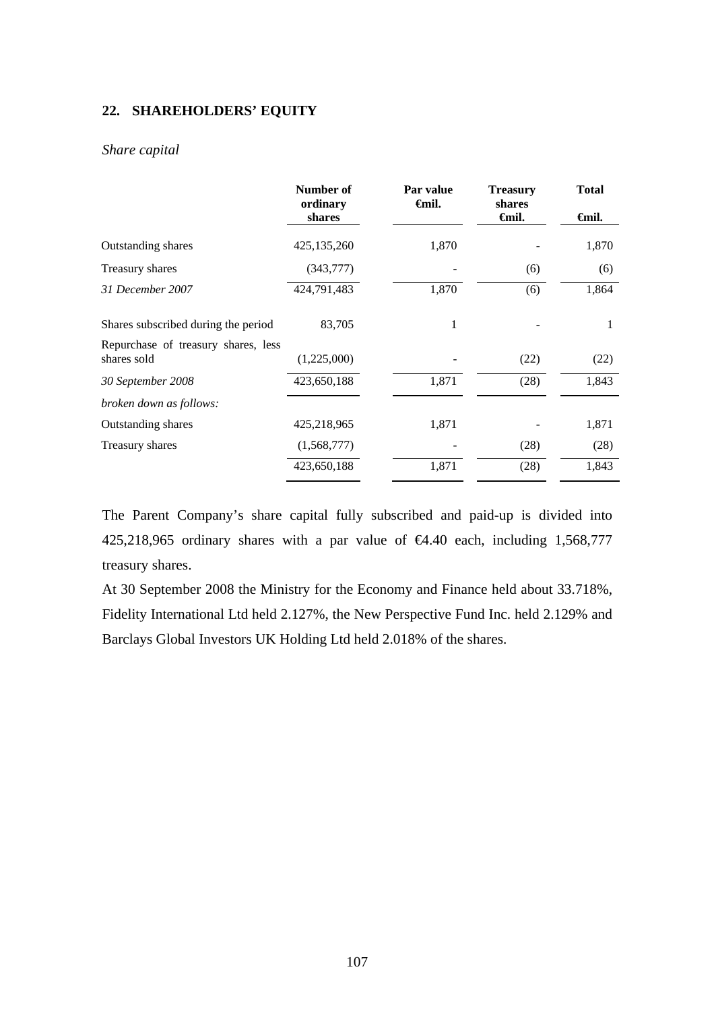## **22. SHAREHOLDERS' EQUITY**

#### *Share capital*

|                                                    | Number of<br>ordinary | Par value<br><del>€</del> mil. | <b>Treasury</b><br>shares | <b>Total</b> |
|----------------------------------------------------|-----------------------|--------------------------------|---------------------------|--------------|
|                                                    | shares                |                                | <b>€mil.</b>              | <b>€mil.</b> |
| Outstanding shares                                 | 425,135,260           | 1,870                          |                           | 1,870        |
| Treasury shares                                    | (343,777)             |                                | (6)                       | (6)          |
| 31 December 2007                                   | 424,791,483           | 1,870                          | (6)                       | 1,864        |
| Shares subscribed during the period                | 83,705                | 1                              |                           | 1            |
| Repurchase of treasury shares, less<br>shares sold | (1,225,000)           |                                | (22)                      | (22)         |
| 30 September 2008                                  | 423,650,188           | 1,871                          | (28)                      | 1,843        |
| broken down as follows:                            |                       |                                |                           |              |
| Outstanding shares                                 | 425,218,965           | 1,871                          |                           | 1,871        |
| Treasury shares                                    | (1,568,777)           |                                | (28)                      | (28)         |
|                                                    | 423,650,188           | 1,871                          | (28)                      | 1,843        |

The Parent Company's share capital fully subscribed and paid-up is divided into 425,218,965 ordinary shares with a par value of  $\epsilon 4.40$  each, including 1,568,777 treasury shares.

At 30 September 2008 the Ministry for the Economy and Finance held about 33.718%, Fidelity International Ltd held 2.127%, the New Perspective Fund Inc. held 2.129% and Barclays Global Investors UK Holding Ltd held 2.018% of the shares.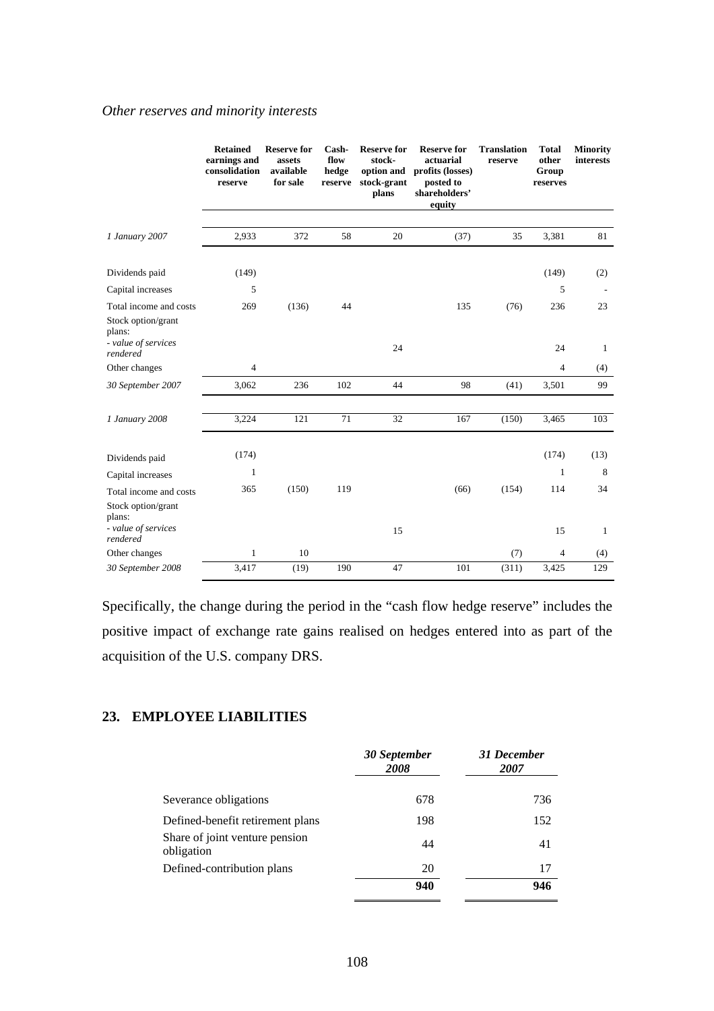#### *Other reserves and minority interests*

|                                                        | <b>Retained</b><br>earnings and<br>consolidation<br>reserve | <b>Reserve for</b><br>assets<br>available<br>for sale | Cash-<br>flow<br>hedge<br>reserve | <b>Reserve for</b><br>stock-<br>option and<br>stock-grant<br>plans | <b>Reserve for</b><br>actuarial<br>profits (losses)<br>posted to<br>shareholders'<br>equity | <b>Translation</b><br>reserve | <b>Total</b><br>other<br>Group<br>reserves | <b>Minority</b><br><b>interests</b> |
|--------------------------------------------------------|-------------------------------------------------------------|-------------------------------------------------------|-----------------------------------|--------------------------------------------------------------------|---------------------------------------------------------------------------------------------|-------------------------------|--------------------------------------------|-------------------------------------|
| 1 January 2007                                         | 2,933                                                       | 372                                                   | 58                                | 20                                                                 | (37)                                                                                        | 35                            | 3,381                                      | 81                                  |
|                                                        |                                                             |                                                       |                                   |                                                                    |                                                                                             |                               |                                            |                                     |
| Dividends paid                                         | (149)                                                       |                                                       |                                   |                                                                    |                                                                                             |                               | (149)                                      | (2)                                 |
| Capital increases                                      | 5                                                           |                                                       |                                   |                                                                    |                                                                                             |                               | 5                                          |                                     |
| Total income and costs<br>Stock option/grant<br>plans: | 269                                                         | (136)                                                 | 44                                |                                                                    | 135                                                                                         | (76)                          | 236                                        | 23                                  |
| - value of services<br>rendered                        |                                                             |                                                       |                                   | 24                                                                 |                                                                                             |                               | 24                                         | 1                                   |
| Other changes                                          | $\overline{4}$                                              |                                                       |                                   |                                                                    |                                                                                             |                               | $\overline{4}$                             | (4)                                 |
| 30 September 2007                                      | 3,062                                                       | 236                                                   | 102                               | 44                                                                 | 98                                                                                          | (41)                          | 3,501                                      | 99                                  |
| 1 January 2008                                         | 3,224                                                       | 121                                                   | 71                                | 32                                                                 | 167                                                                                         | (150)                         | 3,465                                      | 103                                 |
| Dividends paid                                         | (174)                                                       |                                                       |                                   |                                                                    |                                                                                             |                               | (174)                                      | (13)                                |
| Capital increases                                      | $\mathbf{1}$                                                |                                                       |                                   |                                                                    |                                                                                             |                               | $\mathbf{1}$                               | 8                                   |
| Total income and costs<br>Stock option/grant<br>plans: | 365                                                         | (150)                                                 | 119                               |                                                                    | (66)                                                                                        | (154)                         | 114                                        | 34                                  |
| - value of services<br>rendered                        |                                                             |                                                       |                                   | 15                                                                 |                                                                                             |                               | 15                                         | 1                                   |
| Other changes                                          | $\mathbf{1}$                                                | 10                                                    |                                   |                                                                    |                                                                                             | (7)                           | 4                                          | (4)                                 |
| 30 September 2008                                      | 3,417                                                       | (19)                                                  | 190                               | 47                                                                 | 101                                                                                         | (311)                         | 3,425                                      | 129                                 |

Specifically, the change during the period in the "cash flow hedge reserve" includes the positive impact of exchange rate gains realised on hedges entered into as part of the acquisition of the U.S. company DRS.

# **23. EMPLOYEE LIABILITIES**

|                                              | 30 September<br>2008 | 31 December<br><i><b>2007</b></i> |  |
|----------------------------------------------|----------------------|-----------------------------------|--|
| Severance obligations                        | 678                  | 736                               |  |
| Defined-benefit retirement plans             | 198                  | 152                               |  |
| Share of joint venture pension<br>obligation | 44                   | 41                                |  |
| Defined-contribution plans                   | 20                   | 17                                |  |
|                                              | 940                  | 946                               |  |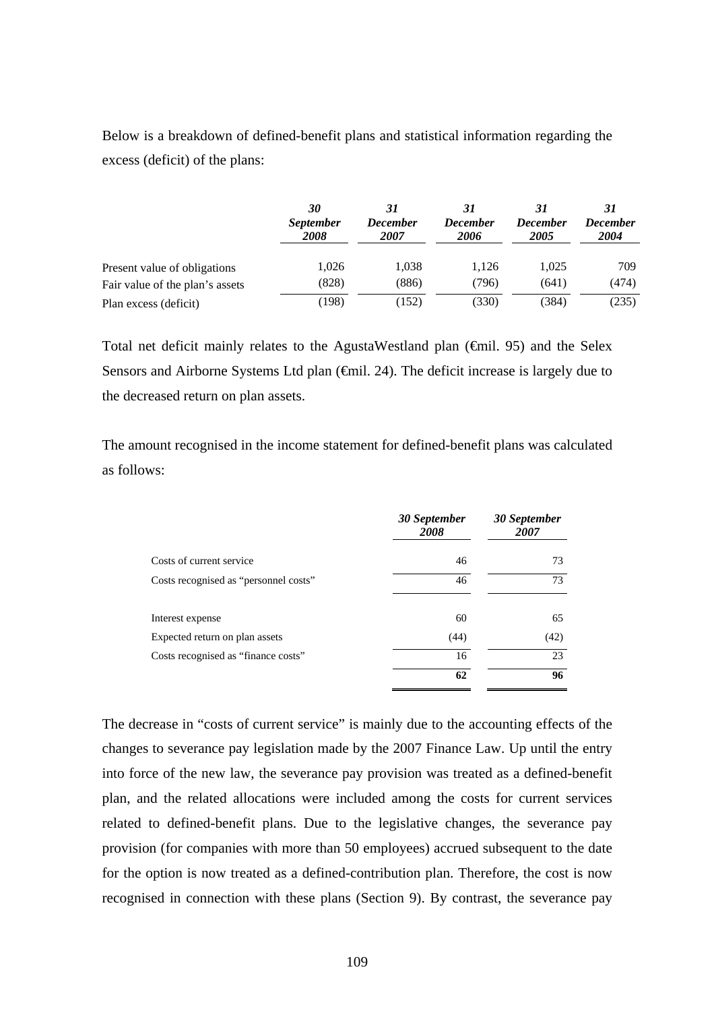Below is a breakdown of defined-benefit plans and statistical information regarding the excess (deficit) of the plans:

|                                 | 30<br><i>September</i><br>2008 | 31<br><b>December</b><br><i><b>2007</b></i> | <b>December</b><br>2006 | <b>December</b><br>2005 | 31<br><b>December</b><br>2004 |
|---------------------------------|--------------------------------|---------------------------------------------|-------------------------|-------------------------|-------------------------------|
| Present value of obligations    | 1,026                          | 1.038                                       | 1.126                   | 1.025                   | 709                           |
| Fair value of the plan's assets | (828)                          | (886)                                       | (796)                   | (641)                   | (474)                         |
| Plan excess (deficit)           | (198                           | (152)                                       | (330)                   | (384)                   | (235)                         |

Total net deficit mainly relates to the AgustaWestland plan  $(\text{fmi. 95})$  and the Selex Sensors and Airborne Systems Ltd plan (€mil. 24). The deficit increase is largely due to the decreased return on plan assets.

The amount recognised in the income statement for defined-benefit plans was calculated as follows:

|                                       | 30 September<br>2008 | 30 September<br>2007 |
|---------------------------------------|----------------------|----------------------|
| Costs of current service              | 46                   | 73                   |
| Costs recognised as "personnel costs" | 46                   | 73                   |
| Interest expense                      | 60                   | 65                   |
| Expected return on plan assets        | (44)                 | (42)                 |
| Costs recognised as "finance costs"   | 16                   | 23                   |
|                                       | 62                   | 96                   |

The decrease in "costs of current service" is mainly due to the accounting effects of the changes to severance pay legislation made by the 2007 Finance Law. Up until the entry into force of the new law, the severance pay provision was treated as a defined-benefit plan, and the related allocations were included among the costs for current services related to defined-benefit plans. Due to the legislative changes, the severance pay provision (for companies with more than 50 employees) accrued subsequent to the date for the option is now treated as a defined-contribution plan. Therefore, the cost is now recognised in connection with these plans (Section 9). By contrast, the severance pay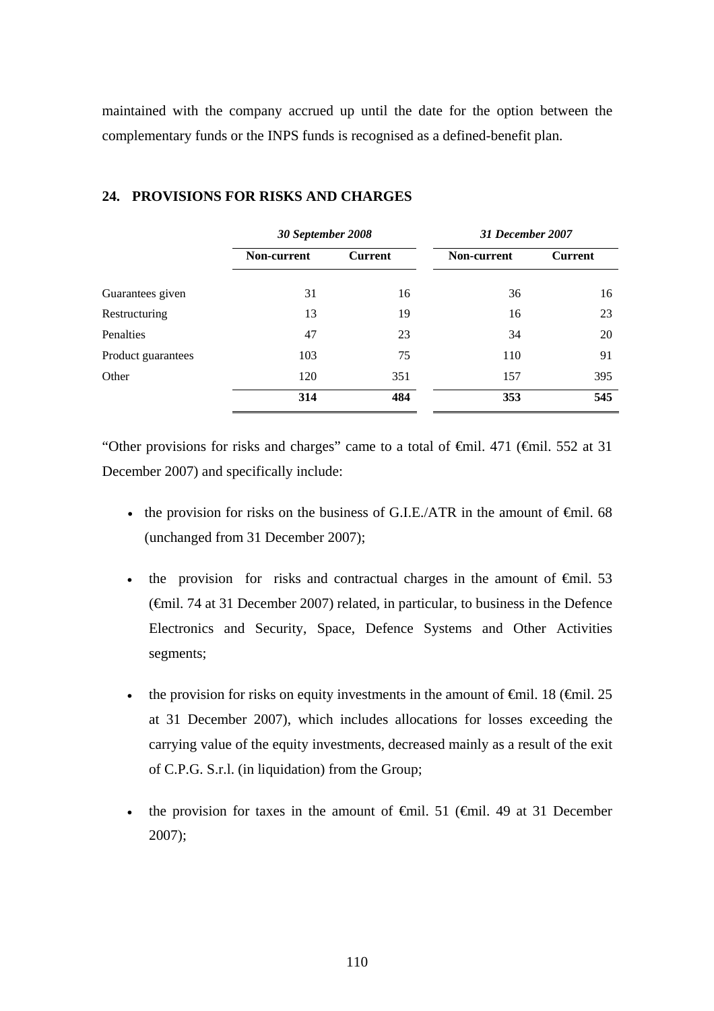maintained with the company accrued up until the date for the option between the complementary funds or the INPS funds is recognised as a defined-benefit plan.

|                    |                               | 30 September 2008 |             | 31 December 2007 |  |
|--------------------|-------------------------------|-------------------|-------------|------------------|--|
|                    | Non-current<br><b>Current</b> |                   | Non-current | <b>Current</b>   |  |
| Guarantees given   | 31                            | 16                | 36          | 16               |  |
| Restructuring      | 13                            | 19                | 16          | 23               |  |
| Penalties          | 47                            | 23                | 34          | 20               |  |
| Product guarantees | 103                           | 75                | 110         | 91               |  |
| Other              | 120                           | 351               | 157         | 395              |  |
|                    | 314                           | 484               | 353         | 545              |  |

#### **24. PROVISIONS FOR RISKS AND CHARGES**

"Other provisions for risks and charges" came to a total of  $\theta$ mil. 471 ( $\theta$ mil. 552 at 31 December 2007) and specifically include:

- the provision for risks on the business of G.I.E./ATR in the amount of  $\epsilon$ mil. 68 (unchanged from 31 December 2007);
- the provision for risks and contractual charges in the amount of  $\epsilon$ mil. 53 (€mil. 74 at 31 December 2007) related, in particular, to business in the Defence Electronics and Security, Space, Defence Systems and Other Activities segments;
- the provision for risks on equity investments in the amount of  $\epsilon$ mil. 18 ( $\epsilon$ mil. 25 at 31 December 2007), which includes allocations for losses exceeding the carrying value of the equity investments, decreased mainly as a result of the exit of C.P.G. S.r.l. (in liquidation) from the Group;
- the provision for taxes in the amount of  $\oplus$ mil. 51 ( $\oplus$ mil. 49 at 31 December 2007);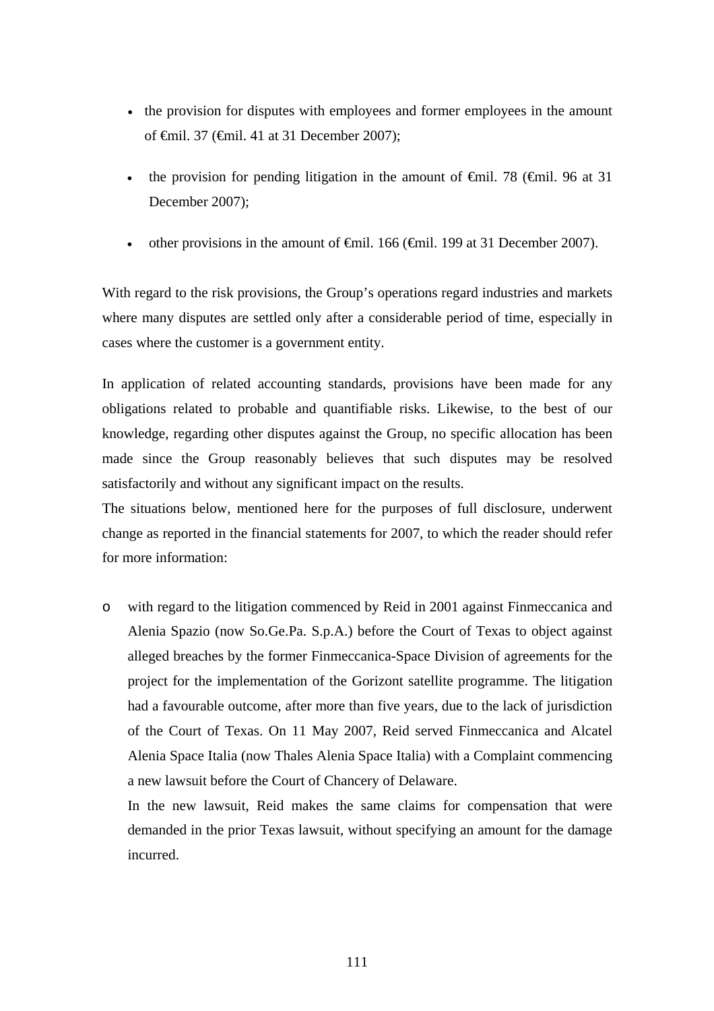- the provision for disputes with employees and former employees in the amount of €mil. 37 (€mil. 41 at 31 December 2007);
- the provision for pending litigation in the amount of  $\theta$ mil. 78 ( $\theta$ mil. 96 at 31 December 2007);
- other provisions in the amount of  $\theta$ mil. 166 ( $\theta$ mil. 199 at 31 December 2007).

With regard to the risk provisions, the Group's operations regard industries and markets where many disputes are settled only after a considerable period of time, especially in cases where the customer is a government entity.

In application of related accounting standards, provisions have been made for any obligations related to probable and quantifiable risks. Likewise, to the best of our knowledge, regarding other disputes against the Group, no specific allocation has been made since the Group reasonably believes that such disputes may be resolved satisfactorily and without any significant impact on the results.

The situations below, mentioned here for the purposes of full disclosure, underwent change as reported in the financial statements for 2007, to which the reader should refer for more information:

o with regard to the litigation commenced by Reid in 2001 against Finmeccanica and Alenia Spazio (now So.Ge.Pa. S.p.A.) before the Court of Texas to object against alleged breaches by the former Finmeccanica-Space Division of agreements for the project for the implementation of the Gorizont satellite programme. The litigation had a favourable outcome, after more than five years, due to the lack of jurisdiction of the Court of Texas. On 11 May 2007, Reid served Finmeccanica and Alcatel Alenia Space Italia (now Thales Alenia Space Italia) with a Complaint commencing a new lawsuit before the Court of Chancery of Delaware.

In the new lawsuit, Reid makes the same claims for compensation that were demanded in the prior Texas lawsuit, without specifying an amount for the damage incurred.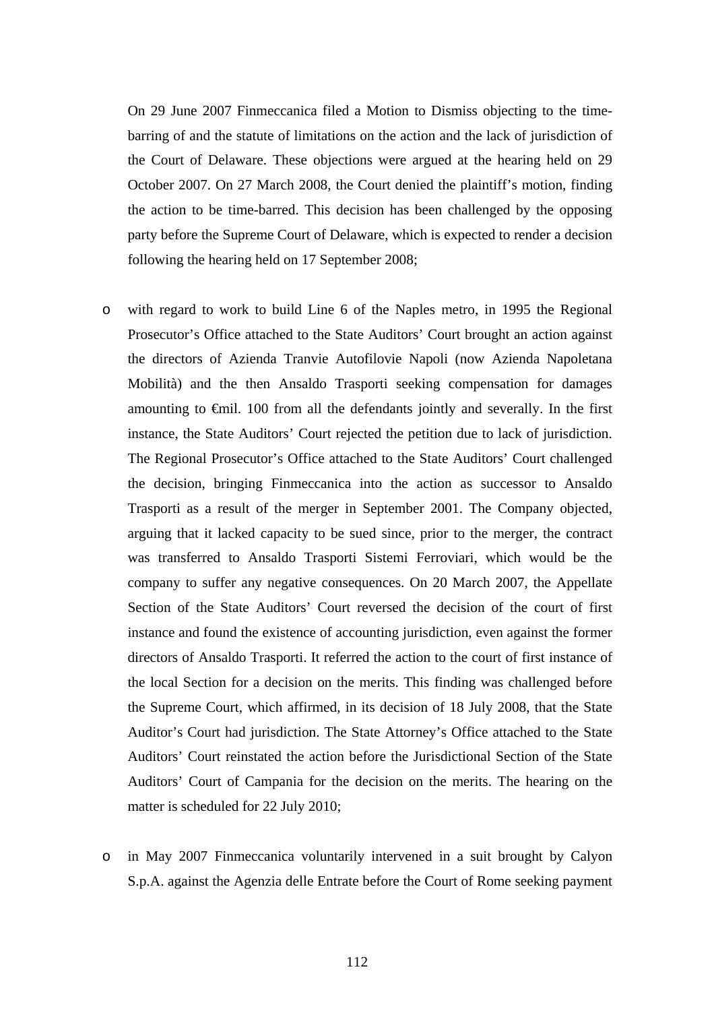On 29 June 2007 Finmeccanica filed a Motion to Dismiss objecting to the timebarring of and the statute of limitations on the action and the lack of jurisdiction of the Court of Delaware. These objections were argued at the hearing held on 29 October 2007. On 27 March 2008, the Court denied the plaintiff's motion, finding the action to be time-barred. This decision has been challenged by the opposing party before the Supreme Court of Delaware, which is expected to render a decision following the hearing held on 17 September 2008;

- o with regard to work to build Line 6 of the Naples metro, in 1995 the Regional Prosecutor's Office attached to the State Auditors' Court brought an action against the directors of Azienda Tranvie Autofilovie Napoli (now Azienda Napoletana Mobilità) and the then Ansaldo Trasporti seeking compensation for damages amounting to €mil. 100 from all the defendants jointly and severally. In the first instance, the State Auditors' Court rejected the petition due to lack of jurisdiction. The Regional Prosecutor's Office attached to the State Auditors' Court challenged the decision, bringing Finmeccanica into the action as successor to Ansaldo Trasporti as a result of the merger in September 2001. The Company objected, arguing that it lacked capacity to be sued since, prior to the merger, the contract was transferred to Ansaldo Trasporti Sistemi Ferroviari, which would be the company to suffer any negative consequences. On 20 March 2007, the Appellate Section of the State Auditors' Court reversed the decision of the court of first instance and found the existence of accounting jurisdiction, even against the former directors of Ansaldo Trasporti. It referred the action to the court of first instance of the local Section for a decision on the merits. This finding was challenged before the Supreme Court, which affirmed, in its decision of 18 July 2008, that the State Auditor's Court had jurisdiction. The State Attorney's Office attached to the State Auditors' Court reinstated the action before the Jurisdictional Section of the State Auditors' Court of Campania for the decision on the merits. The hearing on the matter is scheduled for 22 July 2010;
- o in May 2007 Finmeccanica voluntarily intervened in a suit brought by Calyon S.p.A. against the Agenzia delle Entrate before the Court of Rome seeking payment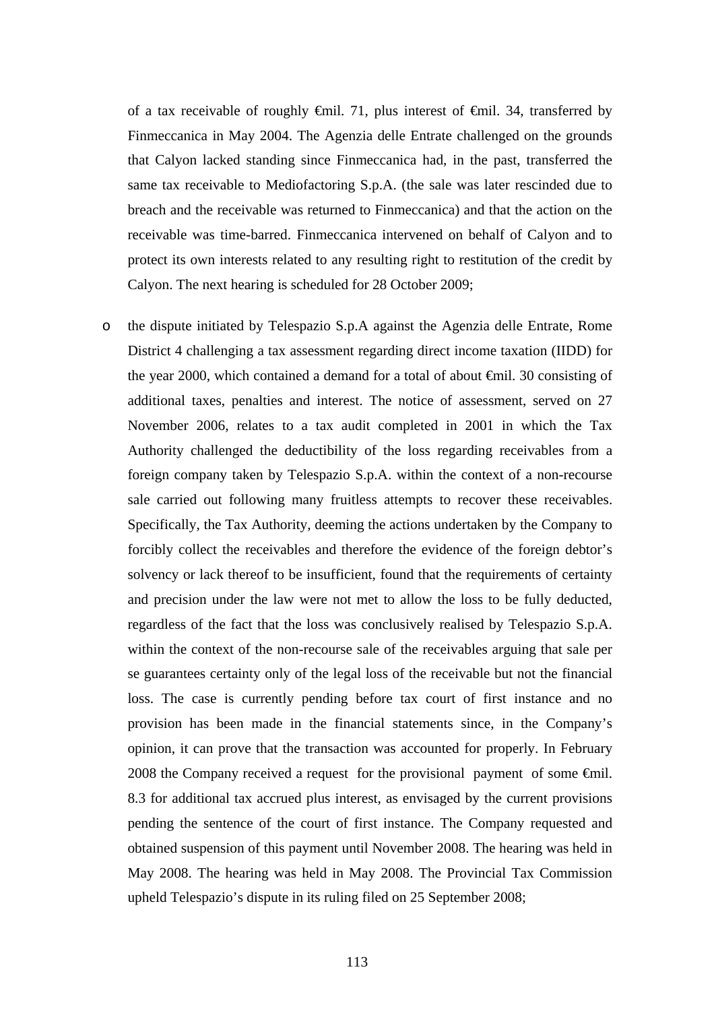of a tax receivable of roughly €mil. 71, plus interest of €mil. 34, transferred by Finmeccanica in May 2004. The Agenzia delle Entrate challenged on the grounds that Calyon lacked standing since Finmeccanica had, in the past, transferred the same tax receivable to Mediofactoring S.p.A. (the sale was later rescinded due to breach and the receivable was returned to Finmeccanica) and that the action on the receivable was time-barred. Finmeccanica intervened on behalf of Calyon and to protect its own interests related to any resulting right to restitution of the credit by Calyon. The next hearing is scheduled for 28 October 2009;

o the dispute initiated by Telespazio S.p.A against the Agenzia delle Entrate, Rome District 4 challenging a tax assessment regarding direct income taxation (IIDD) for the year 2000, which contained a demand for a total of about €mil. 30 consisting of additional taxes, penalties and interest. The notice of assessment, served on 27 November 2006, relates to a tax audit completed in 2001 in which the Tax Authority challenged the deductibility of the loss regarding receivables from a foreign company taken by Telespazio S.p.A. within the context of a non-recourse sale carried out following many fruitless attempts to recover these receivables. Specifically, the Tax Authority, deeming the actions undertaken by the Company to forcibly collect the receivables and therefore the evidence of the foreign debtor's solvency or lack thereof to be insufficient, found that the requirements of certainty and precision under the law were not met to allow the loss to be fully deducted, regardless of the fact that the loss was conclusively realised by Telespazio S.p.A. within the context of the non-recourse sale of the receivables arguing that sale per se guarantees certainty only of the legal loss of the receivable but not the financial loss. The case is currently pending before tax court of first instance and no provision has been made in the financial statements since, in the Company's opinion, it can prove that the transaction was accounted for properly. In February 2008 the Company received a request for the provisional payment of some  $\epsilon$ mil. 8.3 for additional tax accrued plus interest, as envisaged by the current provisions pending the sentence of the court of first instance. The Company requested and obtained suspension of this payment until November 2008. The hearing was held in May 2008. The hearing was held in May 2008. The Provincial Tax Commission upheld Telespazio's dispute in its ruling filed on 25 September 2008;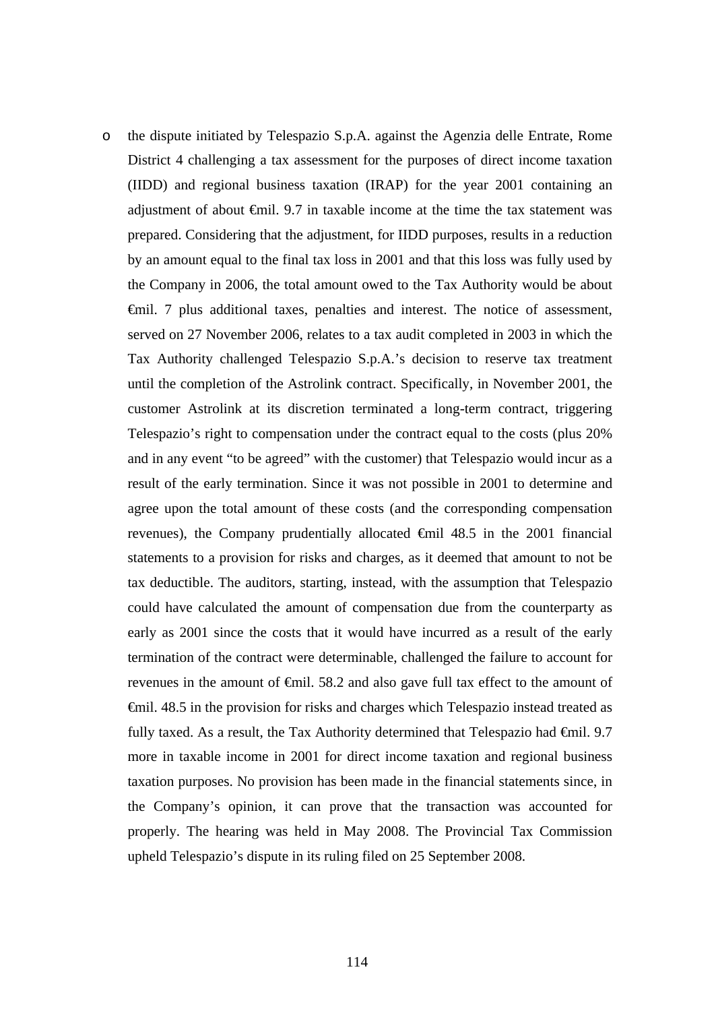o the dispute initiated by Telespazio S.p.A. against the Agenzia delle Entrate, Rome District 4 challenging a tax assessment for the purposes of direct income taxation (IIDD) and regional business taxation (IRAP) for the year 2001 containing an adjustment of about €mil. 9.7 in taxable income at the time the tax statement was prepared. Considering that the adjustment, for IIDD purposes, results in a reduction by an amount equal to the final tax loss in 2001 and that this loss was fully used by the Company in 2006, the total amount owed to the Tax Authority would be about €mil. 7 plus additional taxes, penalties and interest. The notice of assessment, served on 27 November 2006, relates to a tax audit completed in 2003 in which the Tax Authority challenged Telespazio S.p.A.'s decision to reserve tax treatment until the completion of the Astrolink contract. Specifically, in November 2001, the customer Astrolink at its discretion terminated a long-term contract, triggering Telespazio's right to compensation under the contract equal to the costs (plus 20% and in any event "to be agreed" with the customer) that Telespazio would incur as a result of the early termination. Since it was not possible in 2001 to determine and agree upon the total amount of these costs (and the corresponding compensation revenues), the Company prudentially allocated €mil 48.5 in the 2001 financial statements to a provision for risks and charges, as it deemed that amount to not be tax deductible. The auditors, starting, instead, with the assumption that Telespazio could have calculated the amount of compensation due from the counterparty as early as 2001 since the costs that it would have incurred as a result of the early termination of the contract were determinable, challenged the failure to account for revenues in the amount of €mil. 58.2 and also gave full tax effect to the amount of €mil. 48.5 in the provision for risks and charges which Telespazio instead treated as fully taxed. As a result, the Tax Authority determined that Telespazio had  $\epsilon$ mil. 9.7 more in taxable income in 2001 for direct income taxation and regional business taxation purposes. No provision has been made in the financial statements since, in the Company's opinion, it can prove that the transaction was accounted for properly. The hearing was held in May 2008. The Provincial Tax Commission upheld Telespazio's dispute in its ruling filed on 25 September 2008.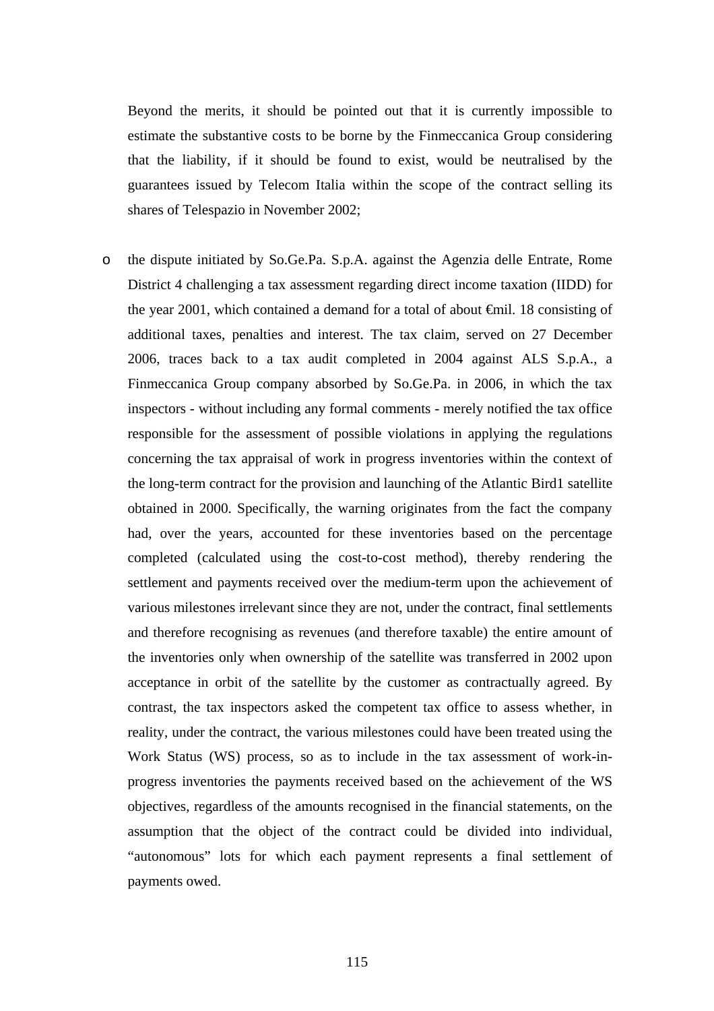Beyond the merits, it should be pointed out that it is currently impossible to estimate the substantive costs to be borne by the Finmeccanica Group considering that the liability, if it should be found to exist, would be neutralised by the guarantees issued by Telecom Italia within the scope of the contract selling its shares of Telespazio in November 2002;

o the dispute initiated by So.Ge.Pa. S.p.A. against the Agenzia delle Entrate, Rome District 4 challenging a tax assessment regarding direct income taxation (IIDD) for the year 2001, which contained a demand for a total of about €mil. 18 consisting of additional taxes, penalties and interest. The tax claim, served on 27 December 2006, traces back to a tax audit completed in 2004 against ALS S.p.A., a Finmeccanica Group company absorbed by So.Ge.Pa. in 2006, in which the tax inspectors - without including any formal comments - merely notified the tax office responsible for the assessment of possible violations in applying the regulations concerning the tax appraisal of work in progress inventories within the context of the long-term contract for the provision and launching of the Atlantic Bird1 satellite obtained in 2000. Specifically, the warning originates from the fact the company had, over the years, accounted for these inventories based on the percentage completed (calculated using the cost-to-cost method), thereby rendering the settlement and payments received over the medium-term upon the achievement of various milestones irrelevant since they are not, under the contract, final settlements and therefore recognising as revenues (and therefore taxable) the entire amount of the inventories only when ownership of the satellite was transferred in 2002 upon acceptance in orbit of the satellite by the customer as contractually agreed. By contrast, the tax inspectors asked the competent tax office to assess whether, in reality, under the contract, the various milestones could have been treated using the Work Status (WS) process, so as to include in the tax assessment of work-inprogress inventories the payments received based on the achievement of the WS objectives, regardless of the amounts recognised in the financial statements, on the assumption that the object of the contract could be divided into individual, "autonomous" lots for which each payment represents a final settlement of payments owed.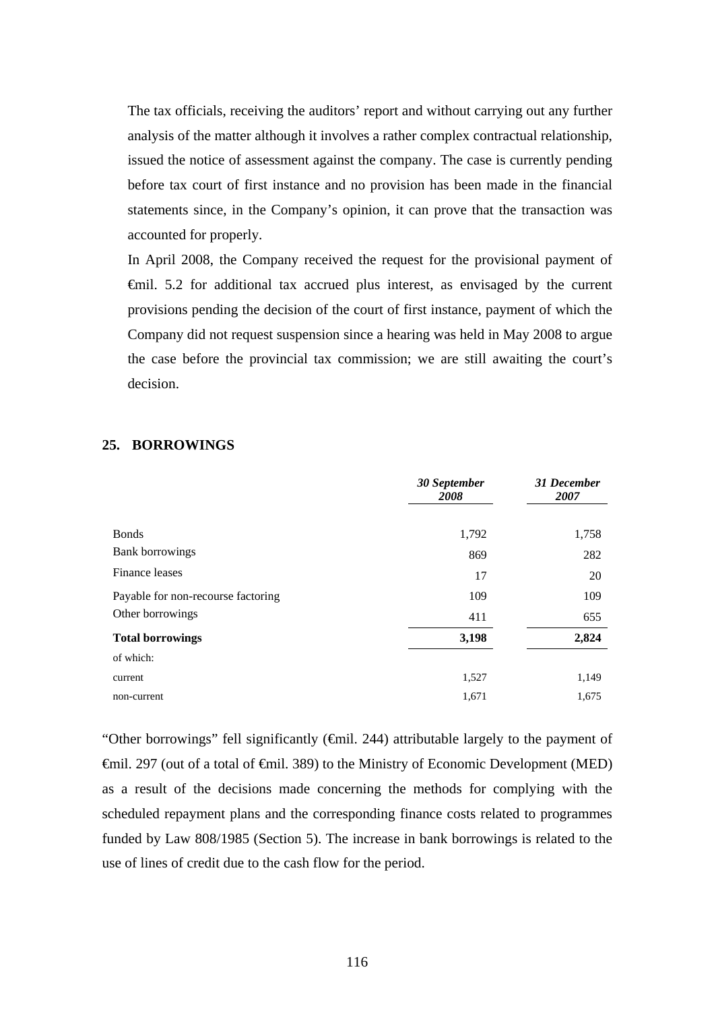The tax officials, receiving the auditors' report and without carrying out any further analysis of the matter although it involves a rather complex contractual relationship, issued the notice of assessment against the company. The case is currently pending before tax court of first instance and no provision has been made in the financial statements since, in the Company's opinion, it can prove that the transaction was accounted for properly.

In April 2008, the Company received the request for the provisional payment of €mil. 5.2 for additional tax accrued plus interest, as envisaged by the current provisions pending the decision of the court of first instance, payment of which the Company did not request suspension since a hearing was held in May 2008 to argue the case before the provincial tax commission; we are still awaiting the court's decision.

#### **25. BORROWINGS**

|                                    | 30 September<br>2008 | 31 December<br>2007 |
|------------------------------------|----------------------|---------------------|
|                                    |                      |                     |
| <b>Bonds</b>                       | 1,792                | 1,758               |
| <b>Bank borrowings</b>             | 869                  | 282                 |
| Finance leases                     | 17                   | 20                  |
| Payable for non-recourse factoring | 109                  | 109                 |
| Other borrowings                   | 411                  | 655                 |
| <b>Total borrowings</b>            | 3,198                | 2,824               |
| of which:                          |                      |                     |
| current                            | 1,527                | 1,149               |
| non-current                        | 1,671                | 1,675               |

"Other borrowings" fell significantly (€mil. 244) attributable largely to the payment of €mil. 297 (out of a total of €mil. 389) to the Ministry of Economic Development (MED) as a result of the decisions made concerning the methods for complying with the scheduled repayment plans and the corresponding finance costs related to programmes funded by Law 808/1985 (Section 5). The increase in bank borrowings is related to the use of lines of credit due to the cash flow for the period.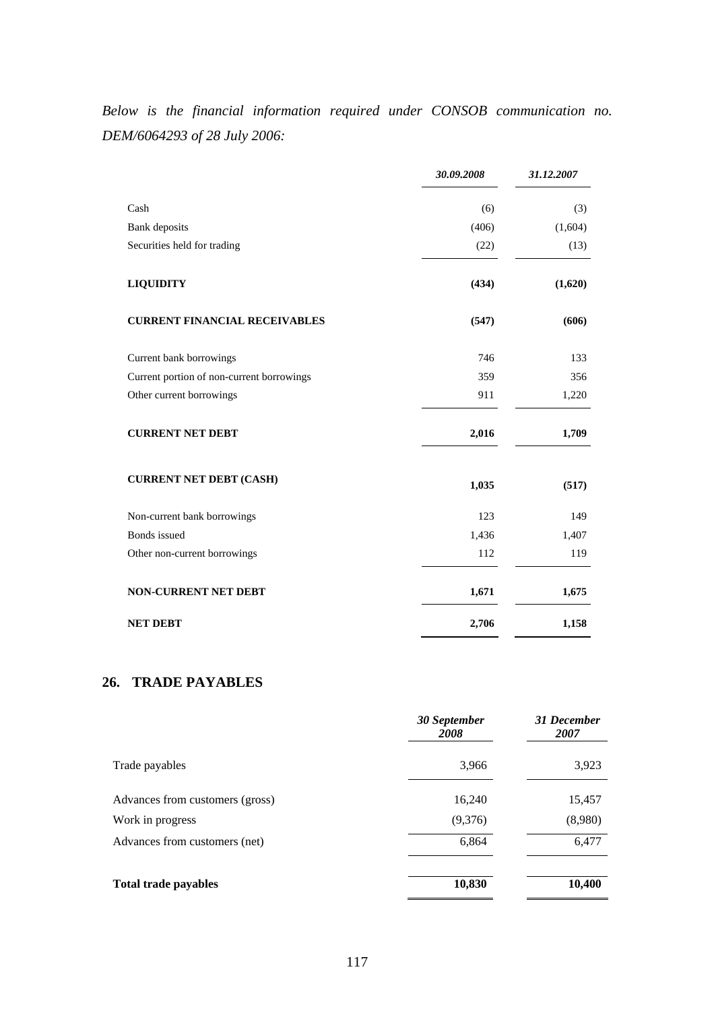*Below is the financial information required under CONSOB communication no. DEM/6064293 of 28 July 2006:* 

|                                           | 30.09.2008 | 31.12.2007 |
|-------------------------------------------|------------|------------|
| Cash                                      | (6)        | (3)        |
| <b>Bank</b> deposits                      | (406)      | (1,604)    |
| Securities held for trading               | (22)       | (13)       |
| <b>LIQUIDITY</b>                          | (434)      | (1,620)    |
| <b>CURRENT FINANCIAL RECEIVABLES</b>      | (547)      | (606)      |
| Current bank borrowings                   | 746        | 133        |
| Current portion of non-current borrowings | 359        | 356        |
| Other current borrowings                  | 911        | 1,220      |
| <b>CURRENT NET DEBT</b>                   | 2,016      | 1,709      |
| <b>CURRENT NET DEBT (CASH)</b>            | 1,035      | (517)      |
| Non-current bank borrowings               | 123        | 149        |
| <b>Bonds</b> issued                       | 1,436      | 1,407      |
| Other non-current borrowings              | 112        | 119        |
| <b>NON-CURRENT NET DEBT</b>               | 1,671      | 1,675      |
| <b>NET DEBT</b>                           | 2,706      | 1,158      |

# **26. TRADE PAYABLES**

|                                 | 30 September<br>2008 | 31 December<br>2007 |
|---------------------------------|----------------------|---------------------|
| Trade payables                  | 3,966                | 3,923               |
| Advances from customers (gross) | 16,240               | 15,457              |
| Work in progress                | (9,376)              | (8,980)             |
| Advances from customers (net)   | 6,864                | 6,477               |
| <b>Total trade payables</b>     | 10,830               | 10,400              |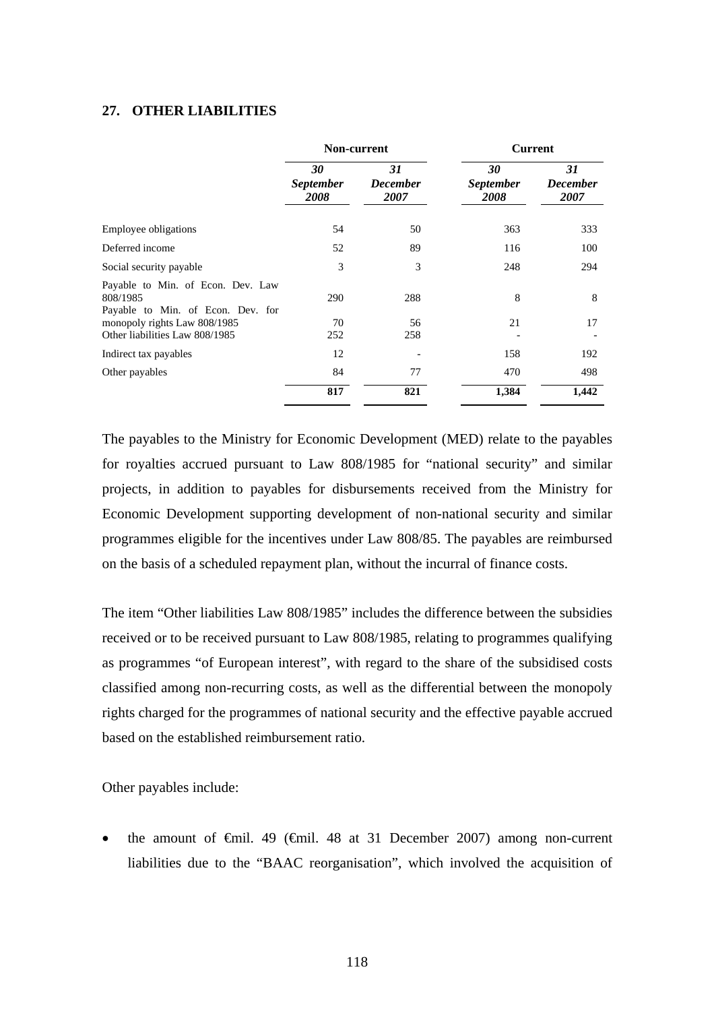#### **27. OTHER LIABILITIES**

|                                                                                    | Non-current                    |                               |                                | <b>Current</b>                |  |
|------------------------------------------------------------------------------------|--------------------------------|-------------------------------|--------------------------------|-------------------------------|--|
|                                                                                    | 30<br><b>September</b><br>2008 | 31<br><b>December</b><br>2007 | 30<br><b>September</b><br>2008 | 31<br><b>December</b><br>2007 |  |
| Employee obligations                                                               | 54                             | 50                            | 363                            | 333                           |  |
| Deferred income                                                                    | 52                             | 89                            | 116                            | 100                           |  |
| Social security payable                                                            | 3                              | 3                             | 248                            | 294                           |  |
| Payable to Min. of Econ. Dev. Law<br>808/1985<br>Payable to Min. of Econ. Dev. for | 290                            | 288                           | 8                              | 8                             |  |
| monopoly rights Law 808/1985                                                       | 70                             | 56                            | 21                             | 17                            |  |
| Other liabilities Law 808/1985                                                     | 252                            | 258                           |                                |                               |  |
| Indirect tax payables                                                              | 12                             |                               | 158                            | 192                           |  |
| Other payables                                                                     | 84                             | 77                            | 470                            | 498                           |  |
|                                                                                    | 817                            | 821                           | 1,384                          | 1,442                         |  |

The payables to the Ministry for Economic Development (MED) relate to the payables for royalties accrued pursuant to Law 808/1985 for "national security" and similar projects, in addition to payables for disbursements received from the Ministry for Economic Development supporting development of non-national security and similar programmes eligible for the incentives under Law 808/85. The payables are reimbursed on the basis of a scheduled repayment plan, without the incurral of finance costs.

The item "Other liabilities Law 808/1985" includes the difference between the subsidies received or to be received pursuant to Law 808/1985, relating to programmes qualifying as programmes "of European interest", with regard to the share of the subsidised costs classified among non-recurring costs, as well as the differential between the monopoly rights charged for the programmes of national security and the effective payable accrued based on the established reimbursement ratio.

Other payables include:

the amount of  $\theta$ mil. 49 ( $\theta$ mil. 48 at 31 December 2007) among non-current liabilities due to the "BAAC reorganisation", which involved the acquisition of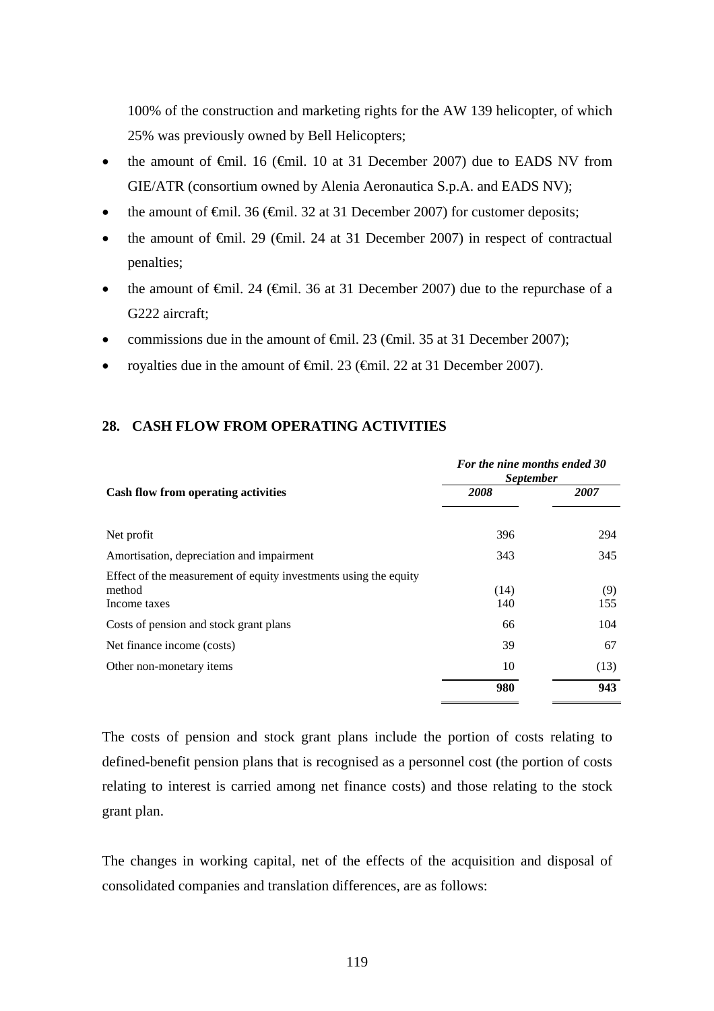100% of the construction and marketing rights for the AW 139 helicopter, of which 25% was previously owned by Bell Helicopters;

- the amount of  $\epsilon$ mil. 16 ( $\epsilon$ mil. 10 at 31 December 2007) due to EADS NV from GIE/ATR (consortium owned by Alenia Aeronautica S.p.A. and EADS NV);
- the amount of  $\epsilon$ mil. 36 ( $\epsilon$ mil. 32 at 31 December 2007) for customer deposits;
- the amount of  $\epsilon$ mil. 29 ( $\epsilon$ mil. 24 at 31 December 2007) in respect of contractual penalties;
- the amount of  $\epsilon$ mil. 24 ( $\epsilon$ mil. 36 at 31 December 2007) due to the repurchase of a G222 aircraft;
- commissions due in the amount of  $\theta$ mil. 23 ( $\theta$ mil. 35 at 31 December 2007);
- royalties due in the amount of €mil. 23 (€mil. 22 at 31 December 2007).

## **28. CASH FLOW FROM OPERATING ACTIVITIES**

|                                                                                            | For the nine months ended 30<br><i>September</i> |            |  |  |
|--------------------------------------------------------------------------------------------|--------------------------------------------------|------------|--|--|
| <b>Cash flow from operating activities</b>                                                 | 2008                                             | 2007       |  |  |
| Net profit                                                                                 | 396                                              | 294        |  |  |
| Amortisation, depreciation and impairment                                                  | 343                                              | 345        |  |  |
| Effect of the measurement of equity investments using the equity<br>method<br>Income taxes | (14)<br>140                                      | (9)<br>155 |  |  |
| Costs of pension and stock grant plans                                                     | 66                                               | 104        |  |  |
| Net finance income (costs)                                                                 | 39                                               | 67         |  |  |
| Other non-monetary items                                                                   | 10                                               | (13)       |  |  |
|                                                                                            | 980                                              | 943        |  |  |

The costs of pension and stock grant plans include the portion of costs relating to defined-benefit pension plans that is recognised as a personnel cost (the portion of costs relating to interest is carried among net finance costs) and those relating to the stock grant plan.

The changes in working capital, net of the effects of the acquisition and disposal of consolidated companies and translation differences, are as follows: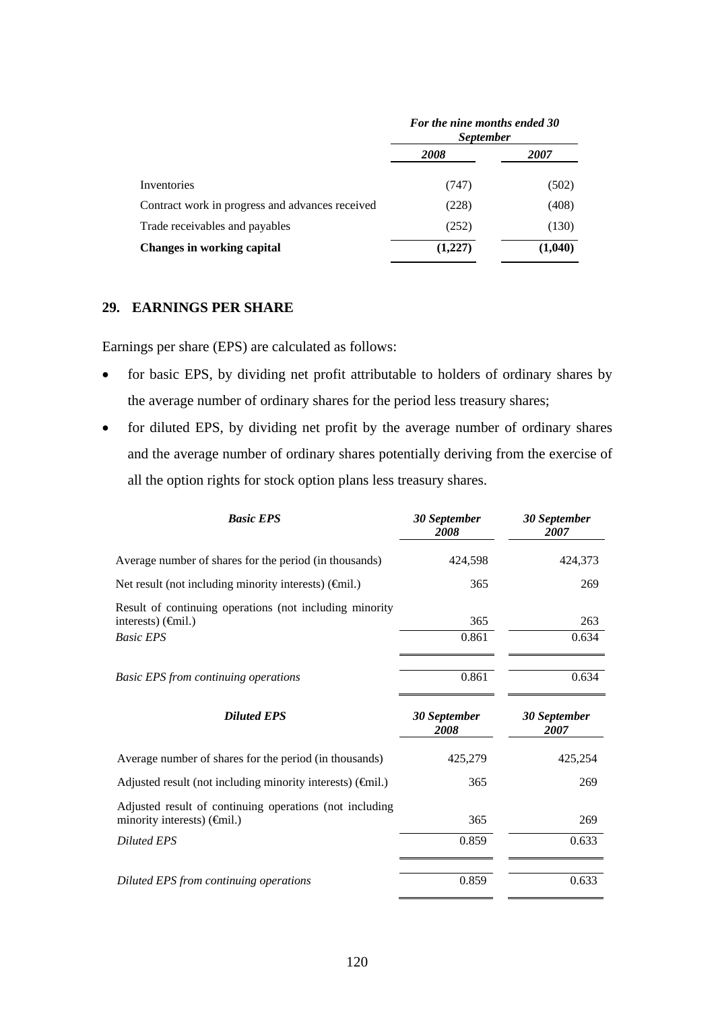|                                                 | For the nine months ended 30<br><b>September</b> |             |  |
|-------------------------------------------------|--------------------------------------------------|-------------|--|
|                                                 | 2008                                             | <i>2007</i> |  |
| Inventories                                     | (747)                                            | (502)       |  |
| Contract work in progress and advances received | (228)                                            | (408)       |  |
| Trade receivables and payables                  | (252)                                            | (130)       |  |
| Changes in working capital                      | (1,227)                                          | (1,040)     |  |

### **29. EARNINGS PER SHARE**

Earnings per share (EPS) are calculated as follows:

- for basic EPS, by dividing net profit attributable to holders of ordinary shares by the average number of ordinary shares for the period less treasury shares;
- for diluted EPS, by dividing net profit by the average number of ordinary shares and the average number of ordinary shares potentially deriving from the exercise of all the option rights for stock option plans less treasury shares.

| <b>Basic EPS</b>                                                                                             | 30 September<br>2008 | 30 September<br>2007 |
|--------------------------------------------------------------------------------------------------------------|----------------------|----------------------|
| Average number of shares for the period (in thousands)                                                       | 424,598              | 424,373              |
| Net result (not including minority interests) $(\widehat{\mathsf{f}}$ mil.)                                  | 365                  | 269                  |
| Result of continuing operations (not including minority<br>interests) $(\text{Gmil.})$<br><b>Basic EPS</b>   | 365<br>0.861         | 263<br>0.634         |
| <b>Basic EPS from continuing operations</b>                                                                  | 0.861                | 0.634                |
|                                                                                                              |                      |                      |
| <b>Diluted EPS</b>                                                                                           | 30 September<br>2008 | 30 September<br>2007 |
| Average number of shares for the period (in thousands)                                                       | 425,279              | 425,254              |
| Adjusted result (not including minority interests) $(\widehat{\mathsf{f}}$ mil.)                             | 365                  | 269                  |
| Adjusted result of continuing operations (not including<br>minority interests) $(\widehat{\mathsf{f}}$ mil.) | 365                  | 269                  |
| <b>Diluted EPS</b>                                                                                           | 0.859                | 0.633                |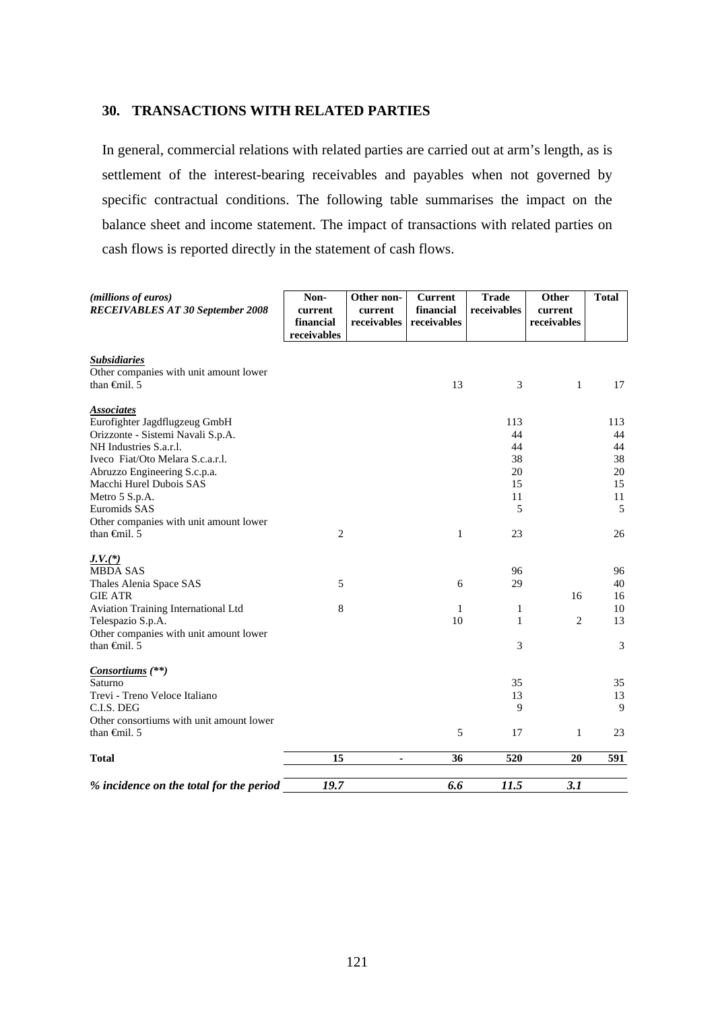#### **30. TRANSACTIONS WITH RELATED PARTIES**

In general, commercial relations with related parties are carried out at arm's length, as is settlement of the interest-bearing receivables and payables when not governed by specific contractual conditions. The following table summarises the impact on the balance sheet and income statement. The impact of transactions with related parties on cash flows is reported directly in the statement of cash flows.

| (millions of euros)<br><b>RECEIVABLES AT 30 September 2008</b> | Non-<br>current<br>financial<br>receivables | Other non-<br>current<br>receivables | Current<br>financial<br>receivables | <b>Trade</b><br>receivables | Other<br>current<br>receivables | <b>Total</b> |
|----------------------------------------------------------------|---------------------------------------------|--------------------------------------|-------------------------------------|-----------------------------|---------------------------------|--------------|
| <b>Subsidiaries</b><br>Other companies with unit amount lower  |                                             |                                      |                                     |                             |                                 |              |
| than <del>G</del> nil. 5                                       |                                             |                                      | 13                                  | 3                           | $\mathbf{1}$                    | 17           |
| <b>Associates</b>                                              |                                             |                                      |                                     |                             |                                 |              |
| Eurofighter Jagdflugzeug GmbH                                  |                                             |                                      |                                     | 113                         |                                 | 113          |
| Orizzonte - Sistemi Navali S.p.A.                              |                                             |                                      |                                     | 44                          |                                 | 44           |
| NH Industries S.a.r.l.                                         |                                             |                                      |                                     | 44                          |                                 | 44           |
| Iveco Fiat/Oto Melara S.c.a.r.l.                               |                                             |                                      |                                     | 38                          |                                 | 38           |
| Abruzzo Engineering S.c.p.a.                                   |                                             |                                      |                                     | 20                          |                                 | 20           |
| Macchi Hurel Dubois SAS                                        |                                             |                                      |                                     | 15                          |                                 | 15           |
| Metro 5 S.p.A.                                                 |                                             |                                      |                                     | 11                          |                                 | 11           |
| Euromids SAS                                                   |                                             |                                      |                                     | 5                           |                                 | 5            |
| Other companies with unit amount lower                         |                                             |                                      |                                     |                             |                                 |              |
| than $\oplus$ finil. 5                                         | 2                                           |                                      | 1                                   | 23                          |                                 | 26           |
| $J.V.$ (*)                                                     |                                             |                                      |                                     |                             |                                 |              |
| <b>MBDA SAS</b>                                                |                                             |                                      |                                     | 96                          |                                 | 96           |
| Thales Alenia Space SAS                                        | 5                                           |                                      | 6                                   | 29                          |                                 | 40           |
| <b>GIE ATR</b>                                                 |                                             |                                      |                                     |                             | 16                              | 16           |
| Aviation Training International Ltd                            | 8                                           |                                      | $\mathbf{1}$                        | 1                           |                                 | 10           |
| Telespazio S.p.A.                                              |                                             |                                      | 10                                  | 1                           | $\overline{c}$                  | 13           |
| Other companies with unit amount lower                         |                                             |                                      |                                     |                             |                                 |              |
| than $\oplus$ finil. 5                                         |                                             |                                      |                                     | 3                           |                                 | 3            |
| Consortiums $(**)$                                             |                                             |                                      |                                     |                             |                                 |              |
| Saturno                                                        |                                             |                                      |                                     | 35                          |                                 | 35           |
| Trevi - Treno Veloce Italiano                                  |                                             |                                      |                                     | 13                          |                                 | 13           |
| C.I.S. DEG                                                     |                                             |                                      |                                     | 9                           |                                 | 9            |
| Other consortiums with unit amount lower                       |                                             |                                      |                                     |                             |                                 |              |
| than $\oplus$ finil. 5                                         |                                             |                                      | 5                                   | 17                          | $\mathbf{1}$                    | 23           |
| <b>Total</b>                                                   | 15                                          | $\blacksquare$                       | 36                                  | 520                         | 20                              | 591          |
| % incidence on the total for the period                        | 19.7                                        |                                      | 6.6                                 | 11.5                        | 3.1                             |              |
|                                                                |                                             |                                      |                                     |                             |                                 |              |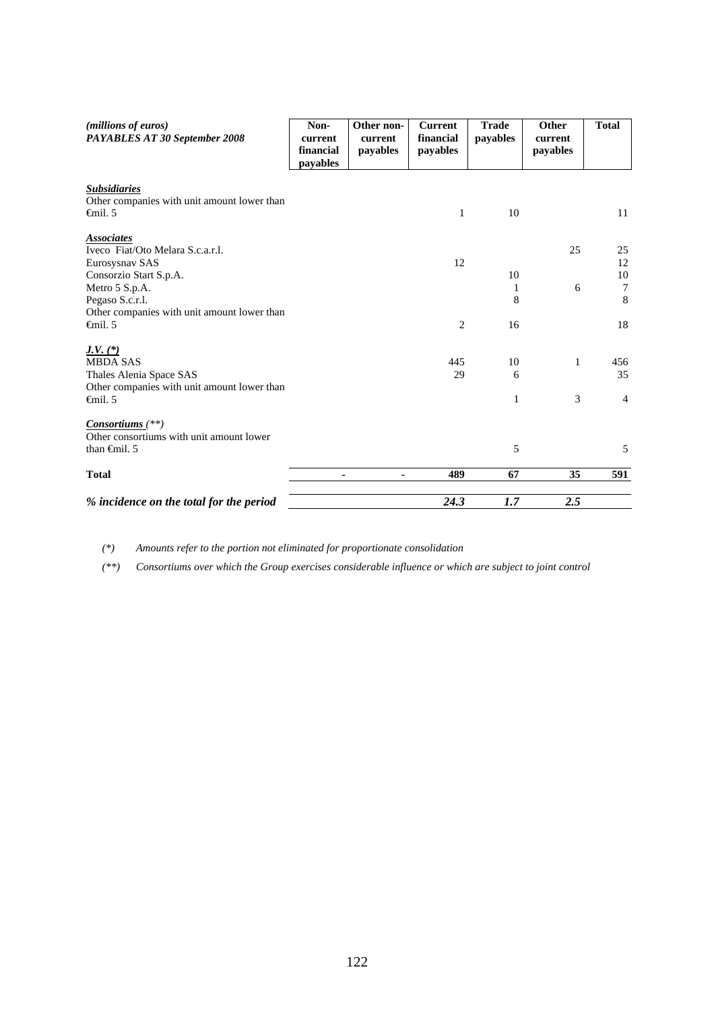| ( <i>millions of euros</i> )<br>PAYABLES AT 30 September 2008                                     | Non-<br>current<br>financial<br>pavables | Other non-<br>current<br>payables | <b>Current</b><br>financial<br>payables | <b>Trade</b><br>payables | Other<br>current<br>payables | <b>Total</b>              |
|---------------------------------------------------------------------------------------------------|------------------------------------------|-----------------------------------|-----------------------------------------|--------------------------|------------------------------|---------------------------|
| <b>Subsidiaries</b><br>Other companies with unit amount lower than<br>$\epsilon$ mil. 5           |                                          |                                   | 1                                       | 10                       |                              | 11                        |
| <b>Associates</b><br>Iveco Fiat/Oto Melara S.c.a.r.l.<br>Eurosysnav SAS                           |                                          |                                   | 12                                      |                          | 25                           | 25<br>12                  |
| Consorzio Start S.p.A.<br>Metro 5 S.p.A.<br>Pegaso S.c.r.l.                                       |                                          |                                   |                                         | 10<br>1<br>8             | 6                            | 10<br>$\overline{7}$<br>8 |
| Other companies with unit amount lower than<br>$\epsilon$ mil. 5                                  |                                          |                                   | $\overline{c}$                          | 16                       |                              | 18                        |
| $J.V.$ $(*)$<br><b>MBDA SAS</b><br>Thales Alenia Space SAS                                        |                                          |                                   | 445<br>29                               | 10<br>6                  | 1                            | 456<br>35                 |
| Other companies with unit amount lower than<br>$\epsilon$ mil. 5                                  |                                          |                                   |                                         | 1                        | 3                            | $\overline{4}$            |
| Consortiums <sup>(**)</sup><br>Other consortiums with unit amount lower<br>than $\oplus$ finil. 5 |                                          |                                   |                                         | 5                        |                              | 5                         |
| <b>Total</b>                                                                                      | ٠                                        | ٠                                 | 489                                     | 67                       | 35                           | 591                       |
| % incidence on the total for the period                                                           |                                          |                                   | 24.3                                    | 1.7                      | 2.5                          |                           |

*(\*) Amounts refer to the portion not eliminated for proportionate consolidation* 

*(\*\*) Consortiums over which the Group exercises considerable influence or which are subject to joint control*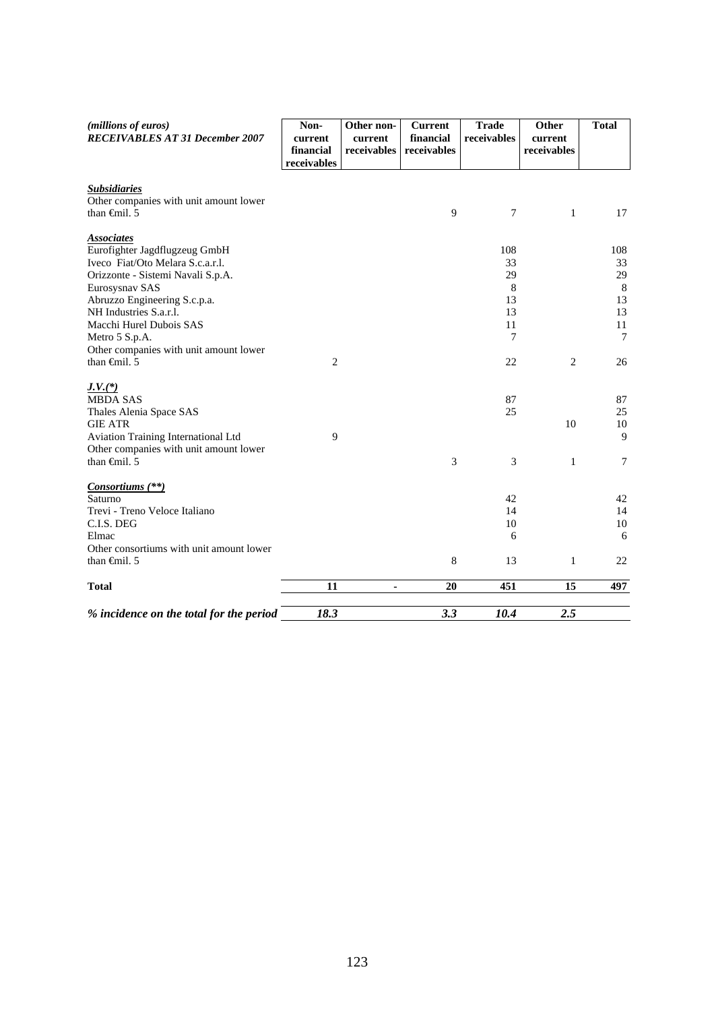| (millions of euros)<br><b>RECEIVABLES AT 31 December 2007</b>                 | Non-<br>current<br>financial<br>receivables | Other non-<br>current<br>receivables | <b>Current</b><br>financial<br>receivables | <b>Trade</b><br>receivables | Other<br>current<br>receivables | <b>Total</b> |
|-------------------------------------------------------------------------------|---------------------------------------------|--------------------------------------|--------------------------------------------|-----------------------------|---------------------------------|--------------|
| <b>Subsidiaries</b><br>Other companies with unit amount lower                 |                                             |                                      |                                            |                             |                                 |              |
| than $\oplus$ finil. 5                                                        |                                             |                                      | 9                                          | 7                           | $\mathbf{1}$                    | 17           |
| <b>Associates</b>                                                             |                                             |                                      |                                            |                             |                                 |              |
| Eurofighter Jagdflugzeug GmbH                                                 |                                             |                                      |                                            | 108                         |                                 | 108          |
| Iveco Fiat/Oto Melara S.c.a.r.l.<br>Orizzonte - Sistemi Navali S.p.A.         |                                             |                                      |                                            | 33<br>29                    |                                 | 33<br>29     |
| Eurosysnav SAS                                                                |                                             |                                      |                                            | 8                           |                                 | $\,8\,$      |
| Abruzzo Engineering S.c.p.a.                                                  |                                             |                                      |                                            | 13                          |                                 | 13           |
| NH Industries S.a.r.l.                                                        |                                             |                                      |                                            | 13                          |                                 | 13           |
| Macchi Hurel Dubois SAS                                                       |                                             |                                      |                                            | 11                          |                                 | 11           |
| Metro 5 S.p.A.                                                                |                                             |                                      |                                            | 7                           |                                 | 7            |
| Other companies with unit amount lower<br>than $\oplus$ finil. 5              | $\overline{c}$                              |                                      |                                            | 22                          | 2                               | 26           |
|                                                                               |                                             |                                      |                                            |                             |                                 |              |
| $J.V.$ (*)                                                                    |                                             |                                      |                                            |                             |                                 |              |
| <b>MBDA SAS</b>                                                               |                                             |                                      |                                            | 87                          |                                 | 87           |
| Thales Alenia Space SAS                                                       |                                             |                                      |                                            | 25                          |                                 | 25           |
| <b>GIE ATR</b>                                                                |                                             |                                      |                                            |                             | 10                              | 10           |
| Aviation Training International Ltd<br>Other companies with unit amount lower | 9                                           |                                      |                                            |                             |                                 | 9            |
| than $\oplus$ finil. 5                                                        |                                             |                                      | 3                                          | 3                           | $\mathbf{1}$                    | $\tau$       |
|                                                                               |                                             |                                      |                                            |                             |                                 |              |
| <i>Consortiums</i> (**)                                                       |                                             |                                      |                                            |                             |                                 |              |
| Saturno                                                                       |                                             |                                      |                                            | 42                          |                                 | 42           |
| Trevi - Treno Veloce Italiano                                                 |                                             |                                      |                                            | 14                          |                                 | 14           |
| C.I.S. DEG<br>Elmac                                                           |                                             |                                      |                                            | 10<br>6                     |                                 | 10<br>6      |
| Other consortiums with unit amount lower                                      |                                             |                                      |                                            |                             |                                 |              |
| than $\oplus$ finil. 5                                                        |                                             |                                      | 8                                          | 13                          | $\mathbf{1}$                    | 22           |
| <b>Total</b>                                                                  | 11                                          | $\mathbf{r}$                         | 20                                         | 451                         | 15                              | 497          |
|                                                                               |                                             |                                      |                                            |                             |                                 |              |
| % incidence on the total for the period                                       | 18.3                                        |                                      | 3.3                                        | 10.4                        | 2.5                             |              |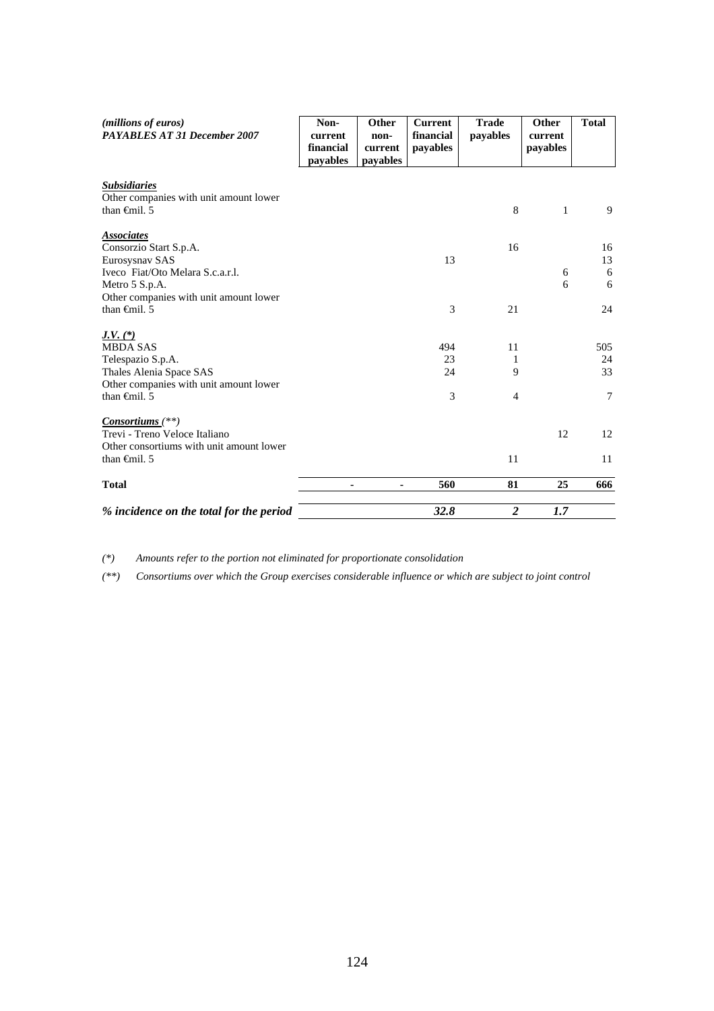| (millions of euros)<br><b>PAYABLES AT 31 December 2007</b>                                                                                        | Non-<br>current<br>financial<br>payables | Other<br>non-<br>current<br>payables | <b>Current</b><br>financial<br>payables | <b>Trade</b><br>payables | Other<br>current<br>payables | <b>Total</b>              |
|---------------------------------------------------------------------------------------------------------------------------------------------------|------------------------------------------|--------------------------------------|-----------------------------------------|--------------------------|------------------------------|---------------------------|
| <b>Subsidiaries</b><br>Other companies with unit amount lower<br>than $\theta$ mil. 5                                                             |                                          |                                      |                                         | 8                        | $\mathbf{1}$                 | 9                         |
| <b>Associates</b><br>Consorzio Start S.p.A.<br>Eurosysnav SAS<br>Iveco Fiat/Oto Melara S.c.a.r.l.<br>Metro 5 S.p.A.                               |                                          |                                      | 13                                      | 16                       | 6<br>6                       | 16<br>13<br>6<br>6        |
| Other companies with unit amount lower<br>than $\theta$ mil. 5                                                                                    |                                          |                                      | 3                                       | 21                       |                              | 24                        |
| $J.V. (*)$<br><b>MBDA SAS</b><br>Telespazio S.p.A.<br>Thales Alenia Space SAS<br>Other companies with unit amount lower<br>than $\oplus$ finil. 5 |                                          |                                      | 494<br>23<br>24<br>3                    | 11<br>1<br>9<br>4        |                              | 505<br>24<br>33<br>$\tau$ |
| Consortiums $(**)$<br>Trevi - Treno Veloce Italiano<br>Other consortiums with unit amount lower<br>than $\theta$ mil. 5                           |                                          |                                      |                                         | 11                       | 12                           | 12<br>11                  |
| <b>Total</b>                                                                                                                                      | ٠                                        | $\blacksquare$                       | 560                                     | 81                       | 25                           | 666                       |
| % incidence on the total for the period                                                                                                           |                                          |                                      | 32.8                                    | $\boldsymbol{2}$         | 1.7                          |                           |

*(\*) Amounts refer to the portion not eliminated for proportionate consolidation* 

*(\*\*) Consortiums over which the Group exercises considerable influence or which are subject to joint control*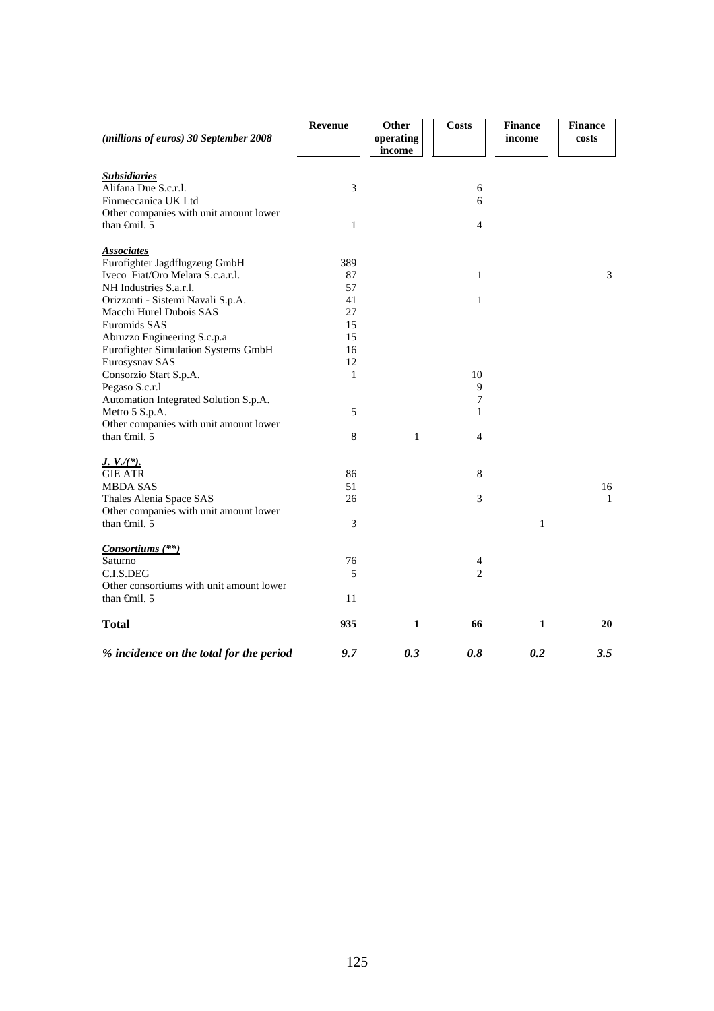| (millions of euros) 30 September 2008    | Revenue        | Other<br>operating | <b>Costs</b>   | <b>Finance</b><br>income | <b>Finance</b><br>costs |
|------------------------------------------|----------------|--------------------|----------------|--------------------------|-------------------------|
|                                          |                | income             |                |                          |                         |
| <b>Subsidiaries</b>                      |                |                    |                |                          |                         |
| Alifana Due S.c.r.l.                     | 3              |                    | 6              |                          |                         |
| Finmeccanica UK Ltd                      |                |                    | 6              |                          |                         |
| Other companies with unit amount lower   |                |                    |                |                          |                         |
| than $\oplus$ finil. 5                   | $\mathbf{1}$   |                    | $\overline{4}$ |                          |                         |
| <b>Associates</b>                        |                |                    |                |                          |                         |
| Eurofighter Jagdflugzeug GmbH            | 389            |                    |                |                          |                         |
| Iveco Fiat/Oro Melara S.c.a.r.l.         | 87             |                    | $\mathbf{1}$   |                          | 3                       |
| NH Industries S.a.r.l.                   | 57             |                    |                |                          |                         |
| Orizzonti - Sistemi Navali S.p.A.        | 41             |                    | 1              |                          |                         |
| Macchi Hurel Dubois SAS                  | 27             |                    |                |                          |                         |
| Euromids SAS                             | 15             |                    |                |                          |                         |
| Abruzzo Engineering S.c.p.a              | 15             |                    |                |                          |                         |
| Eurofighter Simulation Systems GmbH      | 16             |                    |                |                          |                         |
| Eurosysnav SAS                           | 12             |                    |                |                          |                         |
| Consorzio Start S.p.A.                   | $\mathbf{1}$   |                    | 10             |                          |                         |
| Pegaso S.c.r.l                           |                |                    | 9              |                          |                         |
| Automation Integrated Solution S.p.A.    |                |                    | $\tau$         |                          |                         |
| Metro 5 S.p.A.                           | 5              |                    | $\mathbf{1}$   |                          |                         |
| Other companies with unit amount lower   |                |                    |                |                          |                         |
| than $\oplus$ finil. 5                   | 8              | 1                  | $\overline{4}$ |                          |                         |
| $J. V. / (*).$                           |                |                    |                |                          |                         |
| <b>GIE ATR</b>                           | 86             |                    | 8              |                          |                         |
| <b>MBDA SAS</b>                          | 51             |                    |                |                          | 16                      |
| Thales Alenia Space SAS                  | 26             |                    | 3              |                          | $\mathbf{1}$            |
| Other companies with unit amount lower   |                |                    |                |                          |                         |
| than $\oplus$ finil. 5                   | $\mathfrak{Z}$ |                    |                | 1                        |                         |
| Consortiums (**)                         |                |                    |                |                          |                         |
| Saturno                                  | 76             |                    | 4              |                          |                         |
| C.L.S.DEG                                | 5              |                    | $\overline{2}$ |                          |                         |
| Other consortiums with unit amount lower |                |                    |                |                          |                         |
| than $\oplus$ finil. 5                   | 11             |                    |                |                          |                         |
| <b>Total</b>                             | 935            | 1                  | 66             | $\mathbf{1}$             | 20                      |
|                                          |                |                    |                |                          |                         |
| % incidence on the total for the period  | 9.7            | 0.3                | 0.8            | 0.2                      | 3.5                     |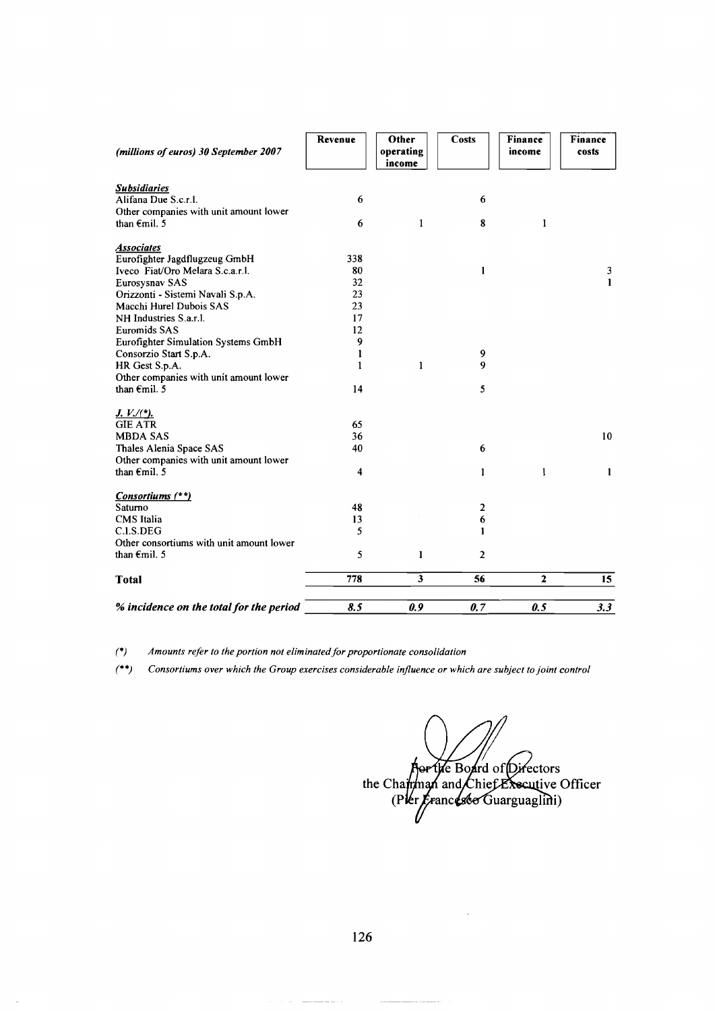| 1<br>$\overline{\mathbf{3}}$ | 6<br>1<br>2<br>6<br>1<br>$\overline{2}$<br>56       | 1<br>$\mathbf{2}$           | 10 <sup>°</sup><br>$\mathbf{I}$<br>15 |
|------------------------------|-----------------------------------------------------|-----------------------------|---------------------------------------|
|                              |                                                     |                             |                                       |
|                              |                                                     |                             |                                       |
|                              |                                                     |                             |                                       |
|                              |                                                     |                             |                                       |
|                              |                                                     |                             |                                       |
|                              |                                                     |                             |                                       |
|                              |                                                     |                             |                                       |
|                              |                                                     |                             |                                       |
|                              |                                                     |                             |                                       |
|                              |                                                     |                             |                                       |
|                              |                                                     |                             |                                       |
|                              |                                                     |                             |                                       |
|                              |                                                     |                             |                                       |
|                              | 5                                                   |                             |                                       |
|                              |                                                     |                             |                                       |
|                              |                                                     |                             |                                       |
|                              |                                                     |                             |                                       |
|                              |                                                     |                             |                                       |
|                              |                                                     |                             |                                       |
|                              |                                                     |                             |                                       |
|                              |                                                     |                             |                                       |
|                              |                                                     |                             |                                       |
|                              |                                                     |                             | $\mathbf{1}$                          |
|                              |                                                     |                             | 3                                     |
|                              |                                                     |                             |                                       |
|                              |                                                     |                             |                                       |
|                              |                                                     |                             |                                       |
|                              | 6                                                   |                             |                                       |
|                              |                                                     |                             |                                       |
| Other                        | <b>Costs</b>                                        | income                      | Finance<br>costs                      |
|                              |                                                     |                             |                                       |
|                              | operating<br>income<br>$\mathbf{1}$<br>$\mathbf{1}$ | 8<br>$\mathbf{1}$<br>9<br>9 | Finance<br>1                          |

(\*) Amounts refer to the portion not eliminated for proportionate consolidation

 $\sim$   $\sim$ 

(\*\*) *Consortiums over which the Group exercises considerable injluence or which are subject to joint contro1* 

Aprile Board of Directors<br>the Charman and Chief Executive Officer<br>(Pter Francesco Guarguaglini)

126

----